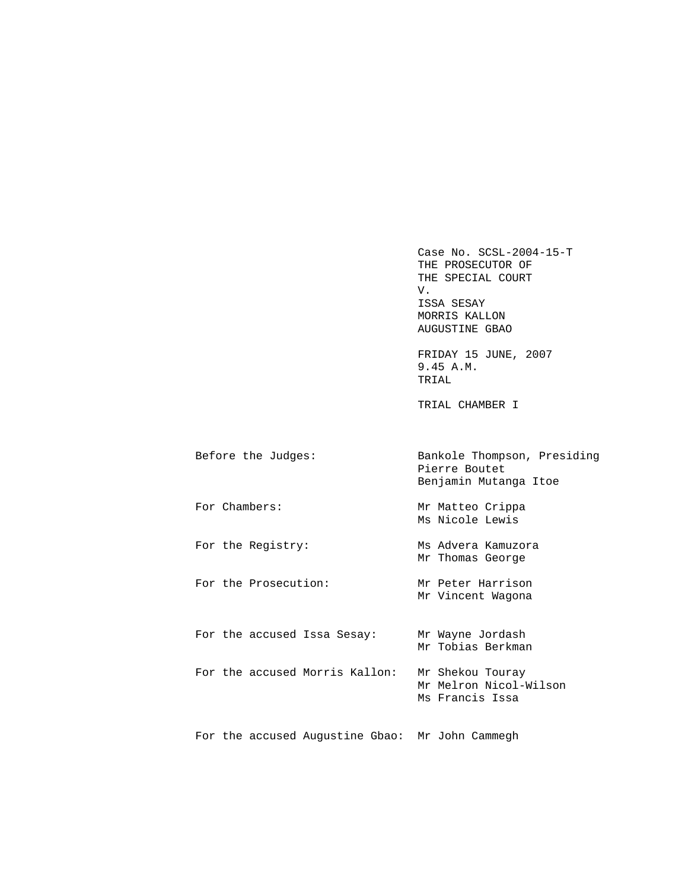Case No. SCSL-2004-15-T THE PROSECUTOR OF THE SPECIAL COURT V. ISSA SESAY MORRIS KALLON AUGUSTINE GBAO FRIDAY 15 JUNE, 2007 9.45 A.M. TRIAL TRIAL CHAMBER I Before the Judges: Bankole Thompson, Presiding Pierre Boutet Benjamin Mutanga Itoe For Chambers: Mr Matteo Crippa Ms Nicole Lewis For the Registry: Ms Advera Kamuzora Mr Thomas George For the Prosecution: Mr Peter Harrison Mr Vincent Wagona For the accused Issa Sesay: Mr Wayne Jordash Mr Tobias Berkman For the accused Morris Kallon: Mr Shekou Touray Mr Melron Nicol-Wilson Ms Francis Issa For the accused Augustine Gbao: Mr John Cammegh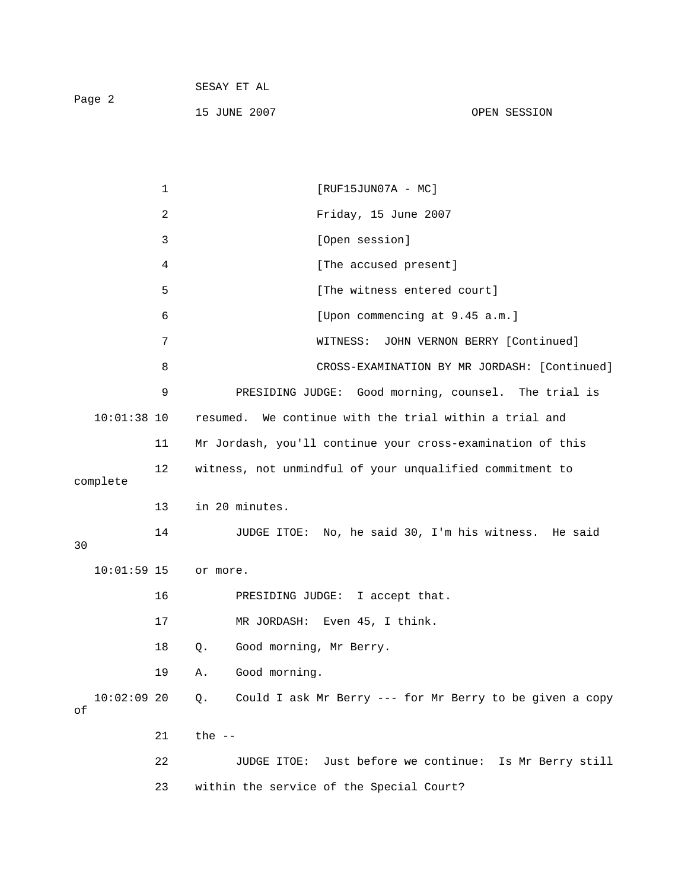| Page 2 | SESAY ET AL  |              |
|--------|--------------|--------------|
|        | 15 JUNE 2007 | OPEN SESSION |

|    |               | $\mathbf 1$ | $[RUF15JUN07A - MC]$                                           |
|----|---------------|-------------|----------------------------------------------------------------|
|    |               | 2           | Friday, 15 June 2007                                           |
|    |               | 3           | [Open session]                                                 |
|    |               | 4           | [The accused present]                                          |
|    |               | 5           | [The witness entered court]                                    |
|    |               | 6           | [Upon commencing at 9.45 a.m.]                                 |
|    |               | 7           | JOHN VERNON BERRY [Continued]<br>WITNESS:                      |
|    |               | 8           | CROSS-EXAMINATION BY MR JORDASH: [Continued]                   |
|    |               | 9           | PRESIDING JUDGE: Good morning, counsel. The trial is           |
|    | $10:01:38$ 10 |             | resumed. We continue with the trial within a trial and         |
|    |               | 11          | Mr Jordash, you'll continue your cross-examination of this     |
|    |               | 12          | witness, not unmindful of your unqualified commitment to       |
|    | complete      |             |                                                                |
|    |               | 13          | in 20 minutes.                                                 |
| 30 |               | 14          | JUDGE ITOE: No, he said 30, I'm his witness. He said           |
|    | $10:01:59$ 15 |             | or more.                                                       |
|    |               | 16          | PRESIDING JUDGE: I accept that.                                |
|    |               | 17          | MR JORDASH: Even 45, I think.                                  |
|    |               | 18          | Good morning, Mr Berry.<br>$Q$ .                               |
|    |               | 19          | Good morning.<br>Α.                                            |
| оf | $10:02:09$ 20 |             | Could I ask Mr Berry --- for Mr Berry to be given a copy<br>Q. |
|    |               | 21          | the $--$                                                       |
|    |               | 22          | Just before we continue: Is Mr Berry still<br>JUDGE ITOE:      |
|    |               | 23          | within the service of the Special Court?                       |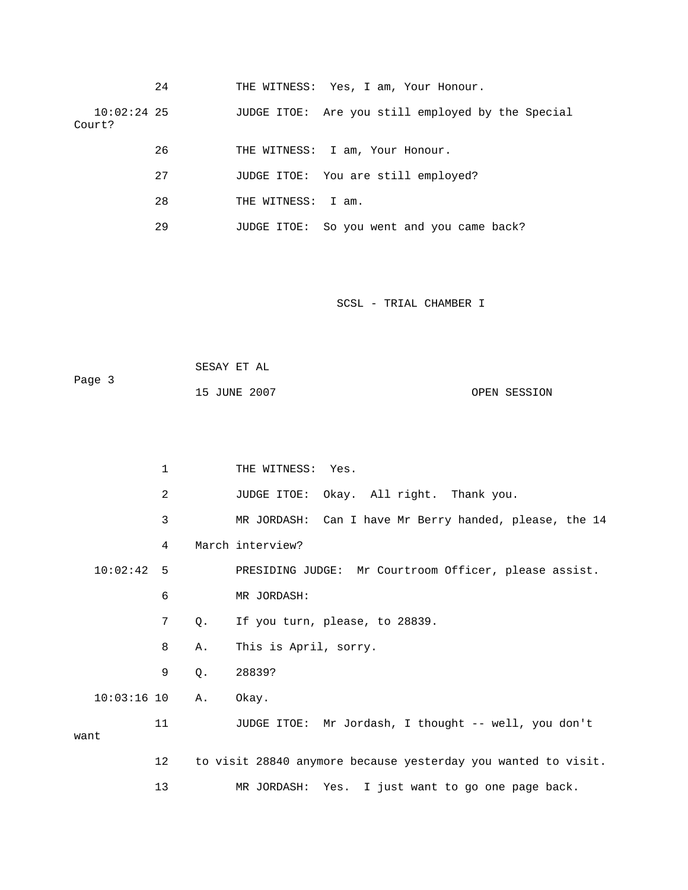|                         | 24 |                    | THE WITNESS: Yes, I am, Your Honour.              |
|-------------------------|----|--------------------|---------------------------------------------------|
| $10:02:24$ 25<br>Court? |    |                    | JUDGE ITOE: Are you still employed by the Special |
|                         | 26 |                    | THE WITNESS: I am, Your Honour.                   |
|                         | 27 |                    | JUDGE ITOE: You are still employed?               |
|                         | 28 | THE WITNESS: I am. |                                                   |
|                         | 29 |                    | JUDGE ITOE: So you went and you came back?        |

| Page 3 | SESAY ET AL  |              |
|--------|--------------|--------------|
|        | 15 JUNE 2007 | OPEN SESSION |

|               | 1       |    | THE WITNESS: Yes.                                             |
|---------------|---------|----|---------------------------------------------------------------|
|               | 2       |    | JUDGE ITOE: Okay. All right. Thank you.                       |
|               | 3       |    | MR JORDASH: Can I have Mr Berry handed, please, the 14        |
|               | 4       |    | March interview?                                              |
| 10:02:42      | - 5     |    | PRESIDING JUDGE: Mr Courtroom Officer, please assist.         |
|               | 6       |    | MR JORDASH:                                                   |
|               | 7       | Q. | If you turn, please, to 28839.                                |
|               | 8       | Α. | This is April, sorry.                                         |
|               | 9       | Q. | 28839?                                                        |
| $10:03:16$ 10 |         | Α. | Okay.                                                         |
|               | 11      |    | JUDGE ITOE: Mr Jordash, I thought -- well, you don't          |
| want          |         |    |                                                               |
|               | $12 \,$ |    | to visit 28840 anymore because yesterday you wanted to visit. |
|               | 13      |    | MR JORDASH: Yes. I just want to go one page back.             |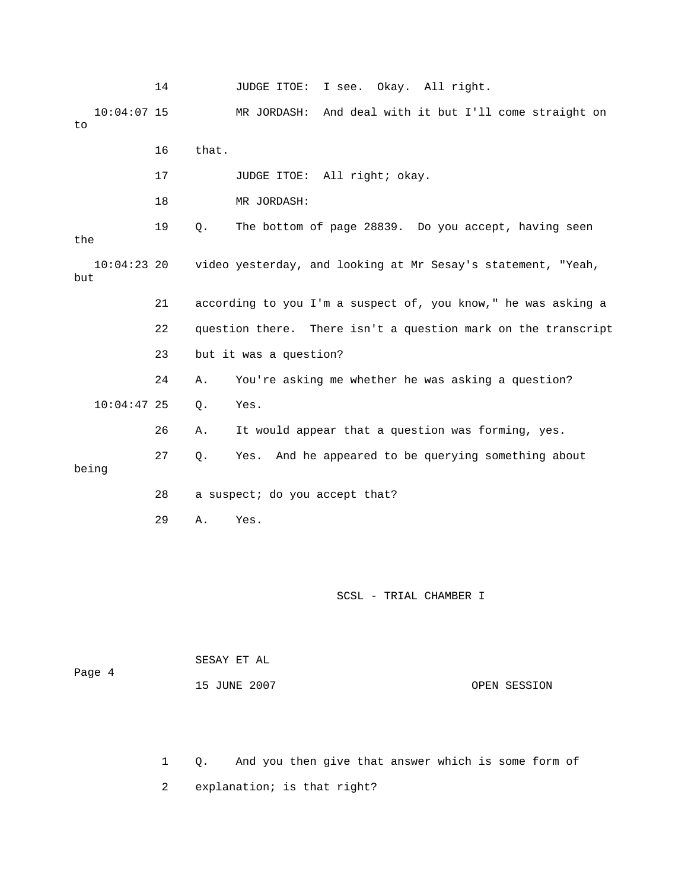14 JUDGE ITOE: I see. Okay. All right. 10:04:07 15 MR JORDASH: And deal with it but I'll come straight on to 16 that. 17 JUDGE ITOE: All right; okay. 18 MR JORDASH: 19 Q. The bottom of page 28839. Do you accept, having seen the 10:04:23 20 video yesterday, and looking at Mr Sesay's statement, "Yeah, but 21 according to you I'm a suspect of, you know," he was asking a 22 question there. There isn't a question mark on the transcript 23 but it was a question? 24 A. You're asking me whether he was asking a question? 10:04:47 25 Q. Yes. 26 A. It would appear that a question was forming, yes. 27 Q. Yes. And he appeared to be querying something about being 28 a suspect; do you accept that? 29 A. Yes. SCSL - TRIAL CHAMBER I

 SESAY ET AL Page 4 15 JUNE 2007 OPEN SESSION

> 1 Q. And you then give that answer which is some form of 2 explanation; is that right?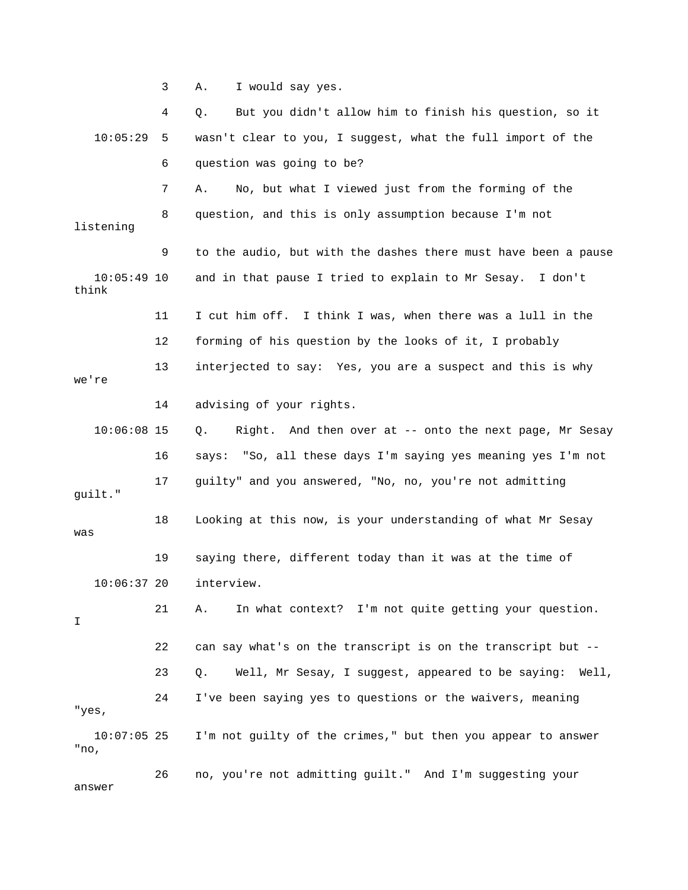3 A. I would say yes.

 4 Q. But you didn't allow him to finish his question, so it 10:05:29 5 wasn't clear to you, I suggest, what the full import of the 6 question was going to be? 7 A. No, but what I viewed just from the forming of the 8 question, and this is only assumption because I'm not listening 9 to the audio, but with the dashes there must have been a pause 10:05:49 10 and in that pause I tried to explain to Mr Sesay. I don't think 11 I cut him off. I think I was, when there was a lull in the 12 forming of his question by the looks of it, I probably 13 interjected to say: Yes, you are a suspect and this is why we're 14 advising of your rights. 10:06:08 15 Q. Right. And then over at -- onto the next page, Mr Sesay 16 says: "So, all these days I'm saying yes meaning yes I'm not 17 guilty" and you answered, "No, no, you're not admitting guilt." 18 Looking at this now, is your understanding of what Mr Sesay was 19 saying there, different today than it was at the time of 10:06:37 20 interview. 21 A. In what context? I'm not quite getting your question. I 22 can say what's on the transcript is on the transcript but -- 23 Q. Well, Mr Sesay, I suggest, appeared to be saying: Well, 24 I've been saying yes to questions or the waivers, meaning "yes, 10:07:05 25 I'm not guilty of the crimes," but then you appear to answer "no, 26 no, you're not admitting guilt." And I'm suggesting your answer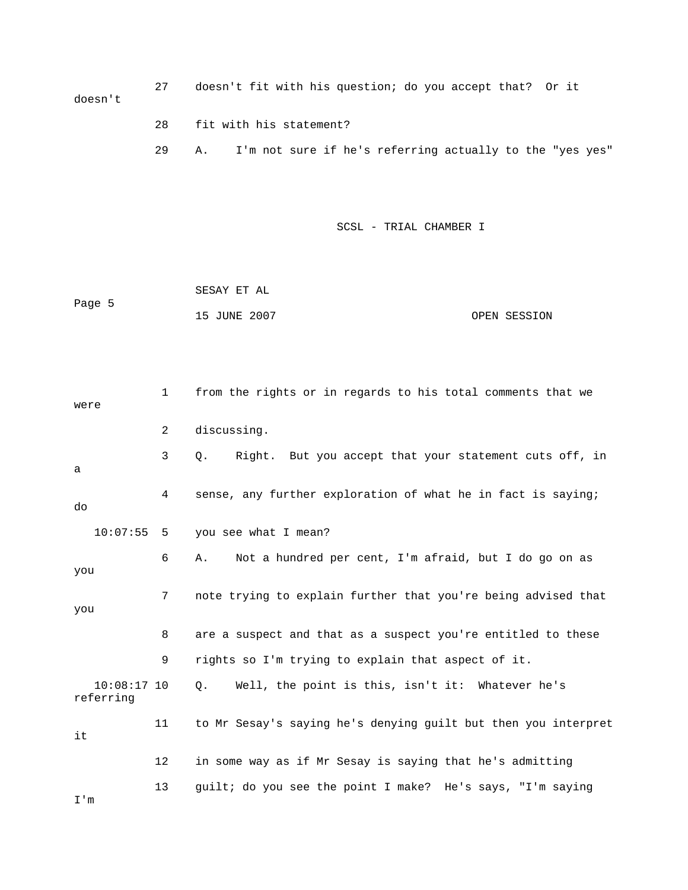27 doesn't fit with his question; do you accept that? Or it doesn't 28 fit with his statement?

29 A. I'm not sure if he's referring actually to the "yes yes"

SCSL - TRIAL CHAMBER I

 SESAY ET AL Page 5 15 JUNE 2007 OPEN SESSION

 1 from the rights or in regards to his total comments that we were 2 discussing. 3 Q. Right. But you accept that your statement cuts off, in a 4 sense, any further exploration of what he in fact is saying; do 10:07:55 5 you see what I mean? 6 A. Not a hundred per cent, I'm afraid, but I do go on as you 7 note trying to explain further that you're being advised that you 8 are a suspect and that as a suspect you're entitled to these 9 rights so I'm trying to explain that aspect of it. 10:08:17 10 Q. Well, the point is this, isn't it: Whatever he's referring 11 to Mr Sesay's saying he's denying guilt but then you interpret it 12 in some way as if Mr Sesay is saying that he's admitting 13 guilt; do you see the point I make? He's says, "I'm saying I'm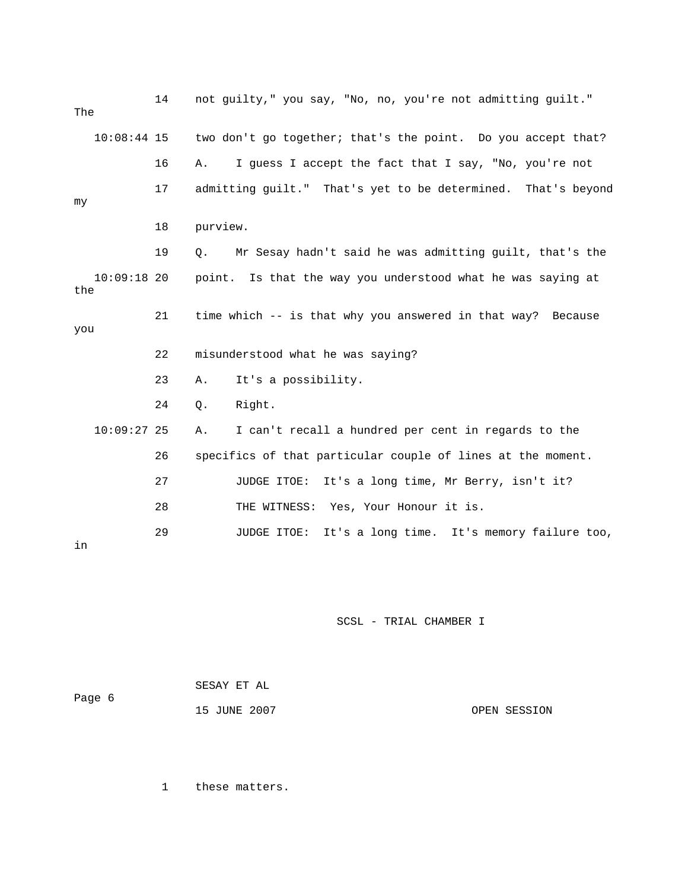14 not guilty," you say, "No, no, you're not admitting guilt." The 10:08:44 15 two don't go together; that's the point. Do you accept that? 16 A. I guess I accept the fact that I say, "No, you're not 17 admitting guilt." That's yet to be determined. That's beyond my 18 purview. 19 Q. Mr Sesay hadn't said he was admitting guilt, that's the 10:09:18 20 point. Is that the way you understood what he was saying at the 21 time which -- is that why you answered in that way? Because you 22 misunderstood what he was saying? 23 A. It's a possibility. 24 Q. Right. 10:09:27 25 A. I can't recall a hundred per cent in regards to the 26 specifics of that particular couple of lines at the moment. 27 JUDGE ITOE: It's a long time, Mr Berry, isn't it? 28 THE WITNESS: Yes, Your Honour it is. 29 JUDGE ITOE: It's a long time. It's memory failure too, in

SCSL - TRIAL CHAMBER I

| Page 6 | SESAY ET AL  |              |  |  |  |
|--------|--------------|--------------|--|--|--|
|        | 15 JUNE 2007 | OPEN SESSION |  |  |  |

1 these matters.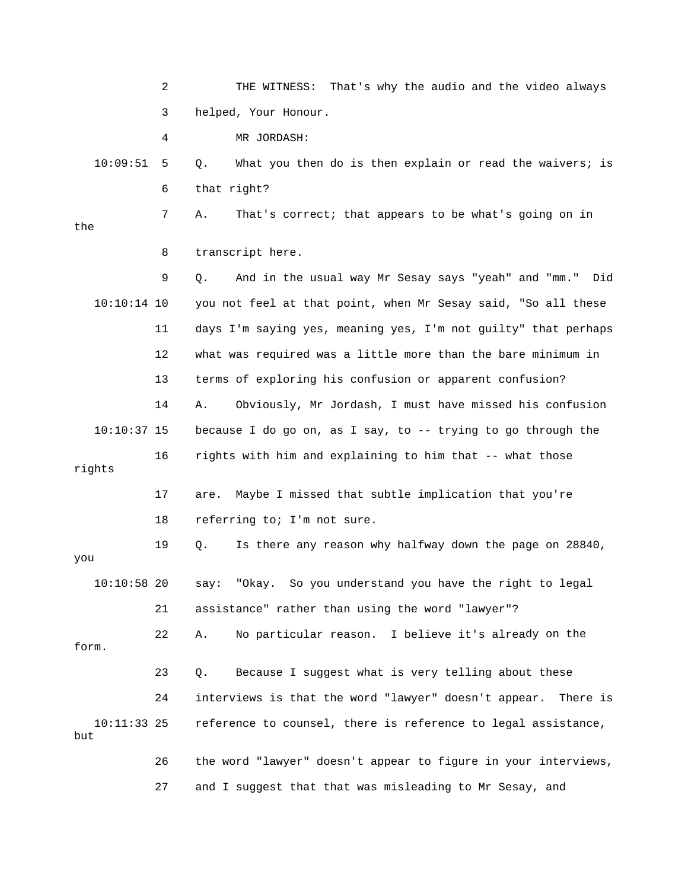2 THE WITNESS: That's why the audio and the video always 3 helped, Your Honour. 10:09:51 5 Q. What you then do is then explain or read the waivers; is 6 that right? 9 Q. And in the usual way Mr Sesay says "yeah" and "mm." Did 10:10:14 10 you not feel at that point, when Mr Sesay said, "So all these 12 what was required was a little more than the bare minimum in 13 terms of exploring his confusion or apparent confusion? 10:10:37 15 because I do go on, as I say, to -- trying to go through the 16 rights with him and explaining to him that -- what those 17 are. Maybe I missed that subtle implication that you're 19 Q. Is there any reason why halfway down the page on 28840, 10:10:58 20 say: "Okay. So you understand you have the right to legal 21 assistance" rather than using the word "lawyer"? 22 A. No particular reason. I believe it's already on the 23 Q. Because I suggest what is very telling about these 24 interviews is that the word "lawyer" doesn't appear. There is but 26 the word "lawyer" doesn't appear to figure in your interviews, 4 MR JORDASH: 7 A. That's correct; that appears to be what's going on in the 8 transcript here. 11 days I'm saying yes, meaning yes, I'm not guilty" that perhaps 14 A. Obviously, Mr Jordash, I must have missed his confusion rights 18 referring to; I'm not sure. you form. 10:11:33 25 reference to counsel, there is reference to legal assistance, 27 and I suggest that that was misleading to Mr Sesay, and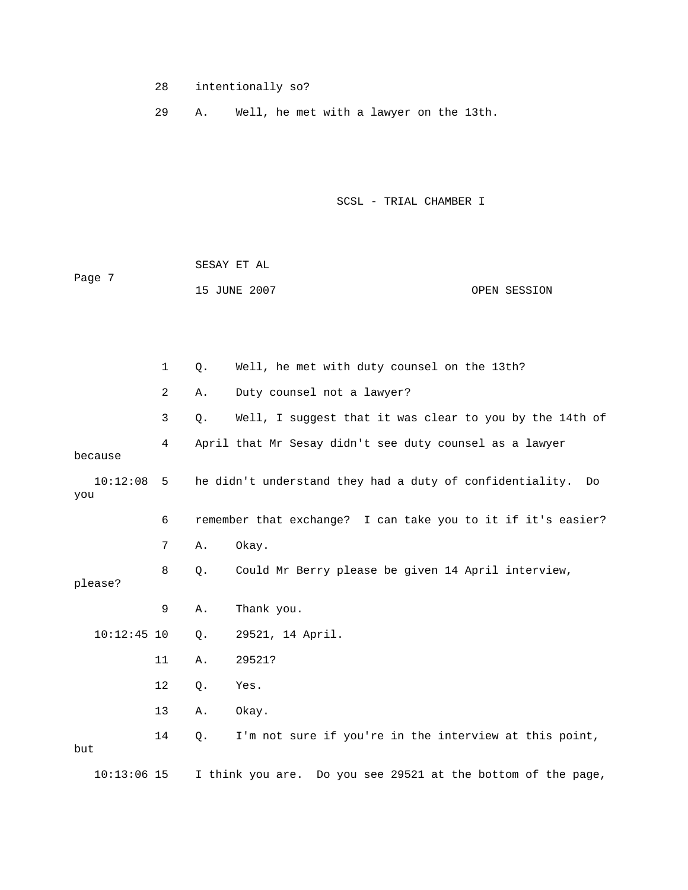28 intentionally so?

29 A. Well, he met with a lawyer on the 13th.

SCSL - TRIAL CHAMBER I

 SESAY ET AL ge 7 Pa 15 JUNE 2007 CPEN SESSION

|                 | 1  | Q.        | Well, he met with duty counsel on the 13th?                    |
|-----------------|----|-----------|----------------------------------------------------------------|
|                 | 2  | Α.        | Duty counsel not a lawyer?                                     |
|                 | 3  | Q.        | Well, I suggest that it was clear to you by the 14th of        |
| because         | 4  |           | April that Mr Sesay didn't see duty counsel as a lawyer        |
| 10:12:08<br>you | 5  |           | he didn't understand they had a duty of confidentiality.<br>Do |
|                 | 6  |           | remember that exchange? I can take you to it if it's easier?   |
|                 | 7  | Α.        | Okay.                                                          |
| please?         | 8  | Q.        | Could Mr Berry please be given 14 April interview,             |
|                 | 9  | Α.        | Thank you.                                                     |
| $10:12:45$ 10   |    | Q.        | 29521, 14 April.                                               |
|                 | 11 | Α.        | 29521?                                                         |
|                 | 12 | Q.        | Yes.                                                           |
|                 | 13 | Α.        | Okay.                                                          |
| but             | 14 | $\circ$ . | I'm not sure if you're in the interview at this point,         |
| $10:13:06$ 15   |    |           | I think you are. Do you see 29521 at the bottom of the page,   |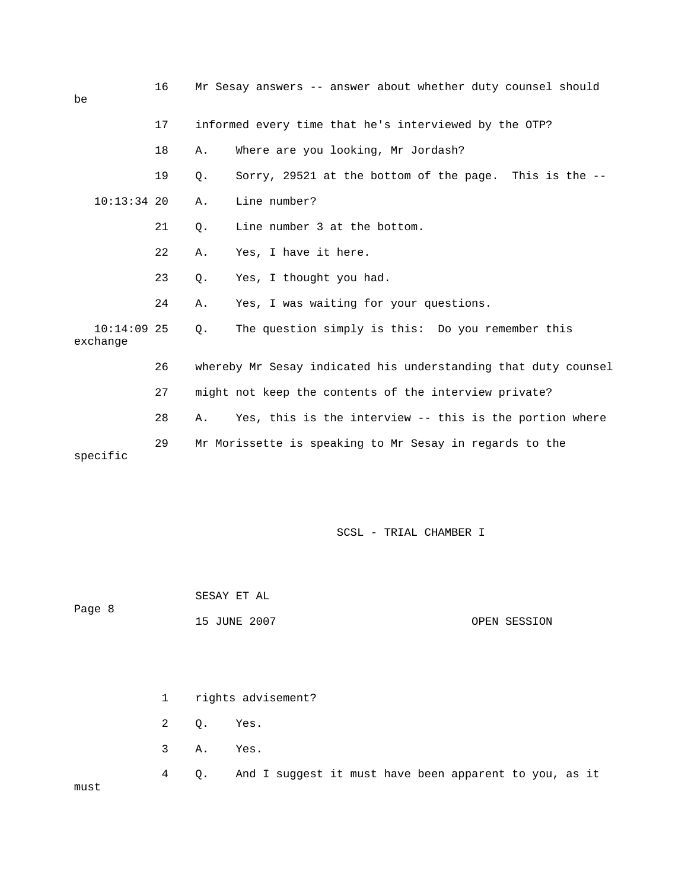| be                        | 16 |       | Mr Sesay answers -- answer about whether duty counsel should   |
|---------------------------|----|-------|----------------------------------------------------------------|
|                           | 17 |       | informed every time that he's interviewed by the OTP?          |
|                           | 18 | Α.    | Where are you looking, Mr Jordash?                             |
|                           | 19 | $Q$ . | Sorry, 29521 at the bottom of the page. This is the --         |
| $10:13:34$ 20             |    | Α.    | Line number?                                                   |
|                           | 21 | $Q$ . | Line number 3 at the bottom.                                   |
|                           | 22 | Α.    | Yes, I have it here.                                           |
|                           | 23 | $Q$ . | Yes, I thought you had.                                        |
|                           | 24 | Α.    | Yes, I was waiting for your questions.                         |
| $10:14:09$ 25<br>exchange |    | Ο.    | The question simply is this: Do you remember this              |
|                           | 26 |       | whereby Mr Sesay indicated his understanding that duty counsel |
|                           | 27 |       | might not keep the contents of the interview private?          |
|                           | 28 | Α.    | Yes, this is the interview -- this is the portion where        |
| specific                  | 29 |       | Mr Morissette is speaking to Mr Sesay in regards to the        |

 SESAY ET AL 15 JUNE 2007 OPEN SESSION 1 rights advisement? 2 Q. Yes. 4 Q. And I suggest it must have been apparent to you, as it Page 8 3 A. Yes.

must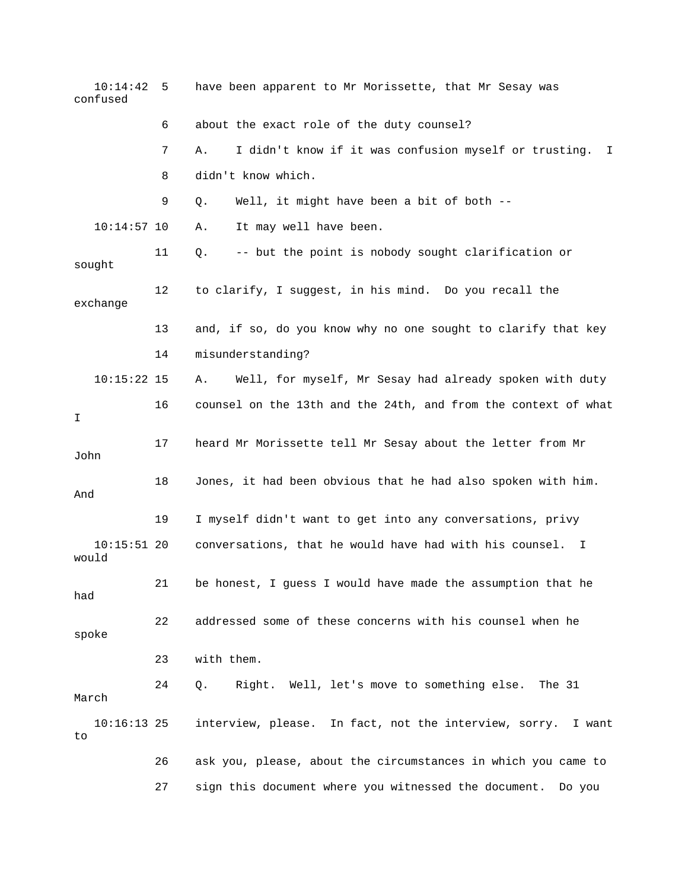| 10:14:42<br>confused   | 5  | have been apparent to Mr Morissette, that Mr Sesay was         |
|------------------------|----|----------------------------------------------------------------|
|                        | 6  | about the exact role of the duty counsel?                      |
|                        | 7  | I didn't know if it was confusion myself or trusting. I<br>Α.  |
|                        | 8  | didn't know which.                                             |
|                        | 9  | Well, it might have been a bit of both --<br>Q.                |
| $10:14:57$ 10          |    | It may well have been.<br>Α.                                   |
| sought                 | 11 | -- but the point is nobody sought clarification or<br>Q.       |
| exchange               | 12 | to clarify, I suggest, in his mind. Do you recall the          |
|                        | 13 | and, if so, do you know why no one sought to clarify that key  |
|                        | 14 | misunderstanding?                                              |
| $10:15:22$ 15          |    | Well, for myself, Mr Sesay had already spoken with duty<br>Α.  |
| I.                     | 16 | counsel on the 13th and the 24th, and from the context of what |
| John                   | 17 | heard Mr Morissette tell Mr Sesay about the letter from Mr     |
| And                    | 18 | Jones, it had been obvious that he had also spoken with him.   |
|                        | 19 | I myself didn't want to get into any conversations, privy      |
| $10:15:51$ 20<br>would |    | conversations, that he would have had with his counsel. I      |
| had                    | 21 | be honest, I guess I would have made the assumption that he    |
| spoke                  | 22 | addressed some of these concerns with his counsel when he      |
|                        | 23 | with them.                                                     |
| March                  | 24 | Right. Well, let's move to something else.<br>Q.<br>The 31     |
| $10:16:13$ 25<br>to    |    | interview, please. In fact, not the interview, sorry. I want   |
|                        | 26 | ask you, please, about the circumstances in which you came to  |
|                        | 27 | sign this document where you witnessed the document. Do you    |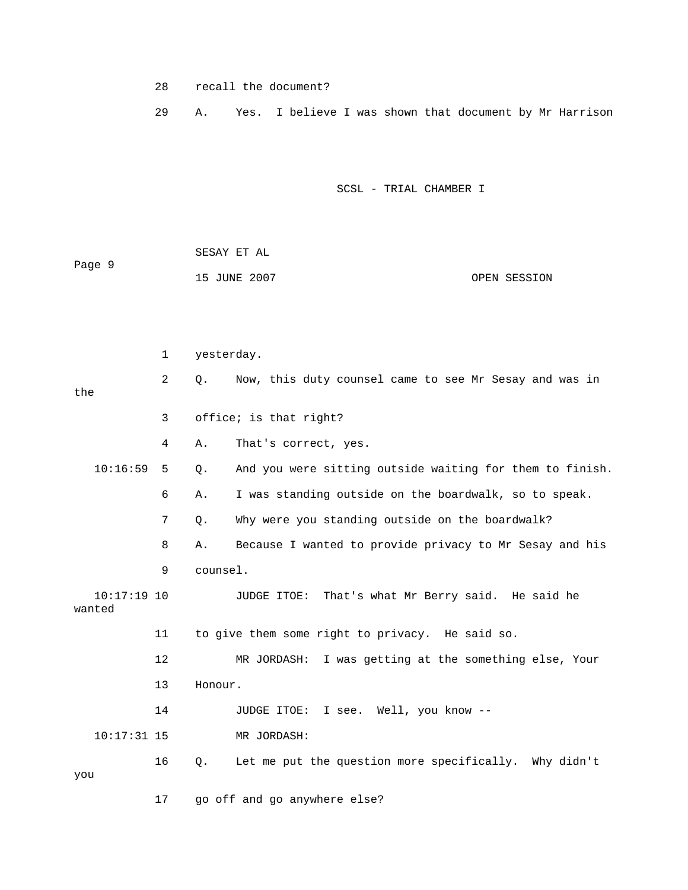- 28 recall the document?
- 29 A. Yes. I believe I was shown that document by Mr Harrison

|        | SESAY ET AL  |              |
|--------|--------------|--------------|
| Page 9 |              |              |
|        | 15 JUNE 2007 | OPEN SESSION |

|                         | 1  | yesterday.                                                          |  |  |
|-------------------------|----|---------------------------------------------------------------------|--|--|
| the                     | 2  | Now, this duty counsel came to see Mr Sesay and was in<br>$\circ$ . |  |  |
|                         | 3  | office; is that right?                                              |  |  |
|                         | 4  | That's correct, yes.<br>Α.                                          |  |  |
| 10:16:59                | 5  | And you were sitting outside waiting for them to finish.<br>$Q$ .   |  |  |
|                         | 6  | I was standing outside on the boardwalk, so to speak.<br>Α.         |  |  |
|                         | 7  | Why were you standing outside on the boardwalk?<br>$Q$ .            |  |  |
|                         | 8  | Because I wanted to provide privacy to Mr Sesay and his<br>Α.       |  |  |
|                         | 9  | counsel.                                                            |  |  |
| $10:17:19$ 10<br>wanted |    | JUDGE ITOE:<br>That's what Mr Berry said. He said he                |  |  |
|                         | 11 | to give them some right to privacy. He said so.                     |  |  |
|                         | 12 | MR JORDASH: I was getting at the something else, Your               |  |  |
|                         | 13 | Honour.                                                             |  |  |
|                         | 14 | JUDGE ITOE:<br>I see. Well, you know --                             |  |  |
| $10:17:31$ 15           |    | MR JORDASH:                                                         |  |  |
| you                     | 16 | Let me put the question more specifically. Why didn't<br>Q.         |  |  |
|                         | 17 | go off and go anywhere else?                                        |  |  |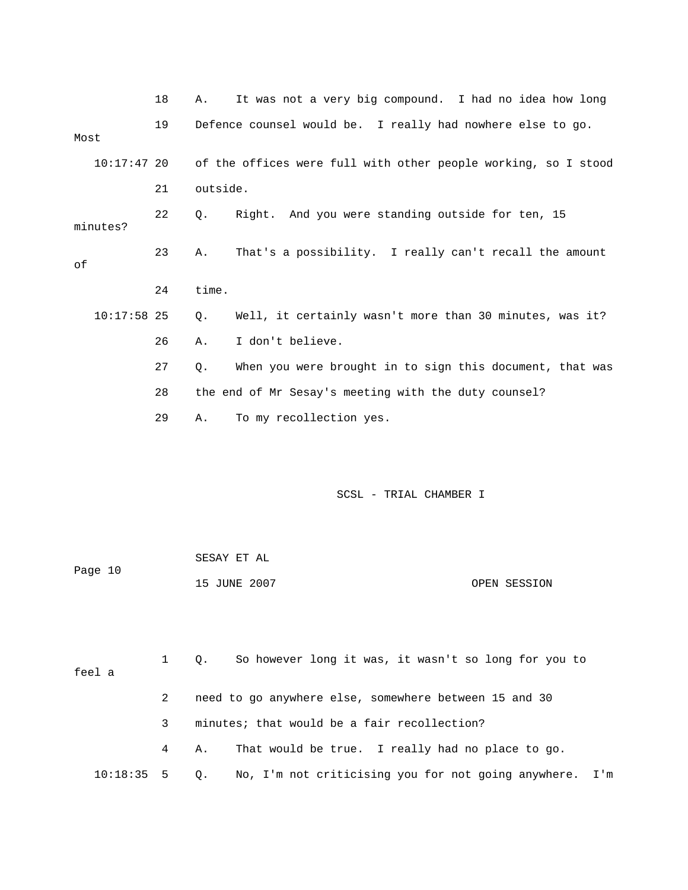|          |               | 18 | Α.       | It was not a very big compound. I had no idea how long         |
|----------|---------------|----|----------|----------------------------------------------------------------|
| Most     |               | 19 |          | Defence counsel would be. I really had nowhere else to go.     |
|          | $10:17:47$ 20 |    |          | of the offices were full with other people working, so I stood |
|          |               | 21 | outside. |                                                                |
| minutes? |               | 22 | Q.       | Right. And you were standing outside for ten, 15               |
| of       |               | 23 | Α.       | That's a possibility. I really can't recall the amount         |
|          |               | 24 | time.    |                                                                |
|          | $10:17:58$ 25 |    | 0.       | Well, it certainly wasn't more than 30 minutes, was it?        |
|          |               | 26 | Α.       | I don't believe.                                               |
|          |               | 27 | Q.       | When you were brought in to sign this document, that was       |
|          |               | 28 |          | the end of Mr Sesay's meeting with the duty counsel?           |
|          |               | 29 | Α.       | To my recollection yes.                                        |

| Page 10 | SESAY ET AL  |              |
|---------|--------------|--------------|
|         | 15 JUNE 2007 | OPEN SESSION |

 1 Q. So however long it was, it wasn't so long for you to 2 need to go anywhere else, somewhere between 15 and 30 3 minutes; that would be a fair recollection? 4 A. That would be true. I really had no place to go. 10:18:35 5 Q. No, I'm not criticising you for not going anywhere. I'm feel a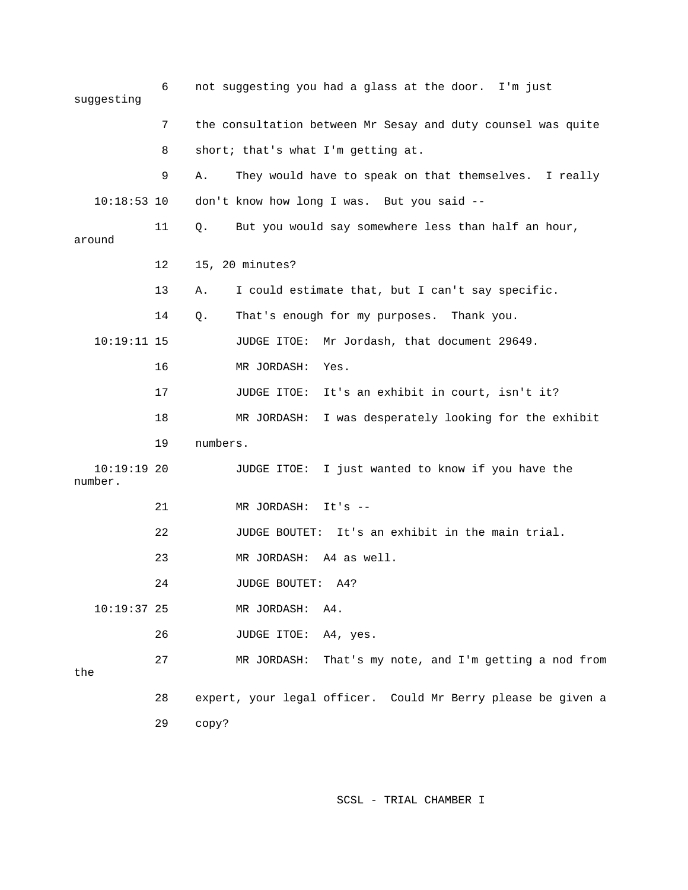| suggesting               | 6  | not suggesting you had a glass at the door. I'm just           |
|--------------------------|----|----------------------------------------------------------------|
|                          | 7  | the consultation between Mr Sesay and duty counsel was quite   |
|                          | 8  | short; that's what I'm getting at.                             |
|                          | 9  | They would have to speak on that themselves.<br>Α.<br>I really |
| $10:18:53$ 10            |    | don't know how long I was. But you said --                     |
| around                   | 11 | But you would say somewhere less than half an hour,<br>Q.      |
|                          | 12 | 15, 20 minutes?                                                |
|                          | 13 | I could estimate that, but I can't say specific.<br>Α.         |
|                          | 14 | That's enough for my purposes. Thank you.<br>Q.                |
| $10:19:11$ 15            |    | Mr Jordash, that document 29649.<br>JUDGE ITOE:                |
|                          | 16 | MR JORDASH:<br>Yes.                                            |
|                          | 17 | It's an exhibit in court, isn't it?<br>JUDGE ITOE:             |
|                          | 18 | MR JORDASH:<br>I was desperately looking for the exhibit       |
|                          | 19 | numbers.                                                       |
| $10:19:19$ 20<br>number. |    | I just wanted to know if you have the<br>JUDGE ITOE:           |
|                          | 21 | MR JORDASH:<br>$It's -$                                        |
|                          | 22 | It's an exhibit in the main trial.<br>JUDGE BOUTET:            |
|                          | 23 | MR JORDASH: A4 as well.                                        |
|                          | 24 | JUDGE BOUTET:<br>A4?                                           |
| $10:19:37$ 25            |    | A4.<br>MR JORDASH:                                             |
|                          | 26 | A4, yes.<br>JUDGE ITOE:                                        |
| the                      | 27 | That's my note, and I'm getting a nod from<br>MR JORDASH:      |
|                          | 28 | expert, your legal officer. Could Mr Berry please be given a   |
|                          | 29 | copy?                                                          |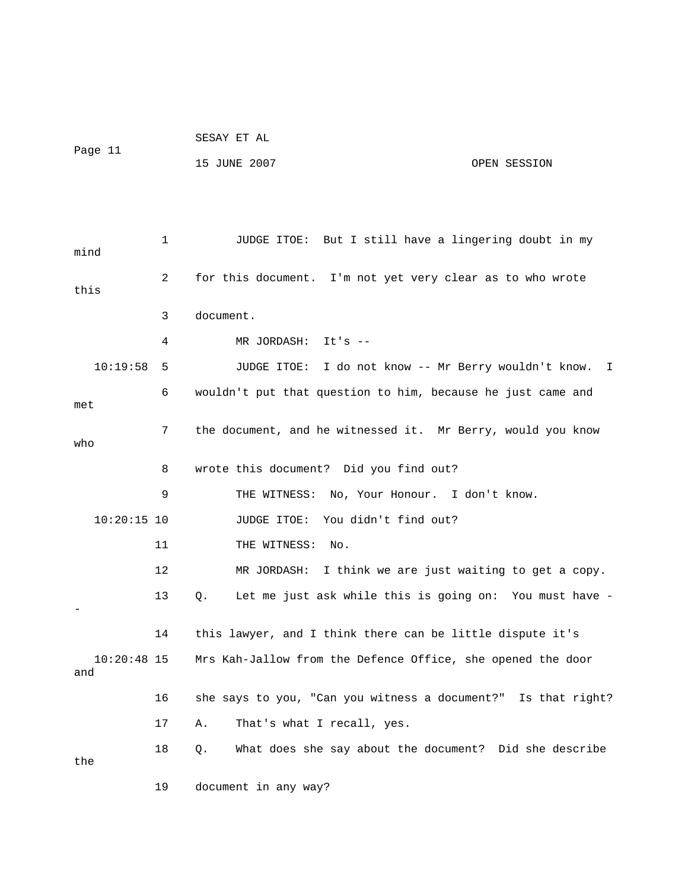| Page 11              |    | 15 JUNE 2007                                                  | OPEN SESSION |
|----------------------|----|---------------------------------------------------------------|--------------|
|                      | 1  | JUDGE ITOE: But I still have a lingering doubt in my          |              |
| mind                 | 2  | for this document. I'm not yet very clear as to who wrote     |              |
| this                 |    |                                                               |              |
|                      | 3  | document.                                                     |              |
|                      | 4  | It's $-$<br>MR JORDASH:                                       |              |
| 10:19:58             | 5  | JUDGE ITOE: I do not know -- Mr Berry wouldn't know. I        |              |
| met                  | 6  | wouldn't put that question to him, because he just came and   |              |
| who                  | 7  | the document, and he witnessed it. Mr Berry, would you know   |              |
|                      | 8  | wrote this document? Did you find out?                        |              |
|                      | 9  | THE WITNESS: No, Your Honour. I don't know.                   |              |
| $10:20:15$ 10        |    | You didn't find out?<br>JUDGE ITOE:                           |              |
|                      | 11 | THE WITNESS:<br>No.                                           |              |
|                      | 12 | I think we are just waiting to get a copy.<br>MR JORDASH:     |              |
|                      | 13 | Let me just ask while this is going on: You must have -<br>Q. |              |
|                      | 14 | this lawyer, and I think there can be little dispute it's     |              |
| $10:20:48$ 15<br>and |    | Mrs Kah-Jallow from the Defence Office, she opened the door   |              |
|                      | 16 | she says to you, "Can you witness a document?" Is that right? |              |
|                      | 17 | That's what I recall, yes.<br>Α.                              |              |
| the                  | 18 | Q.<br>What does she say about the document? Did she describe  |              |
|                      | 19 | document in any way?                                          |              |

SESAY ET AL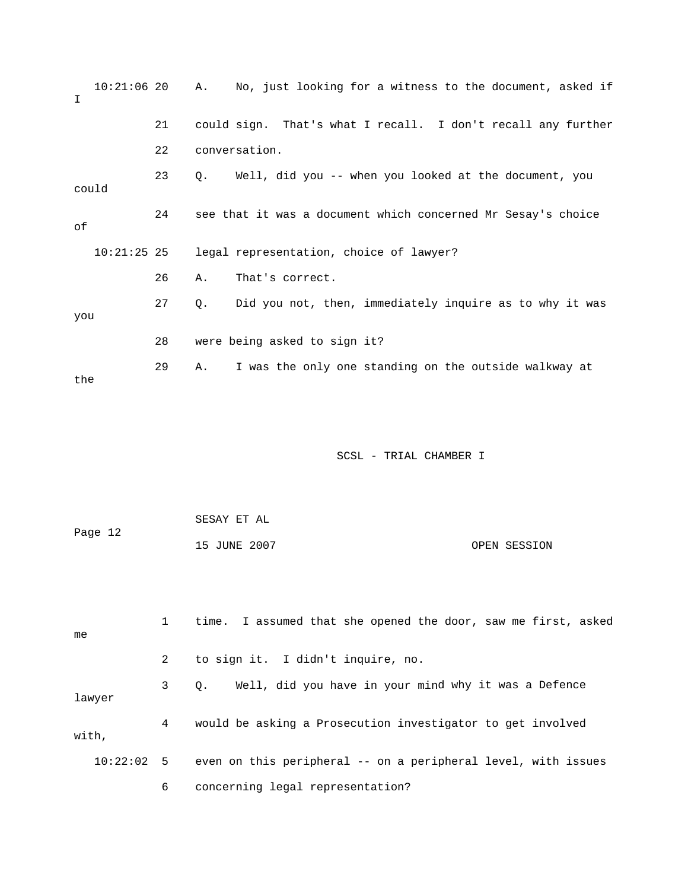| $10:21:06$ 20<br>I |    | No, just looking for a witness to the document, asked if<br>Α. |
|--------------------|----|----------------------------------------------------------------|
|                    | 21 | could sign. That's what I recall. I don't recall any further   |
|                    | 22 | conversation.                                                  |
| could              | 23 | Well, did you -- when you looked at the document, you<br>0.    |
| οf                 | 24 | see that it was a document which concerned Mr Sesay's choice   |
| $10:21:25$ 25      |    | legal representation, choice of lawyer?                        |
|                    |    |                                                                |
|                    | 26 | That's correct.<br>Α.                                          |
| you                | 27 | Did you not, then, immediately inquire as to why it was<br>Q.  |
|                    | 28 | were being asked to sign it?                                   |

|         | SESAY ET AL  |              |
|---------|--------------|--------------|
| Page 12 |              |              |
|         | 15 JUNE 2007 | OPEN SESSION |

| me     |                | time. I assumed that she opened the door, saw me first, asked              |
|--------|----------------|----------------------------------------------------------------------------|
|        | $\mathbf{2}$   | to sign it. I didn't inquire, no.                                          |
| lawyer | $3 \sim$       | Well, did you have in your mind why it was a Defence<br>$\circ$ .          |
| with,  | $\overline{4}$ | would be asking a Prosecution investigator to get involved                 |
|        |                | $10:22:02$ 5 even on this peripheral -- on a peripheral level, with issues |
|        | 6              | concerning legal representation?                                           |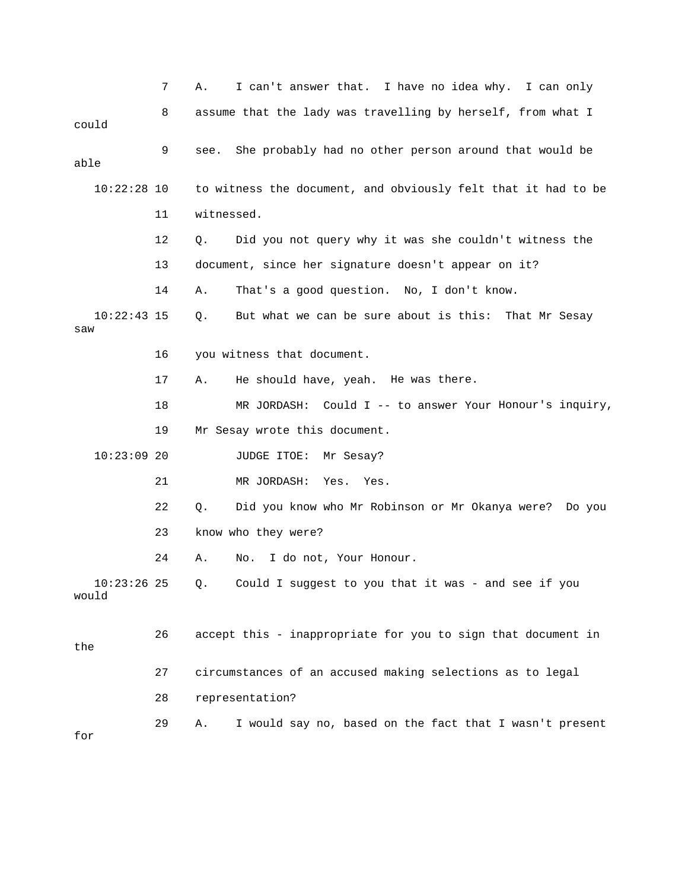|                        | 7  | Α.         | I can't answer that. I have no idea why. I can only           |
|------------------------|----|------------|---------------------------------------------------------------|
| could                  | 8  |            | assume that the lady was travelling by herself, from what I   |
| able                   | 9  | see.       | She probably had no other person around that would be         |
| 10:22:28 10            |    |            | to witness the document, and obviously felt that it had to be |
|                        | 11 | witnessed. |                                                               |
|                        | 12 | Q.         | Did you not query why it was she couldn't witness the         |
|                        | 13 |            | document, since her signature doesn't appear on it?           |
|                        | 14 | Α.         | That's a good question. No, I don't know.                     |
| $10:22:43$ 15<br>saw   |    | Q.         | But what we can be sure about is this: That Mr Sesay          |
|                        | 16 |            | you witness that document.                                    |
|                        | 17 | Α.         | He should have, yeah. He was there.                           |
|                        | 18 |            | MR JORDASH: Could I -- to answer Your Honour's inquiry,       |
|                        | 19 |            | Mr Sesay wrote this document.                                 |
| $10:23:09$ 20          |    |            | JUDGE ITOE:<br>Mr Sesay?                                      |
|                        | 21 |            | MR JORDASH:<br>Yes.<br>Yes.                                   |
|                        | 22 | Q.         | Did you know who Mr Robinson or Mr Okanya were? Do you        |
|                        | 23 |            | know who they were?                                           |
|                        | 24 | Α.         | I do not, Your Honour.<br>No.                                 |
| $10:23:26$ 25<br>would |    | Q.         | Could I suggest to you that it was - and see if you           |
| the                    | 26 |            | accept this - inappropriate for you to sign that document in  |
|                        | 27 |            | circumstances of an accused making selections as to legal     |
|                        | 28 |            | representation?                                               |
| for                    | 29 | Α.         | I would say no, based on the fact that I wasn't present       |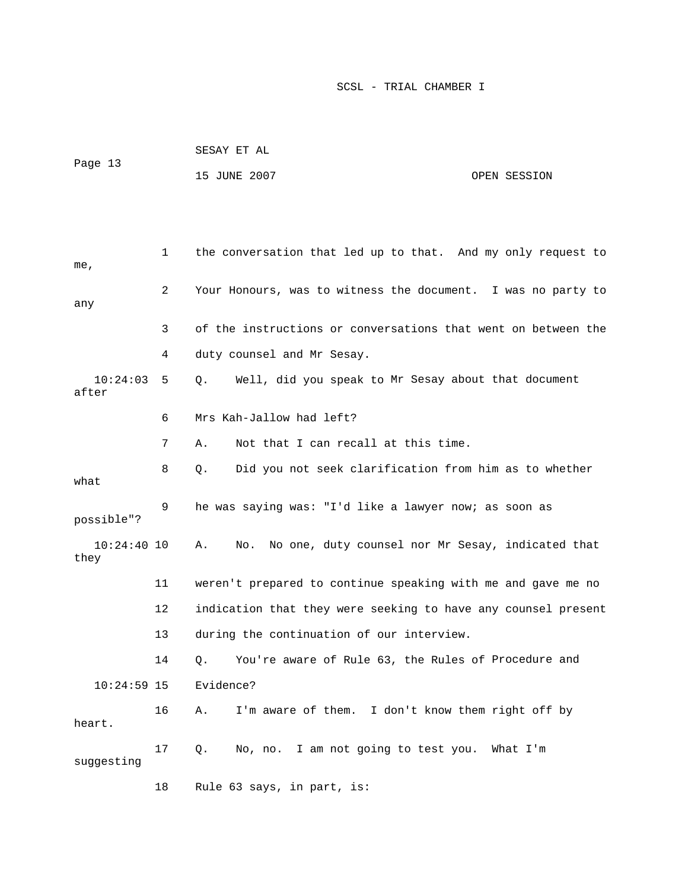| Page 13 | SESAY ET AL  |              |
|---------|--------------|--------------|
|         | 15 JUNE 2007 | OPEN SESSION |

| me,                   | 1  | the conversation that led up to that. And my only request to   |
|-----------------------|----|----------------------------------------------------------------|
| any                   | 2  | Your Honours, was to witness the document. I was no party to   |
|                       | 3  | of the instructions or conversations that went on between the  |
|                       | 4  | duty counsel and Mr Sesay.                                     |
| 10:24:03<br>after     | 5  | Well, did you speak to Mr Sesay about that document<br>Q.      |
|                       | 6  | Mrs Kah-Jallow had left?                                       |
|                       | 7  | Not that I can recall at this time.<br>Α.                      |
| what                  | 8  | Did you not seek clarification from him as to whether<br>Q.    |
| possible"?            | 9  | he was saying was: "I'd like a lawyer now; as soon as          |
| $10:24:40$ 10<br>they |    | No one, duty counsel nor Mr Sesay, indicated that<br>Α.<br>No. |
|                       | 11 | weren't prepared to continue speaking with me and gave me no   |
|                       | 12 | indication that they were seeking to have any counsel present  |
|                       | 13 | during the continuation of our interview.                      |
|                       | 14 | You're aware of Rule 63, the Rules of Procedure and<br>О.      |
| $10:24:59$ 15         |    | Evidence?                                                      |
| heart.                | 16 | I'm aware of them. I don't know them right off by<br>Α.        |
| suggesting            | 17 | No, no. I am not going to test you. What I'm<br>Q.             |
|                       | 18 | Rule 63 says, in part, is:                                     |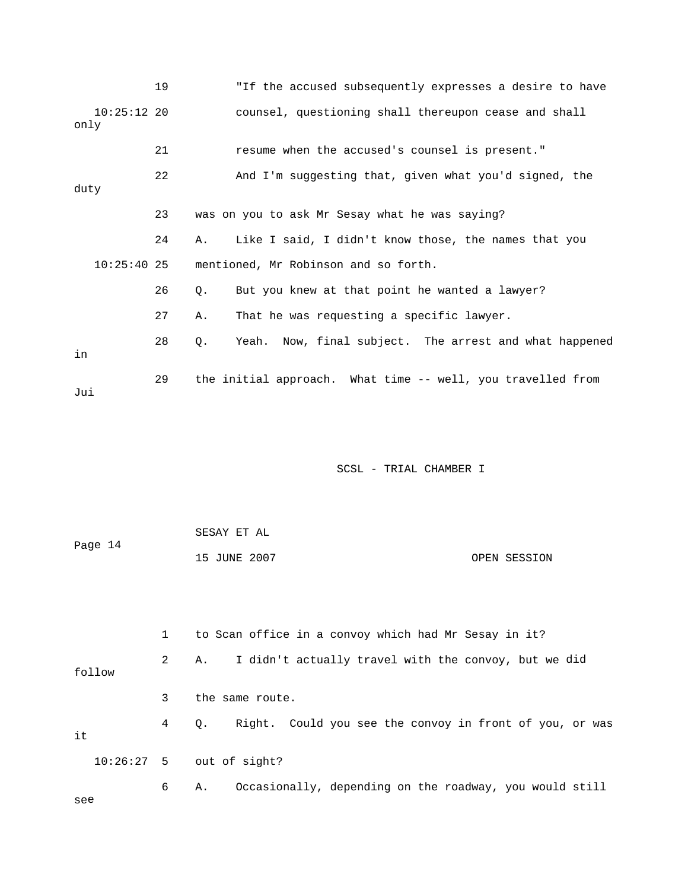|                       | 19 | "If the accused subsequently expresses a desire to have      |
|-----------------------|----|--------------------------------------------------------------|
| $10:25:12$ 20<br>only |    | counsel, questioning shall thereupon cease and shall         |
|                       | 21 | resume when the accused's counsel is present."               |
| duty                  | 22 | And I'm suggesting that, given what you'd signed, the        |
|                       | 23 | was on you to ask Mr Sesay what he was saying?               |
|                       | 24 | Like I said, I didn't know those, the names that you<br>Α.   |
| $10:25:40$ 25         |    | mentioned, Mr Robinson and so forth.                         |
|                       | 26 | But you knew at that point he wanted a lawyer?<br>$Q$ .      |
|                       | 27 | That he was requesting a specific lawyer.<br>Α.              |
| in                    | 28 | Yeah. Now, final subject. The arrest and what happened<br>Q. |
| Jui                   | 29 | the initial approach. What time -- well, you travelled from  |
|                       |    | SCSL - TRIAL CHAMBER I                                       |
|                       |    | SESAY ET AL                                                  |

ge 14 Pa 15 JUNE 2007 OPEN SESSION

 1 to Scan office in a convoy which had Mr Sesay in it? 2 A. I didn't actually travel with the convoy, but we did 3 the same route. 4 Q. Right. Could you see the convoy in front of you, or was 10:26:27 5 out of sight? 6 A. Occasionally, depending on the roadway, you would still see follow it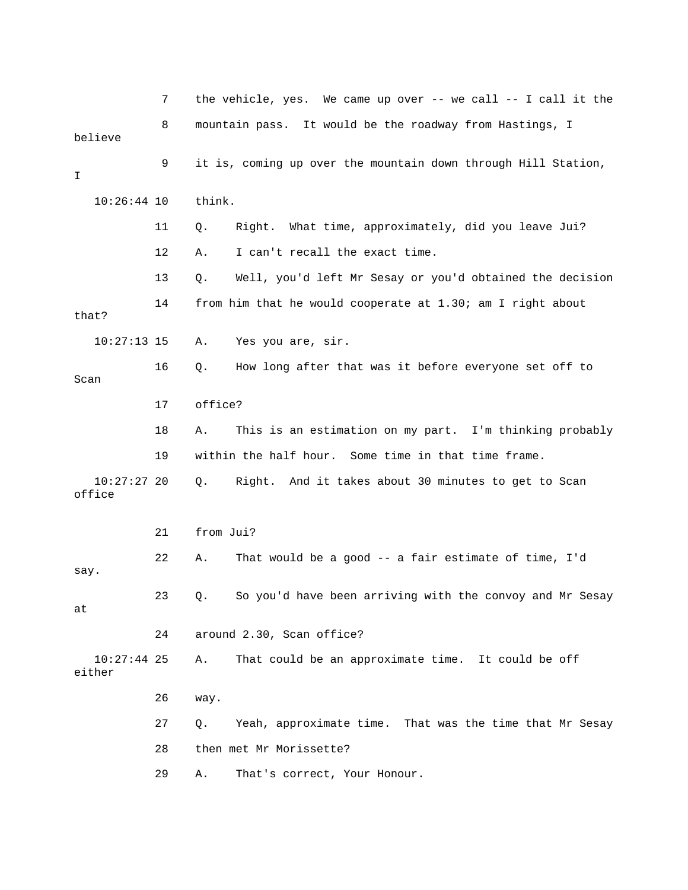7 the vehicle, yes. We came up over -- we call -- I call it the 9 it is, coming up over the mountain down through Hill Station, 10:26:44 10 think. Right. What time, approximately, did you leave Jui? 13 Q. Well, you'd left Mr Sesay or you'd obtained the decision that? A. Yes you are, sir. 16 Q. How long after that was it before everyone set off to Scan 17 office? 18 A. This is an estimation on my part. I'm thinking probably 19 within the half hour. Some time in that time frame. 21 from Jui? 22 A. That would be a good -- a fair estimate of time, I'd 23 Q. So you'd have been arriving with the convoy and Mr Sesay 10:27:44 25 A. That could be an approximate time. It could be off 27 Q. Yeah, approximate time. That was the time that Mr Sesay 28 then met Mr Morissette? 29 A. That's correct, Your Honour. 8 mountain pass. It would be the roadway from Hastings, I believe T. 11 Q. Ri 12 A. I can't recall the exact time. 14 from him that he would cooperate at 1.30; am I right about  $10:27:13$  15 10:27:27 20 Q. Right. And it takes about 30 minutes to get to Scan office say. at 24 around 2.30, Scan office? either 26 way.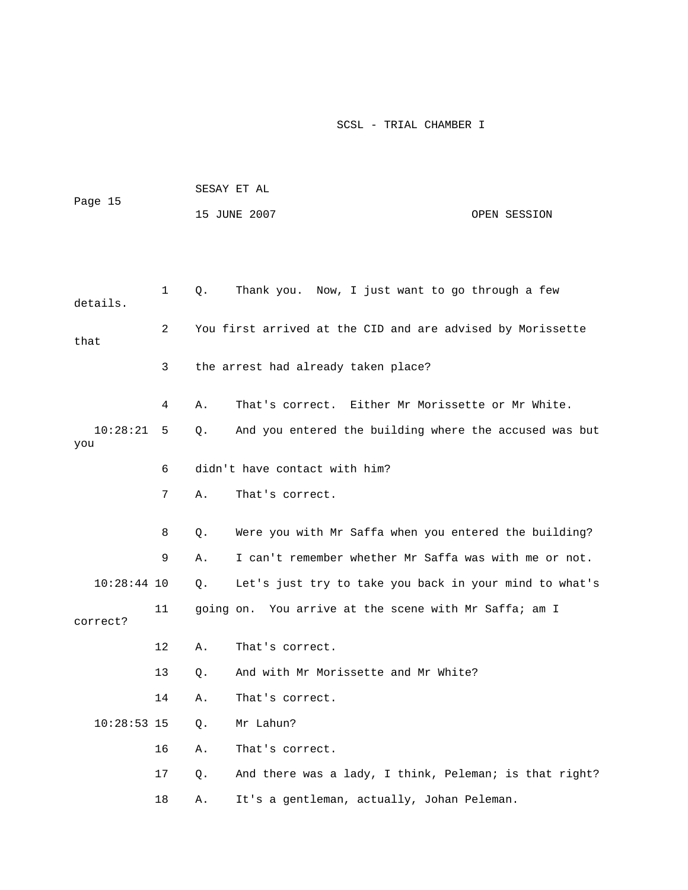|         | SESAY ET AL  |              |
|---------|--------------|--------------|
| Page 15 |              |              |
|         | 15 JUNE 2007 | OPEN SESSION |

| details.        | $\mathbf{1}$ | Q. | Thank you. Now, I just want to go through a few            |
|-----------------|--------------|----|------------------------------------------------------------|
| that            | 2            |    | You first arrived at the CID and are advised by Morissette |
|                 | 3            |    | the arrest had already taken place?                        |
|                 | 4            | Α. | That's correct. Either Mr Morissette or Mr White.          |
| 10:28:21<br>you | 5            | Q. | And you entered the building where the accused was but     |
|                 | 6            |    | didn't have contact with him?                              |
|                 | 7            | Α. | That's correct.                                            |
|                 | 8            | Q. | Were you with Mr Saffa when you entered the building?      |
|                 | 9            | Α. | I can't remember whether Mr Saffa was with me or not.      |
| $10:28:44$ 10   |              | Q. | Let's just try to take you back in your mind to what's     |
| correct?        | 11           |    | going on. You arrive at the scene with Mr Saffa; am I      |
|                 | 12           | Α. | That's correct.                                            |
|                 | 13           | Q. | And with Mr Morissette and Mr White?                       |
|                 | 14           | Α. | That's correct.                                            |
| $10:28:53$ 15   |              | Q. | Mr Lahun?                                                  |
|                 | 16           | Α. | That's correct.                                            |
|                 | 17           | Q. | And there was a lady, I think, Peleman; is that right?     |
|                 | 18           | Α. | It's a gentleman, actually, Johan Peleman.                 |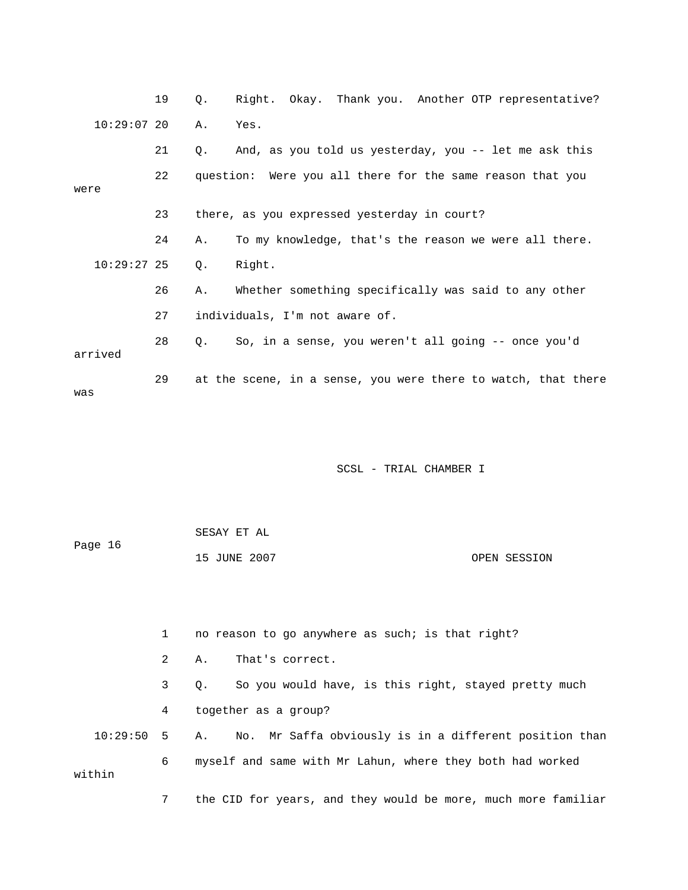|      |               | 19 | Q <sub>1</sub> |        | Right. Okay. Thank you. Another OTP representative?           |  |  |
|------|---------------|----|----------------|--------|---------------------------------------------------------------|--|--|
|      | $10:29:07$ 20 |    | Α.             | Yes.   |                                                               |  |  |
|      |               | 21 | Q.             |        | And, as you told us yesterday, you -- let me ask this         |  |  |
| were |               | 22 |                |        | question: Were you all there for the same reason that you     |  |  |
|      |               | 23 |                |        | there, as you expressed yesterday in court?                   |  |  |
|      |               | 24 | Α.             |        | To my knowledge, that's the reason we were all there.         |  |  |
|      | $10:29:27$ 25 |    | $Q_{\star}$    | Right. |                                                               |  |  |
|      |               | 26 | Α.             |        | Whether something specifically was said to any other          |  |  |
|      |               | 27 |                |        | individuals, I'm not aware of.                                |  |  |
|      | arrived       | 28 |                |        | Q. So, in a sense, you weren't all going -- once you'd        |  |  |
| was  |               | 29 |                |        | at the scene, in a sense, you were there to watch, that there |  |  |

|         | SESAY ET AL  |              |  |
|---------|--------------|--------------|--|
| Page 16 |              |              |  |
|         | 15 JUNE 2007 | OPEN SESSION |  |

1 no reason to go anywhere as such; is that right? 2 A. That's correct. 3 Q. So you would have, is this right, stayed pretty much 10:29:50 5 A. No. Mr Saffa obviously is in a different position than 4 together as a group? 6 myself and same with Mr Lahun, where they both had worked within

7 the CID for years, and they would be more, much more familiar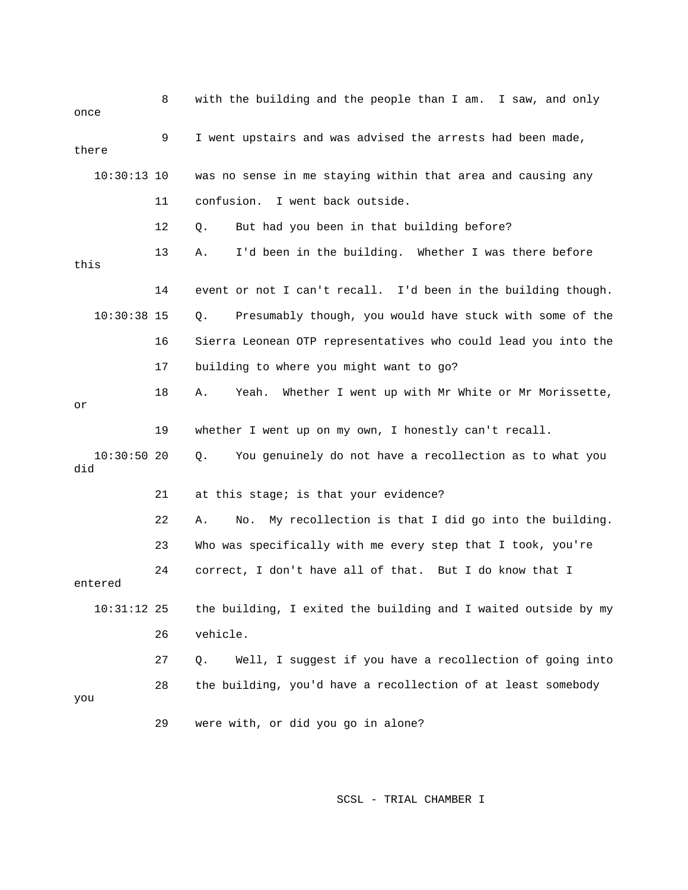| once               | 8  | with the building and the people than I am. I saw, and only       |
|--------------------|----|-------------------------------------------------------------------|
| there              | 9  | I went upstairs and was advised the arrests had been made,        |
| $10:30:13$ 10      |    | was no sense in me staying within that area and causing any       |
|                    | 11 | confusion.<br>I went back outside.                                |
|                    | 12 | But had you been in that building before?<br>Q.                   |
| this               | 13 | I'd been in the building. Whether I was there before<br>Α.        |
|                    | 14 | event or not I can't recall. I'd been in the building though.     |
| $10:30:38$ 15      |    | Presumably though, you would have stuck with some of the<br>$Q$ . |
|                    | 16 | Sierra Leonean OTP representatives who could lead you into the    |
|                    | 17 | building to where you might want to go?                           |
| or                 | 18 | Whether I went up with Mr White or Mr Morissette,<br>Yeah.<br>Α.  |
|                    | 19 | whether I went up on my own, I honestly can't recall.             |
| 10:30:50 20<br>did |    | You genuinely do not have a recollection as to what you<br>$Q$ .  |
|                    | 21 | at this stage; is that your evidence?                             |
|                    | 22 | My recollection is that I did go into the building.<br>No.<br>Α.  |
|                    | 23 | Who was specifically with me every step that I took, you're       |
| entered            | 24 | correct, I don't have all of that. But I do know that I           |
| $10:31:12$ 25      |    | the building, I exited the building and I waited outside by my    |
|                    | 26 | vehicle.                                                          |
|                    | 27 | Well, I suggest if you have a recollection of going into<br>Q.    |
| you                | 28 | the building, you'd have a recollection of at least somebody      |
|                    | 29 | were with, or did you go in alone?                                |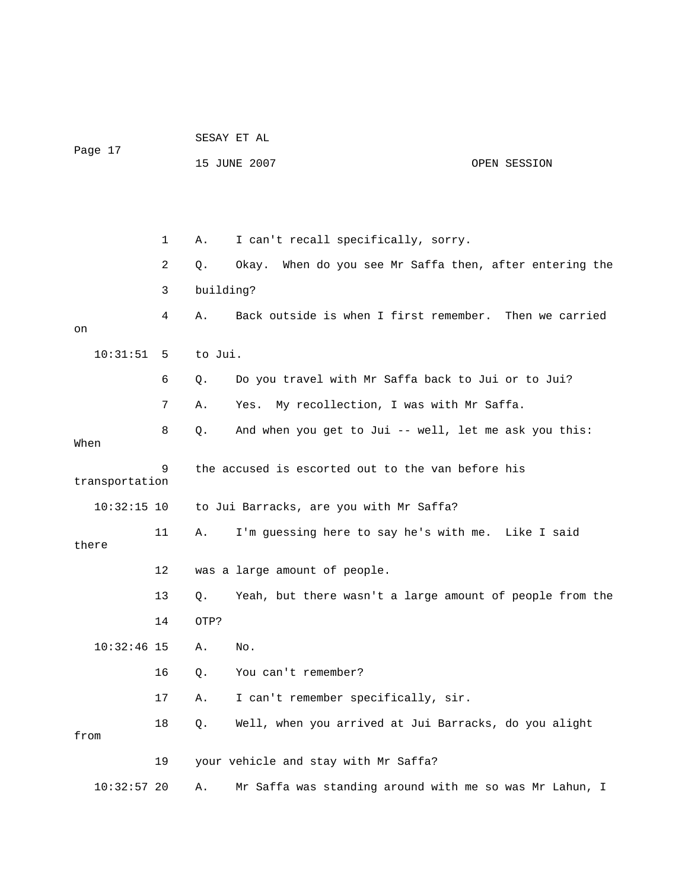| Page 17        |    |           | 15 JUNE 2007                                             | OPEN SESSION    |
|----------------|----|-----------|----------------------------------------------------------|-----------------|
|                |    |           |                                                          |                 |
|                | 1  | Α.        | I can't recall specifically, sorry.                      |                 |
|                | 2  | Q.        | Okay. When do you see Mr Saffa then, after entering the  |                 |
|                | 3  | building? |                                                          |                 |
| on             | 4  | Α.        | Back outside is when I first remember.                   | Then we carried |
| 10:31:51       | 5  | to Jui.   |                                                          |                 |
|                | 6  | Q.        | Do you travel with Mr Saffa back to Jui or to Jui?       |                 |
|                | 7  | Α.        | My recollection, I was with Mr Saffa.<br>Yes.            |                 |
| When           | 8  | Q.        | And when you get to Jui -- well, let me ask you this:    |                 |
| transportation | 9  |           | the accused is escorted out to the van before his        |                 |
| $10:32:15$ 10  |    |           | to Jui Barracks, are you with Mr Saffa?                  |                 |
| there          | 11 | Α.        | I'm guessing here to say he's with me. Like I said       |                 |
|                | 12 |           | was a large amount of people.                            |                 |
|                | 13 | Q.        | Yeah, but there wasn't a large amount of people from the |                 |
|                | 14 | OTP?      |                                                          |                 |
| $10:32:46$ 15  |    | А.        | No.                                                      |                 |
|                | 16 | Q.        | You can't remember?                                      |                 |
|                | 17 | Α.        | I can't remember specifically, sir.                      |                 |
| from           | 18 | Q.        | Well, when you arrived at Jui Barracks, do you alight    |                 |
|                | 19 |           | your vehicle and stay with Mr Saffa?                     |                 |
| $10:32:57$ 20  |    | Α.        | Mr Saffa was standing around with me so was Mr Lahun, I  |                 |

SESAY ET AL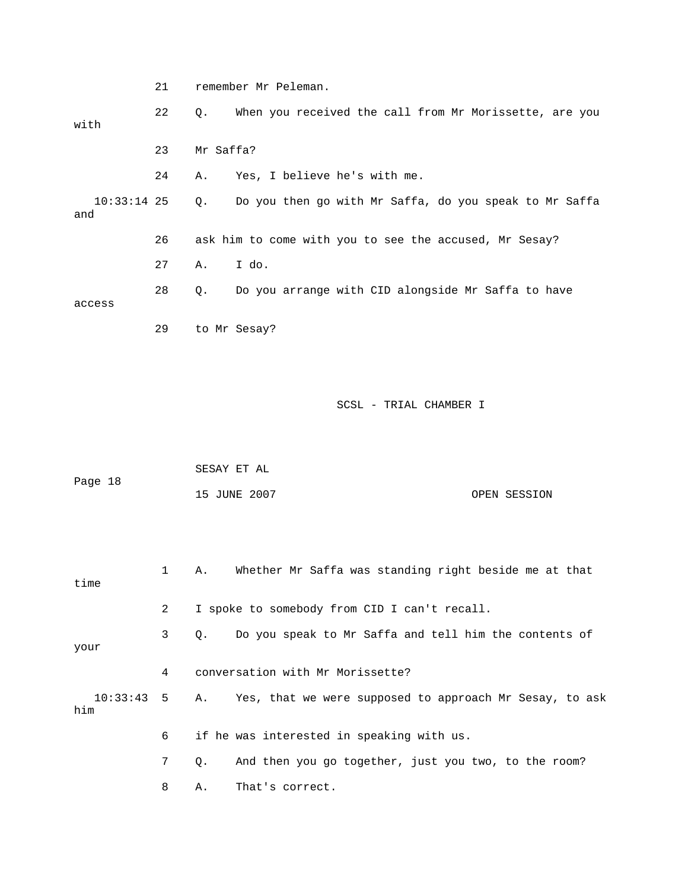21 remember Mr Peleman. 22 Q. When you received the call from Mr Morissette, are you with 23 Mr Saffa? 24 A. Yes, I believe he's with me. Do you then go with Mr Saffa, do you speak to Mr Saffa 26 ask him to come with you to see the accused, Mr Sesay? 27 A. I do. access SCSL - TRIAL CHAMBER I SESAY ET AL Page 18 15 JUNE 2007 OPEN SESSION 1 A. Whether Mr Saffa was standing right beside me at that time 2 I spoke to somebody from CID I can't recall. your A. Yes, that we were supposed to approach Mr Sesay, to ask 6 if he was interested in speaking with us. 7 Q. And then you go together, just you two, to the room?  $10:33:14$  25 Q. and 28 Q. Do you arrange with CID alongside Mr Saffa to have 29 to Mr Sesay? 3 Q. Do you speak to Mr Saffa and tell him the contents of 4 conversation with Mr Morissette?  $10:33:43$  5 him 8 A. That's correct.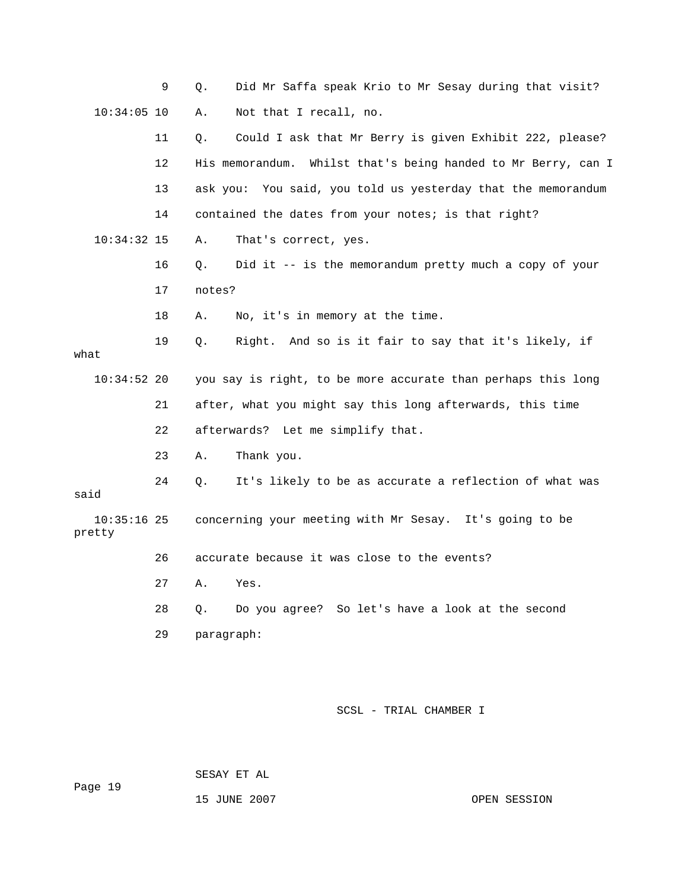|                         | 9  | Did Mr Saffa speak Krio to Mr Sesay during that visit?<br>Q.  |
|-------------------------|----|---------------------------------------------------------------|
| $10:34:05$ 10           |    | Not that I recall, no.<br>Α.                                  |
|                         | 11 | Could I ask that Mr Berry is given Exhibit 222, please?<br>Q. |
|                         | 12 | His memorandum. Whilst that's being handed to Mr Berry, can I |
|                         | 13 | ask you: You said, you told us yesterday that the memorandum  |
|                         | 14 | contained the dates from your notes; is that right?           |
| $10:34:32$ 15           |    | That's correct, yes.<br>Α.                                    |
|                         | 16 | Did it -- is the memorandum pretty much a copy of your<br>Q.  |
|                         | 17 | notes?                                                        |
|                         | 18 | No, it's in memory at the time.<br>Α.                         |
| what                    | 19 | Right. And so is it fair to say that it's likely, if<br>Q.    |
| $10:34:52$ 20           |    | you say is right, to be more accurate than perhaps this long  |
|                         | 21 | after, what you might say this long afterwards, this time     |
|                         | 22 | afterwards? Let me simplify that.                             |
|                         | 23 | Thank you.<br>Α.                                              |
| said                    | 24 | It's likely to be as accurate a reflection of what was<br>Q.  |
| $10:35:16$ 25<br>pretty |    | concerning your meeting with Mr Sesay. It's going to be       |
|                         | 26 | accurate because it was close to the events?                  |
|                         | 27 | Yes.<br>A.                                                    |
|                         | 28 | Do you agree? So let's have a look at the second<br>Q.        |
|                         | 29 | paragraph:                                                    |
|                         |    |                                                               |
|                         |    |                                                               |

Page 19

15 JUNE 2007 OPEN SESSION

SESAY ET AL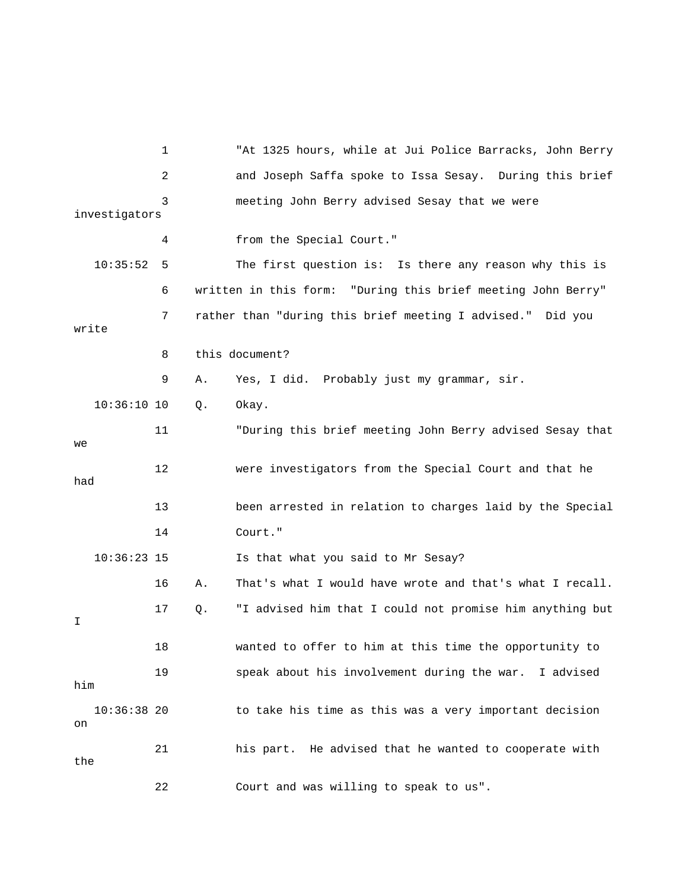1 "At 1325 hours, while at Jui Police Barracks, John Berry 2 and Joseph Saffa spoke to Issa Sesay. During this brief 3 meeting John Berry advised Sesay that we were 10:35:52 5 The first question is: Is there any reason why this is 6 written in this form: "During this brief meeting John Berry" 7 rather than "during this brief meeting I advised." Did you 11 "During this brief meeting John Berry advised Sesay that 12 **12** Were investigators from the Special Court and that he 13 been arrested in relation to charges laid by the Special Is that what you said to Mr Sesay? 16 A. That's what I would have wrote and that's what I recall. 17 Q. "I advised him that I could not promise him anything but investigators 4 from the Special Court." write 8 this document? 9 A. Yes, I did. Probably just my grammar, sir. 10:36:10 10 Q. Okay. we had 14 Court."  $10:36:23$  15 I 18 wanted to offer to him at this time the opportunity to 19 speak about his involvement during the war. I advised him 10:36:38 20 to take his time as this was a very important decision on 21 his part. He advised that he wanted to cooperate with the 22 Court and was willing to speak to us".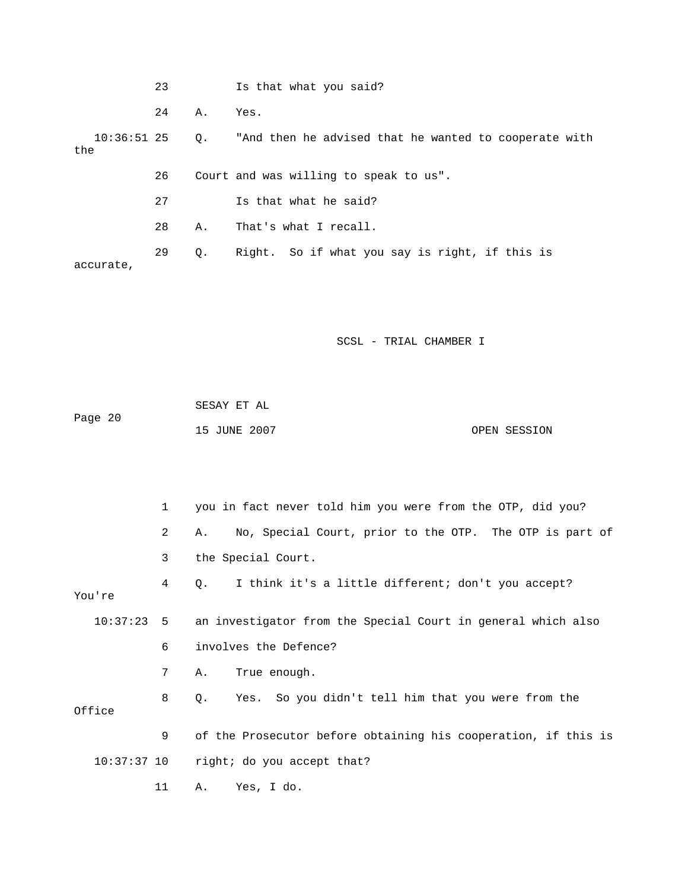|                      | 23 |    | Is that what you said?                                         |
|----------------------|----|----|----------------------------------------------------------------|
|                      | 24 | Α. | Yes.                                                           |
| $10:36:51$ 25<br>the |    | Q. | "And then he advised that he wanted to cooperate with          |
|                      | 26 |    | Court and was willing to speak to us".                         |
|                      | 27 |    | Is that what he said?                                          |
|                      | 28 | Α. | That's what I recall.                                          |
| accurate,            | 29 | Q. | Right. So if what you say is right, if this is                 |
|                      |    |    |                                                                |
|                      |    |    | SCSL - TRIAL CHAMBER I                                         |
| Page 20              |    |    | SESAY ET AL                                                    |
|                      |    |    | 15 JUNE 2007<br>OPEN SESSION                                   |
|                      |    |    |                                                                |
|                      | 1  |    | you in fact never told him you were from the OTP, did you?     |
|                      | 2  | Α. | No, Special Court, prior to the OTP. The OTP is part of        |
|                      | 3  |    | the Special Court.                                             |
| You're               | 4  |    | Q. I think it's a little different; don't you accept?          |
| 10:37:23             | 5  |    | an investigator from the Special Court in general which also   |
|                      | 6  |    | involves the Defence?                                          |
|                      | 7  | Α. | True enough.                                                   |
| Office               | 8  | Q. | So you didn't tell him that you were from the<br>Yes.          |
|                      | 9  |    | of the Prosecutor before obtaining his cooperation, if this is |
| $10:37:37$ 10        |    |    | right; do you accept that?                                     |

11 A. Yes, I do.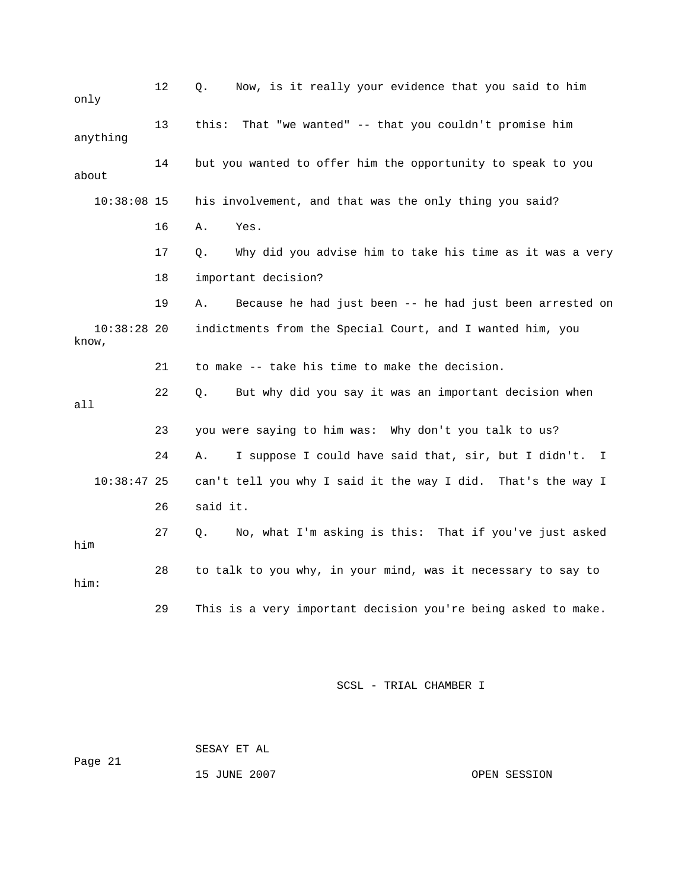| only                   | 12 | Now, is it really your evidence that you said to him<br>Q.      |
|------------------------|----|-----------------------------------------------------------------|
| anything               | 13 | That "we wanted" -- that you couldn't promise him<br>this:      |
| about                  | 14 | but you wanted to offer him the opportunity to speak to you     |
| $10:38:08$ 15          |    | his involvement, and that was the only thing you said?          |
|                        | 16 | Α.<br>Yes.                                                      |
|                        | 17 | Why did you advise him to take his time as it was a very<br>О.  |
|                        | 18 | important decision?                                             |
|                        | 19 | Α.<br>Because he had just been -- he had just been arrested on  |
| $10:38:28$ 20<br>know, |    | indictments from the Special Court, and I wanted him, you       |
|                        | 21 | to make -- take his time to make the decision.                  |
| all                    | 22 | But why did you say it was an important decision when<br>О.     |
|                        | 23 | you were saying to him was: Why don't you talk to us?           |
|                        | 24 | I suppose I could have said that, sir, but I didn't.<br>Α.<br>I |
| $10:38:47$ 25          |    | can't tell you why I said it the way I did. That's the way I    |
|                        | 26 | said it.                                                        |
| him                    | 27 | No, what I'm asking is this: That if you've just asked<br>Q.    |
| him:                   | 28 | to talk to you why, in your mind, was it necessary to say to    |
|                        | 29 | This is a very important decision you're being asked to make.   |

 SESAY ET AL 15 JUNE 2007 OPEN SESSION Page 21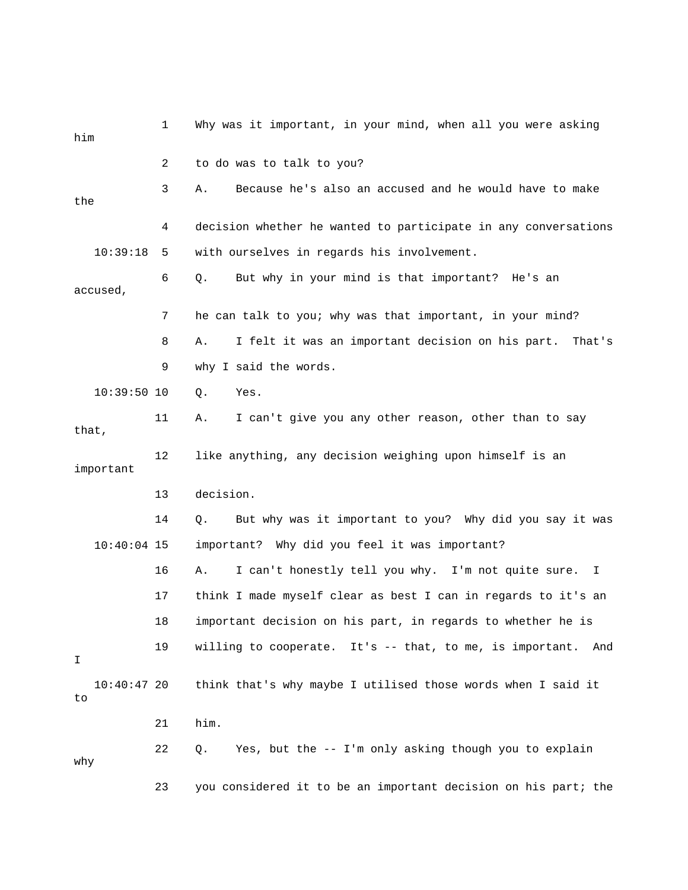| him                 | 1  | Why was it important, in your mind, when all you were asking       |
|---------------------|----|--------------------------------------------------------------------|
|                     | 2  | to do was to talk to you?                                          |
| the                 | 3  | Because he's also an accused and he would have to make<br>Α.       |
|                     | 4  | decision whether he wanted to participate in any conversations     |
| 10:39:18            | 5  | with ourselves in regards his involvement.                         |
| accused,            | 6  | But why in your mind is that important? He's an<br>Q.              |
|                     | 7  | he can talk to you; why was that important, in your mind?          |
|                     | 8  | I felt it was an important decision on his part.<br>That's<br>Α.   |
|                     | 9  | why I said the words.                                              |
| $10:39:50$ 10       |    | Q.<br>Yes.                                                         |
| that,               | 11 | I can't give you any other reason, other than to say<br>Α.         |
| important           | 12 | like anything, any decision weighing upon himself is an            |
|                     | 13 | decision.                                                          |
|                     | 14 | But why was it important to you? Why did you say it was<br>Q.      |
| $10:40:04$ 15       |    | important? Why did you feel it was important?                      |
|                     | 16 | I can't honestly tell you why. I'm not quite sure.<br>Α.<br>I      |
|                     | 17 | think I made myself clear as best I can in regards to it's an      |
|                     | 18 | important decision on his part, in regards to whether he is        |
| I                   | 19 | willing to cooperate.<br>It's -- that, to me, is important.<br>And |
| $10:40:47$ 20<br>to |    | think that's why maybe I utilised those words when I said it       |
|                     | 21 | him.                                                               |
| why                 | 22 | Yes, but the -- I'm only asking though you to explain<br>Q.        |
|                     | 23 | you considered it to be an important decision on his part; the     |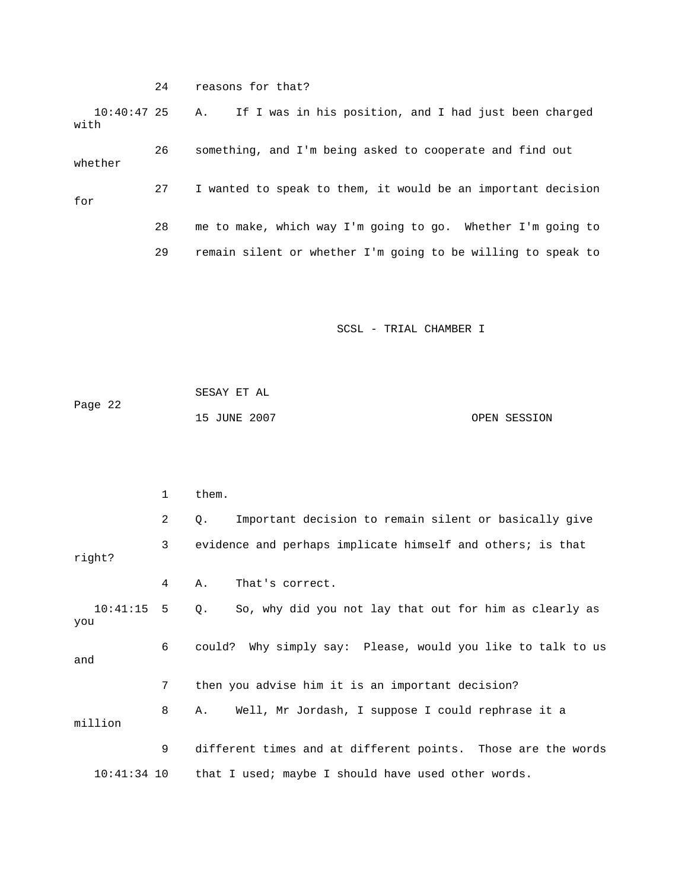24 reasons for that? A. If I was in his position, and I had just been charged 26 something, and I'm being asked to cooperate and find out 28 me to make, which way I'm going to go. Whether I'm going to  $10:40:47$  25 with whether 27 I wanted to speak to them, it would be an important decision for 29 remain silent or whether I'm going to be willing to speak to

SCSL - TRIAL CHAMBER I

 SESAY ET AL 15 JUNE 2007 CPEN SESSION Page 22

 2 Q. Important decision to remain silent or basically give 3 evidence and perhaps implicate himself and others; is that right? 4 A. That's correct. 10:41:15 5 Q. So, why did you not lay that out for him as clearly as 6 could? Why simply say: Please, would you like to talk to us 8 A. Well, Mr Jordash, I suppose I could rephrase it a 9 different times and at different points. Those are the words 10:41:34 10 that I used; maybe I should have used other words. 1 them. you and 7 then you advise him it is an important decision? million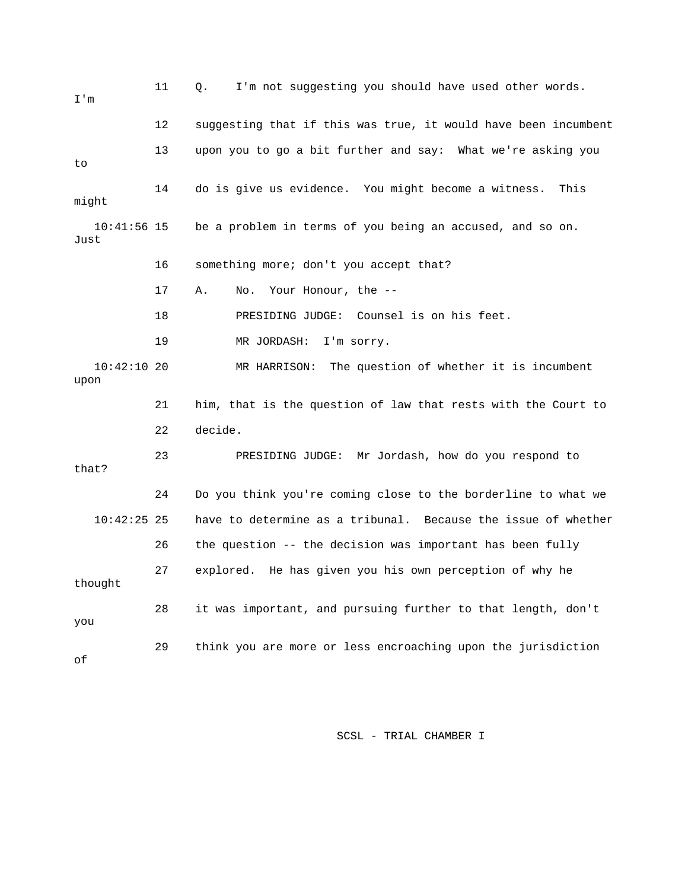| I'm                   | 11 | I'm not suggesting you should have used other words.<br>Q.     |
|-----------------------|----|----------------------------------------------------------------|
|                       | 12 | suggesting that if this was true, it would have been incumbent |
| to                    | 13 | upon you to go a bit further and say: What we're asking you    |
| might                 | 14 | do is give us evidence. You might become a witness.<br>This    |
| $10:41:56$ 15<br>Just |    | be a problem in terms of you being an accused, and so on.      |
|                       | 16 | something more; don't you accept that?                         |
|                       | 17 | Your Honour, the --<br>Α.<br>No.                               |
|                       | 18 | PRESIDING JUDGE: Counsel is on his feet.                       |
|                       | 19 | MR JORDASH:<br>I'm sorry.                                      |
| $10:42:10$ 20<br>upon |    | The question of whether it is incumbent<br>MR HARRISON:        |
|                       | 21 | him, that is the question of law that rests with the Court to  |
|                       | 22 | decide.                                                        |
| that?                 | 23 | PRESIDING JUDGE: Mr Jordash, how do you respond to             |
|                       | 24 | Do you think you're coming close to the borderline to what we  |
| $10:42:25$ 25         |    | have to determine as a tribunal. Because the issue of whether  |
|                       | 26 | the question -- the decision was important has been fully      |
| thought               | 27 | explored. He has given you his own perception of why he        |
| you                   | 28 | it was important, and pursuing further to that length, don't   |
| οf                    | 29 | think you are more or less encroaching upon the jurisdiction   |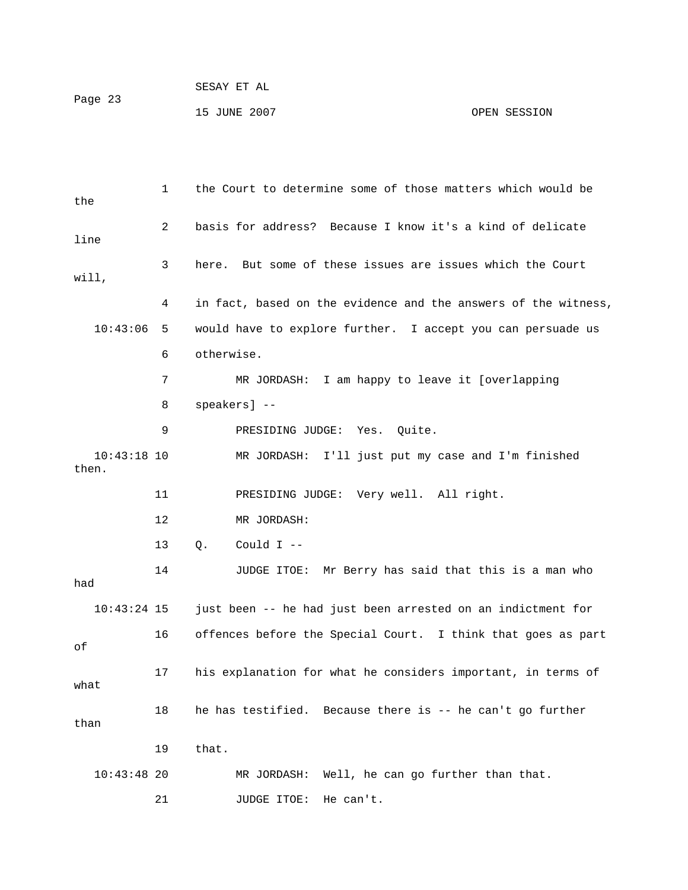| Page 23 | SESAY ET AL  |              |
|---------|--------------|--------------|
|         | 15 JUNE 2007 | OPEN SESSION |

| the                    | 1  | the Court to determine some of those matters which would be    |
|------------------------|----|----------------------------------------------------------------|
| line                   | 2  | basis for address? Because I know it's a kind of delicate      |
| will,                  | 3  | But some of these issues are issues which the Court<br>here.   |
|                        | 4  | in fact, based on the evidence and the answers of the witness, |
| 10:43:06               | 5  | would have to explore further. I accept you can persuade us    |
|                        | 6  | otherwise.                                                     |
|                        | 7  | MR JORDASH: I am happy to leave it [overlapping                |
|                        | 8  | speakers] --                                                   |
|                        | 9  | PRESIDING JUDGE: Yes. Quite.                                   |
| $10:43:18$ 10<br>then. |    | MR JORDASH: I'll just put my case and I'm finished             |
|                        | 11 | PRESIDING JUDGE: Very well. All right.                         |
|                        | 12 | MR JORDASH:                                                    |
|                        | 13 | Q.<br>Could $I$ --                                             |
| had                    | 14 | JUDGE ITOE: Mr Berry has said that this is a man who           |
| $10:43:24$ 15          |    | just been -- he had just been arrested on an indictment for    |
| оf                     | 16 | offences before the Special Court. I think that goes as part   |
| what                   | 17 | his explanation for what he considers important, in terms of   |
| than                   | 18 | he has testified. Because there is -- he can't go further      |
|                        | 19 | that.                                                          |
| $10:43:48$ 20          |    | Well, he can go further than that.<br>MR JORDASH:              |
|                        | 21 | He can't.<br>JUDGE ITOE:                                       |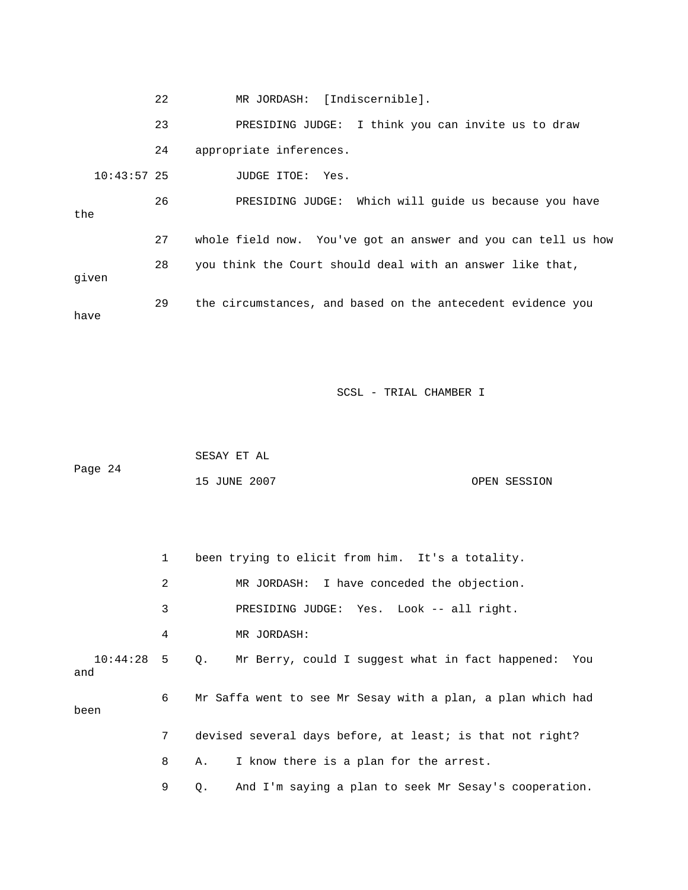22 MR JORDASH: [Indiscernible]. 23 PRESIDING JUDGE: I think you can invite us to draw 24 appropriate inferences. 26 PRESIDING JUDGE: Which will guide us because you have 27 whole field now. You've got an answer and you can tell us how have 10:43:57 25 JUDGE ITOE: Yes. the 28 you think the Court should deal with an answer like that, given 29 the circumstances, and based on the antecedent evidence you

|         | SESAY ET AL  |              |
|---------|--------------|--------------|
| Page 24 |              |              |
|         | 15 JUNE 2007 | OPEN SESSION |

|                     | $\mathbf{1}$                                    | been trying to elicit from him. It's a totality.            |  |  |
|---------------------|-------------------------------------------------|-------------------------------------------------------------|--|--|
|                     | 2<br>MR JORDASH: I have conceded the objection. |                                                             |  |  |
|                     | 3                                               | PRESIDING JUDGE: Yes. Look -- all right.                    |  |  |
|                     | 4                                               | MR JORDASH:                                                 |  |  |
| $10:44:28$ 5<br>and |                                                 | Q. Mr Berry, could I suggest what in fact happened: You     |  |  |
| been                | 6                                               | Mr Saffa went to see Mr Sesay with a plan, a plan which had |  |  |
|                     | $7^{\circ}$                                     | devised several days before, at least; is that not right?   |  |  |
|                     | 8                                               | I know there is a plan for the arrest.<br>Α.                |  |  |
|                     | 9                                               | And I'm saying a plan to seek Mr Sesay's cooperation.<br>Q. |  |  |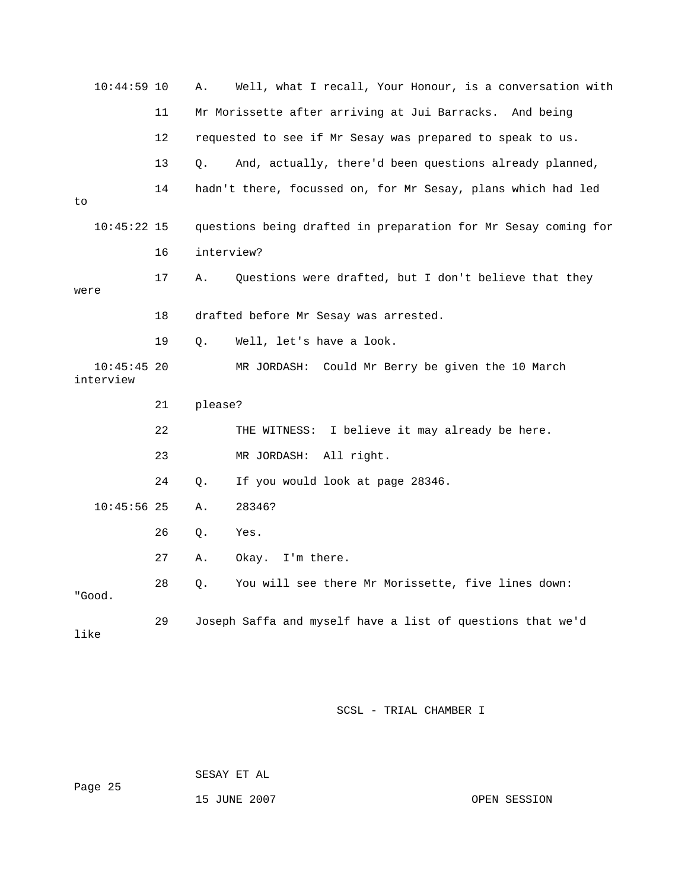| $10:44:59$ 10              |    | Α.                                                             | Well, what I recall, Your Honour, is a conversation with     |  |  |
|----------------------------|----|----------------------------------------------------------------|--------------------------------------------------------------|--|--|
|                            | 11 |                                                                | Mr Morissette after arriving at Jui Barracks. And being      |  |  |
|                            | 12 |                                                                | requested to see if Mr Sesay was prepared to speak to us.    |  |  |
|                            | 13 | О.                                                             | And, actually, there'd been questions already planned,       |  |  |
| to                         | 14 |                                                                | hadn't there, focussed on, for Mr Sesay, plans which had led |  |  |
| $10:45:22$ 15              |    | questions being drafted in preparation for Mr Sesay coming for |                                                              |  |  |
|                            | 16 | interview?                                                     |                                                              |  |  |
| were                       | 17 | Α.                                                             | Questions were drafted, but I don't believe that they        |  |  |
|                            | 18 |                                                                | drafted before Mr Sesay was arrested.                        |  |  |
|                            | 19 | Q.                                                             | Well, let's have a look.                                     |  |  |
| $10:45:45$ 20<br>interview |    |                                                                | MR JORDASH: Could Mr Berry be given the 10 March             |  |  |
|                            | 21 | please?                                                        |                                                              |  |  |
|                            | 22 |                                                                | THE WITNESS: I believe it may already be here.               |  |  |
|                            | 23 |                                                                | MR JORDASH: All right.                                       |  |  |
|                            | 24 | О.                                                             | If you would look at page 28346.                             |  |  |
| $10:45:56$ 25              |    | Α.                                                             | 28346?                                                       |  |  |
|                            | 26 | Q.                                                             | Yes.                                                         |  |  |
|                            | 27 | Α.                                                             | Okay. I'm there.                                             |  |  |
| "Good.                     | 28 | Q.                                                             | You will see there Mr Morissette, five lines down:           |  |  |
| like                       | 29 |                                                                | Joseph Saffa and myself have a list of questions that we'd   |  |  |

SESAY ET AL

15 JUNE 2007 OPEN SESSION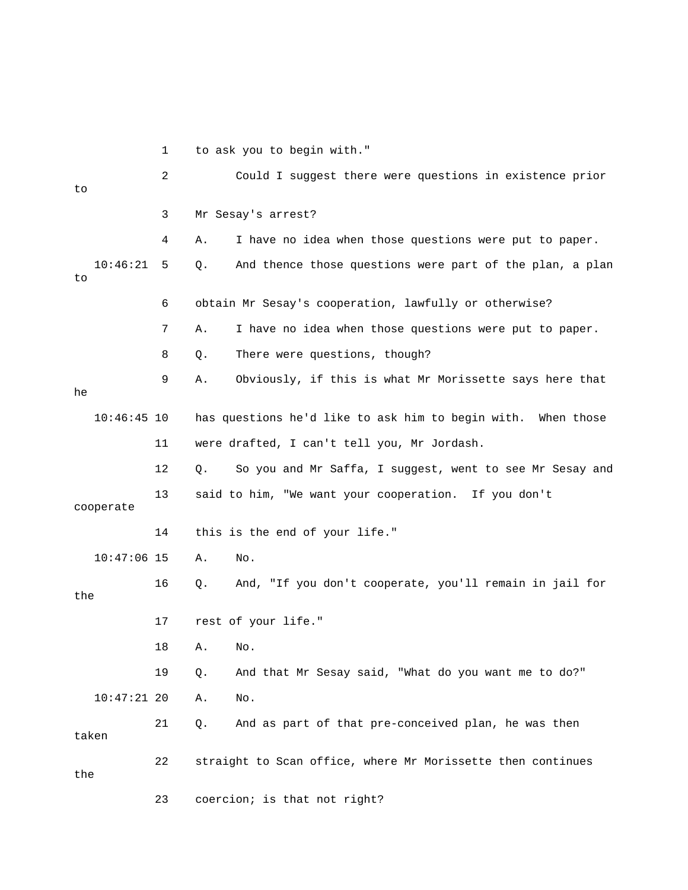1 to ask you to begin with."

| to             | 2  | Could I suggest there were questions in existence prior        |
|----------------|----|----------------------------------------------------------------|
|                | 3  | Mr Sesay's arrest?                                             |
|                | 4  | I have no idea when those questions were put to paper.<br>Α.   |
| 10:46:21<br>to | 5  | And thence those questions were part of the plan, a plan<br>Q. |
|                | 6  | obtain Mr Sesay's cooperation, lawfully or otherwise?          |
|                | 7  | I have no idea when those questions were put to paper.<br>Α.   |
|                | 8  | There were questions, though?<br>Q.                            |
| he             | 9  | Obviously, if this is what Mr Morissette says here that<br>Α.  |
| $10:46:45$ 10  |    | has questions he'd like to ask him to begin with. When those   |
|                | 11 | were drafted, I can't tell you, Mr Jordash.                    |
|                | 12 | So you and Mr Saffa, I suggest, went to see Mr Sesay and<br>Q. |
| cooperate      | 13 | said to him, "We want your cooperation. If you don't           |
|                | 14 | this is the end of your life."                                 |
| $10:47:06$ 15  |    | No.<br>Α.                                                      |
| the            | 16 | And, "If you don't cooperate, you'll remain in jail for<br>Q.  |
|                | 17 | rest of your life."                                            |
|                | 18 | No.<br>Α.                                                      |
|                | 19 | And that Mr Sesay said, "What do you want me to do?"<br>Q.     |
| $10:47:21$ 20  |    | No.<br>Α.                                                      |
| taken          | 21 | And as part of that pre-conceived plan, he was then<br>Q.      |
| the            | 22 | straight to Scan office, where Mr Morissette then continues    |
|                | 23 | coercion; is that not right?                                   |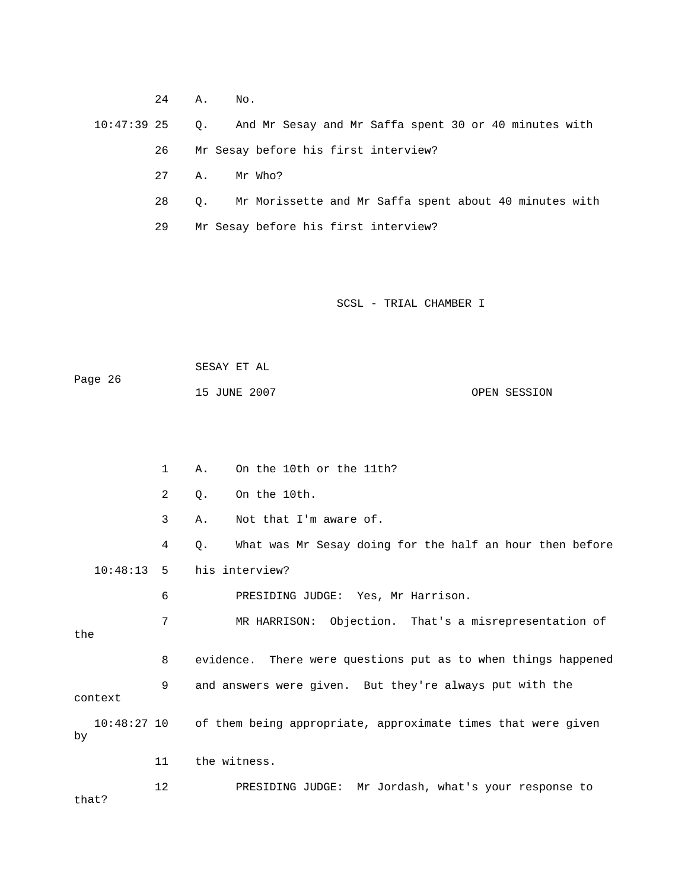24 A. No.

 26 Mr Sesay before his first interview? 10:47:39 25 Q. And Mr Sesay and Mr Saffa spent 30 or 40 minutes with

- 27 A. Mr Who?
	- 28 Q. Mr Morissette and Mr Saffa spent about 40 minutes with
	- 29 Mr Sesay before his first interview?

SCSL - TRIAL CHAMBER I

 SESAY ET AL Page 26 OPEN SESSION 15 JUNE 2007

 1 A. On the 10th or the 11th? 2 Q. On the 10th. 3 A. Not that I'm aware of. 4 Q. What was Mr Sesay doing for the half an hour then before 10:48:13 5 his interview? 6 **PRESIDING JUDGE:** Yes, Mr Harrison. 7 MR HARRISON: Objection. That's a misrepresentation of 8 evidence. There were questions put as to when things happened 9 and answers were given. But they're always put with the context of them being appropriate, approximate times that were given to 12 PRESIDING JUDGE: Mr Jordash, what's your response that? the  $10:48:27$  10 by 11 the witness.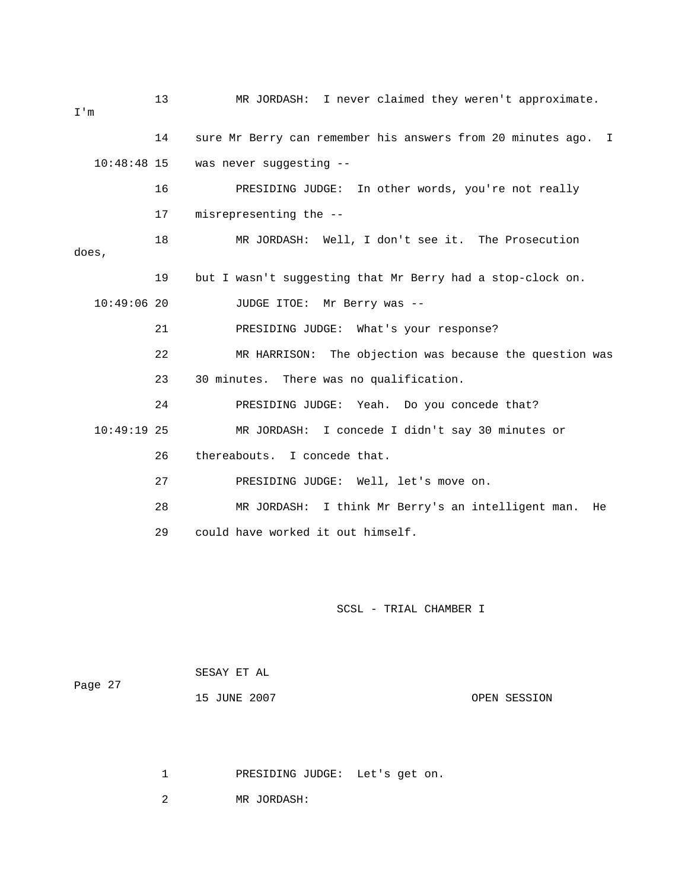| I'm           | 13 | MR JORDASH: I never claimed they weren't approximate.         |
|---------------|----|---------------------------------------------------------------|
|               | 14 | sure Mr Berry can remember his answers from 20 minutes ago. I |
| $10:48:48$ 15 |    | was never suggesting --                                       |
|               | 16 | PRESIDING JUDGE: In other words, you're not really            |
|               | 17 | misrepresenting the --                                        |
| does,         | 18 | MR JORDASH: Well, I don't see it. The Prosecution             |
|               |    |                                                               |
|               | 19 | but I wasn't suggesting that Mr Berry had a stop-clock on.    |
| $10:49:06$ 20 |    | JUDGE ITOE: Mr Berry was --                                   |
|               | 21 | PRESIDING JUDGE: What's your response?                        |
|               | 22 | MR HARRISON: The objection was because the question was       |
|               | 23 | 30 minutes. There was no qualification.                       |
|               | 24 | PRESIDING JUDGE: Yeah. Do you concede that?                   |
| $10:49:19$ 25 |    | MR JORDASH: I concede I didn't say 30 minutes or              |
|               | 26 | thereabouts. I concede that.                                  |
|               | 27 | PRESIDING JUDGE: Well, let's move on.                         |
|               | 28 | MR JORDASH: I think Mr Berry's an intelligent man.<br>He      |
|               | 29 | could have worked it out himself.                             |

| Page 27 | SESAY ET AL  |              |
|---------|--------------|--------------|
|         | 15 JUNE 2007 | OPEN SESSION |

1 PRESIDING JUDGE: Let's get on.

2 MR JORDASH: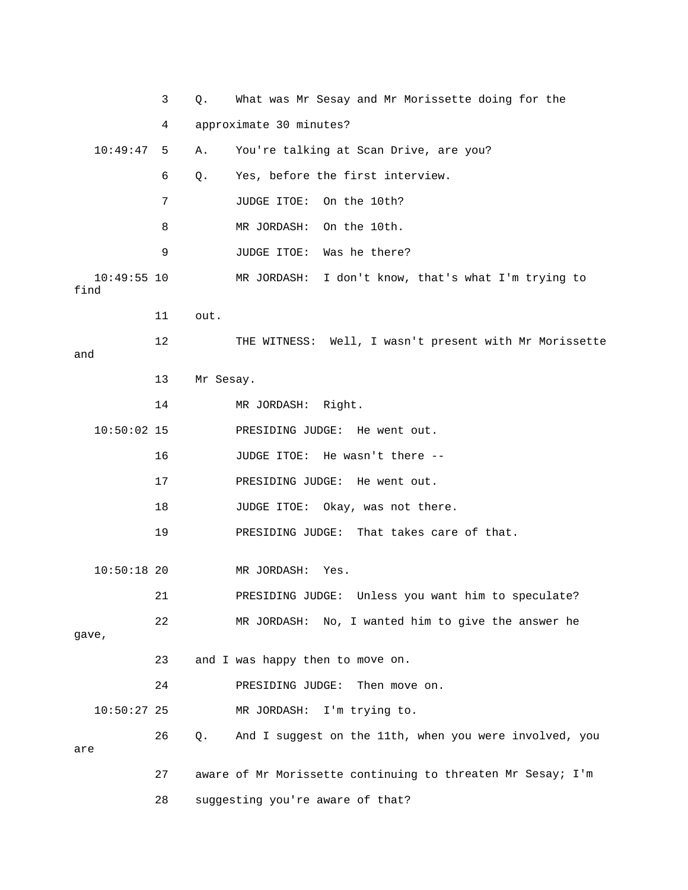|                       | 3  | Q.        | What was Mr Sesay and Mr Morissette doing for the           |
|-----------------------|----|-----------|-------------------------------------------------------------|
|                       | 4  |           | approximate 30 minutes?                                     |
| $10:49:47$ 5          |    | Α.        | You're talking at Scan Drive, are you?                      |
|                       | 6  | $Q$ .     | Yes, before the first interview.                            |
|                       | 7  |           | JUDGE ITOE: On the 10th?                                    |
|                       | 8  |           | MR JORDASH: On the 10th.                                    |
|                       | 9  |           | JUDGE ITOE: Was he there?                                   |
| $10:49:55$ 10<br>find |    |           | MR JORDASH: I don't know, that's what I'm trying to         |
|                       | 11 | out.      |                                                             |
| and                   | 12 |           | THE WITNESS: Well, I wasn't present with Mr Morissette      |
|                       | 13 | Mr Sesay. |                                                             |
|                       | 14 |           | MR JORDASH: Right.                                          |
| $10:50:02$ 15         |    |           | PRESIDING JUDGE: He went out.                               |
|                       | 16 |           | JUDGE ITOE: He wasn't there --                              |
|                       | 17 |           | PRESIDING JUDGE: He went out.                               |
|                       | 18 |           | JUDGE ITOE: Okay, was not there.                            |
|                       | 19 |           | PRESIDING JUDGE: That takes care of that.                   |
| $10:50:18$ 20         |    |           | MR JORDASH: Yes.                                            |
|                       | 21 |           | PRESIDING JUDGE: Unless you want him to speculate?          |
| gave,                 | 22 |           | MR JORDASH: No, I wanted him to give the answer he          |
|                       | 23 |           | and I was happy then to move on.                            |
|                       | 24 |           | PRESIDING JUDGE:<br>Then move on.                           |
| $10:50:27$ 25         |    |           | MR JORDASH: I'm trying to.                                  |
| are                   | 26 | Q.        | And I suggest on the 11th, when you were involved, you      |
|                       | 27 |           | aware of Mr Morissette continuing to threaten Mr Sesay; I'm |
|                       | 28 |           | suggesting you're aware of that?                            |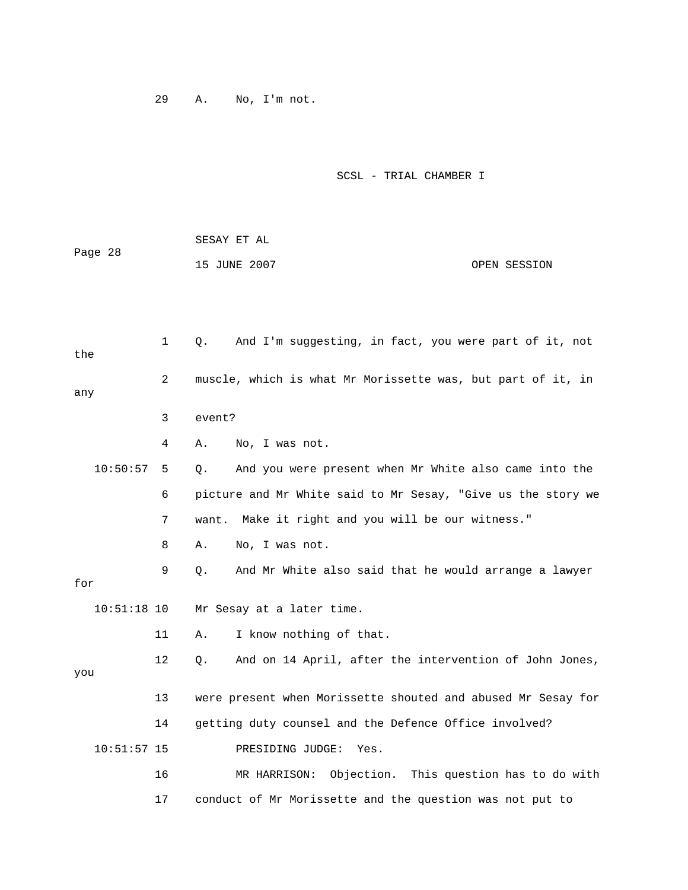29 A. No, I'm not.

## SCSL - TRIAL CHAMBER I

|         | SESAY ET AL  |              |
|---------|--------------|--------------|
| Page 28 |              |              |
|         | 15 JUNE 2007 | OPEN SESSION |

 1 Q. And I'm suggesting, in fact, you were part of it, not 2 muscle, which is what Mr Morissette was, but part of it, in any 3 event? 6 picture and Mr White said to Mr Sesay, "Give us the story we 7 want. Make it right and you will be our witness." 8 A. No, I was not. 9 Q. And Mr White also said that he would arrange a lawyer 11 A. I know nothing of that. 13 were present when Morissette shouted and abused Mr Sesay for 14 getting duty counsel and the Defence Office involved? 16 MR HARRISON: Objection. This question has to do with 17 conduct of Mr Morissette and the question was not put to the 4 A. No, I was not. 10:50:57 5 Q. And you were present when Mr White also came into the for 10:51:18 10 Mr Sesay at a later time. 12 Q. And on 14 April, after the intervention of John Jones, you 10:51:57 15 PRESIDING JUDGE: Yes.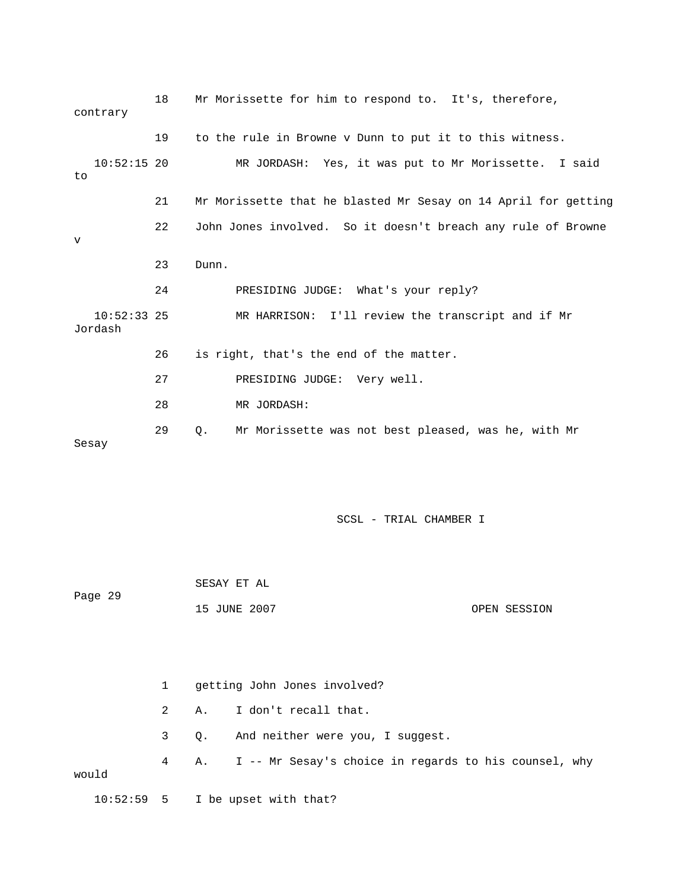| contrary                 | 18 | Mr Morissette for him to respond to. It's, therefore,            |
|--------------------------|----|------------------------------------------------------------------|
|                          | 19 | to the rule in Browne v Dunn to put it to this witness.          |
| $10:52:15$ 20<br>to      |    | MR JORDASH: Yes, it was put to Mr Morissette. I said             |
|                          | 21 | Mr Morissette that he blasted Mr Sesay on 14 April for getting   |
| $\mathbf{v}$             | 22 | John Jones involved. So it doesn't breach any rule of Browne     |
|                          | 23 | Dunn.                                                            |
|                          | 24 | PRESIDING JUDGE: What's your reply?                              |
| $10:52:33$ 25<br>Jordash |    | MR HARRISON: I'll review the transcript and if Mr                |
|                          | 26 | is right, that's the end of the matter.                          |
|                          | 27 | PRESIDING JUDGE: Very well.                                      |
|                          | 28 | MR JORDASH:                                                      |
| Sesay                    | 29 | Mr Morissette was not best pleased, was he, with Mr<br>$\circ$ . |

| Page 29 | SESAY ET AL  |              |
|---------|--------------|--------------|
|         | 15 JUNE 2007 | OPEN SESSION |

|       |              | qetting John Jones involved?                             |
|-------|--------------|----------------------------------------------------------|
|       | $\mathbf{2}$ | A. I don't recall that.                                  |
|       | 3 -          | Q. And neither were you, I suggest.                      |
| would | $4\degree$   | A. I -- Mr Sesay's choice in regards to his counsel, why |
|       |              | $10:52:59$ 5 I be upset with that?                       |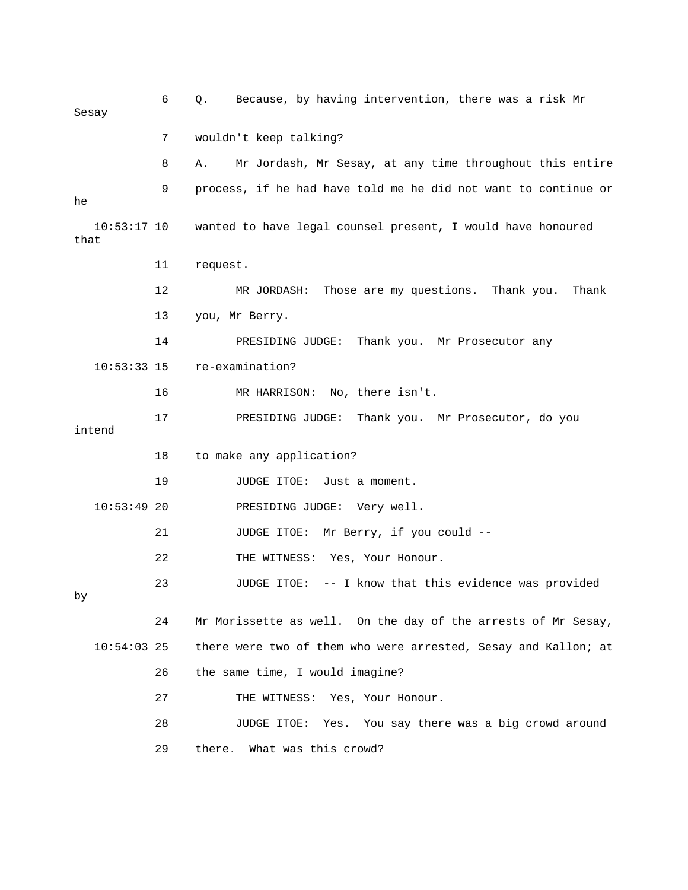|      | Sesay         | 6  | Because, by having intervention, there was a risk Mr<br>Q.     |
|------|---------------|----|----------------------------------------------------------------|
|      |               | 7  | wouldn't keep talking?                                         |
|      |               | 8  | Mr Jordash, Mr Sesay, at any time throughout this entire<br>Α. |
| he   |               | 9  | process, if he had have told me he did not want to continue or |
| that | $10:53:17$ 10 |    | wanted to have legal counsel present, I would have honoured    |
|      |               | 11 | request.                                                       |
|      |               | 12 | MR JORDASH: Those are my questions. Thank you.<br>Thank        |
|      |               | 13 | you, Mr Berry.                                                 |
|      |               | 14 | PRESIDING JUDGE: Thank you. Mr Prosecutor any                  |
|      | $10:53:33$ 15 |    | re-examination?                                                |
|      |               | 16 | MR HARRISON: No, there isn't.                                  |
|      | intend        | 17 | PRESIDING JUDGE: Thank you. Mr Prosecutor, do you              |
|      |               | 18 | to make any application?                                       |
|      |               |    |                                                                |
|      |               | 19 | JUDGE ITOE:<br>Just a moment.                                  |
|      | $10:53:49$ 20 |    | PRESIDING JUDGE: Very well.                                    |
|      |               | 21 | Mr Berry, if you could --<br>JUDGE ITOE:                       |
|      |               | 22 | THE WITNESS: Yes, Your Honour.                                 |
| by   |               | 23 | -- I know that this evidence was provided<br>JUDGE ITOE:       |
|      |               | 24 | Mr Morissette as well. On the day of the arrests of Mr Sesay,  |
|      | $10:54:03$ 25 |    | there were two of them who were arrested, Sesay and Kallon; at |
|      |               | 26 | the same time, I would imagine?                                |
|      |               | 27 | THE WITNESS: Yes, Your Honour.                                 |
|      |               | 28 | JUDGE ITOE:<br>Yes. You say there was a big crowd around       |
|      |               | 29 | What was this crowd?<br>there.                                 |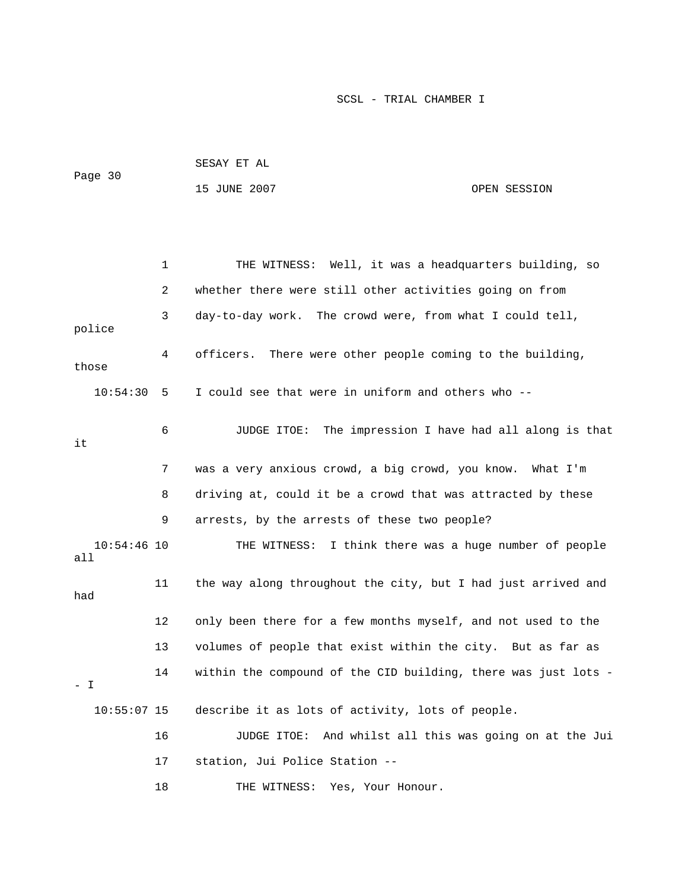| Page 30 | SESAY ET AL  |              |
|---------|--------------|--------------|
|         | 15 JUNE 2007 | OPEN SESSION |

 1 THE WITNESS: Well, it was a headquarters building, so 2 whether there were still other activities going on from 3 day-to-day work. The crowd were, from what I could tell, police 4 officers. There were other people coming to the building, 10:54:30 5 I could see that were in uniform and others who -- 6 JUDGE ITOE: The impression I have had all along is that 8 driving at, could it be a crowd that was attracted by these 11 the way along throughout the city, but I had just arrived and 12 only been there for a few months myself, and not used to the 13 volumes of people that exist within the city. But as far as  $-$  I those it 7 was a very anxious crowd, a big crowd, you know. What I'm 9 arrests, by the arrests of these two people? 10:54:46 10 THE WITNESS: I think there was a huge number of people all had 14 within the compound of the CID building, there was just lots - 10:55:07 15 describe it as lots of activity, lots of people. 16 JUDGE ITOE: And whilst all this was going on at the Jui 17 station, Jui Police Station -- 18 THE WITNESS: Yes, Your Honour.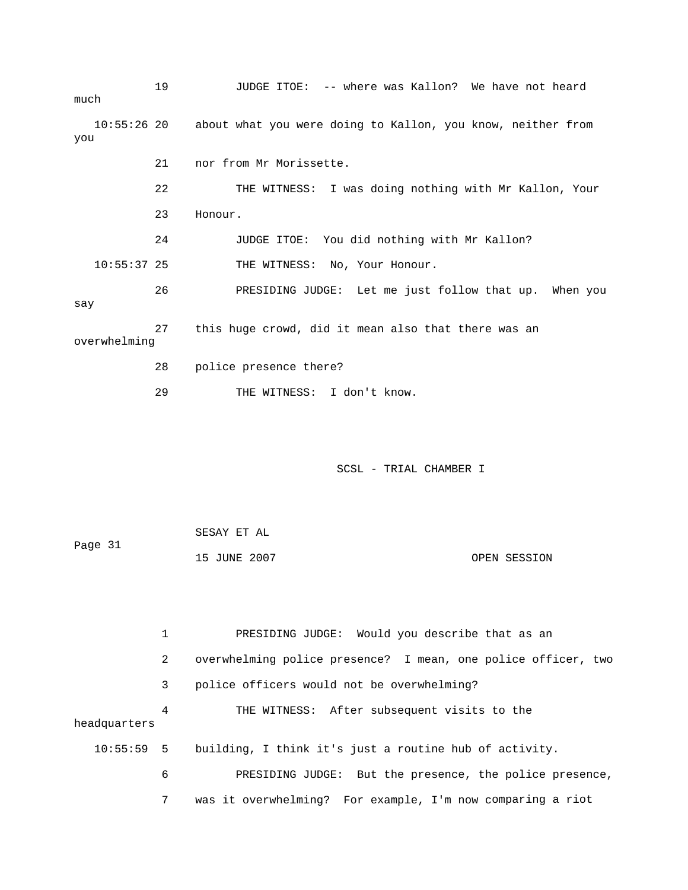19 JUDGE ITOE: -- where was Kallon? We have not heard 21 nor from Mr Morissette. 22 THE WITNESS: I was doing nothing with Mr Kallon, Your 23 Honour. 10:55:37 25 THE WITNESS: No, Your Honour. 27 this huge crowd, did it mean also that there was an overwhelming 29 THE WITNESS: I don't know. much 10:55:26 20 about what you were doing to Kallon, you know, neither from you 24 JUDGE ITOE: You did nothing with Mr Kallon? 26 PRESIDING JUDGE: Let me just follow that up. When you say 28 police presence there?

| Page 31 | SESAY ET AL  |              |
|---------|--------------|--------------|
|         | 15 JUNE 2007 | OPEN SESSION |

|              |              | PRESIDING JUDGE: Would you describe that as an                |
|--------------|--------------|---------------------------------------------------------------|
|              | $\mathbf{2}$ | overwhelming police presence? I mean, one police officer, two |
|              | 3            | police officers would not be overwhelming?                    |
| headquarters | 4            | THE WITNESS: After subsequent visits to the                   |
| $10:55:59$ 5 |              | building, I think it's just a routine hub of activity.        |
|              | 6            | PRESIDING JUDGE: But the presence, the police presence,       |
|              | 7            | was it overwhelming? For example, I'm now comparing a riot    |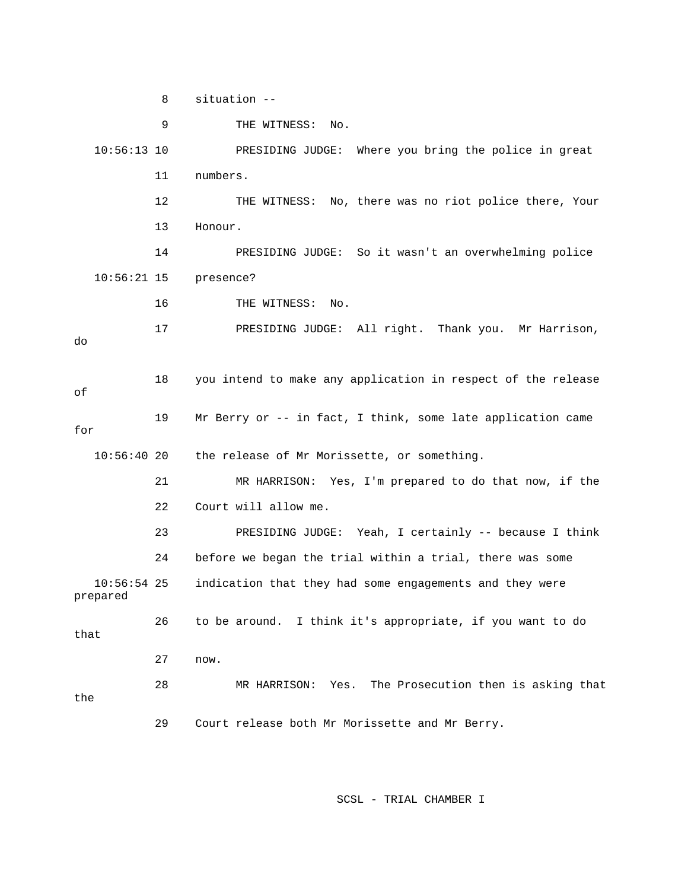8 situation --

9 THE WITNESS: No. 10:56:13 10 PRESIDING JUDGE: Where you bring the police in great 12 THE WITNESS: No, there was no riot police there, Your 13 Honour. 10:56:21 15 presence? 16 THE WITNESS: No. 17 PRESIDING JUDGE: All right. Thank you. Mr Harrison, 18 you intend to make any application in respect of the release 19 Mr Berry or -- in fact, I think, some late application came for the release of Mr Morissette, or something. 21 MR HARRISON: Yes, I'm prepared to do that now, if the 22 Court will allow me. 24 before we began the trial within a trial, there was some 10:56:54 25 indication that they had some engagements and they were 26 to be around. I think it's appropriate, if you want to do 27 now. 28 MR HARRISON: Yes. The Prosecution then is asking that 29 Court release both Mr Morissette and Mr Berry. 11 numbers. 14 PRESIDING JUDGE: So it wasn't an overwhelming police do of  $10:56:4020$  23 PRESIDING JUDGE: Yeah, I certainly -- because I think prepared that the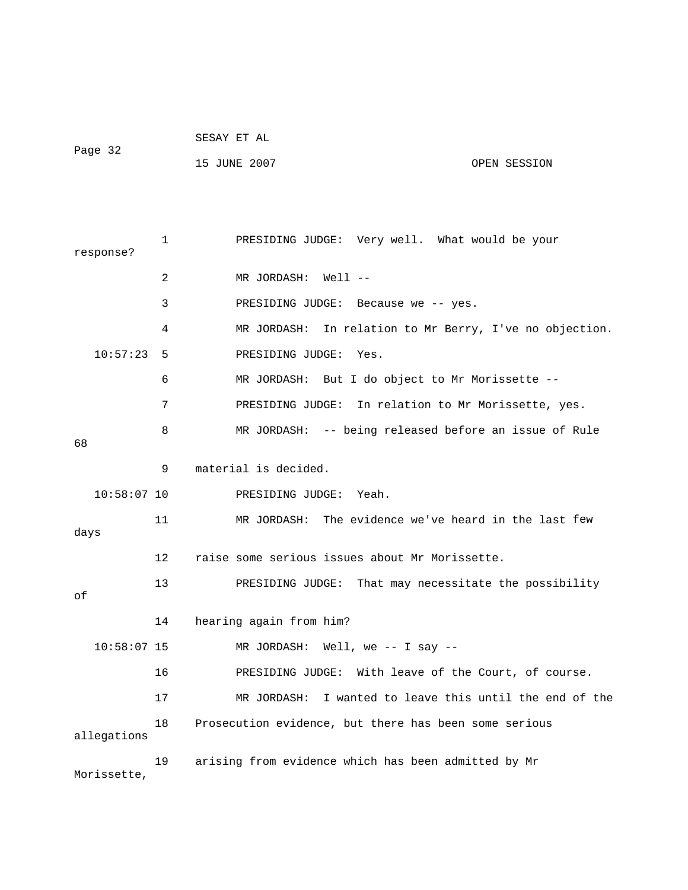|         | SESAY ET AL  |              |
|---------|--------------|--------------|
| Page 32 |              |              |
|         | 15 JUNE 2007 | OPEN SESSION |

 1 PRESIDING JUDGE: Very well. What would be your 2 MR JORDASH: Well -- 3 PRESIDING JUDGE: Because we -- yes. 4 MR JORDASH: In relation to Mr Berry, I've no objection. 10:57:23 5 PRESIDING JUDGE: Yes. 6 MR JORDASH: But I do object to Mr Morissette -- 7 The PRESIDING JUDGE: In relation to Mr Morissette, yes. 8 MR JORDASH: -- being released before an issue of Rule 9 material is decided. 10:58:07 10 PRESIDING JUDGE: Yeah. 11 MR JORDASH: The evidence we've heard in the last few 13 PRESIDING JUDGE: That may necessitate the possibility 16 PRESIDING JUDGE: With leave of the Court, of course. 17 MR JORDASH: I wanted to leave this until the end of the 18 Prosecution evidence, but there has been some serious allegations 19 arising from evidence which has been admitted by Mr response? 68 days 12 raise some serious issues about Mr Morissette. of 14 hearing again from him? 10:58:07 15 MR JORDASH: Well, we -- I say -- Morissette,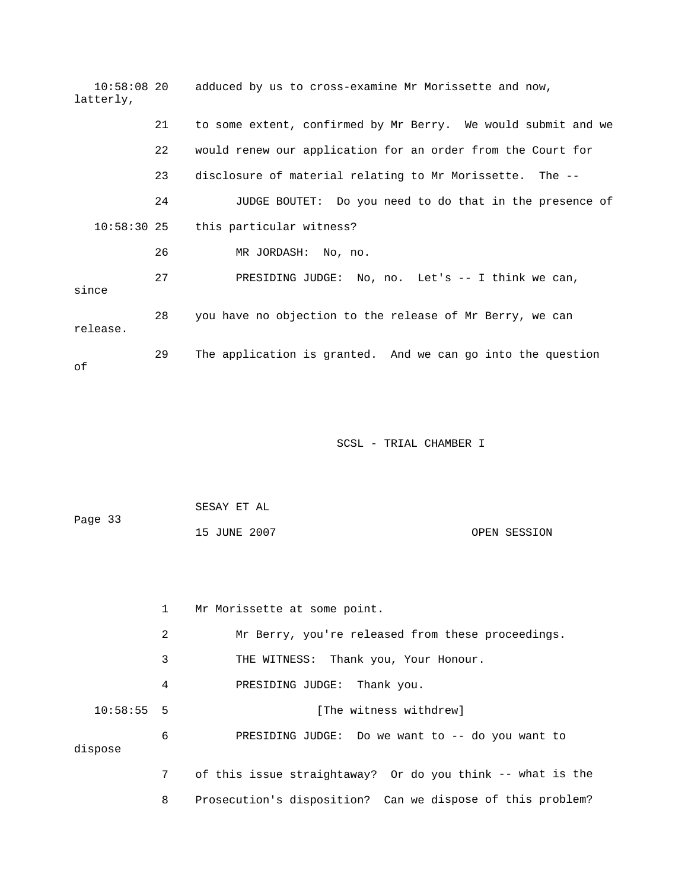| latterly,     |    | 10:58:08 20 adduced by us to cross-examine Mr Morissette and now, |
|---------------|----|-------------------------------------------------------------------|
|               | 21 | to some extent, confirmed by Mr Berry. We would submit and we     |
|               | 22 | would renew our application for an order from the Court for       |
|               | 23 | disclosure of material relating to Mr Morissette. The --          |
|               | 24 | JUDGE BOUTET: Do you need to do that in the presence of           |
| $10:58:30$ 25 |    | this particular witness?                                          |
|               | 26 | MR JORDASH: No, no.                                               |
| since         | 27 | PRESIDING JUDGE: No, no. Let's $-$ - I think we can,              |
| release.      | 28 | you have no objection to the release of Mr Berry, we can          |
| οf            | 29 | The application is granted. And we can go into the question       |

| Page 33 | SESAY ET AL  |              |
|---------|--------------|--------------|
|         | 15 JUNE 2007 | OPEN SESSION |

|              |   | Mr Morissette at some point.                               |
|--------------|---|------------------------------------------------------------|
|              | 2 | Mr Berry, you're released from these proceedings.          |
|              | 3 | THE WITNESS: Thank you, Your Honour.                       |
|              | 4 | PRESIDING JUDGE: Thank you.                                |
| $10:58:55$ 5 |   | [The witness withdrew]                                     |
| dispose      | 6 | PRESIDING JUDGE: Do we want to -- do you want to           |
|              | 7 | of this issue straightaway? Or do you think -- what is the |
|              | 8 | Prosecution's disposition? Can we dispose of this problem? |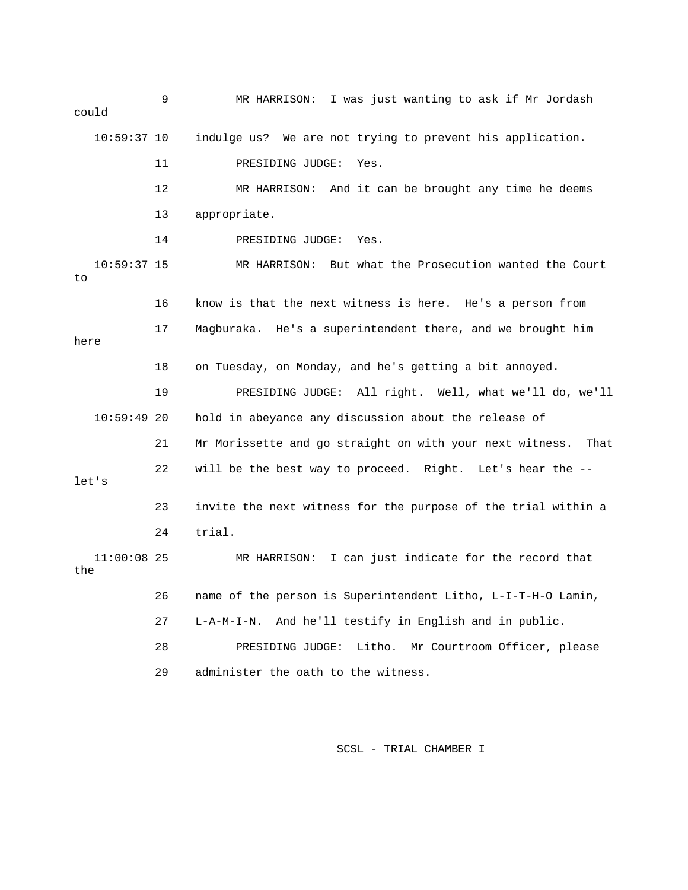9 MR HARRISON: I was just wanting to ask if Mr Jordash could indulge us? We are not trying to prevent his application. 14 PRESIDING JUDGE: Yes. 10:59:37 15 MR HARRISON: But what the Prosecution wanted the Court 17 Magburaka. He's a superintendent there, and we brought him here 19 PRESIDING JUDGE: All right. Well, what we'll do, we'll 21 Mr Morissette and go straight on with your next witness. That 22 will be the best way to proceed. Right. Let's hear the - the PRESIDING JUDGE: Litho. Mr Courtroom Officer, please 10:59: 11 PRESIDING JUDGE: Yes. 12 MR HARRISON: And it can be brought any time he deems 13 appropriate. to 16 know is that the next witness is here. He's a person from 18 on Tuesday, on Monday, and he's getting a bit annoyed. 10:59:49 20 hold in abeyance any discussion about the release of let's 23 invite the next witness for the purpose of the trial within a 24 trial. 11:00:08 25 MR HARRISON: I can just indicate for the record that 26 name of the person is Superintendent Litho, L-I-T-H-O Lamin, 27 L-A-M-I-N. And he'll testify in English and in public. 28 PR 29 administer the oath to the witness.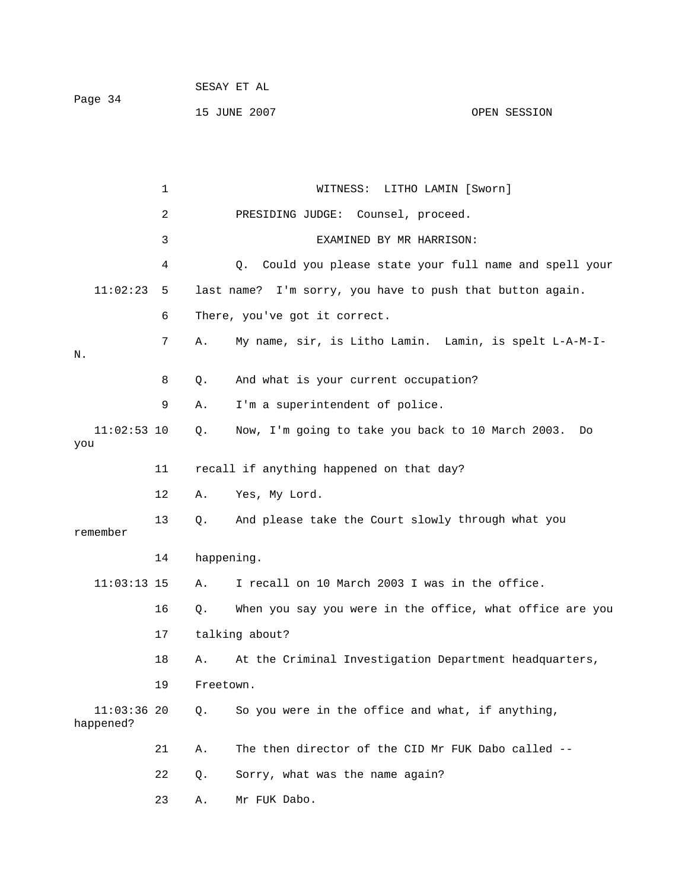| Page 34 | SESAY ET AL  |              |
|---------|--------------|--------------|
|         | 15 JUNE 2007 | OPEN SESSION |

 1 WITNESS: LITHO LAMIN [Sworn] 3 EXAMINED BY MR HARRISON: 4 Q. Could you please state your full name and spell your  $11:02:23$  5 last name? I'm sorry, you have to push that button again. 6 There, you've got it correct. 7 A. My name, sir, is Litho Lamin. Lamin, is spelt L-A-M-I- $11:02:53$   $10$  Q. Now, I'm going to take you back to 10 March 2003. Do 11 recall if anything happened on that day? 13 Q. And please take the Court slowly through what you remember  $11:03:13$  15 A. I recall on 10 March 2003 I was in the office. 16 Q. When you say you were in the office, what office are you 18 A. At the Criminal Investigation Department headquarters, 19 Freetown. , 11:03:36 20 Q. So you were in the office and what, if anything 21 A. The then director of the CID Mr FUK Dabo called --23 A. Mr FUK Dabo. 2 PRESIDING JUDGE: Counsel, proceed. N. 8 Q. And what is your current occupation? 9 A. I'm a superintendent of police. you 12 A. Yes, My Lord. 14 happening. 17 talking about? happened? 22 Q. Sorry, what was the name again?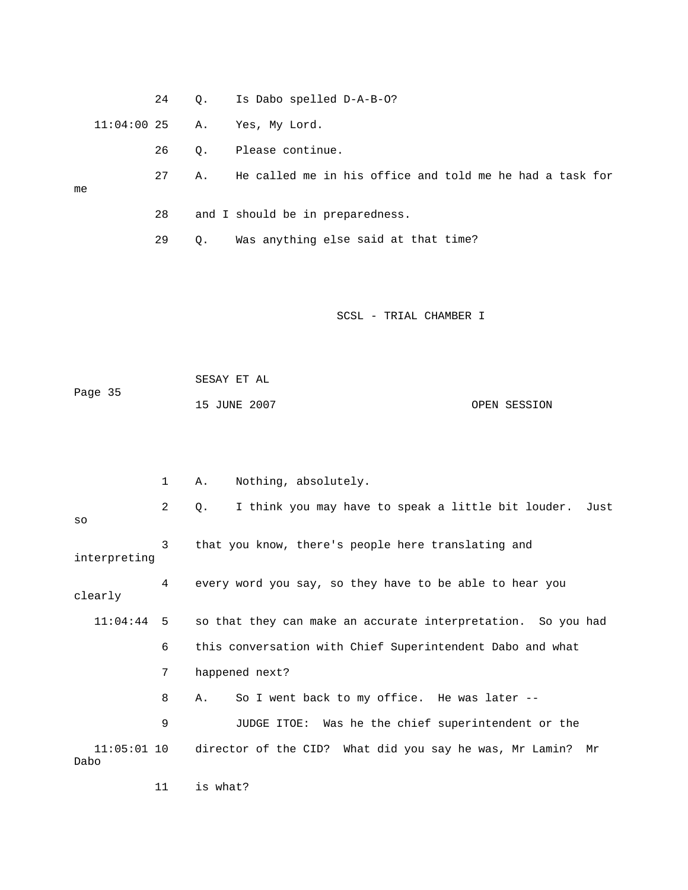|    |               | 24 | $\circ$ . | Is Dabo spelled D-A-B-O?                                 |
|----|---------------|----|-----------|----------------------------------------------------------|
|    | $11:04:00$ 25 |    | Α.        | Yes, My Lord.                                            |
|    |               | 26 | Q.        | Please continue.                                         |
| me |               | 27 | Α.        | He called me in his office and told me he had a task for |
|    |               | 28 |           | and I should be in preparedness.                         |
|    |               | 29 | Q.        | Was anything else said at that time?                     |
|    |               |    |           |                                                          |
|    |               |    |           | SCSL - TRIAL CHAMBER I                                   |

 SESAY ET AL ge 35 15 JUNE 2007 OPEN SESSION Pa

|                                                                         | $\mathbf{1}$   | Nothing, absolutely.<br>Α.                                                |  |  |  |
|-------------------------------------------------------------------------|----------------|---------------------------------------------------------------------------|--|--|--|
| SO                                                                      | $\overline{a}$ | I think you may have to speak a little bit louder. Just<br>$Q_{\star}$    |  |  |  |
| 3<br>that you know, there's people here translating and<br>interpreting |                |                                                                           |  |  |  |
| clearly                                                                 | 4              | every word you say, so they have to be able to hear you                   |  |  |  |
| 11:04:44                                                                | -5             | so that they can make an accurate interpretation. So you had              |  |  |  |
|                                                                         | 6              | this conversation with Chief Superintendent Dabo and what                 |  |  |  |
|                                                                         | 7              | happened next?                                                            |  |  |  |
|                                                                         | 8              | So I went back to my office. He was later --<br>A.,                       |  |  |  |
|                                                                         | 9              | JUDGE ITOE: Was he the chief superintendent or the                        |  |  |  |
| Dabo                                                                    |                | 11:05:01 10 director of the CID? What did you say he was, Mr Lamin?<br>Mr |  |  |  |

11 is what?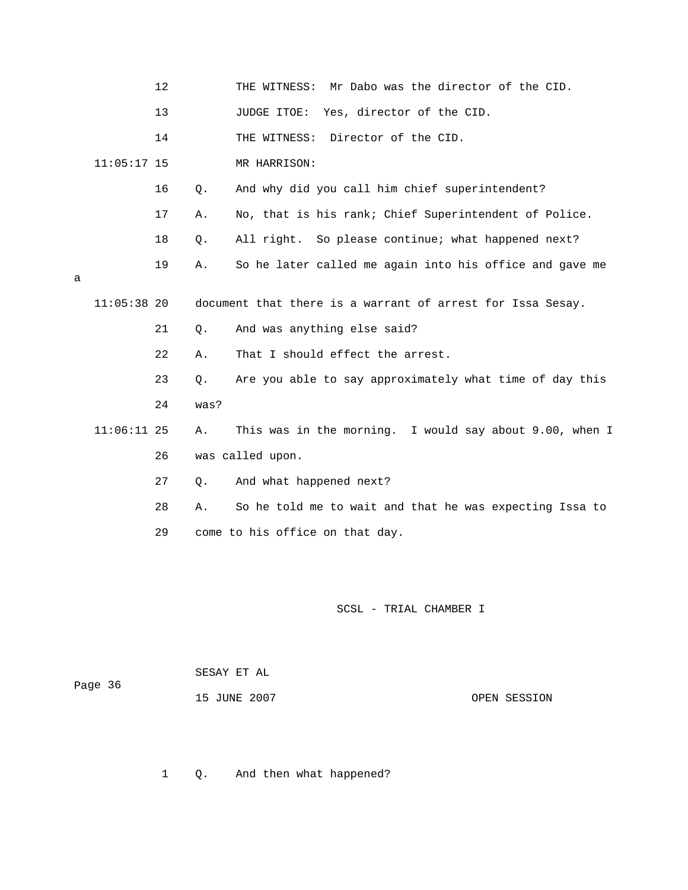|   |               | 12 |       | THE WITNESS: Mr Dabo was the director of the CID.          |
|---|---------------|----|-------|------------------------------------------------------------|
|   |               | 13 |       | JUDGE ITOE:<br>Yes, director of the CID.                   |
|   |               | 14 |       | Director of the CID.<br>THE WITNESS:                       |
|   | $11:05:17$ 15 |    |       | MR HARRISON:                                               |
|   |               | 16 | $Q$ . | And why did you call him chief superintendent?             |
|   |               | 17 | Α.    | No, that is his rank; Chief Superintendent of Police.      |
|   |               | 18 | $Q$ . | All right. So please continue; what happened next?         |
| а |               | 19 | Α.    | So he later called me again into his office and gave me    |
|   | $11:05:38$ 20 |    |       | document that there is a warrant of arrest for Issa Sesay. |
|   |               | 21 | Ο.    | And was anything else said?                                |
|   |               | 22 | Α.    | That I should effect the arrest.                           |
|   |               | 23 | $Q$ . | Are you able to say approximately what time of day this    |
|   |               | 24 | was?  |                                                            |
|   | 11:06:11 25   |    | Α.    | This was in the morning. I would say about 9.00, when I    |
|   |               | 26 |       | was called upon.                                           |
|   |               | 27 | Ο.    | And what happened next?                                    |
|   |               | 28 | Α.    | So he told me to wait and that he was expecting Issa to    |
|   |               | 29 |       | come to his office on that day.                            |
|   |               |    |       |                                                            |
|   |               |    |       |                                                            |

 SESAY ET AL ge 36 Pa

15 JUNE 2007 OPEN SESSION

1 Q. And then what happened?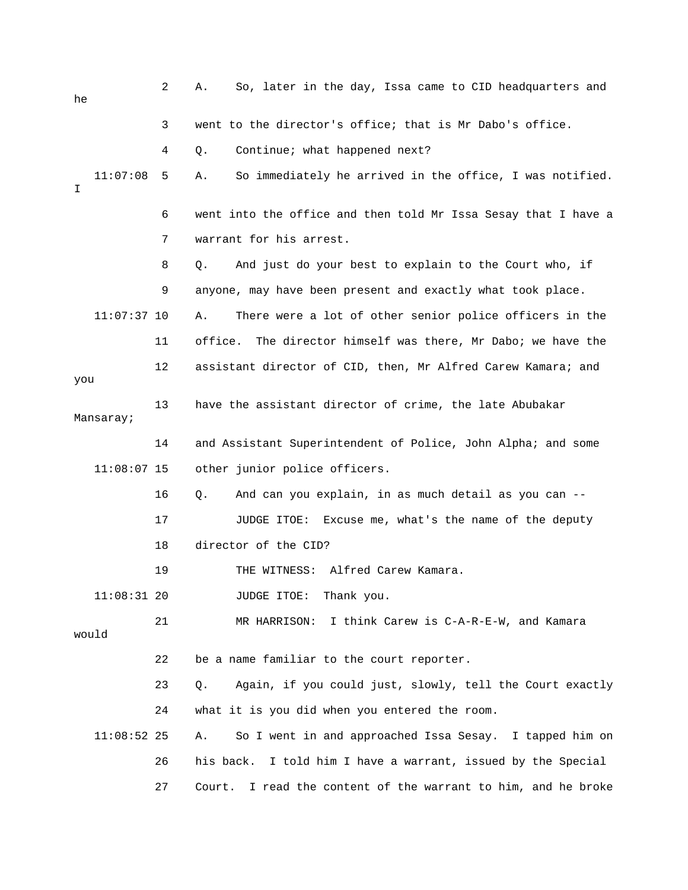| he  |               | 2  | So, later in the day, Issa came to CID headquarters and<br>Α.    |
|-----|---------------|----|------------------------------------------------------------------|
|     |               | 3  | went to the director's office; that is Mr Dabo's office.         |
|     |               | 4  | Continue; what happened next?<br>Q.                              |
| I.  | 11:07:08      | 5  | So immediately he arrived in the office, I was notified.<br>Α.   |
|     |               | 6  | went into the office and then told Mr Issa Sesay that I have a   |
|     |               | 7  | warrant for his arrest.                                          |
|     |               | 8  | And just do your best to explain to the Court who, if<br>Q.      |
|     |               | 9  | anyone, may have been present and exactly what took place.       |
|     | $11:07:37$ 10 |    | There were a lot of other senior police officers in the<br>Α.    |
|     |               | 11 | office.<br>The director himself was there, Mr Dabo; we have the  |
|     |               | 12 | assistant director of CID, then, Mr Alfred Carew Kamara; and     |
| you | Mansaray;     | 13 | have the assistant director of crime, the late Abubakar          |
|     |               | 14 | and Assistant Superintendent of Police, John Alpha; and some     |
|     | $11:08:07$ 15 |    | other junior police officers.                                    |
|     |               | 16 | And can you explain, in as much detail as you can --<br>Q.       |
|     |               | 17 | Excuse me, what's the name of the deputy<br>JUDGE ITOE:          |
|     |               | 18 | director of the CID?                                             |
|     |               | 19 | THE WITNESS: Alfred Carew Kamara.                                |
|     | $11:08:31$ 20 |    | JUDGE ITOE:<br>Thank you.                                        |
|     | would         | 21 | I think Carew is C-A-R-E-W, and Kamara<br>MR HARRISON:           |
|     |               | 22 | be a name familiar to the court reporter.                        |
|     |               | 23 | Again, if you could just, slowly, tell the Court exactly<br>Q.   |
|     |               | 24 | what it is you did when you entered the room.                    |
|     | $11:08:52$ 25 |    | So I went in and approached Issa Sesay. I tapped him on<br>Α.    |
|     |               | 26 | his back.<br>I told him I have a warrant, issued by the Special  |
|     |               | 27 | I read the content of the warrant to him, and he broke<br>Court. |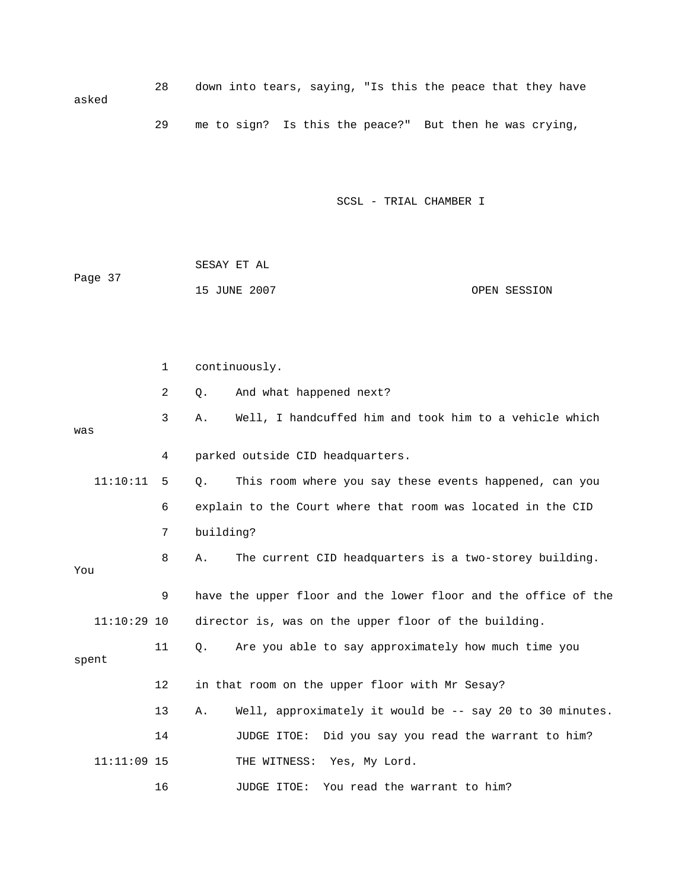28 down into tears, saying, "Is this the peace that they have asked 29 me to sign? Is this the peace?" But then he was crying,

SCSL - TRIAL CHAMBER I

 SESAY ET AL Page 37 OPEN SESSION 15 JUNE 2007

 3 A. Well, I handcuffed him and took him to a vehicle which was 4 parked outside CID headquarters. 11:10:11 5 Q. This room where you say these events happened, can you 6 explain to the Court where that room was located in the CID 8 A. The current CID headquarters is a two-storey building. 11 Q. Are you able to say approximately how much time you spent 12 in that room on the upper floor with Mr Sesay? 14 JUDGE ITOE: Did you say you read the warrant to him? 16 JUDGE ITOE: You read the warrant to him? 1 continuously. 2 Q. And what happened next? 7 building? You 9 have the upper floor and the lower floor and the office of the 11:10:29 10 director is, was on the upper floor of the building. 13 A. Well, approximately it would be -- say 20 to 30 minutes. 11:11:09 15 THE WITNESS: Yes, My Lord.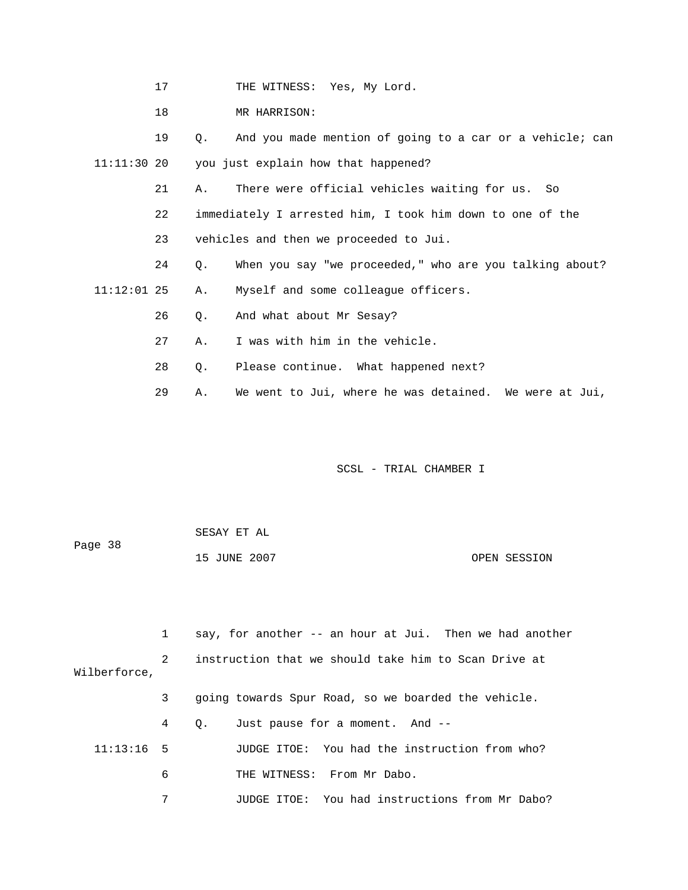17 THE WITNESS: Yes, My Lord.

18 MR HARRISON:

19 Q. And you made mention of going to a car or a vehicle; can 11:11:30 20 you just explain how that happened?

21 A. There were official vehicles waiting for us. So

- 22 immediately I arrested him, I took him down to one of the
	- 23 vehicles and then we proceeded to Jui.
	- 24 Q. When you say "we proceeded," who are you talking about?
	- 11:12:01 25 A. Myself and some colleague officers.
		- 26 Q. And what about Mr Sesay?
		- 27 A. I was with him in the vehicle.
		- 28 Q. Please continue. What happened next?
		- 29 A. We went to Jui, where he was detained. We were at Jui,

SCSL - TRIAL CHAMBER I

| Page 38 | SESAY ET AL  |              |
|---------|--------------|--------------|
|         | 15 JUNE 2007 | OPEN SESSION |

 1 say, for another -- an hour at Jui. Then we had another 2 instruction that we should take him to Scan Drive at 3 going towards Spur Road, so we boarded the vehicle. 4 Q. Just pause for a moment. And -- 7 JUDGE ITOE: You had instructions from Mr Dabo? Wilberforce, 11:13:16 5 JUDGE ITOE: You had the instruction from who? 6 THE WITNESS: From Mr Dabo.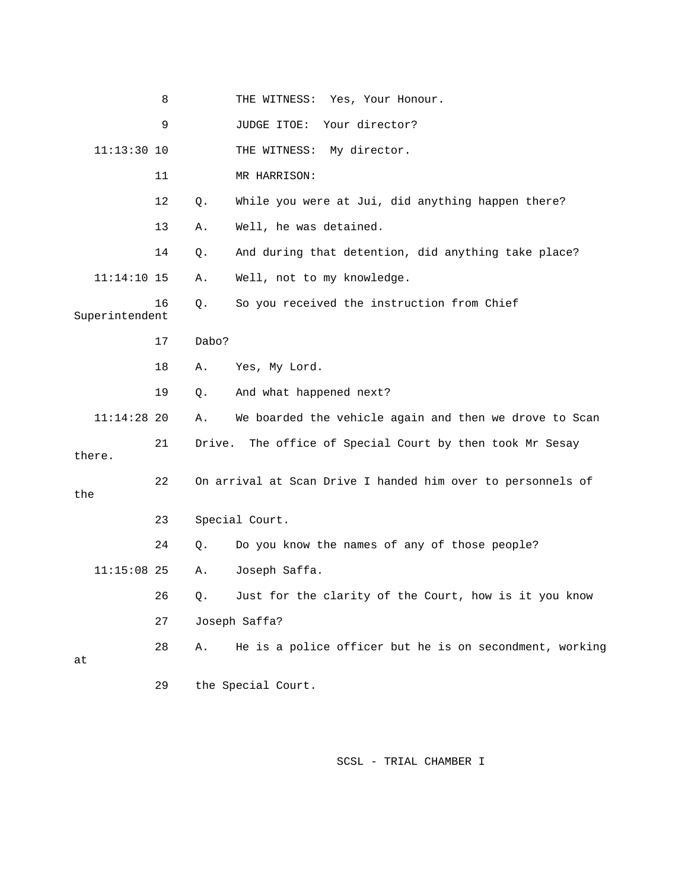|                | 8  |        | Yes, Your Honour.<br>THE WITNESS:                           |
|----------------|----|--------|-------------------------------------------------------------|
|                | 9  |        | JUDGE ITOE:<br>Your director?                               |
| $11:13:30$ 10  |    |        | My director.<br>THE WITNESS:                                |
|                | 11 |        | MR HARRISON:                                                |
|                | 12 | Q.     | While you were at Jui, did anything happen there?           |
|                | 13 | Α.     | Well, he was detained.                                      |
|                | 14 | Q.     | And during that detention, did anything take place?         |
| $11:14:10$ 15  |    | Α.     | Well, not to my knowledge.                                  |
| Superintendent | 16 | Q.     | So you received the instruction from Chief                  |
|                | 17 | Dabo?  |                                                             |
|                | 18 | Α.     | Yes, My Lord.                                               |
|                | 19 | Q.     | And what happened next?                                     |
| $11:14:28$ 20  |    | Α.     | We boarded the vehicle again and then we drove to Scan      |
| there.         | 21 | Drive. | The office of Special Court by then took Mr Sesay           |
| the            | 22 |        | On arrival at Scan Drive I handed him over to personnels of |
|                | 23 |        | Special Court.                                              |
|                | 24 | Q.     | Do you know the names of any of those people?               |
| $11:15:08$ 25  |    | Α.     | Joseph Saffa.                                               |
|                | 26 | Q.     | Just for the clarity of the Court, how is it you know       |
|                | 27 |        | Joseph Saffa?                                               |
| at             | 28 | Α.     | He is a police officer but he is on secondment, working     |
|                | 29 |        | the Special Court.                                          |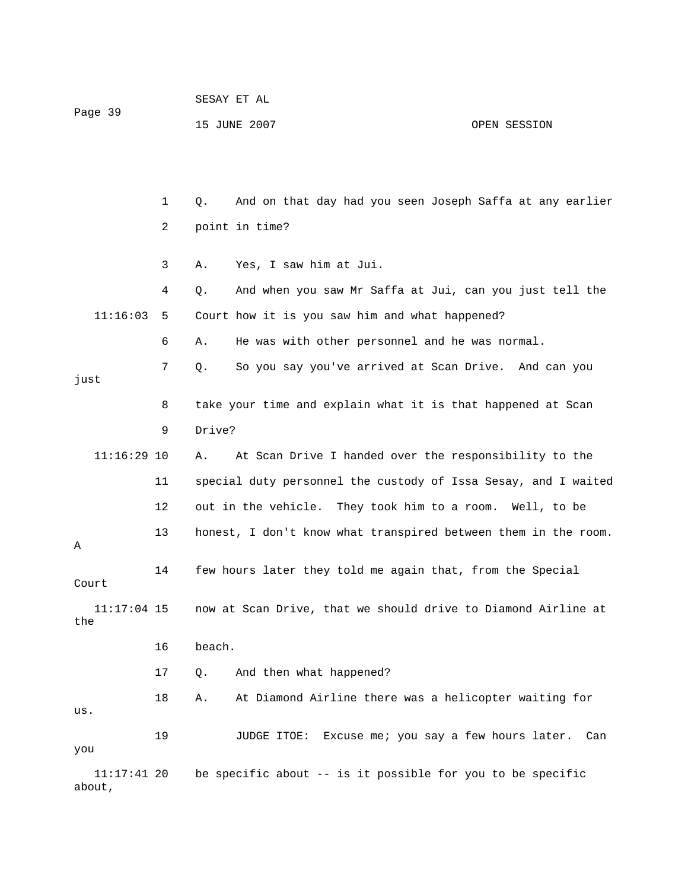| Page 39                 |    | SESAY ET AL                                                    |     |  |  |
|-------------------------|----|----------------------------------------------------------------|-----|--|--|
|                         |    | 15 JUNE 2007<br>OPEN SESSION                                   |     |  |  |
|                         |    |                                                                |     |  |  |
|                         |    |                                                                |     |  |  |
|                         | 1  | And on that day had you seen Joseph Saffa at any earlier<br>Q. |     |  |  |
|                         | 2  | point in time?                                                 |     |  |  |
|                         | 3  | Yes, I saw him at Jui.<br>Α.                                   |     |  |  |
|                         | 4  | And when you saw Mr Saffa at Jui, can you just tell the<br>Q.  |     |  |  |
| 11:16:03                | 5  | Court how it is you saw him and what happened?                 |     |  |  |
|                         | 6  | He was with other personnel and he was normal.<br>Α.           |     |  |  |
|                         | 7  | So you say you've arrived at Scan Drive. And can you<br>Q.     |     |  |  |
| just                    |    |                                                                |     |  |  |
|                         | 8  | take your time and explain what it is that happened at Scan    |     |  |  |
|                         | 9  | Drive?                                                         |     |  |  |
| $11:16:29$ 10           |    | At Scan Drive I handed over the responsibility to the<br>Α.    |     |  |  |
|                         | 11 | special duty personnel the custody of Issa Sesay, and I waited |     |  |  |
|                         | 12 | out in the vehicle. They took him to a room. Well, to be       |     |  |  |
| Α                       | 13 | honest, I don't know what transpired between them in the room. |     |  |  |
| Court                   | 14 | few hours later they told me again that, from the Special      |     |  |  |
| $11:17:04$ 15<br>the    |    | now at Scan Drive, that we should drive to Diamond Airline at  |     |  |  |
|                         | 16 | beach.                                                         |     |  |  |
|                         | 17 | And then what happened?<br>Q.                                  |     |  |  |
| us.                     | 18 | At Diamond Airline there was a helicopter waiting for<br>Α.    |     |  |  |
| you                     | 19 | <b>JUDGE ITOE:</b><br>Excuse me; you say a few hours later.    | Can |  |  |
| $11:17:41$ 20<br>about, |    | be specific about -- is it possible for you to be specific     |     |  |  |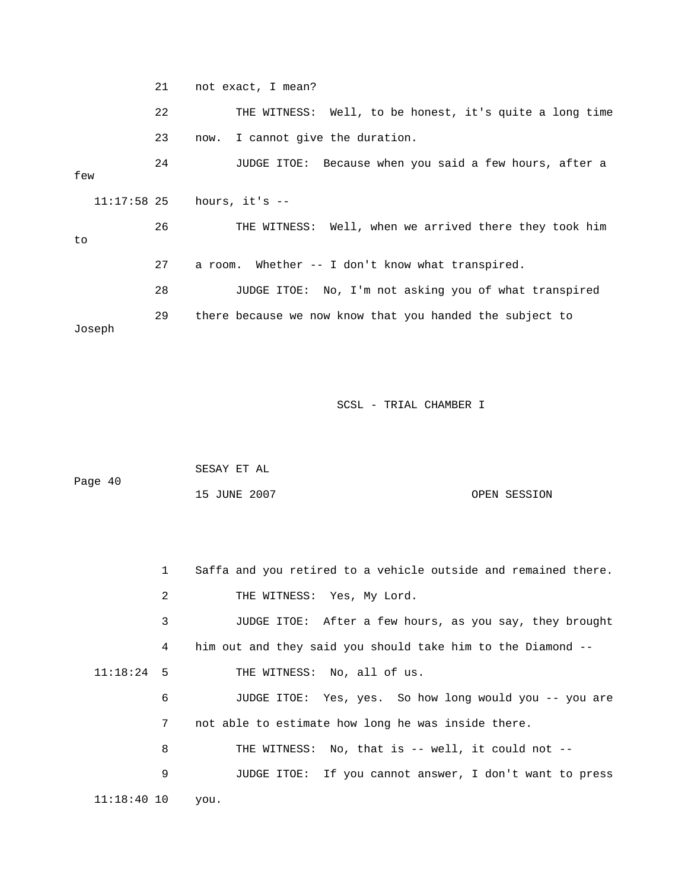21 not exact, I mean? 22 THE WITNESS: Well, to be honest, it's quite a long time 23 now. I cannot give the duration. 24 JUDGE ITOE: Because when you said a few hours, after a 27 a room. Whether -- I don't know what transpired. 28 JUDGE ITOE: No, I'm not asking you of what transpired 29 there because we now know that you handed the subject to few 11:17:58 25 hours, it's -- 26 THE WITNESS: Well, when we arrived there they took him to Joseph

| Page 40 | SESAY ET AL  |  |              |
|---------|--------------|--|--------------|
|         | 15 JUNE 2007 |  | OPEN SESSION |

|               | $\mathbf{1}$ | Saffa and you retired to a vehicle outside and remained there. |
|---------------|--------------|----------------------------------------------------------------|
|               | 2            | THE WITNESS: Yes, My Lord.                                     |
|               | 3            | JUDGE ITOE: After a few hours, as you say, they brought        |
|               | 4            | him out and they said you should take him to the Diamond --    |
| $11:18:24$ 5  |              | THE WITNESS: No, all of us.                                    |
|               | 6            | JUDGE ITOE: Yes, yes. So how long would you -- you are         |
|               | 7            | not able to estimate how long he was inside there.             |
|               | 8            | THE WITNESS: No, that is -- well, it could not --              |
|               | 9            | JUDGE ITOE: If you cannot answer, I don't want to press        |
| $11:18:40$ 10 |              | you.                                                           |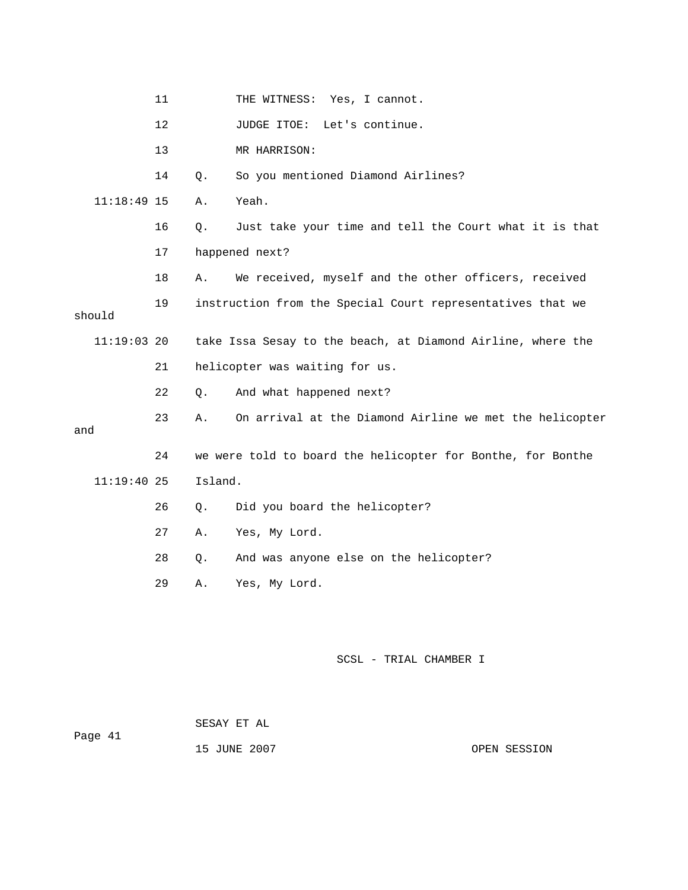|               | 11 |         | THE WITNESS: Yes, I cannot.                                 |
|---------------|----|---------|-------------------------------------------------------------|
|               | 12 |         | JUDGE ITOE:<br>Let's continue.                              |
|               | 13 |         | MR HARRISON:                                                |
|               | 14 | Q.      | So you mentioned Diamond Airlines?                          |
| $11:18:49$ 15 |    | Α.      | Yeah.                                                       |
|               | 16 | Q.      | Just take your time and tell the Court what it is that      |
|               | 17 |         | happened next?                                              |
|               | 18 | Α.      | We received, myself and the other officers, received        |
| should        | 19 |         | instruction from the Special Court representatives that we  |
| $11:19:03$ 20 |    |         | take Issa Sesay to the beach, at Diamond Airline, where the |
|               | 21 |         | helicopter was waiting for us.                              |
|               | 22 | О.      | And what happened next?                                     |
| and           | 23 | Α.      | On arrival at the Diamond Airline we met the helicopter     |
|               | 24 |         | we were told to board the helicopter for Bonthe, for Bonthe |
| $11:19:40$ 25 |    | Island. |                                                             |
|               | 26 | О.      | Did you board the helicopter?                               |
|               | 27 | Α.      | Yes, My Lord.                                               |
|               | 28 | Q.      | And was anyone else on the helicopter?                      |
|               | 29 | Α.      | Yes, My Lord.                                               |
|               |    |         |                                                             |

|         | SESAY ET AL  |              |
|---------|--------------|--------------|
| Page 41 |              |              |
|         | 15 JUNE 2007 | OPEN SESSION |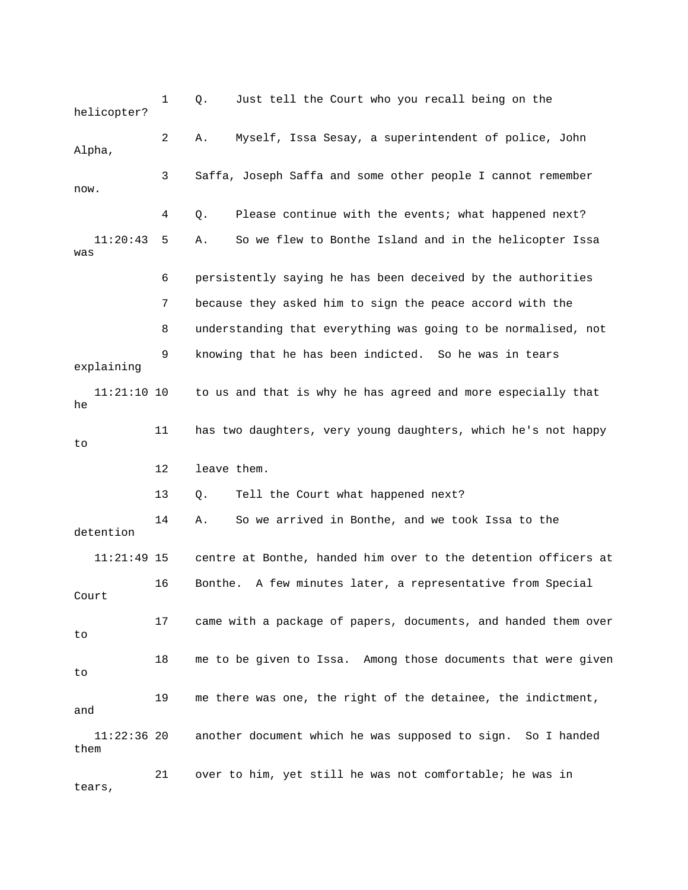1 Q. Just tell the Court who you recall being on the helicopter? 2 A. Myself, Issa Sesay, a superintendent of police, John Alpha, 3 Saffa, Joseph Saffa and some other people I cannot remember now. 4 Q. Please continue with the events; what happened next? 11:20:43 5 A. So we flew to Bonthe Island and in the helicopter Issa 6 persistently saying he has been deceived by the authorities 7 because they asked him to sign the peace accord with the 8 understanding that everything was going to be normalised, not explaining 11 has two daughters, very young daughters, which he's not happy 13 Q. Tell the Court what happened next? detention 16 Bonthe. A few minutes later, a representative from Special 17 came with a package of papers, documents, and handed them over 18 me to be given to Issa. Among those documents that were given was 9 knowing that he has been indicted. So he was in tears 11:21:10 10 to us and that is why he has agreed and more especially that he to 12 leave them. 14 A. So we arrived in Bonthe, and we took Issa to the 11:21:49 15 centre at Bonthe, handed him over to the detention officers at Court to to 19 me there was one, the right of the detainee, the indictment, and 11:22:36 20 another document which he was supposed to sign. So I handed them 21 over to him, yet still he was not comfortable; he was in tears,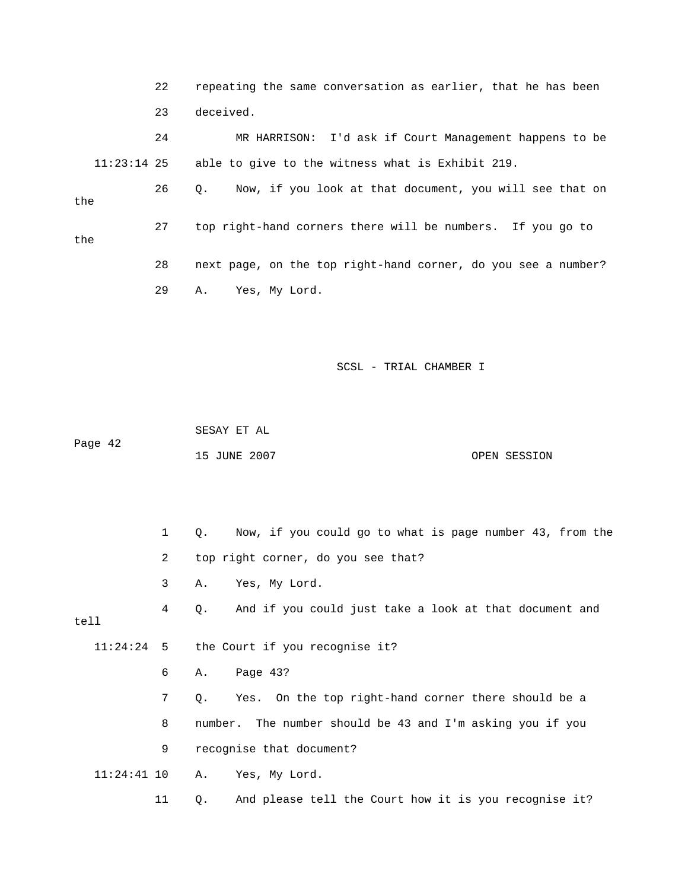|               | 22 | repeating the same conversation as earlier, that he has been  |
|---------------|----|---------------------------------------------------------------|
|               | 23 | deceived.                                                     |
|               | 24 | MR HARRISON: I'd ask if Court Management happens to be        |
| $11:23:14$ 25 |    | able to give to the witness what is Exhibit 219.              |
| the           | 26 | Now, if you look at that document, you will see that on<br>О. |
| the           | 27 | top right-hand corners there will be numbers. If you go to    |
|               | 28 | next page, on the top right-hand corner, do you see a number? |
|               | 29 | Yes, My Lord.<br>Α.                                           |

```
 SCSL - TRIAL CHAMBER I
```
 SESAY ET AL Page 42 15 JUNE 2007 OPEN SESSION

 1 Q. Now, if you could go to what is page number 43, from the 3 A. Yes, My Lord. 4 Q. And if you could just take a look at that document and tell 7 Q. Yes. On the top right-hand corner there should be a 9 recognise that document? 11:24:41 10 A. Yes, My Lord. 11 Q. And please tell the Court how it is you recognise it? 2 top right corner, do you see that? 11:24:24 5 the Court if you recognise it? 6 A. Page 43? 8 number. The number should be 43 and I'm asking you if you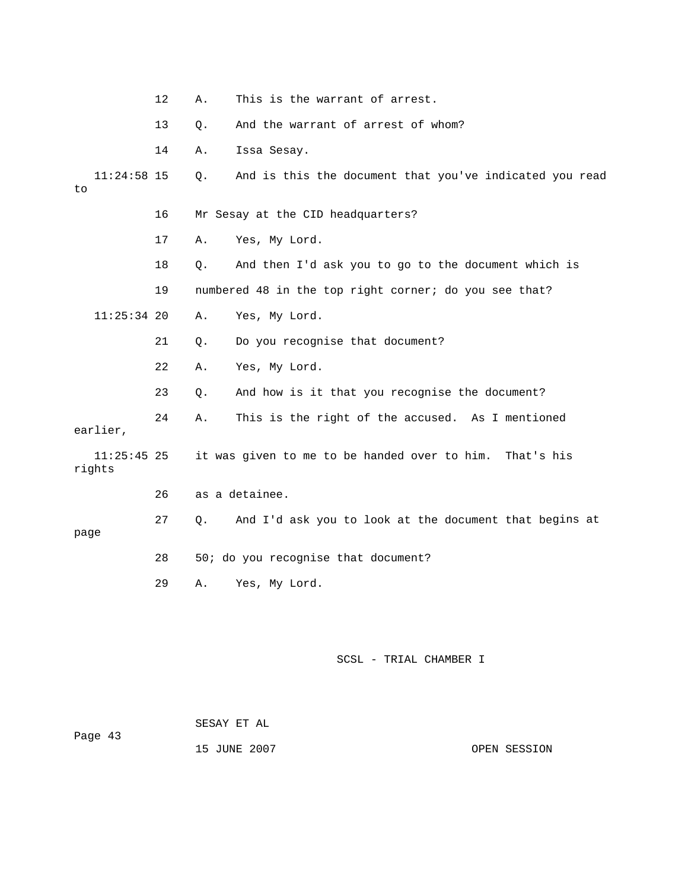|      |                         | 12 | Α.    | This is the warrant of arrest.                          |
|------|-------------------------|----|-------|---------------------------------------------------------|
|      |                         | 13 | Q.    | And the warrant of arrest of whom?                      |
|      |                         | 14 | Α.    | Issa Sesay.                                             |
| to   | $11:24:58$ 15           |    | $Q$ . | And is this the document that you've indicated you read |
|      |                         | 16 |       | Mr Sesay at the CID headquarters?                       |
|      |                         | 17 | Α.    | Yes, My Lord.                                           |
|      |                         | 18 | Q.    | And then I'd ask you to go to the document which is     |
|      |                         | 19 |       | numbered 48 in the top right corner; do you see that?   |
|      | $11:25:34$ 20           |    | Α.    | Yes, My Lord.                                           |
|      |                         | 21 | Q.    | Do you recognise that document?                         |
|      |                         | 22 | Α.    | Yes, My Lord.                                           |
|      |                         | 23 | Q.    | And how is it that you recognise the document?          |
|      | earlier,                | 24 | Α.    | This is the right of the accused. As I mentioned        |
|      | $11:25:45$ 25<br>rights |    |       | it was given to me to be handed over to him. That's his |
|      |                         | 26 |       | as a detainee.                                          |
| page |                         | 27 | Q.    | And I'd ask you to look at the document that begins at  |
|      |                         | 28 |       | 50; do you recognise that document?                     |
|      |                         | 29 | Α.    | Yes, My Lord.                                           |

| Page 43 | SESAY ET AL  |              |
|---------|--------------|--------------|
|         | 15 JUNE 2007 | OPEN SESSION |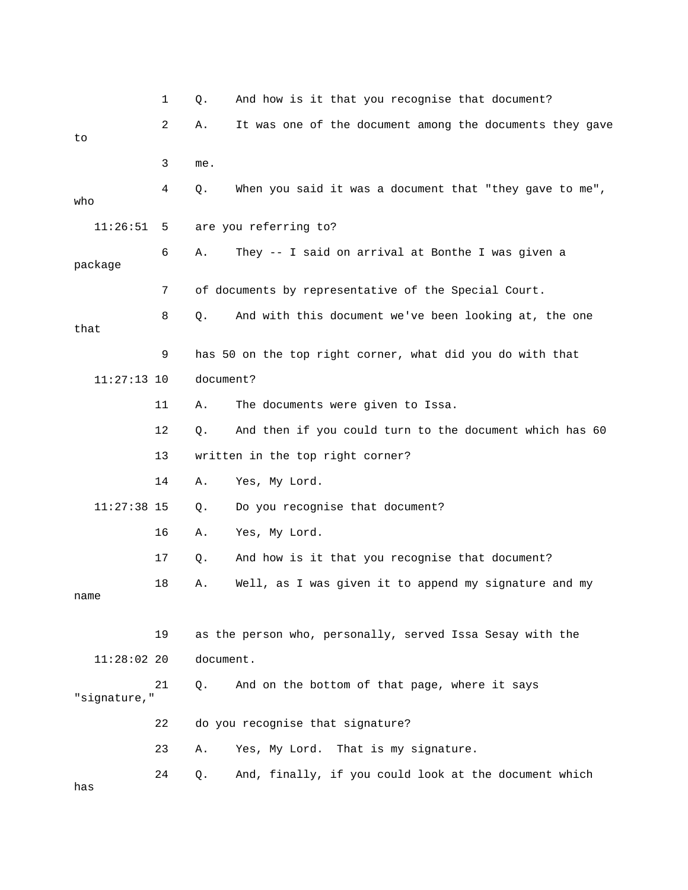|               | 1  | Q.        | And how is it that you recognise that document?           |
|---------------|----|-----------|-----------------------------------------------------------|
|               | 2  | Α.        | It was one of the document among the documents they gave  |
| to            |    |           |                                                           |
|               | 3  | me.       |                                                           |
| who           | 4  | Q.        | When you said it was a document that "they gave to me",   |
| 11:26:51      | 5  |           | are you referring to?                                     |
| package       | 6  | Α.        | They -- I said on arrival at Bonthe I was given a         |
|               | 7  |           | of documents by representative of the Special Court.      |
| that          | 8  | Q.        | And with this document we've been looking at, the one     |
|               | 9  |           | has 50 on the top right corner, what did you do with that |
| $11:27:13$ 10 |    | document? |                                                           |
|               | 11 | Α.        | The documents were given to Issa.                         |
|               | 12 | Q.        | And then if you could turn to the document which has 60   |
|               | 13 |           | written in the top right corner?                          |
|               | 14 | Α.        | Yes, My Lord.                                             |
| $11:27:38$ 15 |    | Q.        | Do you recognise that document?                           |
|               | 16 | Α.        | Yes, My Lord.                                             |
|               | 17 | Q.        | And how is it that you recognise that document?           |
| name          | 18 | Α.        | Well, as I was given it to append my signature and my     |
|               |    |           |                                                           |
|               | 19 |           | as the person who, personally, served Issa Sesay with the |
| $11:28:02$ 20 |    | document. |                                                           |
| "signature,"  | 21 | О.        | And on the bottom of that page, where it says             |
|               | 22 |           | do you recognise that signature?                          |
|               | 23 | Α.        | Yes, My Lord. That is my signature.                       |
| has           | 24 | Q.        | And, finally, if you could look at the document which     |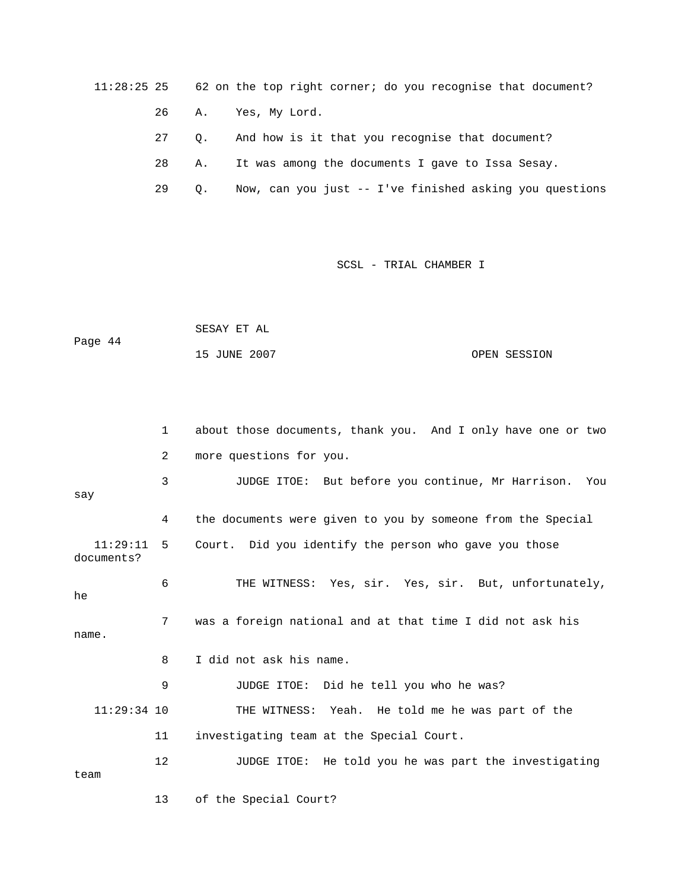- 11:28:25 25 62 on the top right corner; do you recognise that document?
	- 26 A. Yes, My Lord.
- 27 Q. And how is it that you recognise that document?
	- 28 A. It was among the documents I gave to Issa Sesay.
	- 29 Q. Now, can you just -- I've finished asking you questions

|         | SESAY ET AL  |              |
|---------|--------------|--------------|
| Page 44 |              |              |
|         | 15 JUNE 2007 | OPEN SESSION |

|                        | $\mathbf{1}$ | about those documents, thank you. And I only have one or two |
|------------------------|--------------|--------------------------------------------------------------|
|                        | 2            | more questions for you.                                      |
| say                    | 3            | JUDGE ITOE: But before you continue, Mr Harrison. You        |
|                        | 4            | the documents were given to you by someone from the Special  |
| 11:29:11<br>documents? | 5            | Court. Did you identify the person who gave you those        |
| he                     | 6            | THE WITNESS: Yes, sir. Yes, sir. But, unfortunately,         |
| name.                  | 7            | was a foreign national and at that time I did not ask his    |
|                        | 8            | I did not ask his name.                                      |
|                        | 9            | JUDGE ITOE: Did he tell you who he was?                      |
| $11:29:34$ 10          |              | THE WITNESS: Yeah. He told me he was part of the             |
|                        | 11           | investigating team at the Special Court.                     |
| team                   | 12           | JUDGE ITOE: He told you he was part the investigating        |
|                        | 13           | of the Special Court?                                        |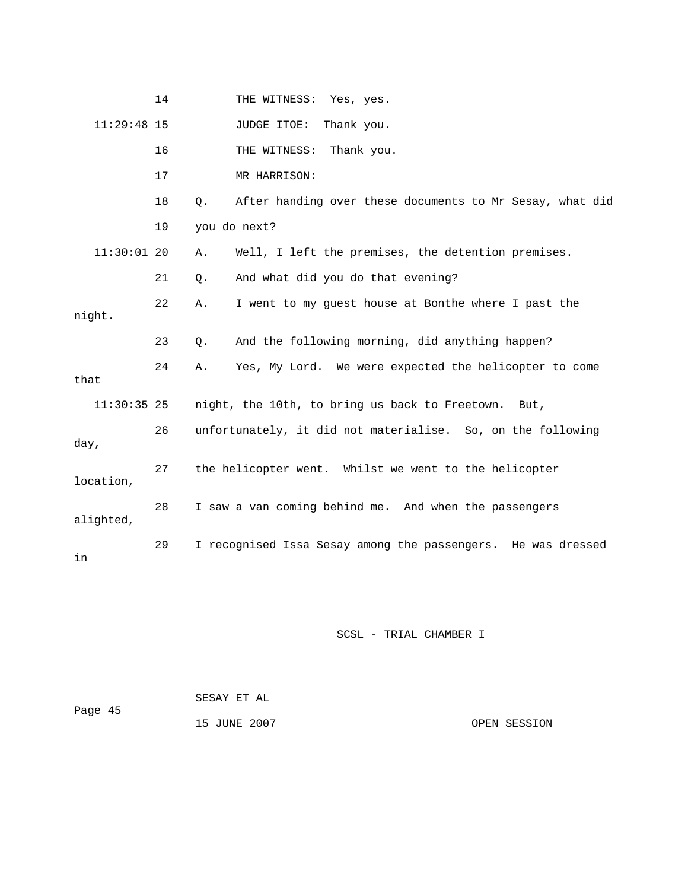|               | 14 | THE WITNESS:<br>Yes, yes.                                             |
|---------------|----|-----------------------------------------------------------------------|
| $11:29:48$ 15 |    | JUDGE ITOE:<br>Thank you.                                             |
|               | 16 | THE WITNESS:<br>Thank you.                                            |
|               | 17 | MR HARRISON:                                                          |
|               | 18 | After handing over these documents to Mr Sesay, what did<br>$\circ$ . |
|               | 19 | you do next?                                                          |
| $11:30:01$ 20 |    | Well, I left the premises, the detention premises.<br>Α.              |
|               | 21 | And what did you do that evening?<br>$Q$ .                            |
| night.        | 22 | I went to my guest house at Bonthe where I past the<br>Α.             |
|               | 23 | And the following morning, did anything happen?<br>$Q$ .              |
| that          | 24 | Yes, My Lord. We were expected the helicopter to come<br>Α.           |
| $11:30:35$ 25 |    | night, the 10th, to bring us back to Freetown. But,                   |
| day,          | 26 | unfortunately, it did not materialise. So, on the following           |
| location,     | 27 | the helicopter went. Whilst we went to the helicopter                 |
| alighted,     | 28 | I saw a van coming behind me. And when the passengers                 |
| in            | 29 | I recognised Issa Sesay among the passengers. He was dressed          |

| Page 45 | SESAY ET AL  |              |
|---------|--------------|--------------|
|         | 15 JUNE 2007 | OPEN SESSION |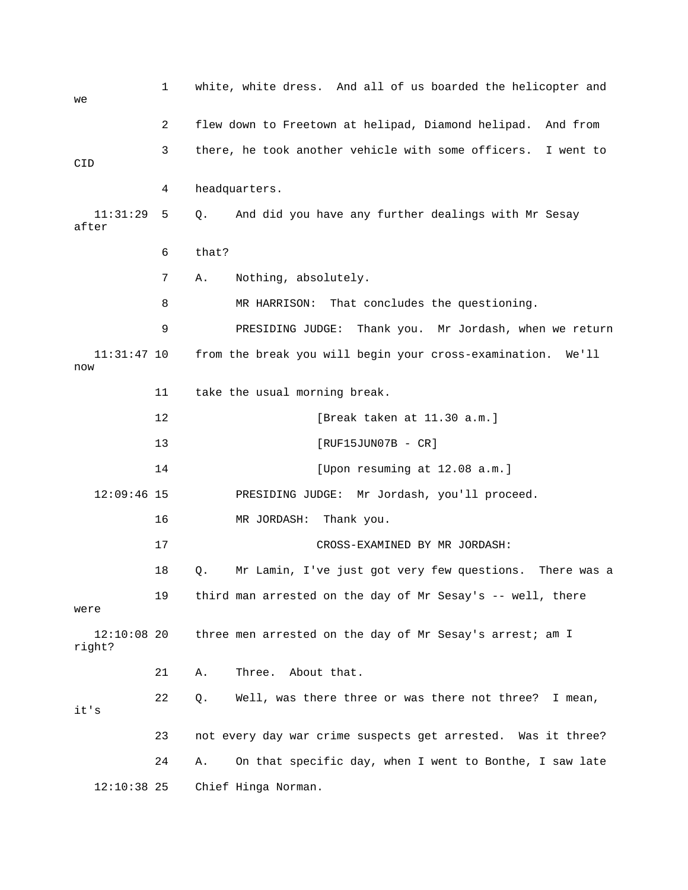| we                      | 1  | white, white dress. And all of us boarded the helicopter and     |
|-------------------------|----|------------------------------------------------------------------|
|                         | 2  | flew down to Freetown at helipad, Diamond helipad. And from      |
| CID                     | 3  | there, he took another vehicle with some officers. I went to     |
|                         | 4  | headquarters.                                                    |
| 11:31:29<br>after       | 5  | And did you have any further dealings with Mr Sesay<br>Q.        |
|                         | 6  | that?                                                            |
|                         | 7  | Nothing, absolutely.<br>Α.                                       |
|                         | 8  | MR HARRISON: That concludes the questioning.                     |
|                         | 9  | PRESIDING JUDGE: Thank you. Mr Jordash, when we return           |
| $11:31:47$ 10<br>now    |    | from the break you will begin your cross-examination.<br>We'll   |
|                         | 11 | take the usual morning break.                                    |
|                         | 12 | [Break taken at 11.30 a.m.]                                      |
|                         | 13 | $[RUF15JUN07B - CR]$                                             |
|                         | 14 | [Upon resuming at 12.08 a.m.]                                    |
| $12:09:46$ 15           |    | PRESIDING JUDGE: Mr Jordash, you'll proceed.                     |
|                         | 16 | MR JORDASH:<br>Thank you.                                        |
|                         | 17 | CROSS-EXAMINED BY MR JORDASH:                                    |
|                         | 18 | Mr Lamin, I've just got very few questions.<br>There was a<br>Q. |
| were                    | 19 | third man arrested on the day of Mr Sesay's -- well, there       |
| $12:10:08$ 20<br>right? |    | three men arrested on the day of Mr Sesay's arrest; am I         |
|                         | 21 | About that.<br>Three.<br>Α.                                      |
| it's                    | 22 | Q.<br>Well, was there three or was there not three?<br>I mean,   |
|                         | 23 | not every day war crime suspects get arrested. Was it three?     |
|                         | 24 | On that specific day, when I went to Bonthe, I saw late<br>Α.    |
| $12:10:38$ 25           |    | Chief Hinga Norman.                                              |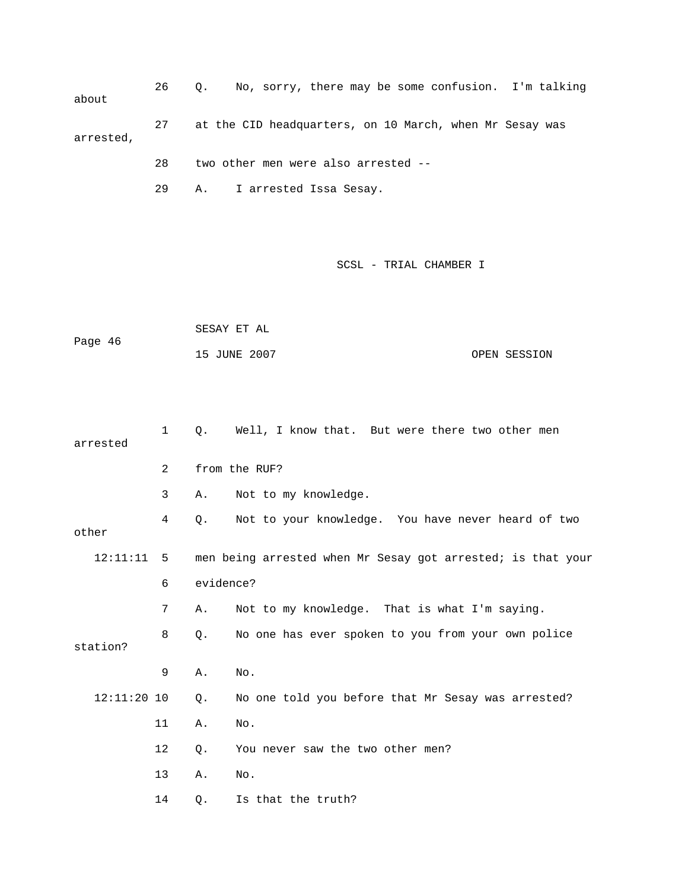26 Q. No, sorry, there may be some confusion. I'm talking 28 two other men were also arrested - about 27 at the CID headquarters, on 10 March, when Mr Sesay was arrested,

29 A. I arrested Issa Sesay.

|         | SESAY ET AL  |              |
|---------|--------------|--------------|
| Page 46 |              |              |
|         | 15 JUNE 2007 | OPEN SESSION |

| arrested      | $\mathbf{1}$   | Q.        | Well, I know that. But were there two other men             |
|---------------|----------------|-----------|-------------------------------------------------------------|
|               | $\overline{2}$ |           | from the RUF?                                               |
|               | 3              | Α.        | Not to my knowledge.                                        |
| other         | 4              | $Q$ .     | Not to your knowledge. You have never heard of two          |
| 12:11:11      | $-5$           |           | men being arrested when Mr Sesay got arrested; is that your |
|               | 6              | evidence? |                                                             |
|               | 7              | Α.        | Not to my knowledge. That is what I'm saying.               |
| station?      | 8              | Q.        | No one has ever spoken to you from your own police          |
|               | 9              | Α.        | No.                                                         |
| $12:11:20$ 10 |                | Q.        | No one told you before that Mr Sesay was arrested?          |
|               | 11             | Α.        | No.                                                         |
|               | 12             | Q.        | You never saw the two other men?                            |
|               | 13             | Α.        | No.                                                         |
|               | 14             | Q.        | Is that the truth?                                          |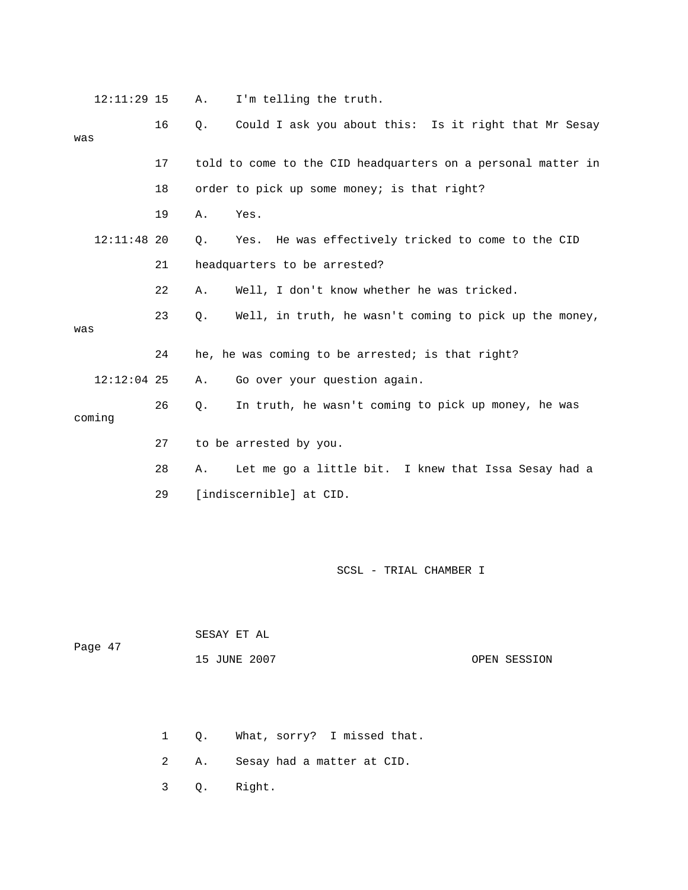| 12:11:29 15 |  | I'm telling the truth. |
|-------------|--|------------------------|
|-------------|--|------------------------|

| was           | 16 |    | Q. Could I ask you about this: Is it right that Mr Sesay     |
|---------------|----|----|--------------------------------------------------------------|
|               | 17 |    | told to come to the CID headquarters on a personal matter in |
|               | 18 |    | order to pick up some money; is that right?                  |
|               | 19 | Α. | Yes.                                                         |
| $12:11:48$ 20 |    | Q. | Yes. He was effectively tricked to come to the CID           |
|               | 21 |    | headquarters to be arrested?                                 |
|               | 22 | Α. | Well, I don't know whether he was tricked.                   |
| was           | 23 | Q. | Well, in truth, he wasn't coming to pick up the money,       |
|               |    |    |                                                              |
|               | 24 |    | he, he was coming to be arrested; is that right?             |
| $12:12:04$ 25 |    | Α. | Go over your question again.                                 |
| coming        | 26 | О. | In truth, he wasn't coming to pick up money, he was          |
|               | 27 |    | to be arrested by you.                                       |
|               | 28 | Α. | Let me go a little bit. I knew that Issa Sesay had a         |
|               | 29 |    | [indiscernible] at CID.                                      |

| Page 47 | SESAY ET AL  |              |  |  |
|---------|--------------|--------------|--|--|
|         | 15 JUNE 2007 | OPEN SESSION |  |  |

- 1 Q. What, sorry? I missed that.
- 2 A. Sesay had a matter at CID.
- 3 Q. Right.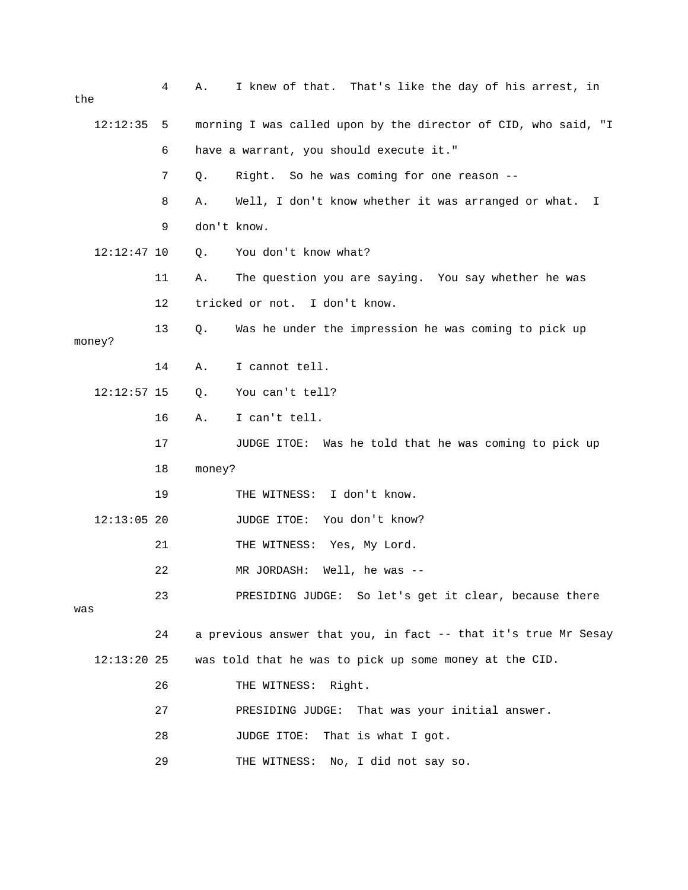| the |               | 4  | Α.     | I knew of that. That's like the day of his arrest, in          |
|-----|---------------|----|--------|----------------------------------------------------------------|
|     | 12:12:35      | 5  |        | morning I was called upon by the director of CID, who said, "I |
|     |               | 6  |        | have a warrant, you should execute it."                        |
|     |               | 7  | Q.     | Right. So he was coming for one reason --                      |
|     |               | 8  | Α.     | Well, I don't know whether it was arranged or what.<br>I.      |
|     |               | 9  |        | don't know.                                                    |
|     | $12:12:47$ 10 |    | Q.     | You don't know what?                                           |
|     |               | 11 | Α.     | The question you are saying. You say whether he was            |
|     |               | 12 |        | tricked or not. I don't know.                                  |
|     | money?        | 13 | $Q$ .  | Was he under the impression he was coming to pick up           |
|     |               | 14 | Α.     | I cannot tell.                                                 |
|     | $12:12:57$ 15 |    | Q.     | You can't tell?                                                |
|     |               | 16 | Α.     | I can't tell.                                                  |
|     |               | 17 |        | JUDGE ITOE: Was he told that he was coming to pick up          |
|     |               | 18 | money? |                                                                |
|     |               | 19 |        | I don't know.<br>THE WITNESS:                                  |
|     | $12:13:05$ 20 |    |        | You don't know?<br>JUDGE ITOE:                                 |
|     |               | 21 |        | Yes, My Lord.<br>THE WITNESS:                                  |
|     |               | 22 |        | MR JORDASH:<br>Well, he was $-$                                |
| was |               | 23 |        | PRESIDING JUDGE: So let's get it clear, because there          |
|     |               | 24 |        | a previous answer that you, in fact -- that it's true Mr Sesay |
|     | $12:13:20$ 25 |    |        | was told that he was to pick up some money at the CID.         |
|     |               | 26 |        | THE WITNESS: Right.                                            |
|     |               | 27 |        | PRESIDING JUDGE: That was your initial answer.                 |
|     |               | 28 |        | JUDGE ITOE:<br>That is what I got.                             |
|     |               | 29 |        | THE WITNESS: No, I did not say so.                             |
|     |               |    |        |                                                                |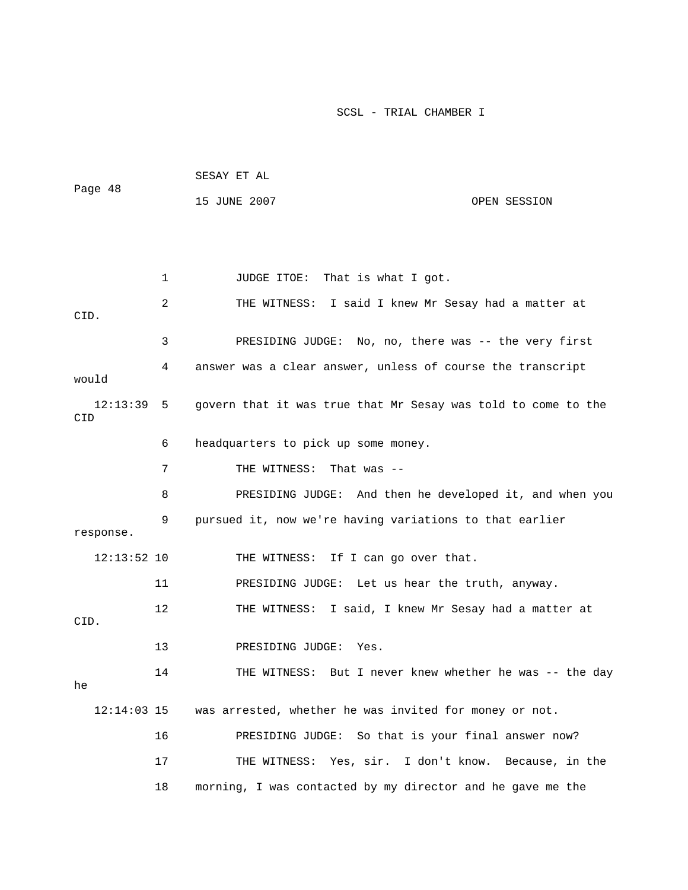| Page 48         |    | SESAY ET AL                                            |                                                               |  |  |
|-----------------|----|--------------------------------------------------------|---------------------------------------------------------------|--|--|
|                 |    | 15 JUNE 2007                                           | OPEN SESSION                                                  |  |  |
|                 |    |                                                        |                                                               |  |  |
|                 |    |                                                        |                                                               |  |  |
|                 |    |                                                        |                                                               |  |  |
|                 | 1  | JUDGE ITOE: That is what I got.                        |                                                               |  |  |
| CID.            | 2  |                                                        | THE WITNESS: I said I knew Mr Sesay had a matter at           |  |  |
|                 | 3  |                                                        | PRESIDING JUDGE: No, no, there was -- the very first          |  |  |
| would           | 4  |                                                        | answer was a clear answer, unless of course the transcript    |  |  |
| 12:13:39<br>CID | 5  |                                                        | govern that it was true that Mr Sesay was told to come to the |  |  |
|                 | 6  | headquarters to pick up some money.                    |                                                               |  |  |
|                 | 7  | THE WITNESS:<br>That was $--$                          |                                                               |  |  |
|                 | 8  |                                                        | PRESIDING JUDGE: And then he developed it, and when you       |  |  |
| response.       | 9  |                                                        | pursued it, now we're having variations to that earlier       |  |  |
| $12:13:52$ 10   |    | THE WITNESS:                                           | If I can go over that.                                        |  |  |
|                 | 11 |                                                        | PRESIDING JUDGE: Let us hear the truth, anyway.               |  |  |
| CID.            | 12 |                                                        | THE WITNESS: I said, I knew Mr Sesay had a matter at          |  |  |
|                 | 13 | PRESIDING JUDGE:<br>Yes.                               |                                                               |  |  |
| he              | 14 |                                                        | THE WITNESS: But I never knew whether he was -- the day       |  |  |
| $12:14:03$ 15   |    | was arrested, whether he was invited for money or not. |                                                               |  |  |
|                 | 16 |                                                        | PRESIDING JUDGE: So that is your final answer now?            |  |  |
|                 | 17 |                                                        | THE WITNESS: Yes, sir. I don't know. Because, in the          |  |  |
|                 | 18 |                                                        | morning, I was contacted by my director and he gave me the    |  |  |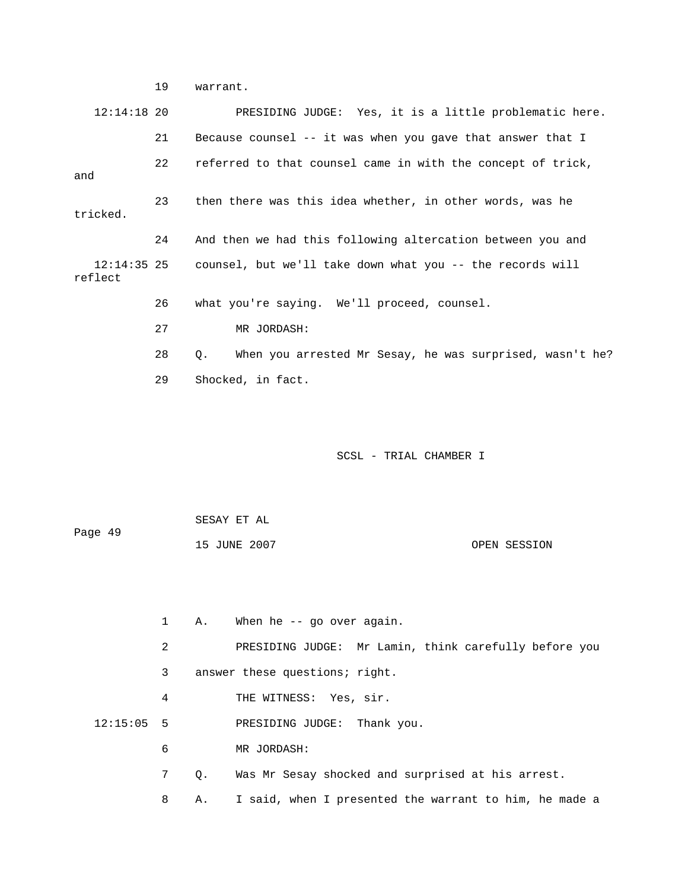19 warrant.

| $12:14:18$ 20            |    | PRESIDING JUDGE: Yes, it is a little problematic here.         |
|--------------------------|----|----------------------------------------------------------------|
|                          | 21 | Because counsel -- it was when you gave that answer that I     |
| and                      | 22 | referred to that counsel came in with the concept of trick,    |
| tricked.                 | 23 | then there was this idea whether, in other words, was he       |
|                          | 24 | And then we had this following altercation between you and     |
| $12:14:35$ 25<br>reflect |    | counsel, but we'll take down what you -- the records will      |
|                          | 26 | what you're saying. We'll proceed, counsel.                    |
|                          | 27 | MR JORDASH:                                                    |
|                          | 28 | When you arrested Mr Sesay, he was surprised, wasn't he?<br>Q. |
|                          | 29 | Shocked, in fact.                                              |
|                          |    |                                                                |

SCSL - TRIAL CHAMBER I

| Page 49 | SESAY ET AL  |              |
|---------|--------------|--------------|
|         | 15 JUNE 2007 | OPEN SESSION |

 1 A. When he -- go over again. 2 PRESIDING JUDGE: Mr Lamin, think carefully before you 4 THE WITNESS: Yes, sir. 12:15:05 5 PRESIDING JUDGE: Thank you. 6 MR JORDASH: 7 Q. Was Mr Sesay shocked and surprised at his arrest. 8 A. I said, when I presented the warrant to him, he made a 3 answer these questions; right.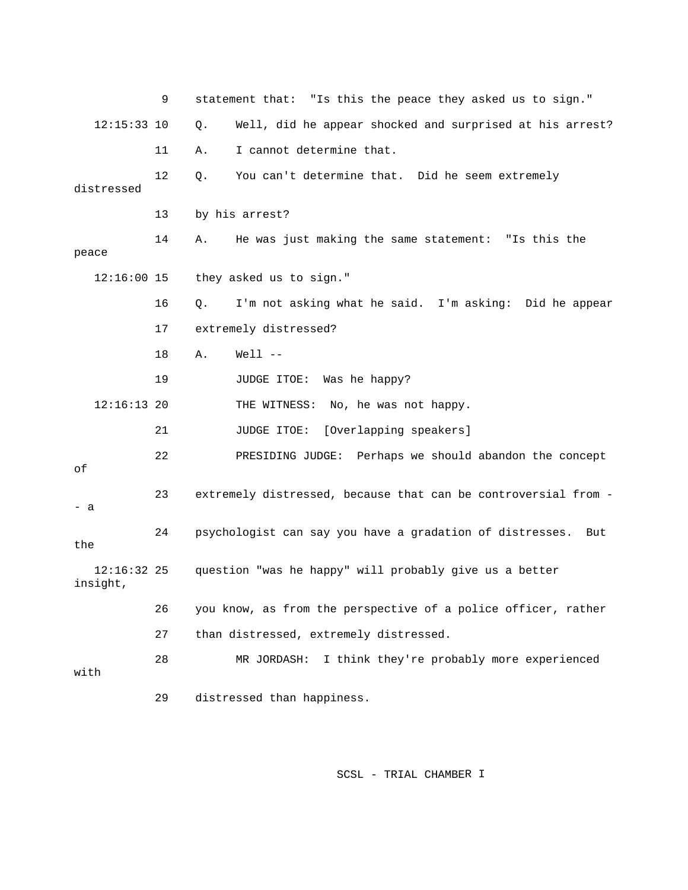|                           | 9  |                                                                 | statement that: "Is this the peace they asked us to sign."     |  |
|---------------------------|----|-----------------------------------------------------------------|----------------------------------------------------------------|--|
| $12:15:33$ 10             |    | Q.                                                              | Well, did he appear shocked and surprised at his arrest?       |  |
|                           | 11 | Α.                                                              | I cannot determine that.                                       |  |
| distressed                | 12 | Q.                                                              | You can't determine that. Did he seem extremely                |  |
|                           | 13 |                                                                 | by his arrest?                                                 |  |
| peace                     | 14 | Α.                                                              | He was just making the same statement: "Is this the            |  |
| $12:16:00$ 15             |    |                                                                 | they asked us to sign."                                        |  |
|                           | 16 | О.                                                              | I'm not asking what he said. I'm asking: Did he appear         |  |
|                           | 17 |                                                                 | extremely distressed?                                          |  |
|                           | 18 | Α.                                                              | $Well 1 - -$                                                   |  |
|                           | 19 |                                                                 | Was he happy?<br>JUDGE ITOE:                                   |  |
| $12:16:13$ 20             |    |                                                                 | THE WITNESS: No, he was not happy.                             |  |
|                           | 21 |                                                                 | JUDGE ITOE: [Overlapping speakers]                             |  |
| οf                        | 22 |                                                                 | PRESIDING JUDGE: Perhaps we should abandon the concept         |  |
| $- a$                     | 23 |                                                                 | extremely distressed, because that can be controversial from - |  |
| the                       | 24 | psychologist can say you have a gradation of distresses.<br>But |                                                                |  |
| $12:16:32$ 25<br>insight, |    |                                                                 | question "was he happy" will probably give us a better         |  |
|                           | 26 |                                                                 | you know, as from the perspective of a police officer, rather  |  |
|                           | 27 |                                                                 | than distressed, extremely distressed.                         |  |
| with                      | 28 |                                                                 | I think they're probably more experienced<br>MR JORDASH:       |  |
|                           | 29 |                                                                 | distressed than happiness.                                     |  |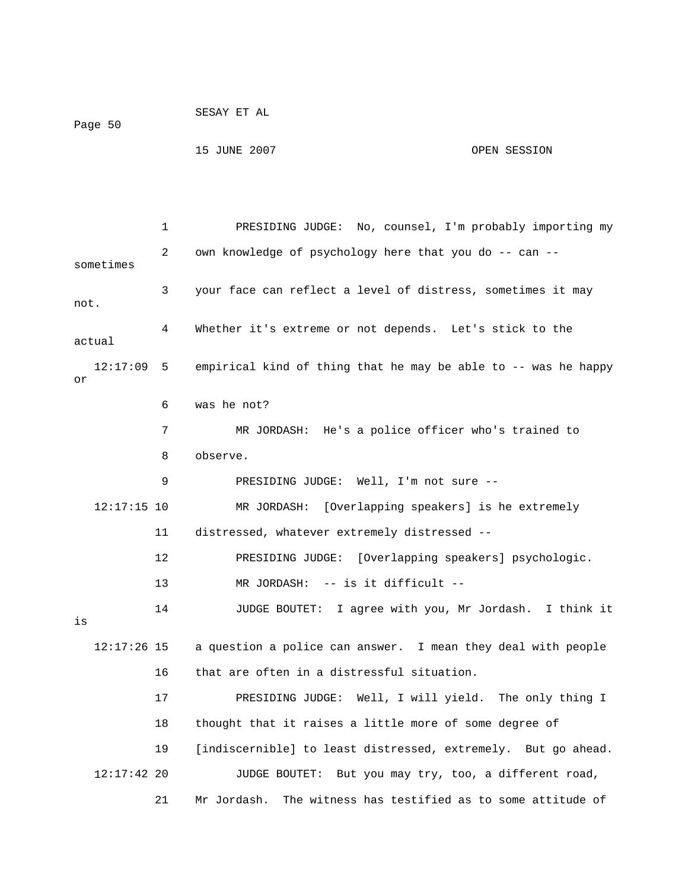```
 15 JUNE 2007 OPEN SESSION
```
 1 PRESIDING JUDGE: No, counsel, I'm probably importing my 3 your face can reflect a level of distress, sometimes it may 4 Whether it's extreme or not depends. Let's stick to the actual 7 MR JORDASH: He's a police officer who's trained to 8 observe. 12:17:15 10 MR JORDASH: [Overlapping speakers] is he extremely 11 distressed, whatever extremely distressed -- NG JUDGE: [Overlapping speakers] psychologic. 12 PRESIDI 14 JUDGE BOUTET: I agree with you, Mr Jordash. I think it 12:17:26 15 a question a police can answer. I mean they deal with people 17 PRESIDING JUDGE: Well, I will yield. The only thing I 18 thought that it raises a little more of some degree of 19 [indiscernible] to least distressed, extremely. But go ahead. JUDGE BOUTET: But you may try, too, a different road, 2 own knowledge of psychology here that you do -- can - sometimes not. 12:17:09 5 empirical kind of thing that he may be able to -- was he happy or 6 was he not? 9 PRESIDING JUDGE: Well, I'm not sure -- 13 MR JORDASH: -- is it difficult - is 16 that are often in a distressful situation.  $12:17:42$  20 21 Mr Jordash. The witness has testified as to some attitude of

Page 50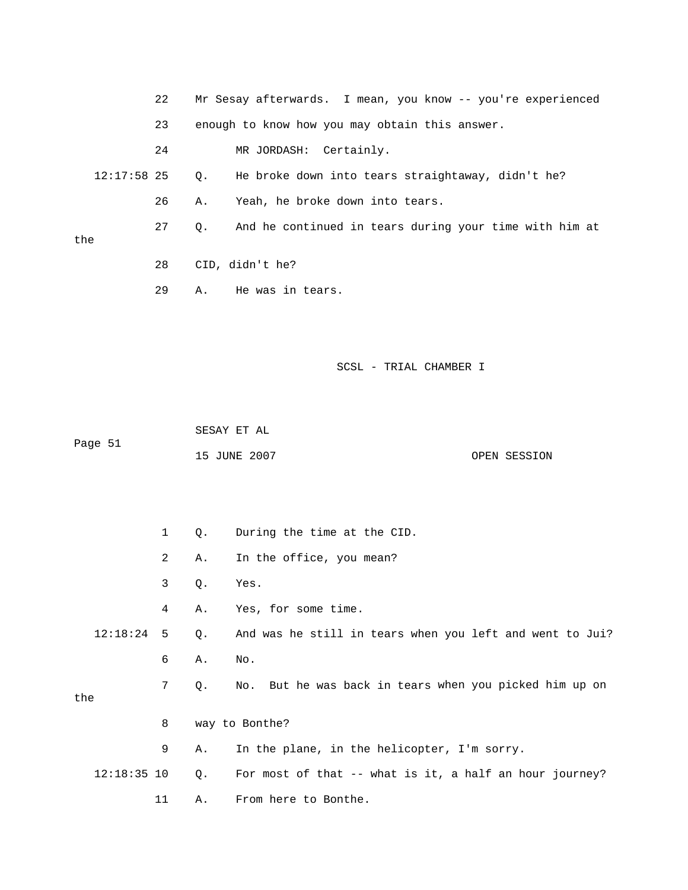|     |             | 22 |                                                | Mr Sesay afterwards. I mean, you know -- you're experienced |  |
|-----|-------------|----|------------------------------------------------|-------------------------------------------------------------|--|
|     |             | 23 | enough to know how you may obtain this answer. |                                                             |  |
|     |             | 24 |                                                | MR JORDASH: Certainly.                                      |  |
|     | 12:17:58 25 |    | $\circ$ .                                      | He broke down into tears straightaway, didn't he?           |  |
|     |             | 26 | Α.                                             | Yeah, he broke down into tears.                             |  |
| the |             | 27 | 0.                                             | And he continued in tears during your time with him at      |  |
|     |             | 28 |                                                | CID, didn't he?                                             |  |
|     |             | 29 | Α.                                             | He was in tears.                                            |  |

```
 SCSL - TRIAL CHAMBER I
```
 SESAY ET AL Page 51

OPEN SESSION

|               | $\mathbf{1}$ | Q. | During the time at the CID.                              |
|---------------|--------------|----|----------------------------------------------------------|
|               | 2            | Α. | In the office, you mean?                                 |
|               | 3            | Q. | Yes.                                                     |
|               | 4            | Α. | Yes, for some time.                                      |
| $12:18:24$ 5  |              | Q. | And was he still in tears when you left and went to Jui? |
|               | 6            | Α. | No.                                                      |
| the           | 7            | Q. | No. But he was back in tears when you picked him up on   |
|               |              |    |                                                          |
|               | 8            |    | way to Bonthe?                                           |
|               | 9            | Α. | In the plane, in the helicopter, I'm sorry.              |
| $12:18:35$ 10 |              | Q. | For most of that -- what is it, a half an hour journey?  |
|               | 11           | Α. | From here to Bonthe.                                     |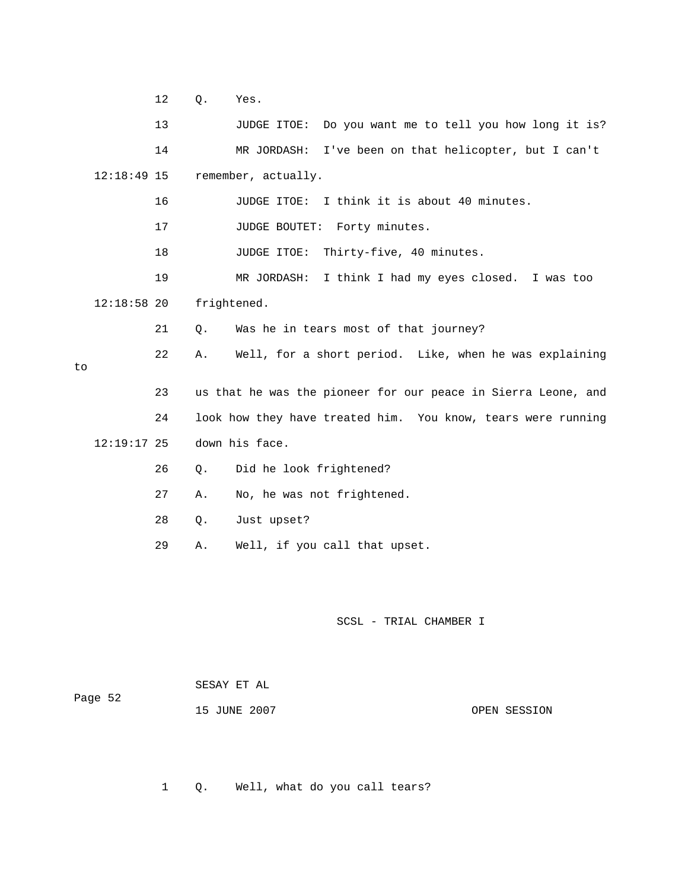12 Q. Yes.

 13 JUDGE ITOE: Do you want me to tell you how long it is? 14 MR JORDASH: I've been on that helicopter, but I can't 17 JUDGE BOUTET: Forty minutes. 18 JUDGE ITOE: Thirty-five, 40 minutes. 21 Q. Was he in tears most of that journey? 22 A. Well, for a short period. Like, when he was explaining 23 us that he was the pioneer for our peace in Sierra Leone, and 24 look how they have treated him. You know, tears were running 26 Q. Did he look frightened? 27 A. No, he was not frightened. 12:18:49 15 remember, actually. 16 JUDGE ITOE: I think it is about 40 minutes. 19 MR JORDASH: I think I had my eyes closed. I was too 12:18:58 20 frightened. to 12:19:17 25 down his face. 28 Q. Just upset? 29 A. Well, if you call that upset.

SCSL - TRIAL CHAMBER I

| Page 52 | SESAY ET AL  |  |              |  |
|---------|--------------|--|--------------|--|
|         | 15 JUNE 2007 |  | OPEN SESSION |  |

1 Q. Well, what do you call tears?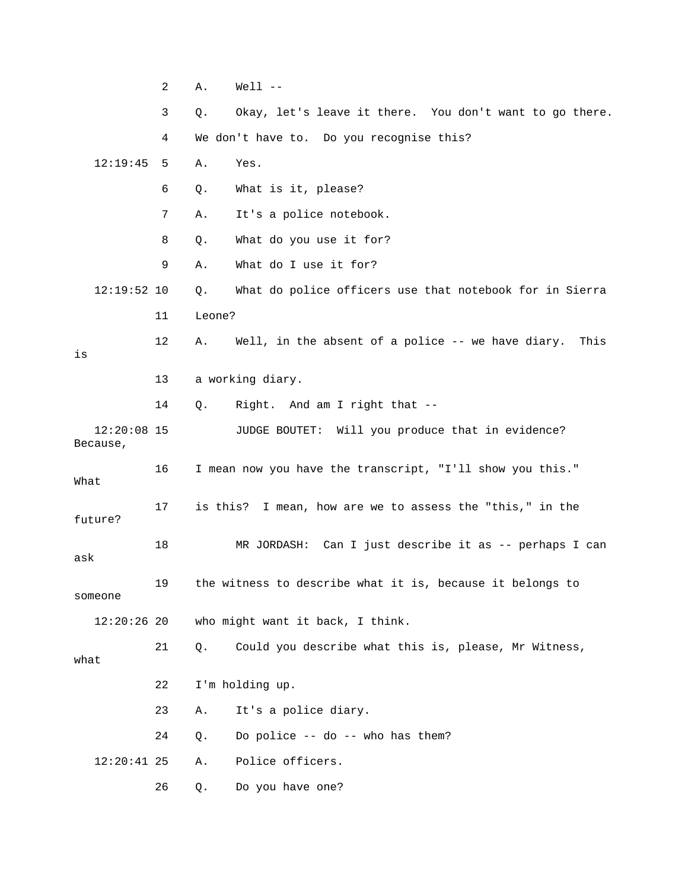2 A. Well -- . 3 Q. Okay, let's leave it there. You don't want to go there 12:19:45 5 A. Yes. 6 Q. What is it, please? 8 Q. What do you use it for? 12:19:52 10 Q. What do police officers use that notebook for in Sierra 12 A. Well, in the absent of a police -- we have diary. This 13 a working diary. 14 Q. Right. And am I right that -- 12:20:08 15 JUDGE BOUTET: Will you produce that in evidence? 16 I mean now you have the transcript, "I'll show you this." 17 is this? I mean, how are we to assess the "this," in the future? 18 MR JORDASH: Can I just describe it as -- perhaps I can 21 Q. Could you describe what this is, please, Mr Witness, 22 I'm holding up. 4 We don't have to. Do you recognise this? 7 A. It's a police notebook. 9 A. What do I use it for? 11 Leone? is Because, What ask 19 the witness to describe what it is, because it belongs to someone 12:20:26 20 who might want it back, I think. what 23 A. It's a police diary. 24 Q. Do police -- do -- who has them? 12:20:41 25 A. Police officers. 26 Q. Do you have one?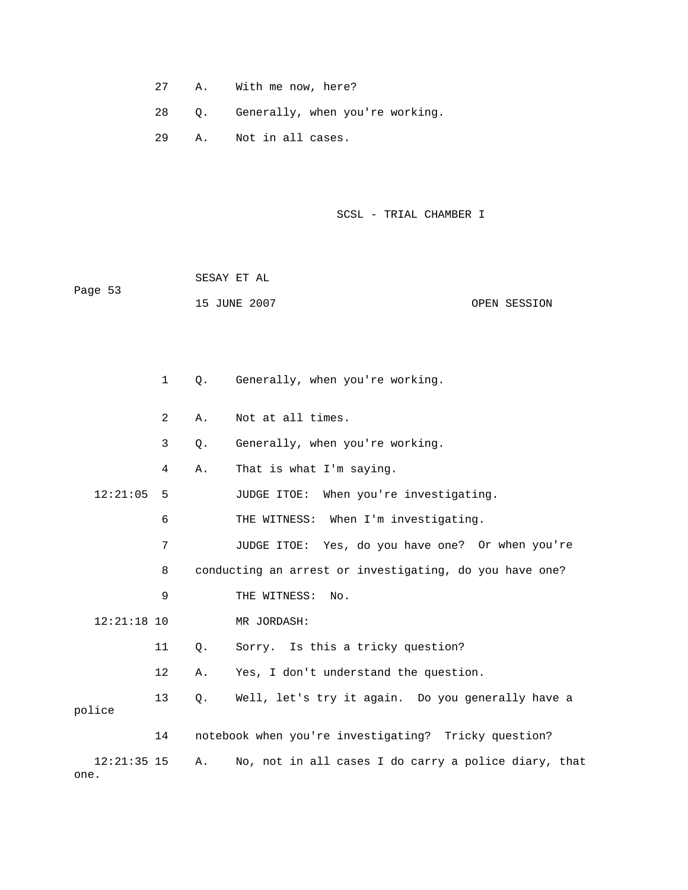27 A. With me now, here?

28 Q. Generally, when you're working.

29 A. Not in all cases.

```
SCSL - TRIAL CHAMBER I
SC
```

|         | SESAY ET AL  |              |
|---------|--------------|--------------|
| Page 53 |              |              |
|         | 15 JUNE 2007 | OPEN SESSION |

 2 A. Not at all times. 12:21:05 5 JUDGE ITOE: When you're investigating. 6 THE WITNESS: When I'm investigating. 7 JUDGE ITOE: Yes, do you have one? Or when you're 8 conducting an arrest or investigating, do you have one? 12:21:18 10 MR JORDASH: 11 Q. Sorry. Is this a tricky question? 13 Q. Well, let's try it again. Do you generally have a  $12:21:35$  15 A. No, not in all cases I do carry a police diary, that one. 1 Q. Generally, when you're working. 3 Q. Generally, when you're working. 4 A. That is what I'm saying. 9 THE WITNESS: No. 12 A. Yes, I don't understand the question. police 14 notebook when you're investigating? Tricky question?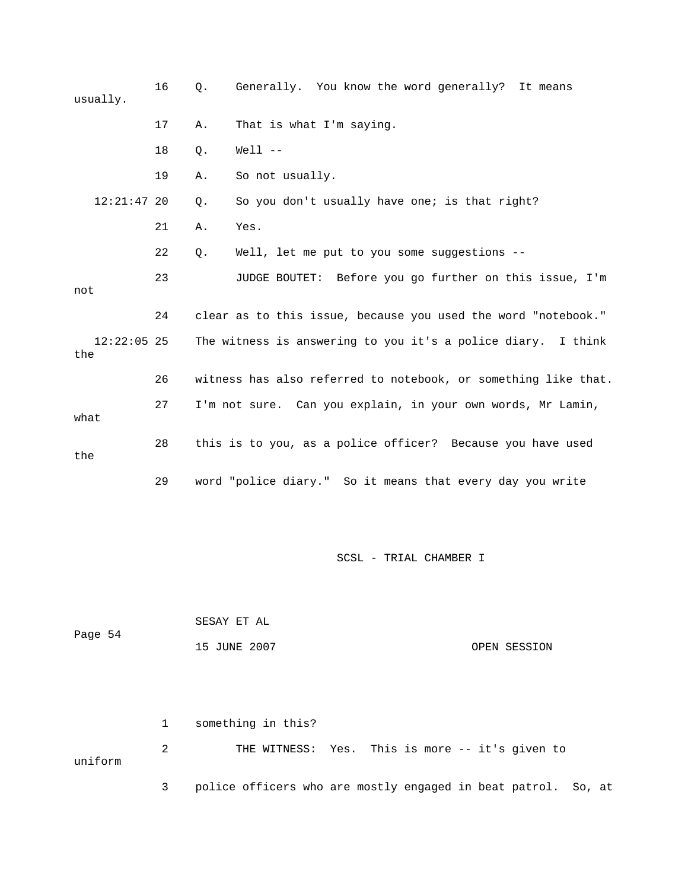| usually.             | 16 | Q.        | Generally. You know the word generally? It means               |
|----------------------|----|-----------|----------------------------------------------------------------|
|                      | 17 | Α.        | That is what I'm saying.                                       |
|                      | 18 | $\circ$ . | $Well1$ --                                                     |
|                      | 19 | Α.        | So not usually.                                                |
| $12:21:47$ 20        |    | Q.        | So you don't usually have one; is that right?                  |
|                      | 21 | Α.        | Yes.                                                           |
|                      | 22 | $Q$ .     | Well, let me put to you some suggestions --                    |
| not                  | 23 |           | JUDGE BOUTET: Before you go further on this issue, I'm         |
|                      | 24 |           | clear as to this issue, because you used the word "notebook."  |
| $12:22:05$ 25<br>the |    |           | The witness is answering to you it's a police diary. I think   |
|                      | 26 |           | witness has also referred to notebook, or something like that. |
| what                 | 27 |           | I'm not sure. Can you explain, in your own words, Mr Lamin,    |
| the                  | 28 |           | this is to you, as a police officer? Because you have used     |
|                      | 29 |           | word "police diary." So it means that every day you write      |

| Page 54 | SESAY ET AL  |              |  |  |
|---------|--------------|--------------|--|--|
|         | 15 JUNE 2007 | OPEN SESSION |  |  |

|         | something in this?                                            |  |  |  |
|---------|---------------------------------------------------------------|--|--|--|
| uniform | THE WITNESS: Yes. This is more -- it's given to               |  |  |  |
|         | police officers who are mostly engaged in beat patrol. So, at |  |  |  |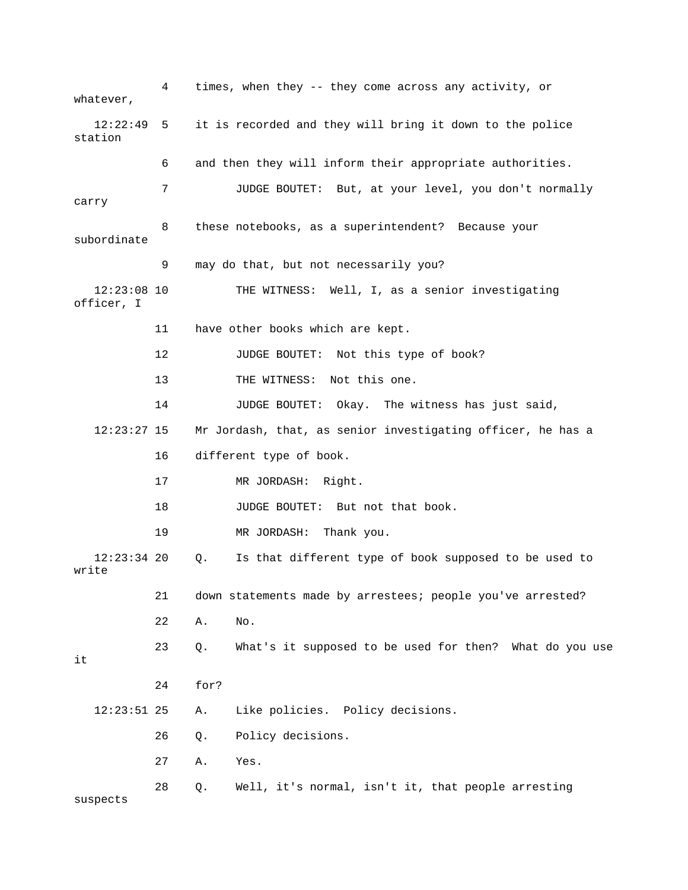4 times, when they -- they come across any activity, or whatever, 12:22:49 5 it is recorded and they will bring it down to the police 6 and then they will inform their appropriate authorities. 7 JUDGE BOUTET: But, at your level, you don't normally carry 8 these notebooks, as a superintendent? Because your 9 may do that, but not necessarily you? THE WITNESS: Well, I, as a senior investigating officer, I 12 JUDGE BOUTET: Not this type of book? 14 JUDGE BOUTET: Okay. The witness has just said, 12:23:27 15 Mr Jordash, that, as senior investigating officer, he has a 16 different type of book.  $12:23:34$  20  $Q.$  Is that different type of book supposed to be used to write 22 A. No. 23 Q. What's it supposed to be used for then? What do you use 26 Q. Policy decisions. 28 Q. Well, it's normal, isn't it, that people arresting suspects station subordinate 12:23: 11 have other books which are kept. 13 THE WITNESS: Not this one. 17 MR JORDASH: Right. 18 JUDGE BOUTET: But not that book. 19 MR JORDASH: Thank you. 21 down statements made by arrestees; people you've arrested? it 24 for? 12:23:51 25 A. Like policies. Policy decisions. 27 A. Yes.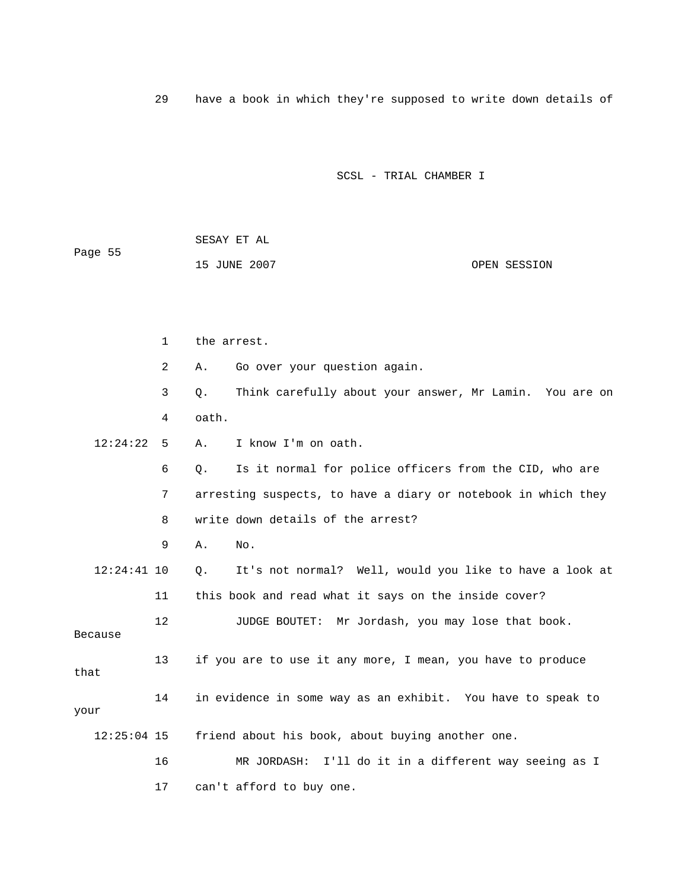29 have a book in which they're supposed to write down details of

|         | SESAY ET AL  |              |
|---------|--------------|--------------|
| Page 55 |              |              |
|         | 15 JUNE 2007 | OPEN SESSION |

|               | 1  | the arrest.                                                   |
|---------------|----|---------------------------------------------------------------|
|               | 2  | Go over your question again.<br>Α.                            |
|               | 3  | Think carefully about your answer, Mr Lamin. You are on<br>О. |
|               | 4  | oath.                                                         |
| 12:24:22      | -5 | I know I'm on oath.<br>Α.                                     |
|               | 6  | Is it normal for police officers from the CID, who are<br>О.  |
|               | 7  | arresting suspects, to have a diary or notebook in which they |
|               | 8  | write down details of the arrest?                             |
|               | 9  | No.<br>Α.                                                     |
| $12:24:41$ 10 |    | It's not normal? Well, would you like to have a look at<br>Q. |
|               | 11 | this book and read what it says on the inside cover?          |
| Because       | 12 | JUDGE BOUTET: Mr Jordash, you may lose that book.             |
| that          | 13 | if you are to use it any more, I mean, you have to produce    |
| your          | 14 | in evidence in some way as an exhibit. You have to speak to   |
| $12:25:04$ 15 |    | friend about his book, about buying another one.              |
|               | 16 | MR JORDASH: I'll do it in a different way seeing as I         |
|               | 17 | can't afford to buy one.                                      |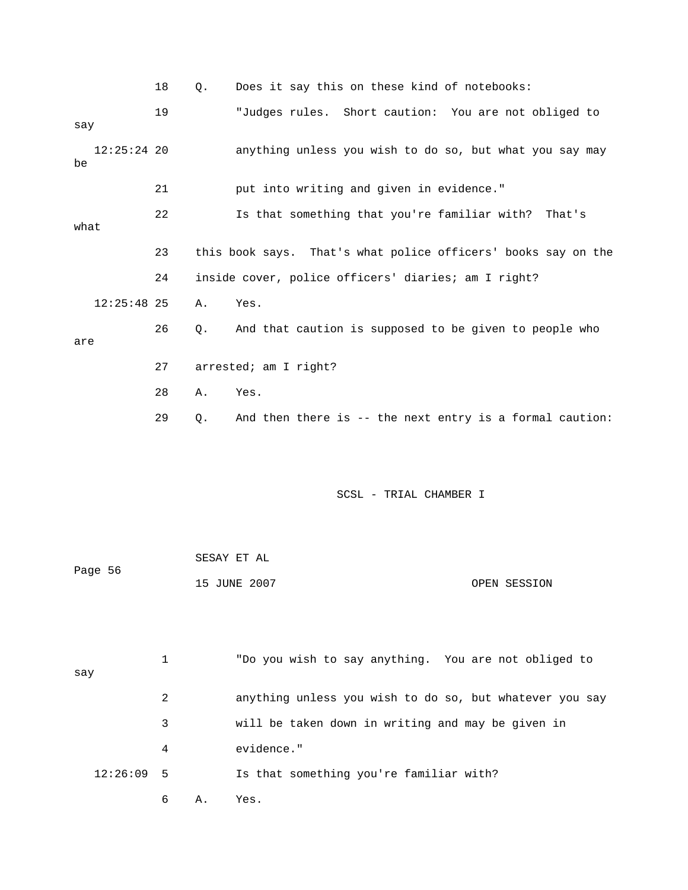|                     | 18 | Ο. | Does it say this on these kind of notebooks:                  |
|---------------------|----|----|---------------------------------------------------------------|
| say                 | 19 |    | "Judges rules. Short caution: You are not obliged to          |
| $12:25:24$ 20<br>be |    |    | anything unless you wish to do so, but what you say may       |
|                     | 21 |    | put into writing and given in evidence."                      |
| what                | 22 |    | Is that something that you're familiar with? That's           |
|                     | 23 |    | this book says. That's what police officers' books say on the |
|                     | 24 |    | inside cover, police officers' diaries; am I right?           |
| $12:25:48$ 25       |    | Α. | Yes.                                                          |
| are                 | 26 | Q. | And that caution is supposed to be given to people who        |
|                     | 27 |    | arrested; am I right?                                         |
|                     | 28 | Α. | Yes.                                                          |
|                     | 29 | Q. | And then there is -- the next entry is a formal caution:      |

|         | SESAY ET AL  |              |
|---------|--------------|--------------|
| Page 56 |              |              |
|         | 15 JUNE 2007 | OPEN SESSION |

| say          |   |    | "Do you wish to say anything. You are not obliged to    |
|--------------|---|----|---------------------------------------------------------|
|              | 2 |    | anything unless you wish to do so, but whatever you say |
|              | 3 |    | will be taken down in writing and may be given in       |
|              | 4 |    | evidence."                                              |
| $12:26:09$ 5 |   |    | Is that something you're familiar with?                 |
|              | 6 | Α. | Yes.                                                    |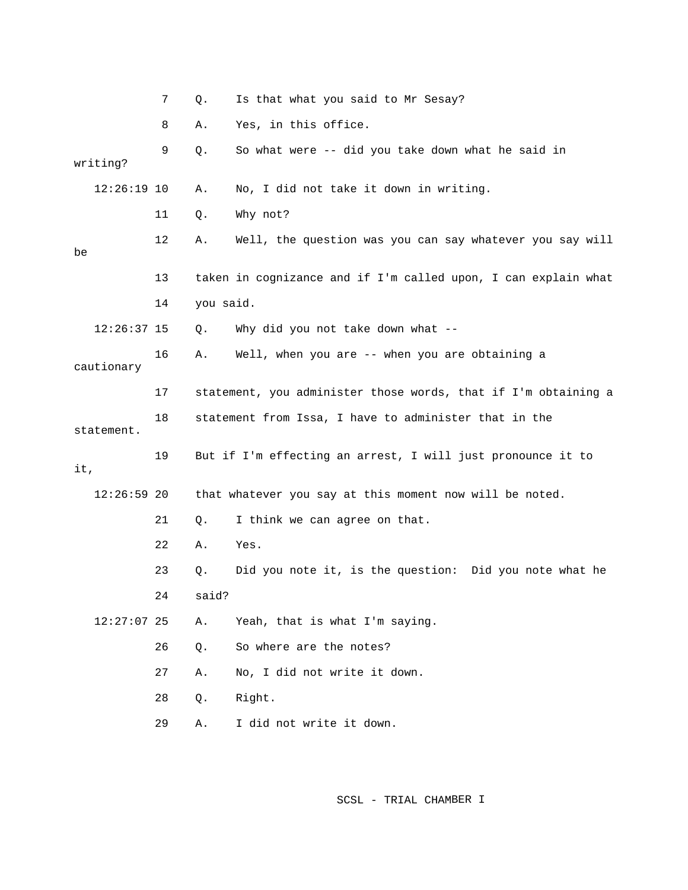|               | 7  | Q.        | Is that what you said to Mr Sesay?                             |
|---------------|----|-----------|----------------------------------------------------------------|
|               | 8  | Α.        | Yes, in this office.                                           |
| writing?      | 9  | Q.        | So what were -- did you take down what he said in              |
| $12:26:19$ 10 |    | Α.        | No, I did not take it down in writing.                         |
|               | 11 | Q.        | Why not?                                                       |
| be            | 12 | Α.        | Well, the question was you can say whatever you say will       |
|               | 13 |           | taken in cognizance and if I'm called upon, I can explain what |
|               | 14 | you said. |                                                                |
| $12:26:37$ 15 |    | Q.        | Why did you not take down what --                              |
| cautionary    | 16 | Α.        | Well, when you are -- when you are obtaining a                 |
|               | 17 |           | statement, you administer those words, that if I'm obtaining a |
| statement.    | 18 |           | statement from Issa, I have to administer that in the          |
| it,           | 19 |           | But if I'm effecting an arrest, I will just pronounce it to    |
| $12:26:59$ 20 |    |           | that whatever you say at this moment now will be noted.        |
|               | 21 | Q.        | I think we can agree on that.                                  |
|               | 22 | Α.        | Yes.                                                           |
|               | 23 | Q.        | Did you note it, is the question: Did you note what he         |
|               | 24 | said?     |                                                                |
| $12:27:07$ 25 |    | Α.        | Yeah, that is what I'm saying.                                 |
|               | 26 | $Q$ .     | So where are the notes?                                        |
|               | 27 | Α.        | No, I did not write it down.                                   |
|               | 28 | $Q$ .     | Right.                                                         |
|               | 29 | Α.        | I did not write it down.                                       |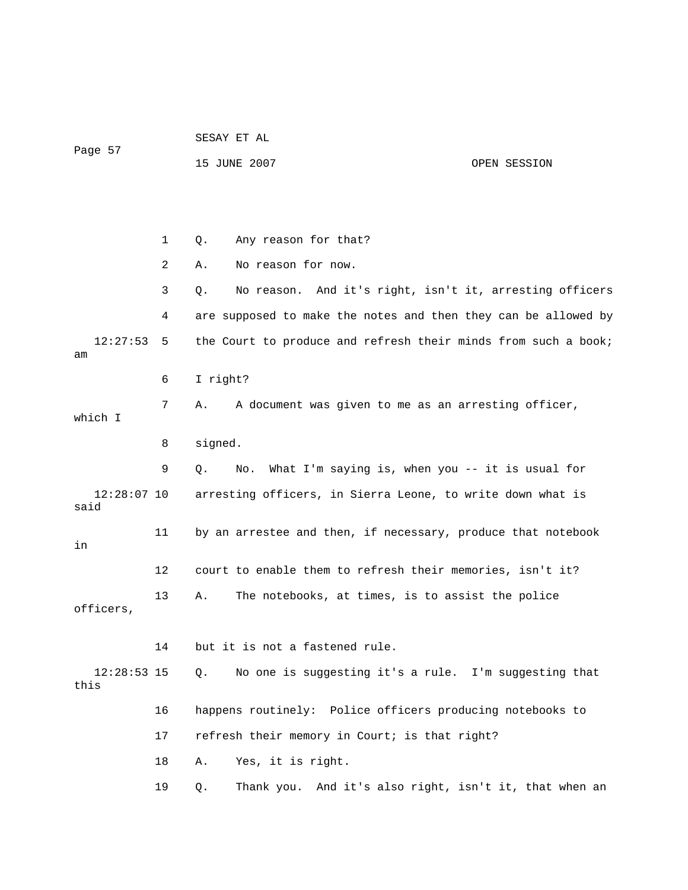Page 57 15 JUNE 2007 OPEN SESSION 1 Q. Any reason for that? 2 A. No reason for now. 3 Q. No reason. And it's right, isn't it, arresting officers 4 are supposed to make the notes and then they can be allowed by 12:27:53 5 the Court to produce and refresh their minds from such a book; 6 I right? 7 A. A document was given to me as an arresting officer, said 11 by an arrestee and then, if necessary, produce that notebook 12 court to enable them to refresh their memories, isn't it? officers, 12:28:53 15 Q. No one is suggesting it's a rule. I'm suggesting that 16 happens routinely: Police officers producing notebooks to 17 refresh their memory in Court; is that right? 19 Q. Thank you. And it's also right, isn't it, that when an am which I 8 signed. 9 Q. No. What I'm saying is, when you -- it is usual for 12:28:07 10 arresting officers, in Sierra Leone, to write down what is in 13 A. The notebooks, at times, is to assist the police 14 but it is not a fastened rule. this 18 A. Yes, it is right.

SESAY ET AL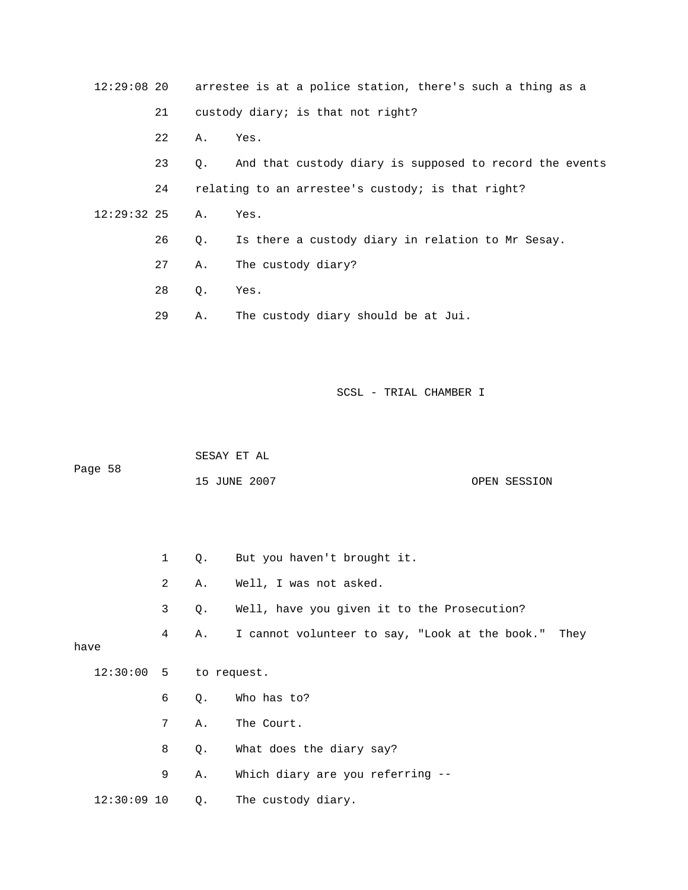|               |    |             | $12:29:08$ 20 arrestee is at a police station, there's such a thing as a |
|---------------|----|-------------|--------------------------------------------------------------------------|
|               | 21 |             | custody diary; is that not right?                                        |
|               | 22 | A. Yes.     |                                                                          |
|               | 23 | $Q_{\star}$ | And that custody diary is supposed to record the events                  |
|               | 24 |             | relating to an arrestee's custody; is that right?                        |
| $12:29:32$ 25 |    | Α.          | Yes.                                                                     |
|               | 26 | 0.          | Is there a custody diary in relation to Mr Sesay.                        |
|               | 27 | Α.          | The custody diary?                                                       |
|               | 28 | Q.          | Yes.                                                                     |
|               | 29 | Α.          | The custody diary should be at Jui.                                      |

|         | SESAY ET AL  |              |
|---------|--------------|--------------|
| Page 58 |              |              |
|         | 15 JUNE 2007 | OPEN SESSION |

|                        | 1              |    | Q. But you haven't brought it.                            |
|------------------------|----------------|----|-----------------------------------------------------------|
|                        | $\overline{a}$ |    | A. Well, I was not asked.                                 |
|                        | 3              |    | Q. Well, have you given it to the Prosecution?            |
| have                   | 4              |    | A. I cannot volunteer to say, "Look at the book."<br>They |
| 12:30:00 5 to request. |                |    |                                                           |
|                        | 6              |    | Q. Who has to?                                            |
|                        | $7^{\circ}$    |    | A. The Court.                                             |
|                        | 8              |    | Q. What does the diary say?                               |
|                        | 9              | A. | Which diary are you referring --                          |
| $12:30:09$ 10          |                |    | Q. The custody diary.                                     |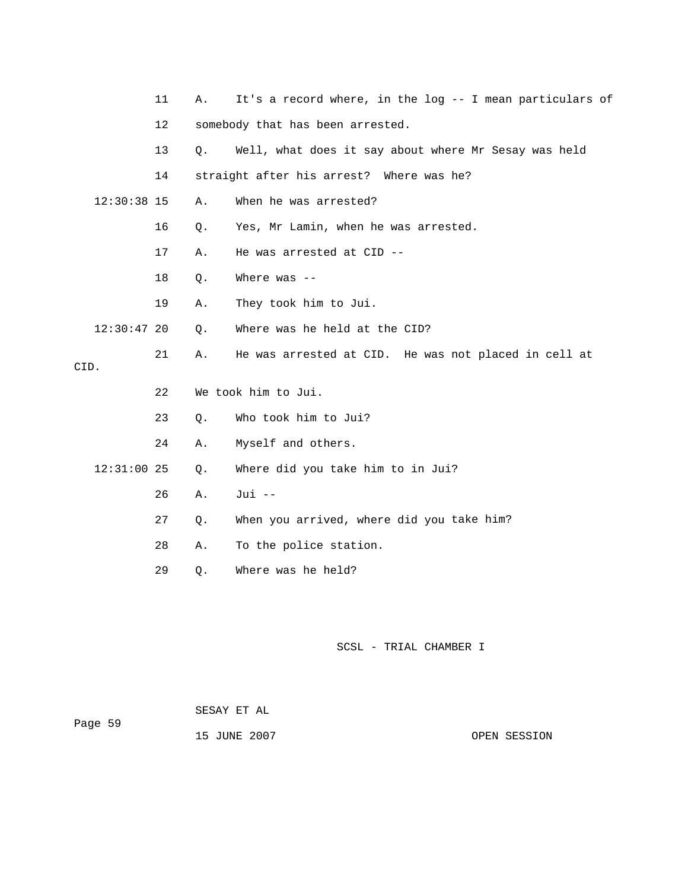|      |               | 11 | Α.    | It's a record where, in the log -- I mean particulars of |
|------|---------------|----|-------|----------------------------------------------------------|
|      |               | 12 |       | somebody that has been arrested.                         |
|      |               | 13 | Q.    | Well, what does it say about where Mr Sesay was held     |
|      |               | 14 |       | straight after his arrest? Where was he?                 |
|      | $12:30:38$ 15 |    | Α.    | When he was arrested?                                    |
|      |               | 16 | Q.    | Yes, Mr Lamin, when he was arrested.                     |
|      |               | 17 | Α.    | He was arrested at CID --                                |
|      |               | 18 | $Q$ . | Where was $-$                                            |
|      |               | 19 | Α.    | They took him to Jui.                                    |
|      | $12:30:47$ 20 |    | Q.    | Where was he held at the CID?                            |
| CID. |               | 21 | Α.    | He was arrested at CID. He was not placed in cell at     |
|      |               | 22 |       | We took him to Jui.                                      |
|      |               | 23 | Q.    | Who took him to Jui?                                     |
|      |               | 24 | Α.    | Myself and others.                                       |
|      | $12:31:00$ 25 |    | Q.    | Where did you take him to in Jui?                        |
|      |               | 26 | Α.    | Jui --                                                   |
|      |               | 27 | Q.    | When you arrived, where did you take him?                |
|      |               | 28 | Α.    | To the police station.                                   |
|      |               | 29 | Q.    | Where was he held?                                       |

|         | SESAY ET AL  |
|---------|--------------|
| Page 59 |              |
|         | 15 JUNE 2007 |

OPEN SESSION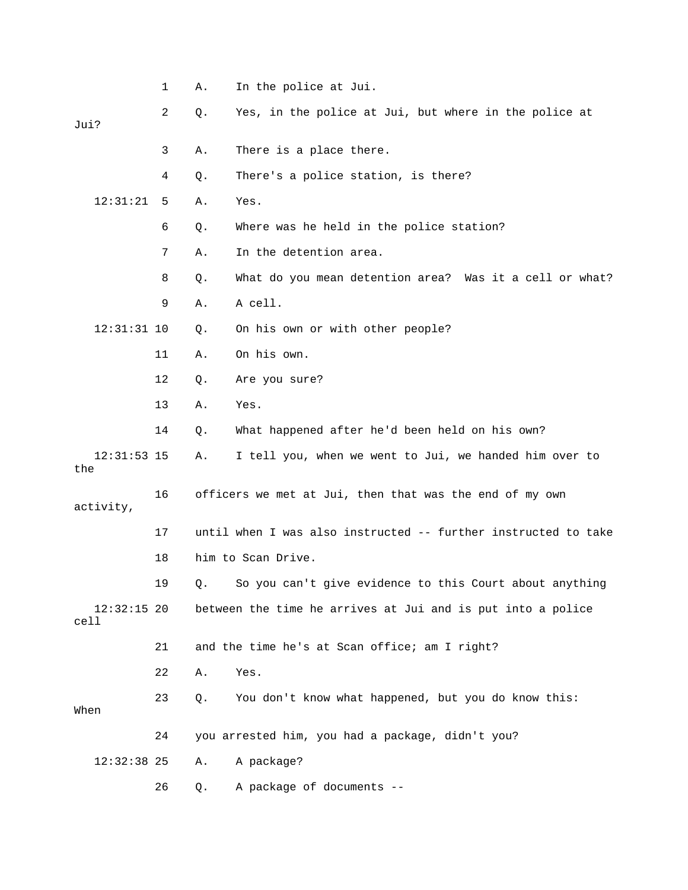|                       | 1  | Α. | In the police at Jui.                                          |
|-----------------------|----|----|----------------------------------------------------------------|
| Jui?                  | 2  | Q. | Yes, in the police at Jui, but where in the police at          |
|                       | 3  | Α. | There is a place there.                                        |
|                       | 4  | Q. | There's a police station, is there?                            |
| 12:31:21              | 5  | Α. | Yes.                                                           |
|                       | 6  | Q. | Where was he held in the police station?                       |
|                       | 7  | Α. | In the detention area.                                         |
|                       | 8  | Q. | What do you mean detention area? Was it a cell or what?        |
|                       | 9  | Α. | A cell.                                                        |
| $12:31:31$ 10         |    | Q. | On his own or with other people?                               |
|                       | 11 | Α. | On his own.                                                    |
|                       | 12 | Q. | Are you sure?                                                  |
|                       | 13 | Α. | Yes.                                                           |
|                       | 14 | Q. | What happened after he'd been held on his own?                 |
| $12:31:53$ 15<br>the  |    | Α. | I tell you, when we went to Jui, we handed him over to         |
| activity,             | 16 |    | officers we met at Jui, then that was the end of my own        |
|                       | 17 |    | until when I was also instructed -- further instructed to take |
|                       | 18 |    | him to Scan Drive.                                             |
|                       | 19 | Q. | So you can't give evidence to this Court about anything        |
| $12:32:15$ 20<br>cell |    |    | between the time he arrives at Jui and is put into a police    |
|                       | 21 |    | and the time he's at Scan office; am I right?                  |
|                       | 22 | Α. | Yes.                                                           |
| When                  | 23 | Q. | You don't know what happened, but you do know this:            |
|                       | 24 |    | you arrested him, you had a package, didn't you?               |
| $12:32:38$ 25         |    | Α. | A package?                                                     |
|                       | 26 | Q. | A package of documents --                                      |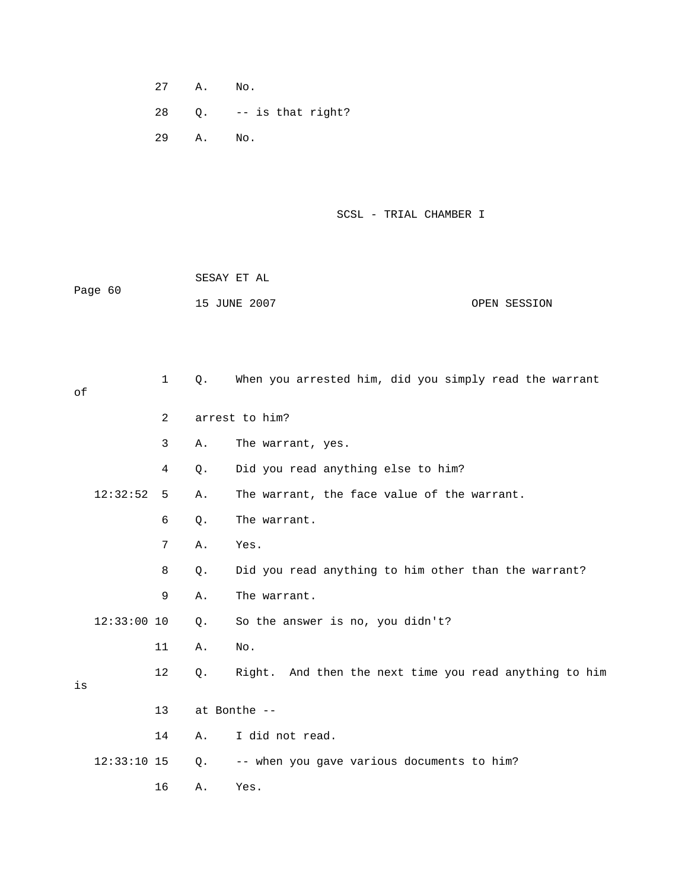- 27 A. No.
- 28 Q. -- is that right?
- 29 A. No.

```
 SCSL - TRIAL CHAMBER I
```

| Page 60 | SESAY ET AL  |              |
|---------|--------------|--------------|
|         | 15 JUNE 2007 | OPEN SESSION |

| оf |               | $\mathbf 1$    | $\circ$ . | When you arrested him, did you simply read the warrant |
|----|---------------|----------------|-----------|--------------------------------------------------------|
|    |               | $\overline{2}$ |           | arrest to him?                                         |
|    |               | 3              | Α.        | The warrant, yes.                                      |
|    |               | 4              | Q.        | Did you read anything else to him?                     |
|    | 12:32:52      | 5              | Α.        | The warrant, the face value of the warrant.            |
|    |               | 6              | Q.        | The warrant.                                           |
|    |               | 7              | Α.        | Yes.                                                   |
|    |               | 8              | $Q$ .     | Did you read anything to him other than the warrant?   |
|    |               | 9              | Α.        | The warrant.                                           |
|    | $12:33:00$ 10 |                | $Q$ .     | So the answer is no, you didn't?                       |
|    |               | 11             | Α.        | No.                                                    |
| is |               | 12             | $Q$ .     | Right. And then the next time you read anything to him |
|    |               | 13             |           | at Bonthe --                                           |
|    |               | 14             | Α.        | I did not read.                                        |
|    | $12:33:10$ 15 |                | Q.        | -- when you gave various documents to him?             |
|    |               | 16             | Α.        | Yes.                                                   |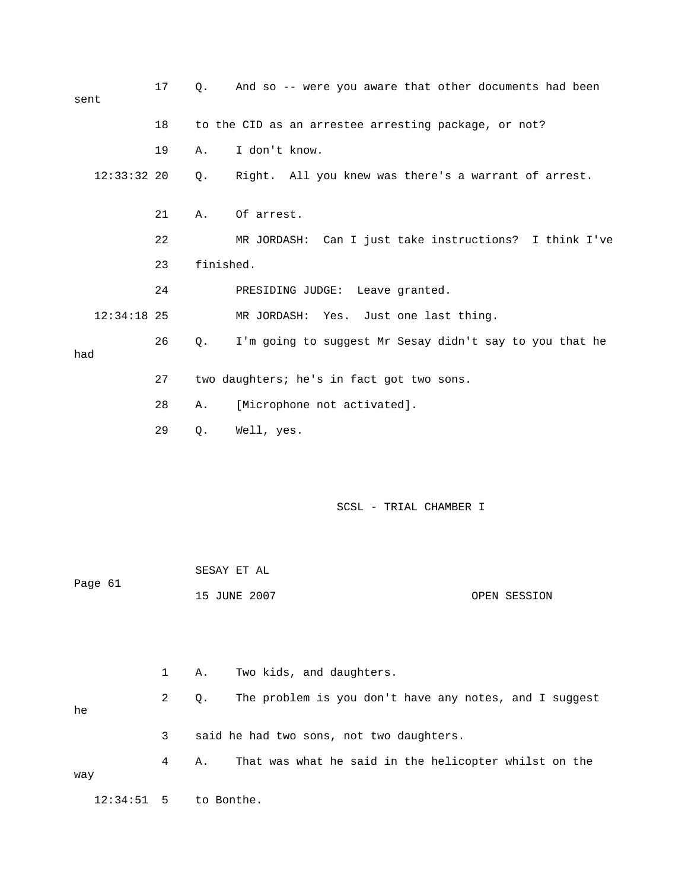| sent    |               | 17 | $Q_{\star}$ | And so -- were you aware that other documents had been  |
|---------|---------------|----|-------------|---------------------------------------------------------|
|         |               | 18 |             | to the CID as an arrestee arresting package, or not?    |
|         |               | 19 | Α.          | I don't know.                                           |
|         | $12:33:32$ 20 |    | Q.          | Right. All you knew was there's a warrant of arrest.    |
|         |               | 21 | Α.          | Of arrest.                                              |
|         |               | 22 |             | MR JORDASH: Can I just take instructions? I think I've  |
|         |               | 23 | finished.   |                                                         |
|         |               | 24 |             | PRESIDING JUDGE: Leave granted.                         |
|         | $12:34:18$ 25 |    |             | MR JORDASH: Yes. Just one last thing.                   |
| had     |               | 26 | Q.          | I'm going to suggest Mr Sesay didn't say to you that he |
|         |               | 27 |             | two daughters; he's in fact got two sons.               |
|         |               | 28 | Α.          | [Microphone not activated].                             |
|         |               | 29 | Q.          | Well, yes.                                              |
|         |               |    |             |                                                         |
|         |               |    |             | SCSL - TRIAL CHAMBER I                                  |
|         |               |    |             |                                                         |
| Page 61 |               |    |             | SESAY ET AL                                             |
|         |               |    |             | 15 JUNE 2007<br>OPEN SESSION                            |
|         |               |    |             |                                                         |
|         |               |    |             |                                                         |

 1 A. Two kids, and daughters. 2 Q. The problem is you don't have any notes, and I suggest 3 said he had two sons, not two daughters. he 4 A. That was what he said in the helicopter whilst on the way 12:34:51 5 to Bonthe.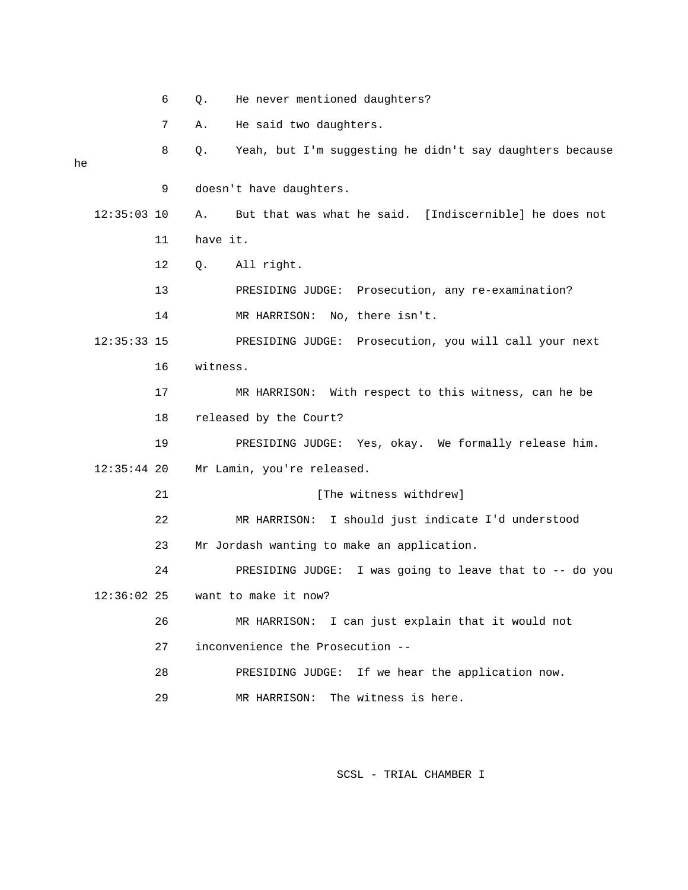6 Q. He never mentioned daughters? 7 A. He said two daughters. e didn't say daughters because 8 Q. Yeah, but I'm suggesting h 9 doesn't have daughters. 12:35:03 10 A. But that was what he said. [Indiscernible] he does not 12 Q. All right. 13 PRESIDING JUDGE: Prosecution, any re-examination? 14 MR HARRISON: No, there isn't. 12:35:33 15 PRESIDING JUDGE: Prosecution, you will call your next 16 witness. 17 MR HARRISON: With respect to this witness, can he be IDING JUDGE: Yes, okay. We formally release him. 19 PRES 12:35:44 20 Mr Lamin, you're released. 22 MR HARRISON: I should just indicate I'd understood 24 PRESIDING JUDGE: I was going to leave that to -- do you 26 MR HARRISON: I can just explain that it would not 28 PRESIDING JUDGE: If we hear the application now. he 11 have it. 18 released by the Court? 21 [The witness withdrew] 23 Mr Jordash wanting to make an application. 12:36:02 25 want to make it now? 27 inconvenience the Prosecution -- 29 MR HARRISON: The witness is here.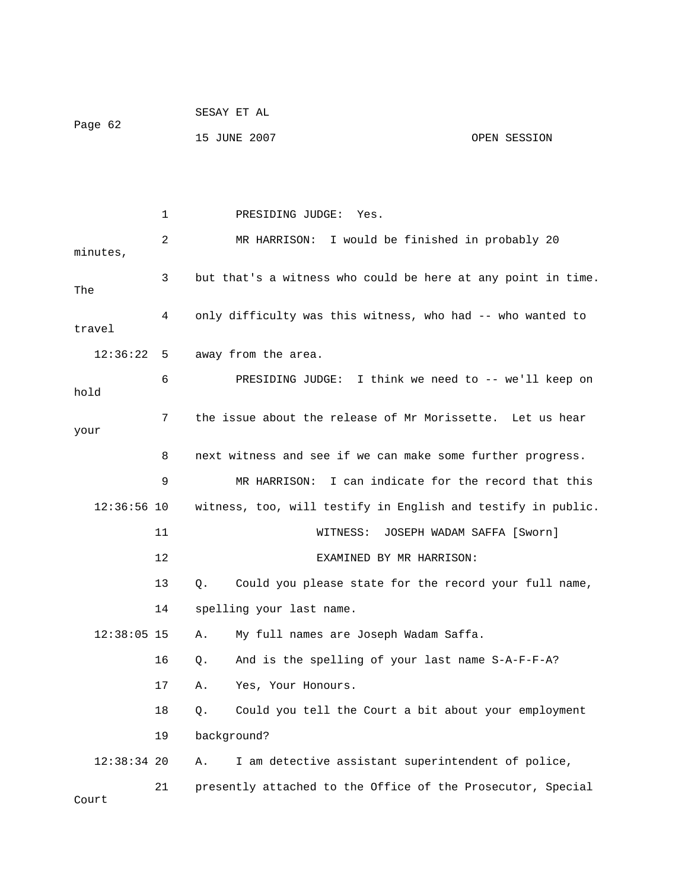| Page 62 | SESAY ET AL  |              |
|---------|--------------|--------------|
|         | 15 JUNE 2007 | OPEN SESSION |

 1 PRESIDING JUDGE: Yes. 2 MR HARRISON: I would be finished in probably 20 3 but that's a witness who could be here at any point in time. The 12:36:22 5 away from the area. 6 PRESIDING JUDGE: I think we need to -- we'll keep on hold 7 the issue about the release of Mr Morissette. Let us hear your 8 next witness and see if we can make some further progress. 12:36:56 10 witness, too, will testify in English and testify in public. 11 WITNESS: JOSEPH WADAM SAFFA [Sworn] EXAMINED BY MR HARRISON: 14 spelling your last name. 12:38:34 20 A. I am detective assistant superintendent of police, Court minutes, 4 only difficulty was this witness, who had -- who wanted to travel 9 MR HARRISON: I can indicate for the record that this 12 EXA 13 Q. Could you please state for the record your full name, 12:38:05 15 A. My full names are Joseph Wadam Saffa. 16 Q. And is the spelling of your last name S-A-F-F-A? 17 A. Yes, Your Honours. 18 Q. Could you tell the Court a bit about your employment 19 background? 21 presently attached to the Office of the Prosecutor, Special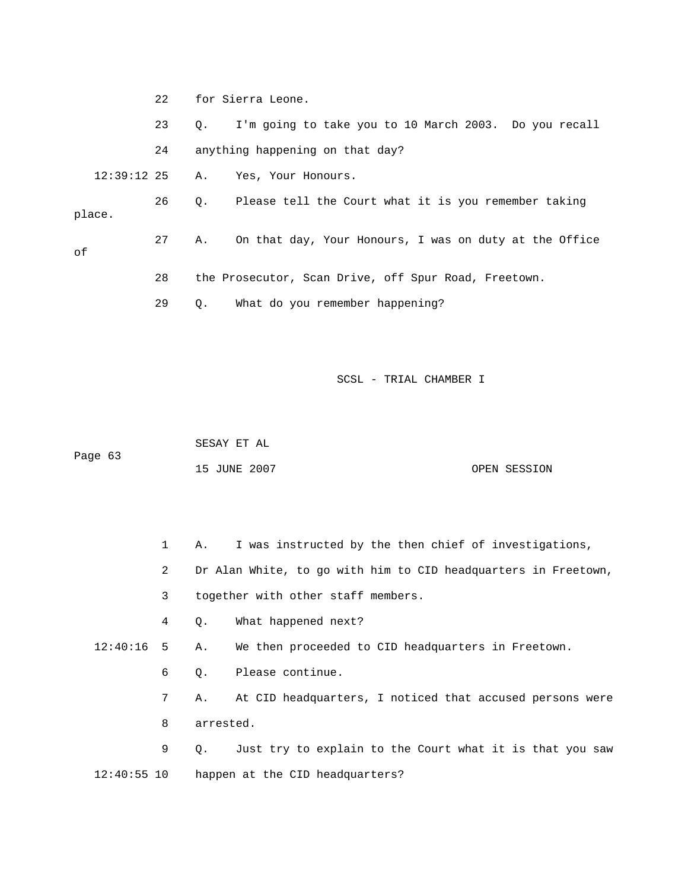|    |                  | 22 |           | for Sierra Leone.                                      |
|----|------------------|----|-----------|--------------------------------------------------------|
|    |                  | 23 | $\circ$ . | I'm going to take you to 10 March 2003. Do you recall  |
|    |                  | 24 |           | anything happening on that day?                        |
|    | $12:39:12$ 25 A. |    |           | Yes, Your Honours.                                     |
|    | place.           | 26 | $\circ$ . | Please tell the Court what it is you remember taking   |
| оf |                  | 27 | Α.        | On that day, Your Honours, I was on duty at the Office |
|    |                  | 28 |           | the Prosecutor, Scan Drive, off Spur Road, Freetown.   |
|    |                  | 29 | 0.        | What do you remember happening?                        |

Page 63 15 JUNE 2007 OPEN SESSION SESAY ET AL

1 A. I was instructed by the then chief of investigations,

2 Dr Alan White, to go with him to CID headquarters in Freetown,

3 together with other staff members.

4 Q. What happened next?

12:40:16 5 A. We then proceeded to CID headquarters in Freetown.

6 Q. Please continue.

7 A. At CID headquarters, I noticed that accused persons were

8 arrested.

9 Q. Just try to explain to the Court what it is that you saw 12:40:55 10 happen at the CID headquarters?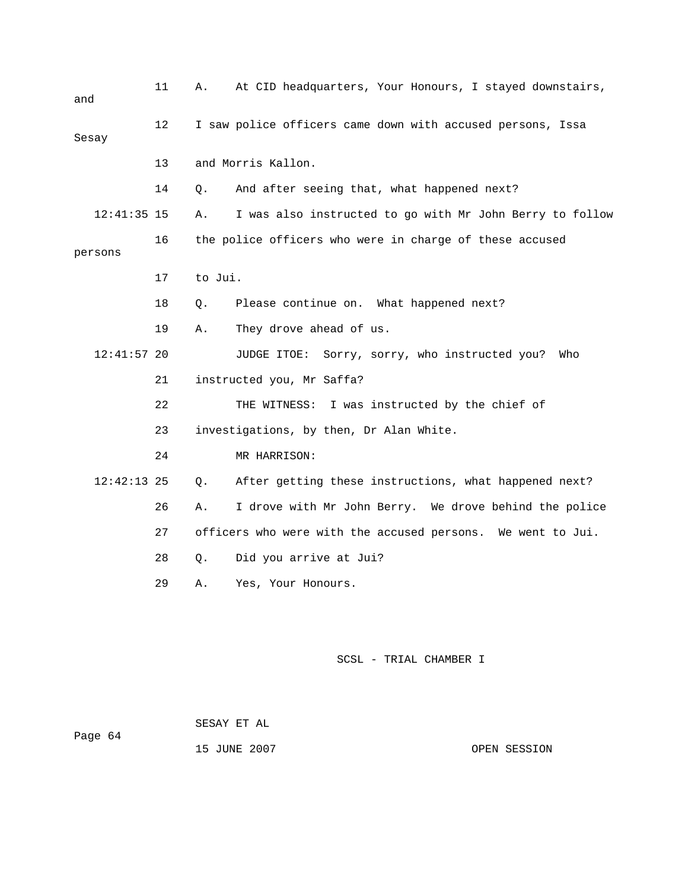| and           | 11 | Α.      | At CID headquarters, Your Honours, I stayed downstairs,     |
|---------------|----|---------|-------------------------------------------------------------|
| Sesay         | 12 |         | I saw police officers came down with accused persons, Issa  |
|               | 13 |         | and Morris Kallon.                                          |
|               | 14 | Q.      | And after seeing that, what happened next?                  |
| $12:41:35$ 15 |    | Α.      | I was also instructed to go with Mr John Berry to follow    |
| persons       | 16 |         | the police officers who were in charge of these accused     |
|               | 17 | to Jui. |                                                             |
|               | 18 | О.      | Please continue on. What happened next?                     |
|               | 19 | Α.      | They drove ahead of us.                                     |
| $12:41:57$ 20 |    |         | JUDGE ITOE: Sorry, sorry, who instructed you?<br>Who        |
|               | 21 |         | instructed you, Mr Saffa?                                   |
|               | 22 |         | THE WITNESS: I was instructed by the chief of               |
|               | 23 |         | investigations, by then, Dr Alan White.                     |
|               | 24 |         | MR HARRISON:                                                |
| $12:42:13$ 25 |    | Q.      | After getting these instructions, what happened next?       |
|               | 26 | Α.      | I drove with Mr John Berry. We drove behind the police      |
|               | 27 |         | officers who were with the accused persons. We went to Jui. |
|               | 28 | О.      | Did you arrive at Jui?                                      |
|               | 29 | Α.      | Yes, Your Honours.                                          |
|               |    |         |                                                             |

Page 64 SESAY ET AL

OPEN SESSION

15 JUNE 2007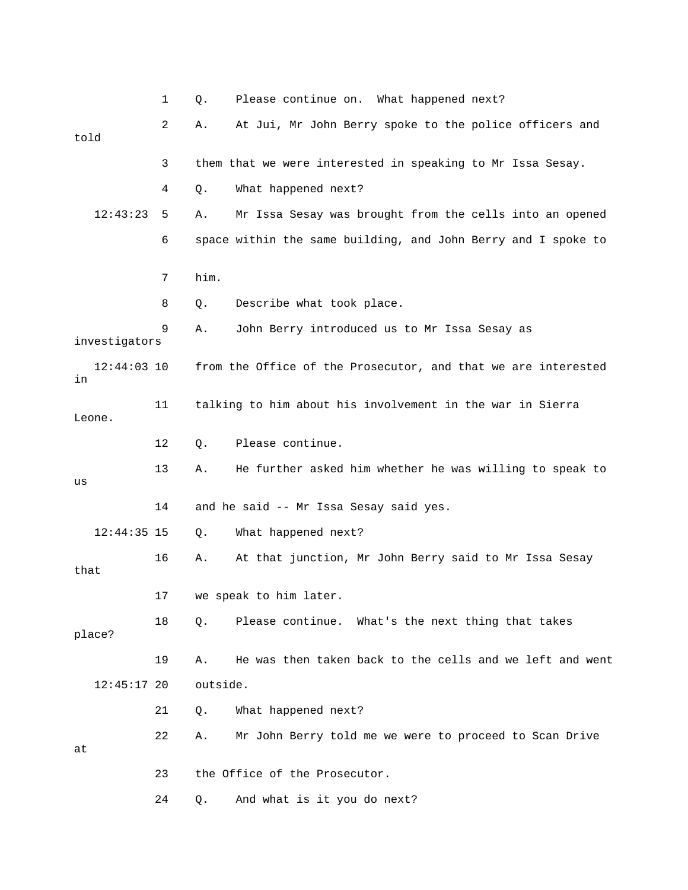|                     | 1  | Q.       | Please continue on. What happened next?                       |
|---------------------|----|----------|---------------------------------------------------------------|
| told                | 2  | Α.       | At Jui, Mr John Berry spoke to the police officers and        |
|                     | 3  |          | them that we were interested in speaking to Mr Issa Sesay.    |
|                     | 4  | Q.       | What happened next?                                           |
| 12:43:23            | 5  | Α.       | Mr Issa Sesay was brought from the cells into an opened       |
|                     | 6  |          | space within the same building, and John Berry and I spoke to |
|                     | 7  | him.     |                                                               |
|                     | 8  | Q.       | Describe what took place.                                     |
| investigators       | 9  | Α.       | John Berry introduced us to Mr Issa Sesay as                  |
| $12:44:03$ 10<br>in |    |          | from the Office of the Prosecutor, and that we are interested |
| Leone.              | 11 |          | talking to him about his involvement in the war in Sierra     |
|                     | 12 | $Q$ .    | Please continue.                                              |
| us                  | 13 | Α.       | He further asked him whether he was willing to speak to       |
|                     | 14 |          | and he said -- Mr Issa Sesay said yes.                        |
| $12:44:35$ 15       |    | Q.       | What happened next?                                           |
| that                | 16 | Α.       | At that junction, Mr John Berry said to Mr Issa Sesay         |
|                     | 17 |          | we speak to him later.                                        |
| place?              | 18 | $Q$ .    | Please continue. What's the next thing that takes             |
|                     | 19 | Α.       | He was then taken back to the cells and we left and went      |
| $12:45:17$ 20       |    | outside. |                                                               |
|                     | 21 | Q.       | What happened next?                                           |
| at                  | 22 | Α.       | Mr John Berry told me we were to proceed to Scan Drive        |
|                     | 23 |          | the Office of the Prosecutor.                                 |
|                     | 24 | Q.       | And what is it you do next?                                   |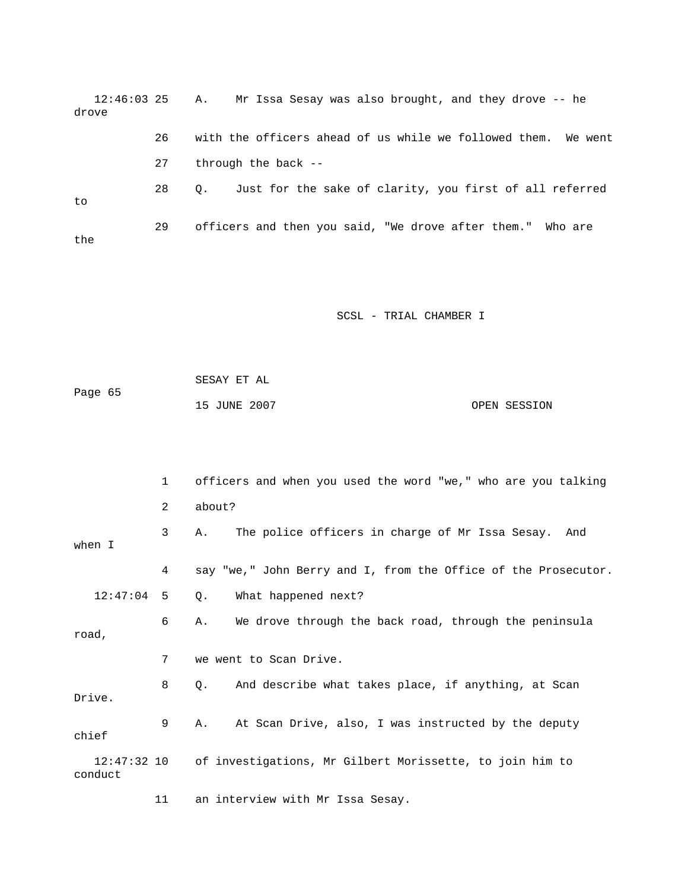| $12:46:03$ 25 A.<br>drove |    | Mr Issa Sesay was also brought, and they drove -- he                 |
|---------------------------|----|----------------------------------------------------------------------|
|                           | 26 | with the officers ahead of us while we followed them. We went        |
|                           | 27 | through the back --                                                  |
| to                        | 28 | Just for the sake of clarity, you first of all referred<br>$\circ$ . |
| the                       | 29 | officers and then you said, "We drove after them." Who are           |

Page 65 SESAY ET AL 15 JUNE 2007 OPEN SESSION

|                          | $\mathbf{1}$ | officers and when you used the word "we," who are you talking  |
|--------------------------|--------------|----------------------------------------------------------------|
|                          | 2            | about?                                                         |
| when I                   | 3            | The police officers in charge of Mr Issa Sesay.<br>Α.<br>And   |
|                          | 4            | say "we," John Berry and I, from the Office of the Prosecutor. |
| 12:47:04                 | - 5          | What happened next?<br>О.                                      |
| road,                    | 6            | We drove through the back road, through the peninsula<br>Α.    |
|                          | 7            | we went to Scan Drive.                                         |
| Drive.                   | 8            | And describe what takes place, if anything, at Scan<br>Q.      |
| chief                    | 9            | At Scan Drive, also, I was instructed by the deputy<br>Α.      |
| $12:47:32$ 10<br>conduct |              | of investigations, Mr Gilbert Morissette, to join him to       |

11 an interview with Mr Issa Sesay.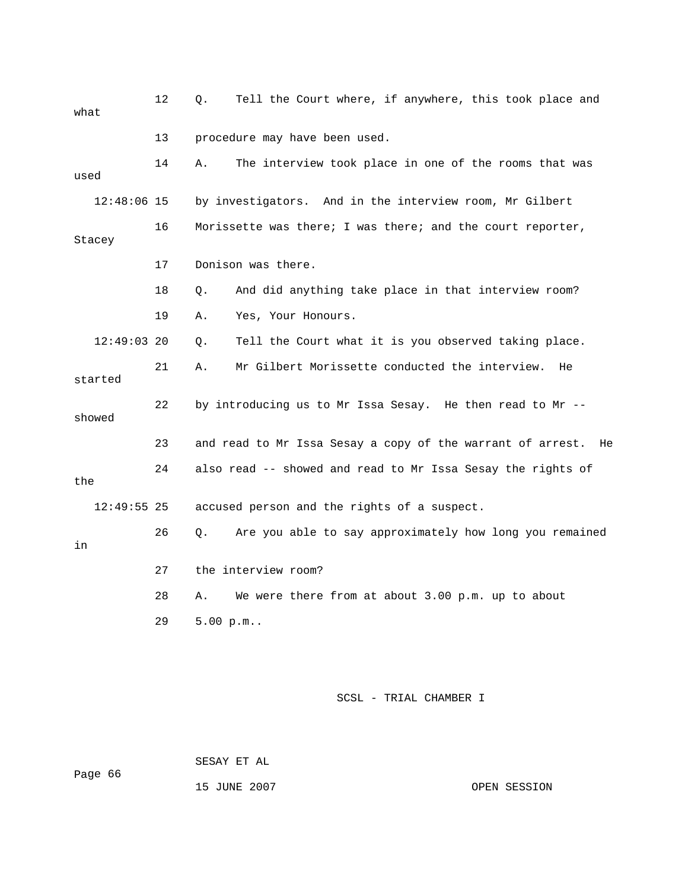| what          | 12 | Tell the Court where, if anywhere, this took place and<br>Q.     |
|---------------|----|------------------------------------------------------------------|
|               | 13 | procedure may have been used.                                    |
| used          | 14 | The interview took place in one of the rooms that was<br>Α.      |
| $12:48:06$ 15 |    | by investigators. And in the interview room, Mr Gilbert          |
| Stacey        | 16 | Morissette was there; I was there; and the court reporter,       |
|               | 17 | Donison was there.                                               |
|               | 18 | And did anything take place in that interview room?<br>Q.        |
|               | 19 | Yes, Your Honours.<br>Α.                                         |
| $12:49:03$ 20 |    | Tell the Court what it is you observed taking place.<br>О.       |
| started       | 21 | Mr Gilbert Morissette conducted the interview.<br>Α.<br>He       |
| showed        | 22 | by introducing us to Mr Issa Sesay. He then read to Mr --        |
|               | 23 | and read to Mr Issa Sesay a copy of the warrant of arrest.<br>He |
| the           | 24 | also read -- showed and read to Mr Issa Sesay the rights of      |
| $12:49:55$ 25 |    | accused person and the rights of a suspect.                      |
| in            | 26 | Are you able to say approximately how long you remained<br>Q.    |
|               | 27 | the interview room?                                              |
|               | 28 | We were there from at about 3.00 p.m. up to about<br>Α.          |
|               | 29 | 5.00 p.m                                                         |
|               |    |                                                                  |

Page 66

SESAY ET AL

15 JUNE 2007 CPEN SESSION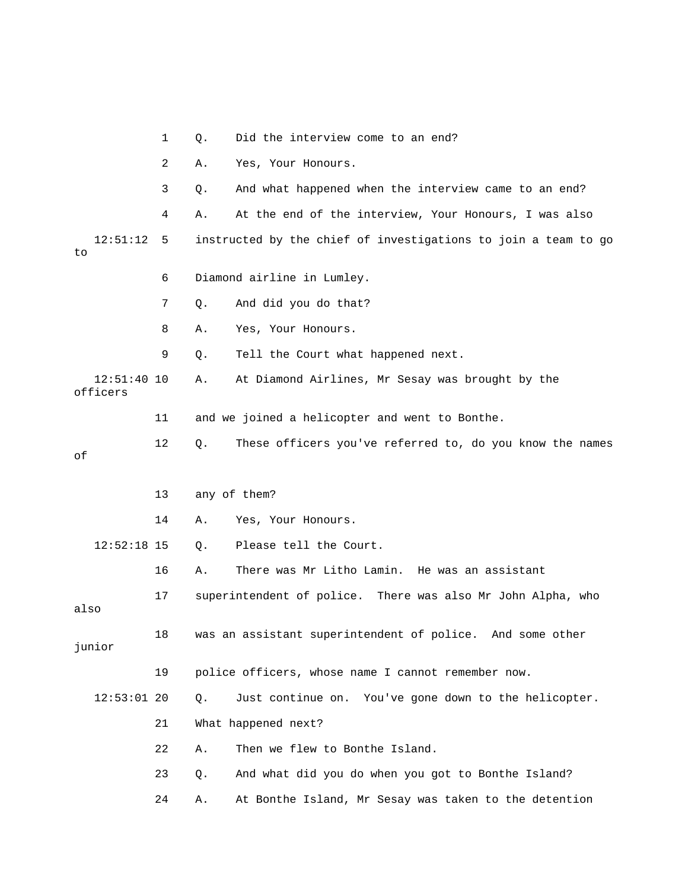3 Q. And what happened when the interview came to an end? instructed by the chief of investigations to join a team to go 6 Diamond airline in Lumley. 7 Q. And did you do that? 9 Q. Tell the Court what happened next. officers 11 and we joined a helicopter and went to Bonthe. 17 superintendent of police. There was also Mr John Alpha, who junior 19 police officers, whose name I cannot remember now. 12:53:01 20 Q. Just continue on. You've gone down to the helicopter. 21 What happened next? 22 A. Then we flew to Bonthe Island. 4 A. At the end of the interview, Your Honours, I was also 12:51: to 8 A. Yes, Your Honours. 12:51:40 10 A. At Diamond Airlines, Mr Sesay was brought by the 12 Q. These officers you've referred to, do you know the names of 13 any of them? 14 A. Yes, Your Honours. 12:52:18 15 Q. Please tell the Court. 16 A. There was Mr Litho Lamin. He was an assistant also 18 was an assistant superintendent of police. And some other

1 Q. Did the interview come to an end?

2 A. Yes, Your Honours.

- 23 Q. And what did you do when you got to Bonthe Island?
- 24 A. At Bonthe Island, Mr Sesay was taken to the detention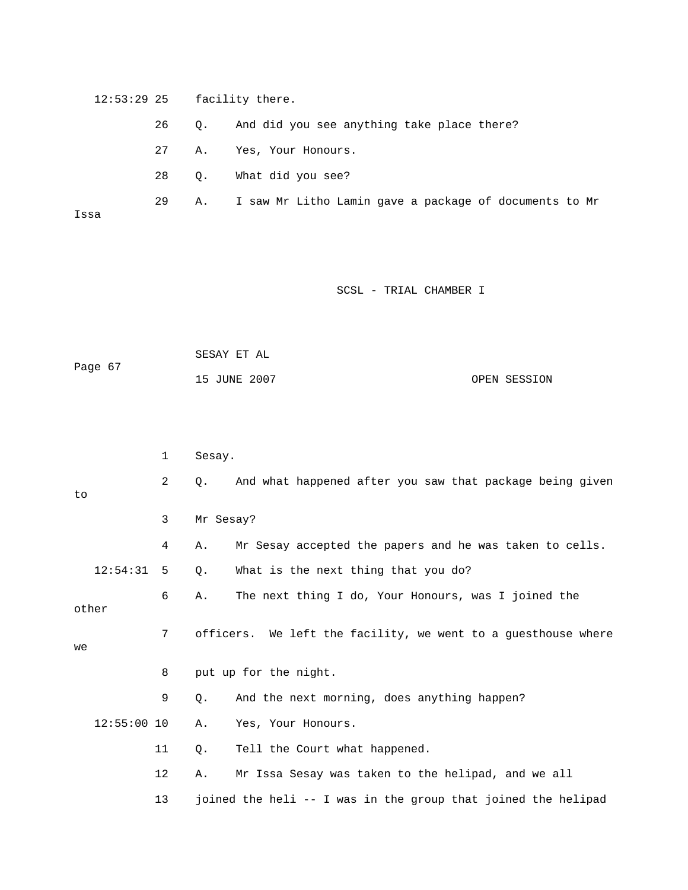12:53:29 25 facility there. 26 Q. And did you see anything take place there? 27 A. Yes, Your Honours. 28 Q. What did you see? 29 A. I saw Mr Litho Lamin gave a package of documents to Mr Issa

| Page 67 | SESAY ET AL  |              |  |
|---------|--------------|--------------|--|
|         | 15 JUNE 2007 | OPEN SESSION |  |

|    |               | $\mathbf 1$    | Sesay.                                                         |
|----|---------------|----------------|----------------------------------------------------------------|
| to |               | $\overline{a}$ | And what happened after you saw that package being given<br>О. |
|    |               | 3              | Mr Sesay?                                                      |
|    |               | 4              | Mr Sesay accepted the papers and he was taken to cells.<br>Α.  |
|    | 12:54:31      | 5              | What is the next thing that you do?<br>Q.                      |
|    | other         | 6              | The next thing I do, Your Honours, was I joined the<br>Α.      |
| we |               | 7              | officers. We left the facility, we went to a questhouse where  |
|    |               | 8              | put up for the night.                                          |
|    |               | 9              | And the next morning, does anything happen?<br>Q.              |
|    | $12:55:00$ 10 |                | Yes, Your Honours.<br>Α.                                       |
|    |               | 11             | Tell the Court what happened.<br>$Q$ .                         |
|    |               | 12             | Mr Issa Sesay was taken to the helipad, and we all<br>Α.       |
|    |               | 13             | joined the heli -- I was in the group that joined the helipad  |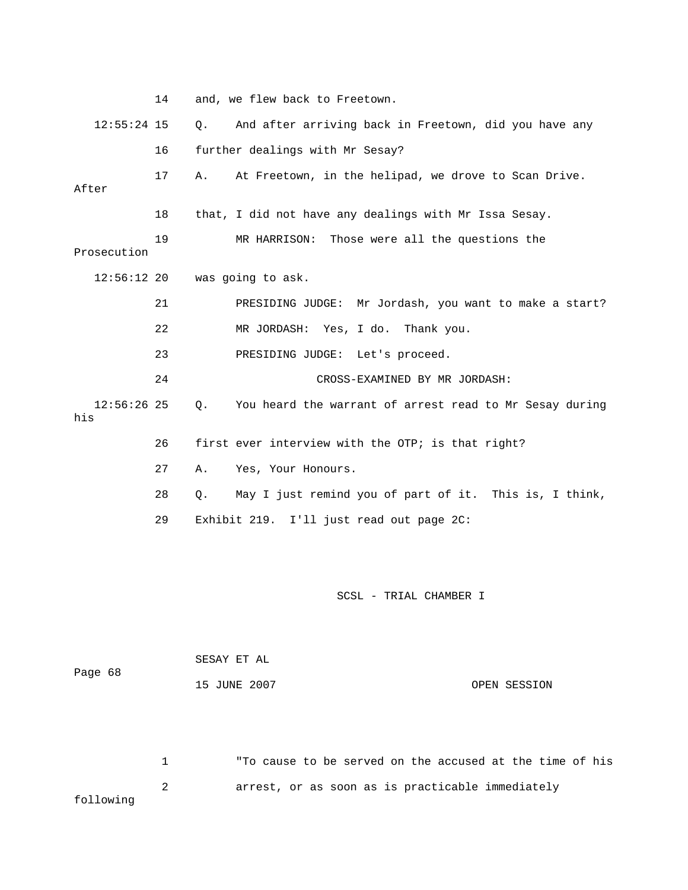|                      | 14                                                               |    | and, we flew back to Freetown.                          |  |  |
|----------------------|------------------------------------------------------------------|----|---------------------------------------------------------|--|--|
| $12:55:24$ 15        |                                                                  | Q. | And after arriving back in Freetown, did you have any   |  |  |
|                      | 16                                                               |    | further dealings with Mr Sesay?                         |  |  |
| After                | 17<br>At Freetown, in the helipad, we drove to Scan Drive.<br>Α. |    |                                                         |  |  |
|                      | 18                                                               |    | that, I did not have any dealings with Mr Issa Sesay.   |  |  |
| Prosecution          | 19                                                               |    | Those were all the questions the<br>MR HARRISON:        |  |  |
| $12:56:12$ 20        |                                                                  |    | was going to ask.                                       |  |  |
|                      | 21                                                               |    | PRESIDING JUDGE: Mr Jordash, you want to make a start?  |  |  |
|                      | 22                                                               |    | MR JORDASH: Yes, I do. Thank you.                       |  |  |
|                      | 23                                                               |    | PRESIDING JUDGE: Let's proceed.                         |  |  |
|                      | 24                                                               |    | CROSS-EXAMINED BY MR JORDASH:                           |  |  |
| $12:56:26$ 25<br>his |                                                                  | Q. | You heard the warrant of arrest read to Mr Sesay during |  |  |
|                      | 26                                                               |    | first ever interview with the OTP; is that right?       |  |  |
|                      | 27                                                               | Α. | Yes, Your Honours.                                      |  |  |
|                      | 28                                                               | Q. | May I just remind you of part of it. This is, I think,  |  |  |
|                      | 29                                                               |    | Exhibit 219. I'll just read out page 2C:                |  |  |
|                      |                                                                  |    |                                                         |  |  |

| Page 68 | SESAY ET AL  |  |              |  |
|---------|--------------|--|--------------|--|
|         | 15 JUNE 2007 |  | OPEN SESSION |  |

 1 "To cause to be served on the accused at the time of his 2 arrest, or as soon as is practicable immediately following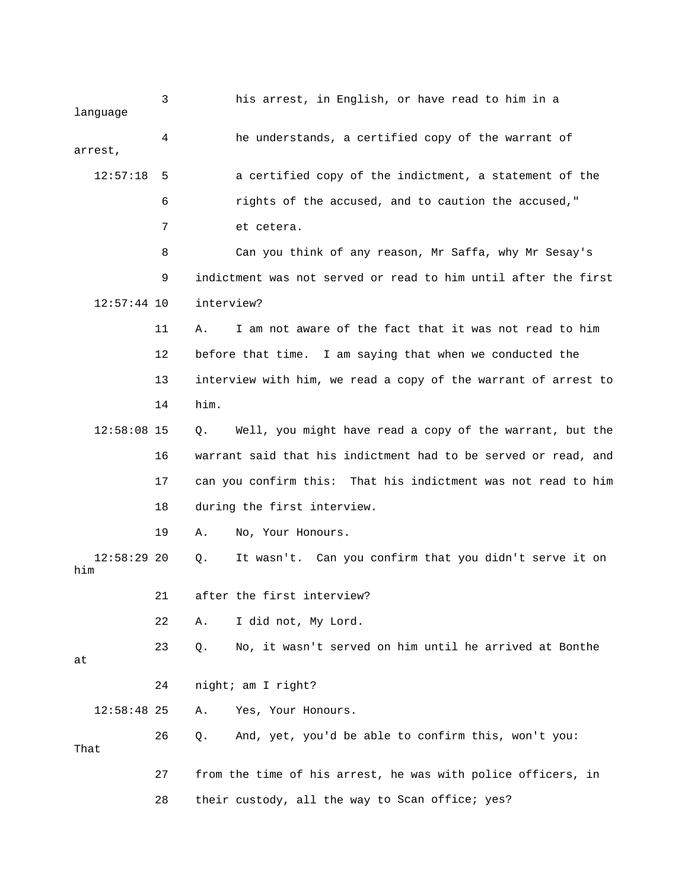| language             | 3  | his arrest, in English, or have read to him in a               |
|----------------------|----|----------------------------------------------------------------|
| arrest,              | 4  | he understands, a certified copy of the warrant of             |
| 12:57:18             | 5  | a certified copy of the indictment, a statement of the         |
|                      | 6  | rights of the accused, and to caution the accused,"            |
|                      | 7  | et cetera.                                                     |
|                      | 8  | Can you think of any reason, Mr Saffa, why Mr Sesay's          |
|                      | 9  | indictment was not served or read to him until after the first |
| $12:57:44$ 10        |    | interview?                                                     |
|                      | 11 | I am not aware of the fact that it was not read to him<br>Α.   |
|                      | 12 | before that time. I am saying that when we conducted the       |
|                      | 13 | interview with him, we read a copy of the warrant of arrest to |
|                      | 14 | him.                                                           |
| $12:58:08$ 15        |    | Well, you might have read a copy of the warrant, but the<br>Q. |
|                      | 16 | warrant said that his indictment had to be served or read, and |
|                      | 17 | can you confirm this: That his indictment was not read to him  |
|                      | 18 | during the first interview.                                    |
|                      | 19 | No, Your Honours.<br>Α.                                        |
| $12:58:29$ 20<br>him |    | It wasn't. Can you confirm that you didn't serve it on<br>Q.   |
|                      | 21 | after the first interview?                                     |
|                      | 22 | I did not, My Lord.<br>Α.                                      |
| at                   | 23 | No, it wasn't served on him until he arrived at Bonthe<br>Q.   |
|                      | 24 | night; am I right?                                             |
| $12:58:48$ 25        |    | Yes, Your Honours.<br>Α.                                       |
| That                 | 26 | And, yet, you'd be able to confirm this, won't you:<br>Q.      |
|                      | 27 | from the time of his arrest, he was with police officers, in   |
|                      | 28 | their custody, all the way to Scan office; yes?                |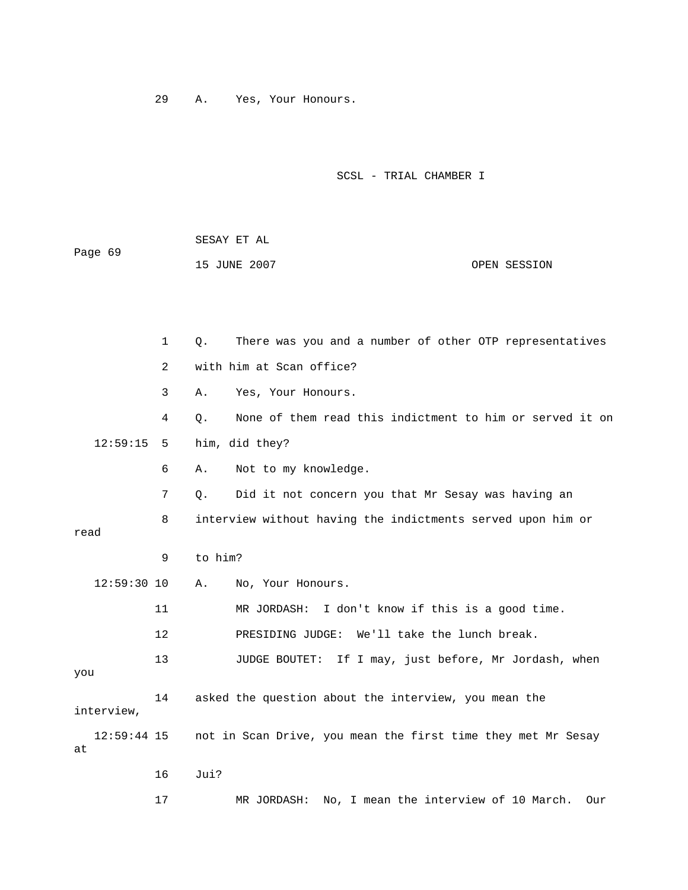29 A. Yes, Your Honours.

| Page 69 | SESAY ET AL  |              |
|---------|--------------|--------------|
|         | 15 JUNE 2007 | OPEN SESSION |

|      |               | $\mathbf{1}$ | Q.      | There was you and a number of other OTP representatives      |
|------|---------------|--------------|---------|--------------------------------------------------------------|
|      |               | 2            |         | with him at Scan office?                                     |
|      |               | 3            | Α.      | Yes, Your Honours.                                           |
|      |               | 4            | Q.      | None of them read this indictment to him or served it on     |
|      | 12:59:15      | 5            |         | him, did they?                                               |
|      |               | 6            | Α.      | Not to my knowledge.                                         |
|      |               | 7            | Q.      | Did it not concern you that Mr Sesay was having an           |
| read |               | 8            |         | interview without having the indictments served upon him or  |
|      |               | 9            | to him? |                                                              |
|      | $12:59:30$ 10 |              | Α.      | No, Your Honours.                                            |
|      |               | 11           |         | I don't know if this is a good time.<br>MR JORDASH:          |
|      |               | 12           |         | PRESIDING JUDGE: We'll take the lunch break.                 |
| you  |               | 13           |         | JUDGE BOUTET:<br>If I may, just before, Mr Jordash, when     |
|      | interview,    | 14           |         | asked the question about the interview, you mean the         |
| at   | $12:59:44$ 15 |              |         | not in Scan Drive, you mean the first time they met Mr Sesay |
|      |               | 16           | Jui?    |                                                              |
|      |               | 17           |         | No, I mean the interview of 10 March.<br>MR JORDASH:<br>Our  |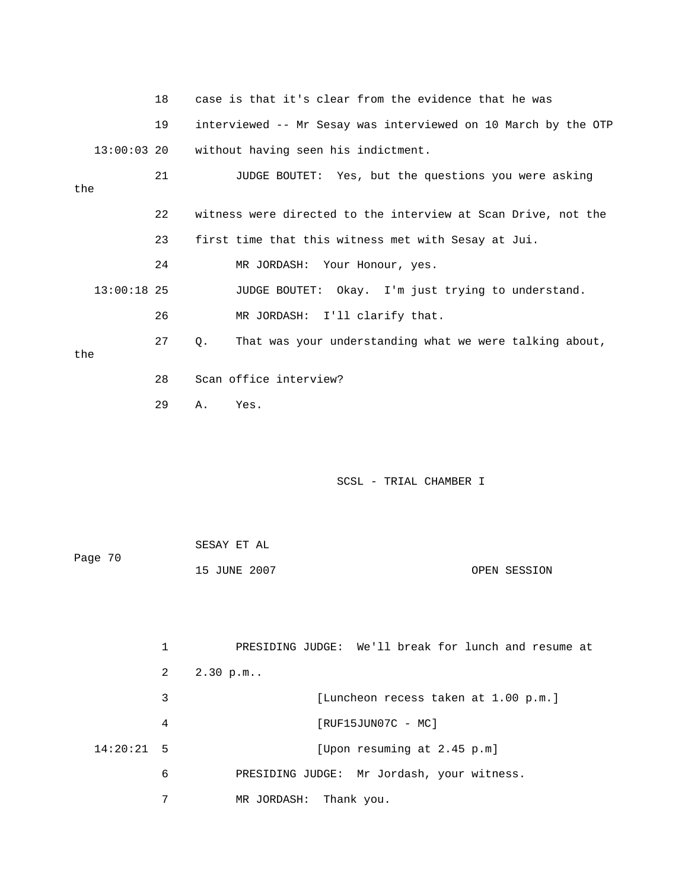|     |               | 18 |    | case is that it's clear from the evidence that he was          |
|-----|---------------|----|----|----------------------------------------------------------------|
|     |               | 19 |    | interviewed -- Mr Sesay was interviewed on 10 March by the OTP |
|     | $13:00:03$ 20 |    |    | without having seen his indictment.                            |
| the |               | 21 |    | JUDGE BOUTET: Yes, but the questions you were asking           |
|     |               | 22 |    | witness were directed to the interview at Scan Drive, not the  |
|     |               | 23 |    | first time that this witness met with Sesay at Jui.            |
|     |               | 24 |    | MR JORDASH: Your Honour, yes.                                  |
|     | $13:00:18$ 25 |    |    | JUDGE BOUTET: Okay. I'm just trying to understand.             |
|     |               | 26 |    | MR JORDASH: I'll clarify that.                                 |
| the |               | 27 | О. | That was your understanding what we were talking about,        |
|     |               | 28 |    | Scan office interview?                                         |
|     |               | 29 | Α. | Yes.                                                           |
|     |               |    |    |                                                                |

|         | SESAY ET AL  |              |
|---------|--------------|--------------|
| Page 70 |              |              |
|         | 15 JUNE 2007 | OPEN SESSION |

|              |                | PRESIDING JUDGE: We'll break for lunch and resume at |
|--------------|----------------|------------------------------------------------------|
|              | $\overline{2}$ | 2.30 p.m.                                            |
|              | 3              | [Luncheon recess taken at 1.00 p.m.]                 |
|              | 4              | $[RUF15JUN07C - MC]$                                 |
| $14:20:21$ 5 |                | [Upon resuming at 2.45 p.m]                          |
|              | 6              | PRESIDING JUDGE: Mr Jordash, your witness.           |
|              | 7              | Thank you.<br>MR JORDASH:                            |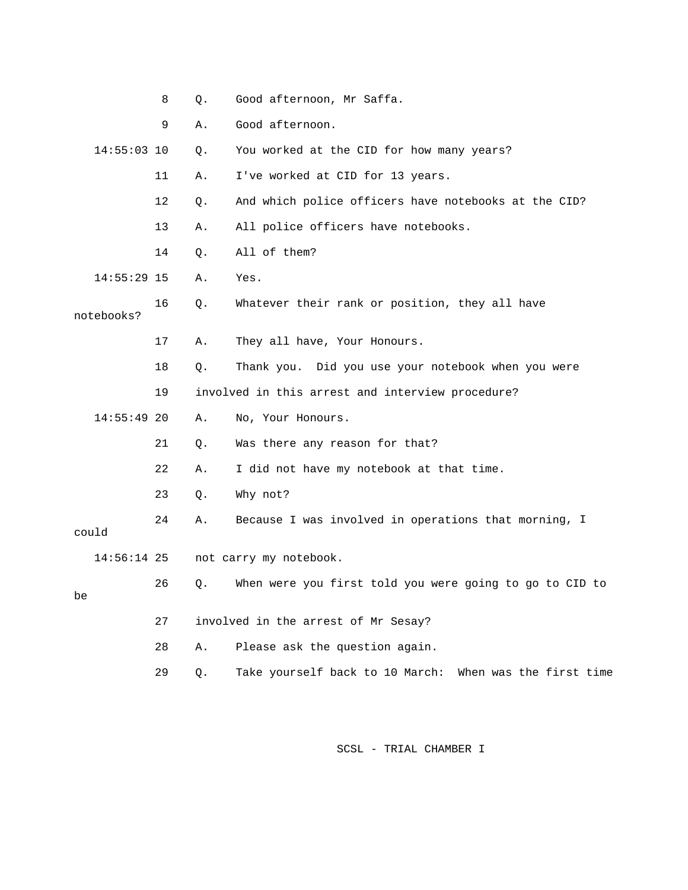|       |               | 8  | Q.    | Good afternoon, Mr Saffa.                                  |
|-------|---------------|----|-------|------------------------------------------------------------|
|       |               | 9  | Α.    | Good afternoon.                                            |
|       | $14:55:03$ 10 |    | Q.    | You worked at the CID for how many years?                  |
|       |               | 11 | Α.    | I've worked at CID for 13 years.                           |
|       |               | 12 | Q.    | And which police officers have notebooks at the CID?       |
|       |               | 13 | Α.    | All police officers have notebooks.                        |
|       |               | 14 | $Q$ . | All of them?                                               |
|       | $14:55:29$ 15 |    | Α.    | Yes.                                                       |
|       | notebooks?    | 16 | Q.    | Whatever their rank or position, they all have             |
|       |               | 17 | Α.    | They all have, Your Honours.                               |
|       |               | 18 | Q.    | Thank you. Did you use your notebook when you were         |
|       |               | 19 |       | involved in this arrest and interview procedure?           |
|       | $14:55:49$ 20 |    | Α.    | No, Your Honours.                                          |
|       |               | 21 | Q.    | Was there any reason for that?                             |
|       |               | 22 | Α.    | I did not have my notebook at that time.                   |
|       |               | 23 | Q.    | Why not?                                                   |
| could |               | 24 | Α.    | Because I was involved in operations that morning, I       |
|       | $14:56:14$ 25 |    |       | not carry my notebook.                                     |
| be    |               | 26 | Q.    | When were you first told you were going to go to CID to    |
|       |               | 27 |       | involved in the arrest of Mr Sesay?                        |
|       |               | 28 | Α.    | Please ask the question again.                             |
|       |               | 29 | Q.    | When was the first time<br>Take yourself back to 10 March: |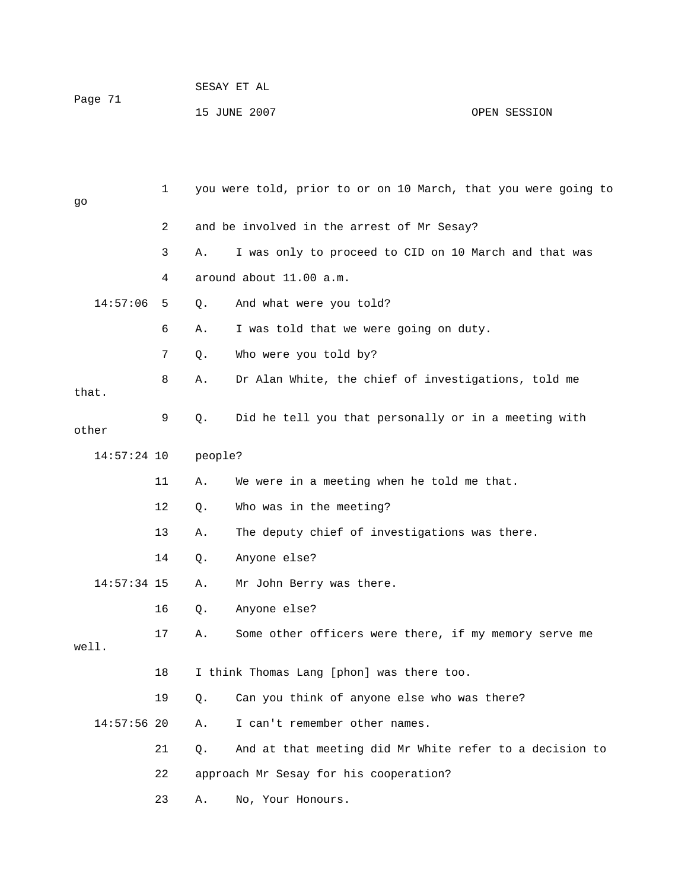| Page 71 | SESAY ET AL  |              |
|---------|--------------|--------------|
|         | 15 JUNE 2007 | OPEN SESSION |

|               | 1  |         | you were told, prior to or on 10 March, that you were going to |  |  |  |  |
|---------------|----|---------|----------------------------------------------------------------|--|--|--|--|
| 90            |    |         |                                                                |  |  |  |  |
|               | 2  |         | and be involved in the arrest of Mr Sesay?                     |  |  |  |  |
|               | 3  | Α.      | I was only to proceed to CID on 10 March and that was          |  |  |  |  |
|               | 4  |         | around about 11.00 a.m.                                        |  |  |  |  |
| 14:57:06      | 5  | Q.      | And what were you told?                                        |  |  |  |  |
|               | 6  | Α.      | I was told that we were going on duty.                         |  |  |  |  |
|               | 7  | Q.      | Who were you told by?                                          |  |  |  |  |
| that.         | 8  | Α.      | Dr Alan White, the chief of investigations, told me            |  |  |  |  |
| other         | 9  | Q.      | Did he tell you that personally or in a meeting with           |  |  |  |  |
| $14:57:24$ 10 |    | people? |                                                                |  |  |  |  |
|               | 11 | Α.      | We were in a meeting when he told me that.                     |  |  |  |  |
|               | 12 | $Q$ .   | Who was in the meeting?                                        |  |  |  |  |
|               | 13 | Α.      | The deputy chief of investigations was there.                  |  |  |  |  |
|               | 14 | Q.      | Anyone else?                                                   |  |  |  |  |
| $14:57:34$ 15 |    | Α.      | Mr John Berry was there.                                       |  |  |  |  |
|               | 16 | Q.      | Anyone else?                                                   |  |  |  |  |
| well.         | 17 | Α.      | Some other officers were there, if my memory serve me          |  |  |  |  |
|               | 18 |         | I think Thomas Lang [phon] was there too.                      |  |  |  |  |
|               | 19 | Q.      | Can you think of anyone else who was there?                    |  |  |  |  |
| $14:57:56$ 20 |    | Α.      | I can't remember other names.                                  |  |  |  |  |
|               | 21 | Q.      | And at that meeting did Mr White refer to a decision to        |  |  |  |  |
|               | 22 |         | approach Mr Sesay for his cooperation?                         |  |  |  |  |
|               | 23 | Α.      | No, Your Honours.                                              |  |  |  |  |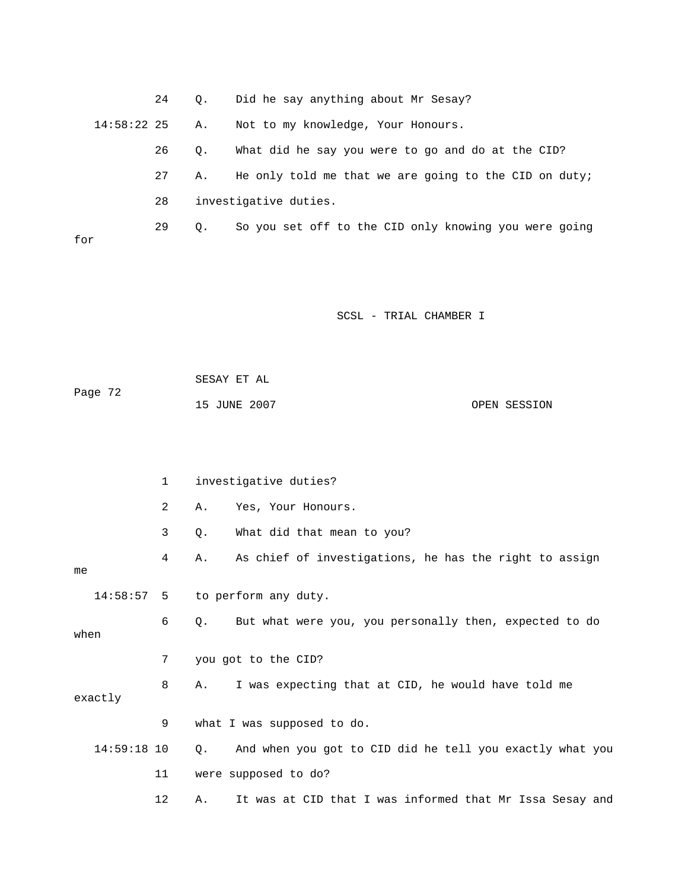24 Q. Did he say an ything about Mr Sesay? 14:58:22 25 A. Not to my kno wledge, Your Honours. 26 Q. What did he say you were to go and do at the CID? 27 A. He only told me that we are going to the CID on duty; 29 Q. So you set off to the CID only knowing you were going for 28 investigative duties.

SCSL - TRIAL CHAMBER I

Page 72 SESAY ET AL 15 JUNE 2007 OPEN SESSION

|      |               | $\mathbf{1}$ | investigative duties?                                               |  |  |  |  |
|------|---------------|--------------|---------------------------------------------------------------------|--|--|--|--|
|      |               | 2            | Yes, Your Honours.<br>Α.                                            |  |  |  |  |
|      |               | 3            | What did that mean to you?<br>Q.                                    |  |  |  |  |
| me   |               | 4            | As chief of investigations, he has the right to assign<br>Α.        |  |  |  |  |
|      |               |              | 14:58:57 5 to perform any duty.                                     |  |  |  |  |
| when |               | 6            | But what were you, you personally then, expected to do<br>$\circ$ . |  |  |  |  |
|      |               | 7            | you got to the CID?                                                 |  |  |  |  |
|      | exactly       | 8            | I was expecting that at CID, he would have told me<br>A.,           |  |  |  |  |
|      |               | 9            | what I was supposed to do.                                          |  |  |  |  |
|      | $14:59:18$ 10 |              | And when you got to CID did he tell you exactly what you<br>Q.      |  |  |  |  |
|      |               | 11           | were supposed to do?                                                |  |  |  |  |
|      |               | 12           | It was at CID that I was informed that Mr Issa Sesay and<br>Α.      |  |  |  |  |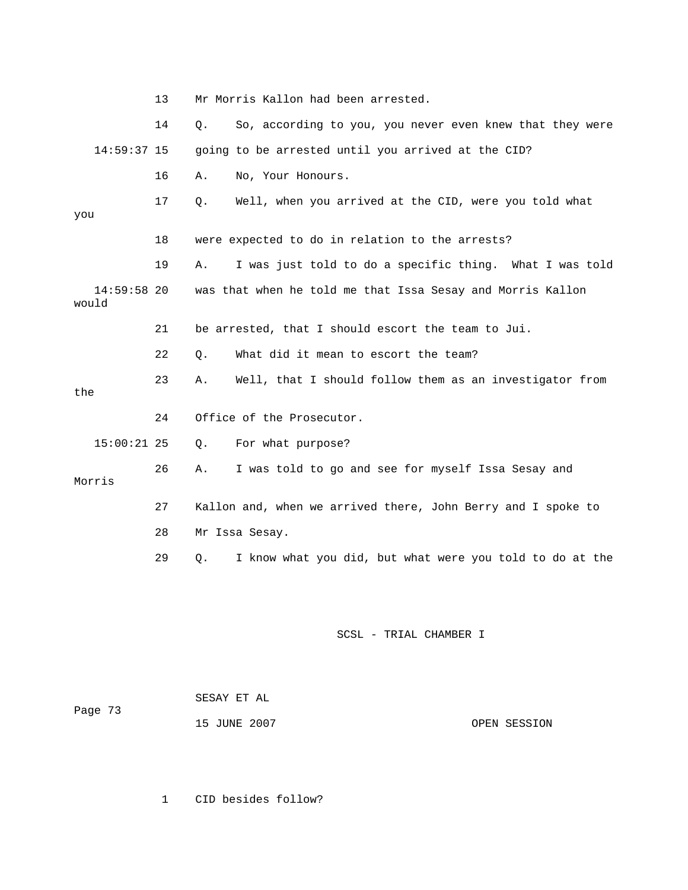13 Mr Morris Kallon had been arrested. 14 Q. So, according to you, you never even knew that they were 16 A. No, Your Honours. 17 Q. Well, when you arrived at the CID, were you told what 18 were expected to do in relation to the arrests? 19 A. I was just told to do a specific thing. What I was told 14:59:58 20 was that when he told me that Issa Sesay and Morris Kallon 22 Q. What did it mean to escort the team? the 24 Office of the Prosecutor. 26 A. I was told to go and see for myself Issa Sesay and Morris 27 Kallon and, when we arrived there, John Berry and I spoke to 28 Mr Issa Sesay. 29 Q. I know what you did, but what were you told to do at the 14:59:37 15 going to be arrested until you arrived at the CID? you would 21 be arrested, that I should escort the team to Jui. 23 A. Well, that I should follow them as an investigator from 15:00:21 25 Q. For what purpose? SCSL - TRIAL CHAMBER I

 SESAY ET AL Page 73 15 JUNE 2007 OPEN SESSION

1 CID besides follow?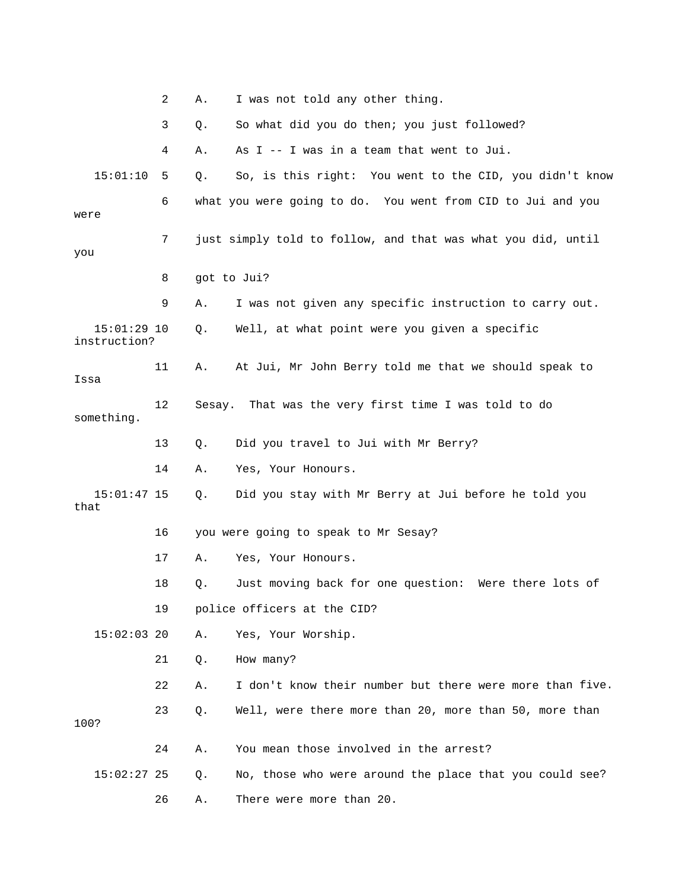|                               | 2  | Α. | I was not told any other thing.                              |
|-------------------------------|----|----|--------------------------------------------------------------|
|                               | 3  | Q. | So what did you do then; you just followed?                  |
|                               | 4  | Α. | As I -- I was in a team that went to Jui.                    |
| 15:01:10                      | 5  | Q. | So, is this right: You went to the CID, you didn't know      |
| were                          | 6  |    | what you were going to do. You went from CID to Jui and you  |
| you                           | 7  |    | just simply told to follow, and that was what you did, until |
|                               | 8  |    | got to Jui?                                                  |
|                               | 9  | Α. | I was not given any specific instruction to carry out.       |
| $15:01:29$ 10<br>instruction? |    | Q. | Well, at what point were you given a specific                |
| Issa                          | 11 | Α. | At Jui, Mr John Berry told me that we should speak to        |
| something.                    | 12 |    | Sesay. That was the very first time I was told to do         |
|                               | 13 | Q. | Did you travel to Jui with Mr Berry?                         |
|                               | 14 | Α. | Yes, Your Honours.                                           |
| $15:01:47$ 15<br>that         |    | Q. | Did you stay with Mr Berry at Jui before he told you         |
|                               | 16 |    | you were going to speak to Mr Sesay?                         |
|                               | 17 | Α. | Yes, Your Honours.                                           |
|                               | 18 | Q. | Just moving back for one question: Were there lots of        |
|                               | 19 |    | police officers at the CID?                                  |
| $15:02:03$ 20                 |    | Α. | Yes, Your Worship.                                           |
|                               | 21 | Q. | How many?                                                    |
|                               | 22 | Α. | I don't know their number but there were more than five.     |
| 100?                          | 23 | Q. | Well, were there more than 20, more than 50, more than       |
|                               | 24 | Α. | You mean those involved in the arrest?                       |
| $15:02:27$ 25                 |    | Q. | No, those who were around the place that you could see?      |
|                               | 26 | Α. | There were more than 20.                                     |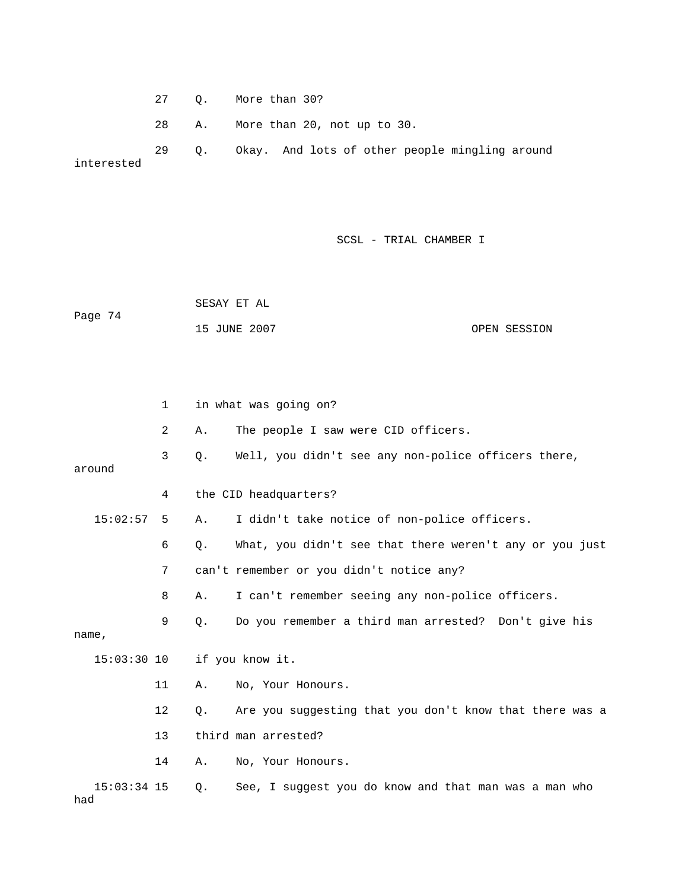27 Q. More than 30?

28 A. More than 20, not up to 30.

 29 Q. Okay. And lots of other people mingling around interested

SCSL - TRIAL CHAMBER I

 SESAY ET AL Page 74 15 JUNE 2007 OPEN SESSION

 2 A. The people I saw were CID officers. 3 Q. Well, you didn't see any non-police officers there, around 4 the CID headquarters? 15:02:57 5 A. I didn't take notice of non-police officers. 6 Q. What, you didn't see that there weren't any or you just 7 can't remember or you didn't notice any? 9 Q. Do you remember a third man arrested? Don't give his 15:03:30 10 if you know it. 11 A. No, Your Honours. 12 Q. Are you suggesting that you don't know that there was a 13 third man arrested? 14 A. No, Your Honours. 15:03:34 15 Q. See, I suggest you do know and that man was a man who had 1 in what was going on? 8 A. I can't remember seeing any non-police officers. name,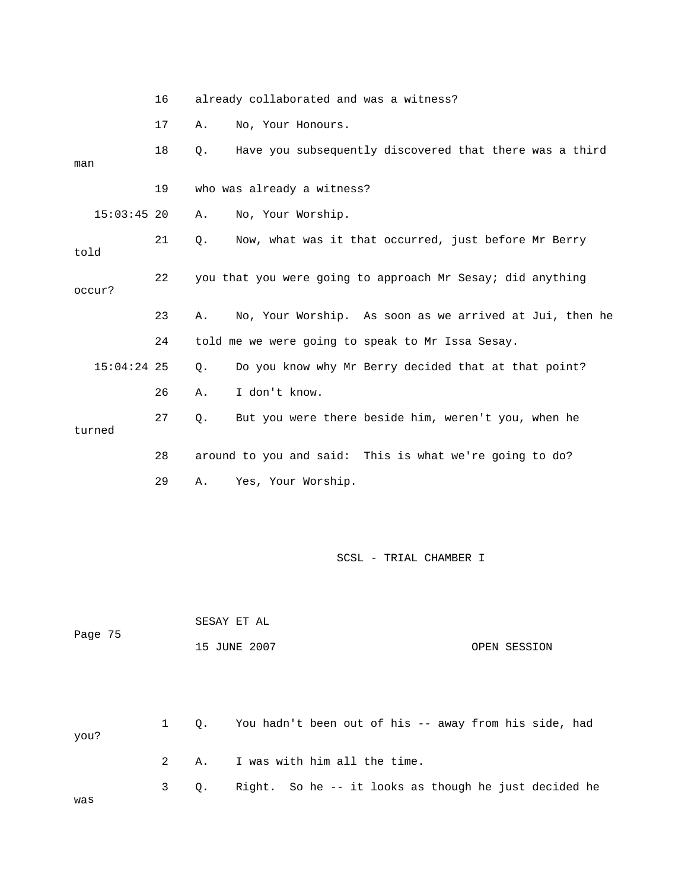|      |               | 16 | already collaborated and was a witness? |                                                            |  |  |  |  |
|------|---------------|----|-----------------------------------------|------------------------------------------------------------|--|--|--|--|
|      |               | 17 | Α.                                      | No, Your Honours.                                          |  |  |  |  |
| man  |               | 18 | Q.                                      | Have you subsequently discovered that there was a third    |  |  |  |  |
|      |               | 19 |                                         | who was already a witness?                                 |  |  |  |  |
|      | $15:03:45$ 20 |    | Α.                                      | No, Your Worship.                                          |  |  |  |  |
| told |               | 21 | Q.                                      | Now, what was it that occurred, just before Mr Berry       |  |  |  |  |
|      | occur?        | 22 |                                         | you that you were going to approach Mr Sesay; did anything |  |  |  |  |
|      |               | 23 | Α.                                      | No, Your Worship. As soon as we arrived at Jui, then he    |  |  |  |  |
|      |               | 24 |                                         | told me we were going to speak to Mr Issa Sesay.           |  |  |  |  |
|      | $15:04:24$ 25 |    | Q.                                      | Do you know why Mr Berry decided that at that point?       |  |  |  |  |
|      |               | 26 | Α.                                      | I don't know.                                              |  |  |  |  |
|      | turned        | 27 | Q.                                      | But you were there beside him, weren't you, when he        |  |  |  |  |
|      |               | 28 |                                         | around to you and said: This is what we're going to do?    |  |  |  |  |
|      |               | 29 | Α.                                      | Yes, Your Worship.                                         |  |  |  |  |

|         |              | SESAY ET AL |                                                       |  |  |  |  |
|---------|--------------|-------------|-------------------------------------------------------|--|--|--|--|
| Page 75 |              |             | 15 JUNE 2007<br>OPEN SESSION                          |  |  |  |  |
|         |              |             |                                                       |  |  |  |  |
|         |              |             |                                                       |  |  |  |  |
|         | $\mathbf{1}$ | $\circ$ .   | You hadn't been out of his -- away from his side, had |  |  |  |  |
| you?    |              |             |                                                       |  |  |  |  |
|         | 2            | Α.          | I was with him all the time.                          |  |  |  |  |
|         | 3            | Q.          | Right. So he -- it looks as though he just decided he |  |  |  |  |

was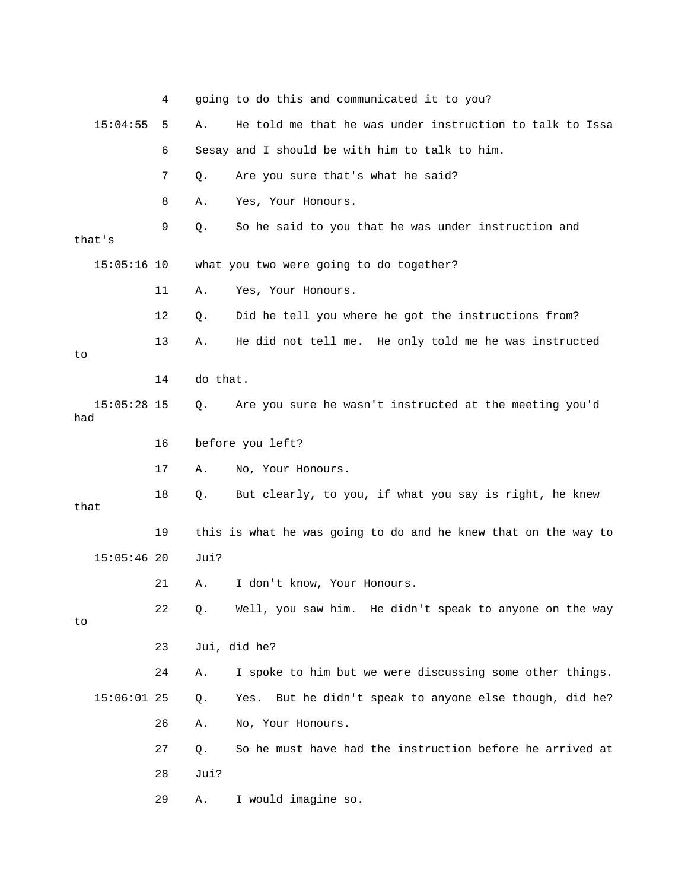|                      | 4  |          | going to do this and communicated it to you?                   |
|----------------------|----|----------|----------------------------------------------------------------|
| 15:04:55             | 5  | Α.       | He told me that he was under instruction to talk to Issa       |
|                      | 6  |          | Sesay and I should be with him to talk to him.                 |
|                      | 7  | Q.       | Are you sure that's what he said?                              |
|                      | 8  | Α.       | Yes, Your Honours.                                             |
| that's               | 9  | Q.       | So he said to you that he was under instruction and            |
| $15:05:16$ 10        |    |          | what you two were going to do together?                        |
|                      | 11 | Α.       | Yes, Your Honours.                                             |
|                      | 12 | Q.       | Did he tell you where he got the instructions from?            |
| to                   | 13 | Α.       | He did not tell me. He only told me he was instructed          |
|                      | 14 | do that. |                                                                |
| $15:05:28$ 15<br>had |    | Q.       | Are you sure he wasn't instructed at the meeting you'd         |
|                      | 16 |          | before you left?                                               |
|                      | 17 | Α.       | No, Your Honours.                                              |
| that                 | 18 | Q.       | But clearly, to you, if what you say is right, he knew         |
|                      | 19 |          | this is what he was going to do and he knew that on the way to |
| $15:05:46$ 20        |    | Jui?     |                                                                |
|                      | 21 | Α.       | I don't know, Your Honours.                                    |
| to                   | 22 | Q.       | Well, you saw him. He didn't speak to anyone on the way        |
|                      | 23 |          | Jui, did he?                                                   |
|                      | 24 | Α.       | I spoke to him but we were discussing some other things.       |
| $15:06:01$ 25        |    | Q.       | But he didn't speak to anyone else though, did he?<br>Yes.     |
|                      | 26 | Α.       | No, Your Honours.                                              |
|                      | 27 | Q.       | So he must have had the instruction before he arrived at       |
|                      | 28 | Jui?     |                                                                |
|                      | 29 | Α.       | I would imagine so.                                            |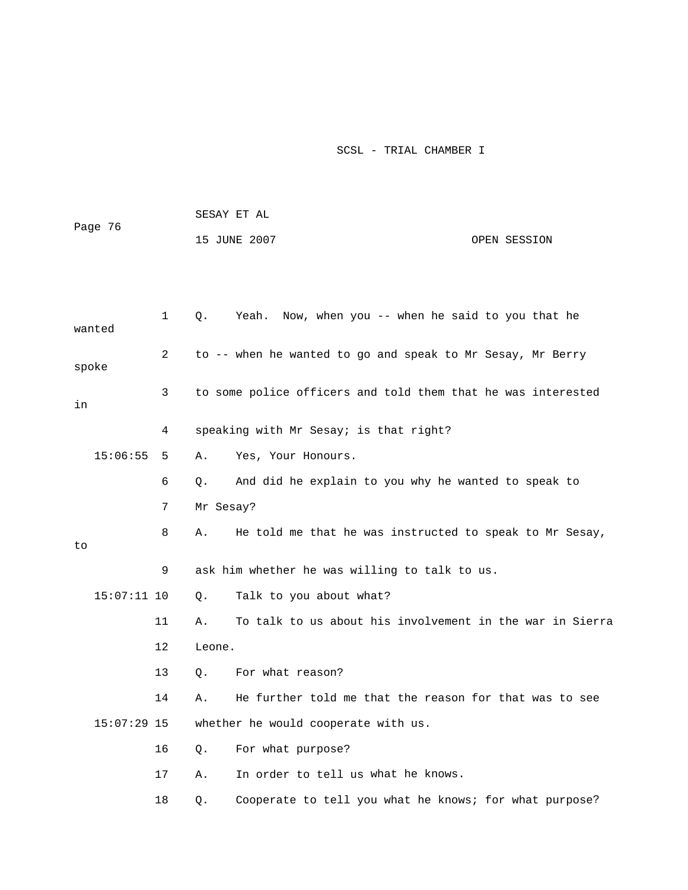|         |               |              | SESAY ET AL |                                                              |  |              |  |
|---------|---------------|--------------|-------------|--------------------------------------------------------------|--|--------------|--|
| Page 76 |               |              |             | 15 JUNE 2007                                                 |  | OPEN SESSION |  |
|         |               |              |             |                                                              |  |              |  |
|         |               |              |             |                                                              |  |              |  |
| wanted  |               | $\mathbf{1}$ | Q.          | Yeah. Now, when you -- when he said to you that he           |  |              |  |
| spoke   |               | 2            |             | to -- when he wanted to go and speak to Mr Sesay, Mr Berry   |  |              |  |
| in      |               | 3            |             | to some police officers and told them that he was interested |  |              |  |
|         |               | 4            |             | speaking with Mr Sesay; is that right?                       |  |              |  |
|         | 15:06:55      | 5            | Α.          | Yes, Your Honours.                                           |  |              |  |
|         |               | 6            | Q.          | And did he explain to you why he wanted to speak to          |  |              |  |
|         |               | 7            | Mr Sesay?   |                                                              |  |              |  |
| to      |               | 8            | Α.          | He told me that he was instructed to speak to Mr Sesay,      |  |              |  |
|         |               | 9            |             | ask him whether he was willing to talk to us.                |  |              |  |
|         | $15:07:11$ 10 |              | Q.          | Talk to you about what?                                      |  |              |  |
|         |               | 11           | Α.          | To talk to us about his involvement in the war in Sierra     |  |              |  |
|         |               | 12           | Leone.      |                                                              |  |              |  |
|         |               | 13           | Q.          | For what reason?                                             |  |              |  |
|         |               | 14           | Α.          | He further told me that the reason for that was to see       |  |              |  |
|         | $15:07:29$ 15 |              |             | whether he would cooperate with us.                          |  |              |  |
|         |               | 16           | Q.          | For what purpose?                                            |  |              |  |
|         |               | 17           | Α.          | In order to tell us what he knows.                           |  |              |  |
|         |               | 18           | Q.          | Cooperate to tell you what he knows; for what purpose?       |  |              |  |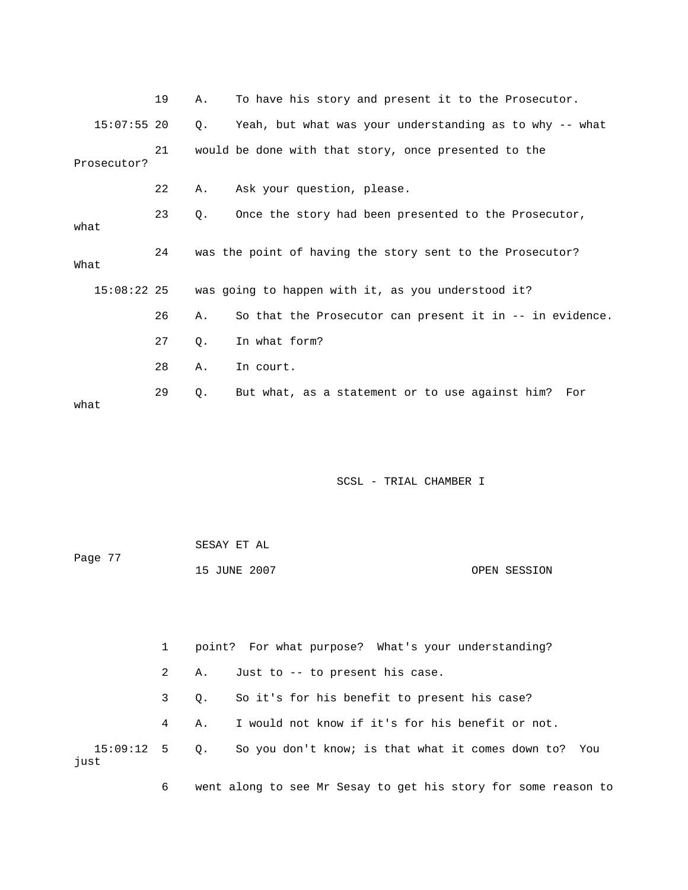|               | 19 | Α. | To have his story and present it to the Prosecutor.       |
|---------------|----|----|-----------------------------------------------------------|
| $15:07:55$ 20 |    | 0. | Yeah, but what was your understanding as to why -- what   |
| Prosecutor?   | 21 |    | would be done with that story, once presented to the      |
|               | 22 | Α. | Ask your question, please.                                |
| what          | 23 | Q. | Once the story had been presented to the Prosecutor,      |
| What          | 24 |    | was the point of having the story sent to the Prosecutor? |
| $15:08:22$ 25 |    |    | was going to happen with it, as you understood it?        |
|               | 26 | Α. | So that the Prosecutor can present it in -- in evidence.  |
|               | 27 | Q. | In what form?                                             |
|               | 28 | Α. | In court.                                                 |
| what          | 29 | Q. | But what, as a statement or to use against him? For       |

| Page 77 | SESAY ET AL  |              |
|---------|--------------|--------------|
|         | 15 JUNE 2007 | OPEN SESSION |

|                         |              |           | point? For what purpose? What's your understanding?   |
|-------------------------|--------------|-----------|-------------------------------------------------------|
|                         | $\mathbf{2}$ | Α.        | Just to -- to present his case.                       |
|                         | $3^{\circ}$  | $\circ$ . | So it's for his benefit to present his case?          |
|                         | $4\degree$   | Α.        | I would not know if it's for his benefit or not.      |
| $15:09:12$ 5 Q.<br>just |              |           | So you don't know; is that what it comes down to? You |
|                         |              |           |                                                       |

6 went along to see Mr Sesay to get his story for some reason to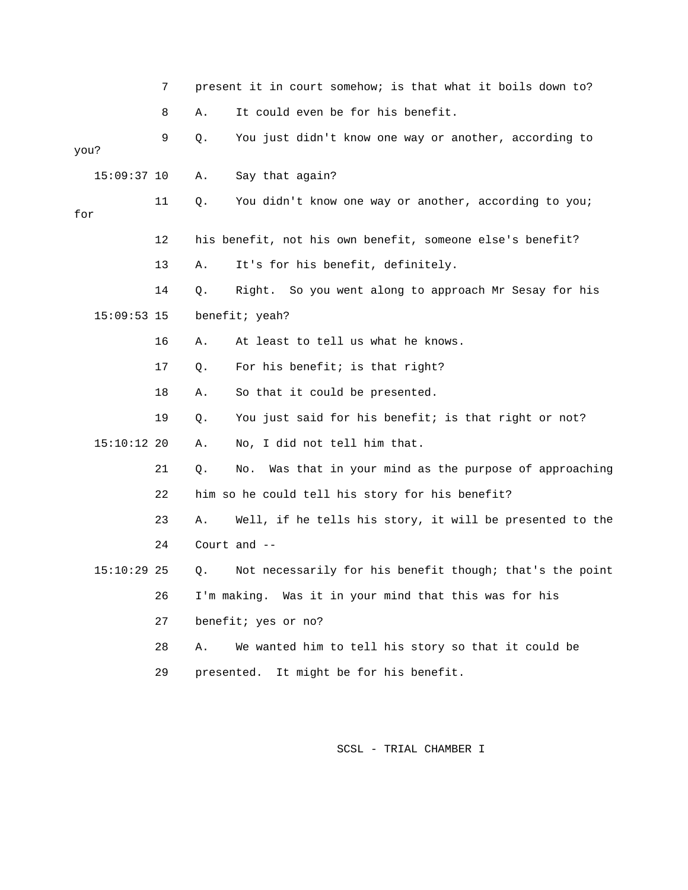|               | 7  | present it in court somehow; is that what it boils down to?      |  |  |
|---------------|----|------------------------------------------------------------------|--|--|
|               | 8  | It could even be for his benefit.<br>Α.                          |  |  |
|               | 9  | You just didn't know one way or another, according to<br>Q.      |  |  |
| you?          |    |                                                                  |  |  |
| $15:09:37$ 10 |    | Say that again?<br>Α.                                            |  |  |
| for           | 11 | You didn't know one way or another, according to you;<br>Q.      |  |  |
|               | 12 | his benefit, not his own benefit, someone else's benefit?        |  |  |
|               | 13 | It's for his benefit, definitely.<br>Α.                          |  |  |
|               | 14 | Right. So you went along to approach Mr Sesay for his<br>Q.      |  |  |
| $15:09:53$ 15 |    | benefit; yeah?                                                   |  |  |
|               | 16 | At least to tell us what he knows.<br>Α.                         |  |  |
|               | 17 | For his benefit; is that right?<br>$Q$ .                         |  |  |
|               | 18 | So that it could be presented.<br>Α.                             |  |  |
|               | 19 | You just said for his benefit; is that right or not?<br>Q.       |  |  |
| $15:10:12$ 20 |    | No, I did not tell him that.<br>Α.                               |  |  |
|               | 21 | Was that in your mind as the purpose of approaching<br>Q.<br>No. |  |  |
|               | 22 | him so he could tell his story for his benefit?                  |  |  |
|               | 23 | Well, if he tells his story, it will be presented to the<br>Α.   |  |  |
|               | 24 | Court and $-$                                                    |  |  |
| $15:10:29$ 25 |    | Not necessarily for his benefit though; that's the point<br>Q.   |  |  |
|               | 26 | I'm making. Was it in your mind that this was for his            |  |  |
|               | 27 | benefit; yes or no?                                              |  |  |
|               | 28 | We wanted him to tell his story so that it could be<br>Α.        |  |  |
|               | 29 | It might be for his benefit.<br>presented.                       |  |  |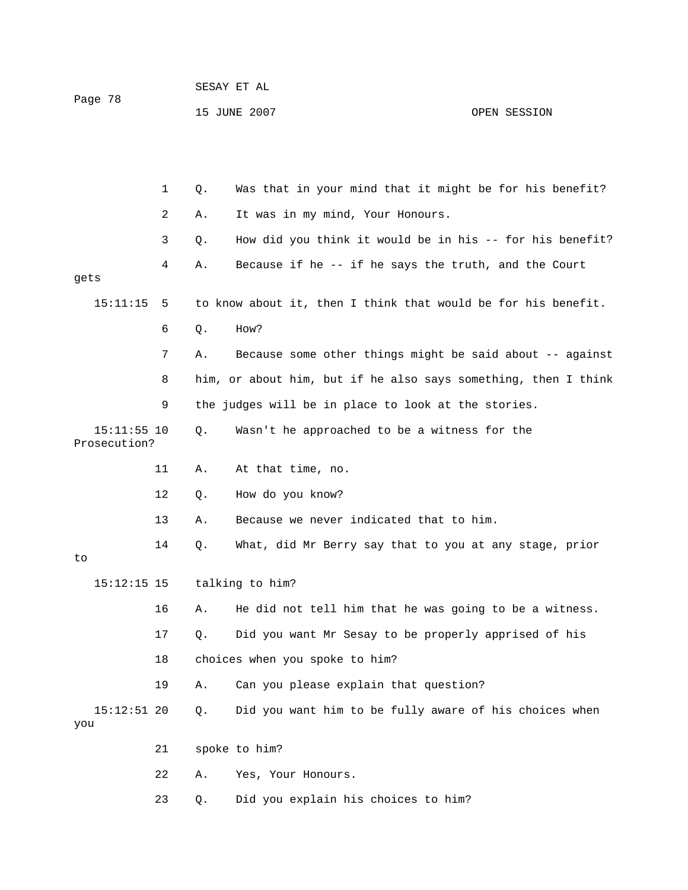|                               | 1  | Q. | Was that in your mind that it might be for his benefit?        |
|-------------------------------|----|----|----------------------------------------------------------------|
|                               | 2  | Α. | It was in my mind, Your Honours.                               |
|                               | 3  | Q. | How did you think it would be in his -- for his benefit?       |
| gets                          | 4  | Α. | Because if he -- if he says the truth, and the Court           |
| 15:11:15                      | 5  |    | to know about it, then I think that would be for his benefit.  |
|                               | 6  | Q. | How?                                                           |
|                               | 7  | Α. | Because some other things might be said about -- against       |
|                               | 8  |    | him, or about him, but if he also says something, then I think |
|                               | 9  |    | the judges will be in place to look at the stories.            |
| $15:11:55$ 10<br>Prosecution? |    | Q. | Wasn't he approached to be a witness for the                   |
|                               | 11 | Α. | At that time, no.                                              |
|                               | 12 | Q. | How do you know?                                               |
|                               | 13 | Α. | Because we never indicated that to him.                        |
| to                            | 14 | Q. | What, did Mr Berry say that to you at any stage, prior         |
| $15:12:15$ 15                 |    |    | talking to him?                                                |
|                               | 16 | Α. | He did not tell him that he was going to be a witness.         |
|                               | 17 | Q. | Did you want Mr Sesay to be properly apprised of his           |
|                               | 18 |    | choices when you spoke to him?                                 |
|                               | 19 | Α. | Can you please explain that question?                          |
| $15:12:51$ 20<br>you          |    | Q. | Did you want him to be fully aware of his choices when         |
|                               | 21 |    | spoke to him?                                                  |
|                               | 22 | Α. | Yes, Your Honours.                                             |
|                               | 23 | Q. | Did you explain his choices to him?                            |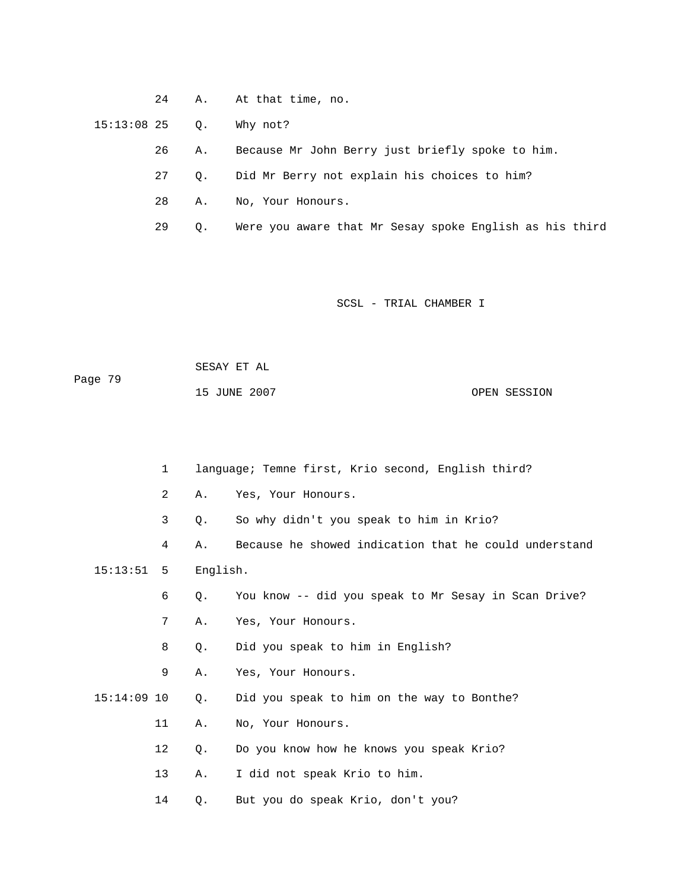24 A. At that time, no.

15:13:08 25 Q. Why not?

26 A. Because Mr John Berry just briefly spoke to him.

27 Q. Did Mr Berry not explain his choices to him?

- 28 A. No, Your Honours.
- 29 Q. Were you aware that Mr Sesay spoke English as his third

| Page 79 | SESAY ET AL  |              |
|---------|--------------|--------------|
|         | 15 JUNE 2007 | OPEN SESSION |

|                       | 1  |    | language; Temne first, Krio second, English third?    |
|-----------------------|----|----|-------------------------------------------------------|
|                       | 2  | Α. | Yes, Your Honours.                                    |
|                       | 3  | Q. | So why didn't you speak to him in Krio?               |
|                       | 4  | Α. | Because he showed indication that he could understand |
| $15:13:51$ 5 English. |    |    |                                                       |
|                       | 6  | Q. | You know -- did you speak to Mr Sesay in Scan Drive?  |
|                       | 7  | Α. | Yes, Your Honours.                                    |
|                       | 8  | Q. | Did you speak to him in English?                      |
|                       | 9  | Α. | Yes, Your Honours.                                    |
| $15:14:09$ 10         |    | Q. | Did you speak to him on the way to Bonthe?            |
|                       | 11 | Α. | No, Your Honours.                                     |
|                       | 12 | Q. | Do you know how he knows you speak Krio?              |
|                       |    |    |                                                       |

- 13 A. I did not speak Krio to him.
- 14 Q. But you do speak Krio, don't you?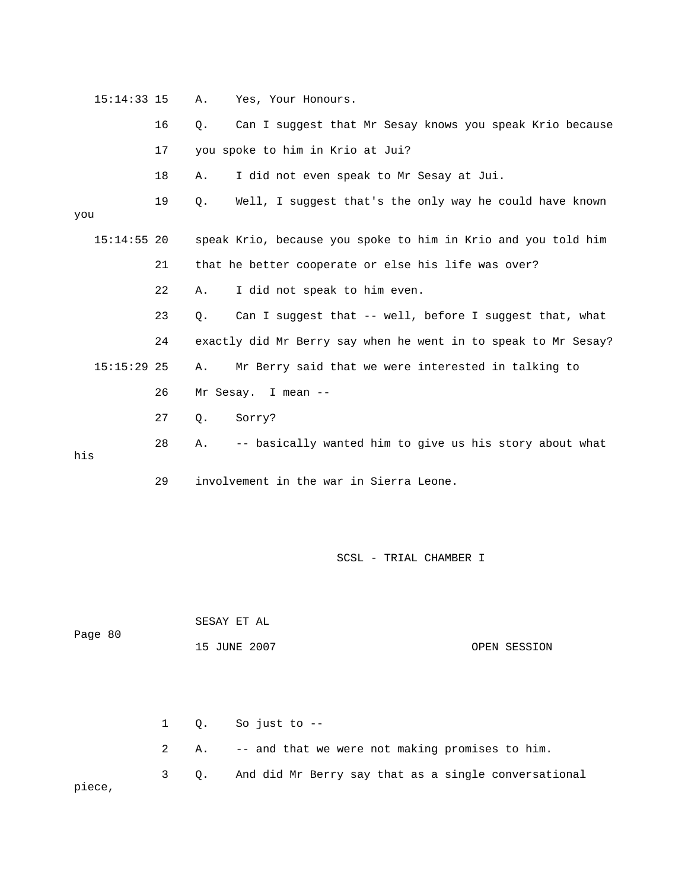|     | $15:14:33$ 15 |    | Α. | Yes, Your Honours.                                             |
|-----|---------------|----|----|----------------------------------------------------------------|
|     |               | 16 | Q. | Can I suggest that Mr Sesay knows you speak Krio because       |
|     |               | 17 |    | you spoke to him in Krio at Jui?                               |
|     |               | 18 | Α. | I did not even speak to Mr Sesay at Jui.                       |
| you |               | 19 | Q. | Well, I suggest that's the only way he could have known        |
|     | $15:14:55$ 20 |    |    | speak Krio, because you spoke to him in Krio and you told him  |
|     |               | 21 |    | that he better cooperate or else his life was over?            |
|     |               | 22 | Α. | I did not speak to him even.                                   |
|     |               | 23 | Q. | Can I suggest that -- well, before I suggest that, what        |
|     |               | 24 |    | exactly did Mr Berry say when he went in to speak to Mr Sesay? |
|     | $15:15:29$ 25 |    | Α. | Mr Berry said that we were interested in talking to            |
|     |               | 26 |    | Mr Sesay. I mean --                                            |
|     |               | 27 | Q. | Sorry?                                                         |
| his |               | 28 | Α. | -- basically wanted him to give us his story about what        |
|     |               | 29 |    | involvement in the war in Sierra Leone.                        |

| Page 80 | SESAY ET AL  |  |              |  |  |
|---------|--------------|--|--------------|--|--|
|         | 15 JUNE 2007 |  | OPEN SESSION |  |  |

|        |  | $1 \tQ.$ So just to $-$                                   |
|--------|--|-----------------------------------------------------------|
|        |  | 2 A. -- and that we were not making promises to him.      |
| piece, |  | 3 0. And did Mr Berry say that as a single conversational |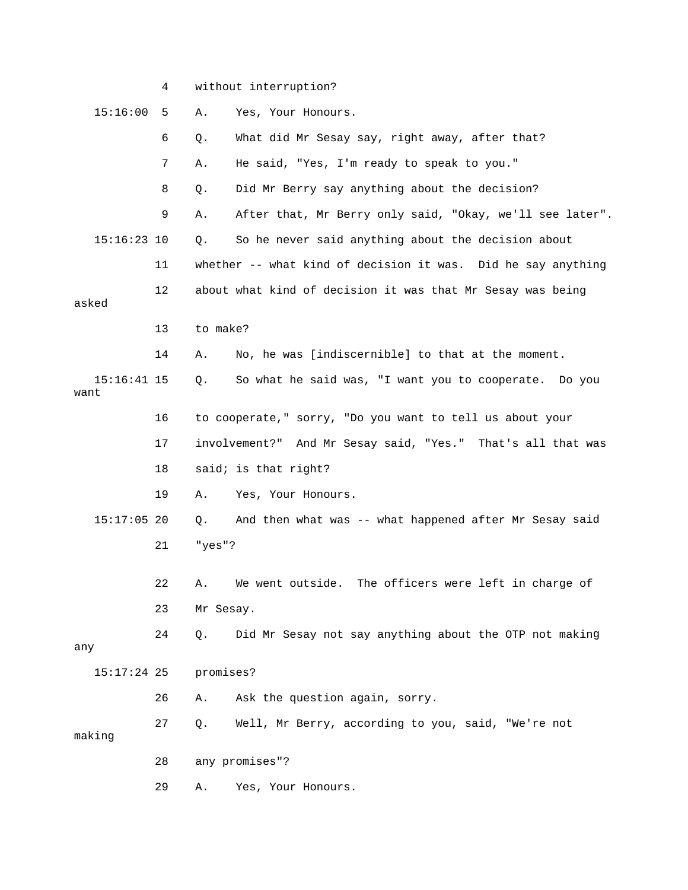|                       | 4  |           | without interruption?                                        |
|-----------------------|----|-----------|--------------------------------------------------------------|
| 15:16:00              | 5  | Α.        | Yes, Your Honours.                                           |
|                       | 6  | Q.        | What did Mr Sesay say, right away, after that?               |
|                       | 7  | Α.        | He said, "Yes, I'm ready to speak to you."                   |
|                       | 8  | Q.        | Did Mr Berry say anything about the decision?                |
|                       | 9  | Α.        | After that, Mr Berry only said, "Okay, we'll see later".     |
| $15:16:23$ 10         |    | Q.        | So he never said anything about the decision about           |
|                       | 11 |           | whether -- what kind of decision it was. Did he say anything |
| asked                 | 12 |           | about what kind of decision it was that Mr Sesay was being   |
|                       | 13 | to make?  |                                                              |
|                       | 14 | Α.        | No, he was [indiscernible] to that at the moment.            |
| $15:16:41$ 15<br>want |    | Q.        | So what he said was, "I want you to cooperate. Do you        |
|                       | 16 |           | to cooperate," sorry, "Do you want to tell us about your     |
|                       | 17 |           | involvement?" And Mr Sesay said, "Yes." That's all that was  |
|                       | 18 |           | said; is that right?                                         |
|                       | 19 | Α.        | Yes, Your Honours.                                           |
| $15:17:05$ 20         |    | О.        | And then what was -- what happened after Mr Sesay said       |
|                       | 21 | "yes"?    |                                                              |
|                       | 22 | Α.        | We went outside. The officers were left in charge of         |
|                       | 23 | Mr Sesay. |                                                              |
| any                   | 24 | О.        | Did Mr Sesay not say anything about the OTP not making       |
| $15:17:24$ 25         |    | promises? |                                                              |
|                       | 26 | Α.        | Ask the question again, sorry.                               |
| making                | 27 | Q.        | Well, Mr Berry, according to you, said, "We're not           |
|                       | 28 |           | any promises"?                                               |
|                       | 29 | Α.        | Yes, Your Honours.                                           |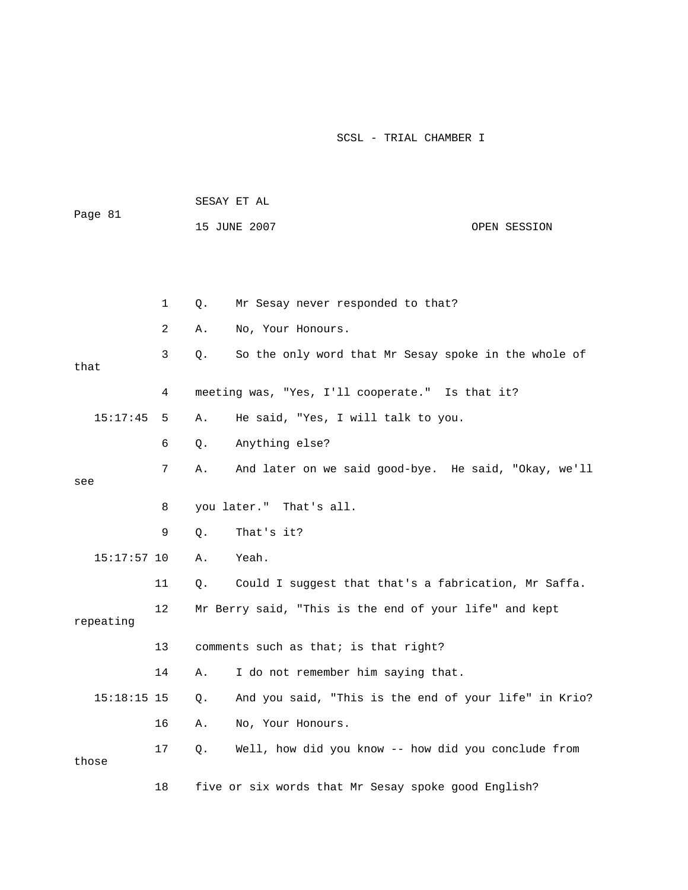| Page 81       |    |    | SESAY ET AL                                            |  |              |
|---------------|----|----|--------------------------------------------------------|--|--------------|
|               |    |    | 15 JUNE 2007                                           |  | OPEN SESSION |
|               |    |    |                                                        |  |              |
|               |    |    |                                                        |  |              |
|               | 1  | Q. | Mr Sesay never responded to that?                      |  |              |
|               | 2  | Α. | No, Your Honours.                                      |  |              |
|               |    |    |                                                        |  |              |
| that          | 3  | Q. | So the only word that Mr Sesay spoke in the whole of   |  |              |
|               | 4  |    | meeting was, "Yes, I'll cooperate." Is that it?        |  |              |
| 15:17:45      | 5  | Α. | He said, "Yes, I will talk to you.                     |  |              |
|               | 6  | Q. | Anything else?                                         |  |              |
| see           | 7  | Α. | And later on we said good-bye. He said, "Okay, we'll   |  |              |
|               | 8  |    | you later." That's all.                                |  |              |
|               | 9  | Q. | That's it?                                             |  |              |
| $15:17:57$ 10 |    | Α. | Yeah.                                                  |  |              |
|               | 11 | Q. | Could I suggest that that's a fabrication, Mr Saffa.   |  |              |
| repeating     | 12 |    | Mr Berry said, "This is the end of your life" and kept |  |              |
|               | 13 |    | comments such as that; is that right?                  |  |              |
|               | 14 | Α. | I do not remember him saying that.                     |  |              |
| $15:18:15$ 15 |    | Q. | And you said, "This is the end of your life" in Krio?  |  |              |
|               | 16 | Α. | No, Your Honours.                                      |  |              |
| those         | 17 | Q. | Well, how did you know -- how did you conclude from    |  |              |
|               | 18 |    | five or six words that Mr Sesay spoke good English?    |  |              |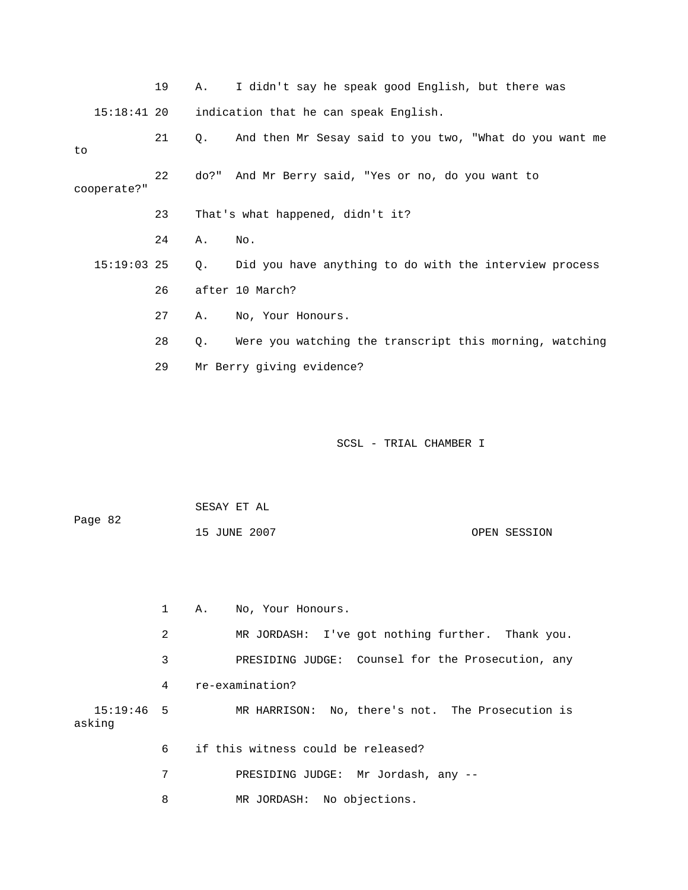|    |               | 19 | Α.          | I didn't say he speak good English, but there was       |
|----|---------------|----|-------------|---------------------------------------------------------|
|    | $15:18:41$ 20 |    |             | indication that he can speak English.                   |
| to |               | 21 | Q.          | And then Mr Sesay said to you two, "What do you want me |
|    | cooperate?"   | 22 | do?"        | And Mr Berry said, "Yes or no, do you want to           |
|    |               | 23 |             | That's what happened, didn't it?                        |
|    |               | 24 | Α.          | No.                                                     |
|    | $15:19:03$ 25 |    | $Q_{\star}$ | Did you have anything to do with the interview process  |
|    |               | 26 |             | after 10 March?                                         |
|    |               | 27 | Α.          | No, Your Honours.                                       |
|    |               | 28 | Q.          | Were you watching the transcript this morning, watching |
|    |               | 29 |             | Mr Berry giving evidence?                               |

| Page 82 | SESAY ET AL  |              |
|---------|--------------|--------------|
|         | 15 JUNE 2007 | OPEN SESSION |

|                      |   | No, Your Honours.<br>Α.                           |
|----------------------|---|---------------------------------------------------|
|                      | 2 | MR JORDASH: I've got nothing further. Thank you.  |
|                      | 3 | PRESIDING JUDGE: Counsel for the Prosecution, any |
|                      | 4 | re-examination?                                   |
| 15:19:46 5<br>asking |   | MR HARRISON: No, there's not. The Prosecution is  |
|                      | 6 | if this witness could be released?                |
|                      | 7 | PRESIDING JUDGE: Mr Jordash, any --               |
|                      | 8 | MR JORDASH: No objections.                        |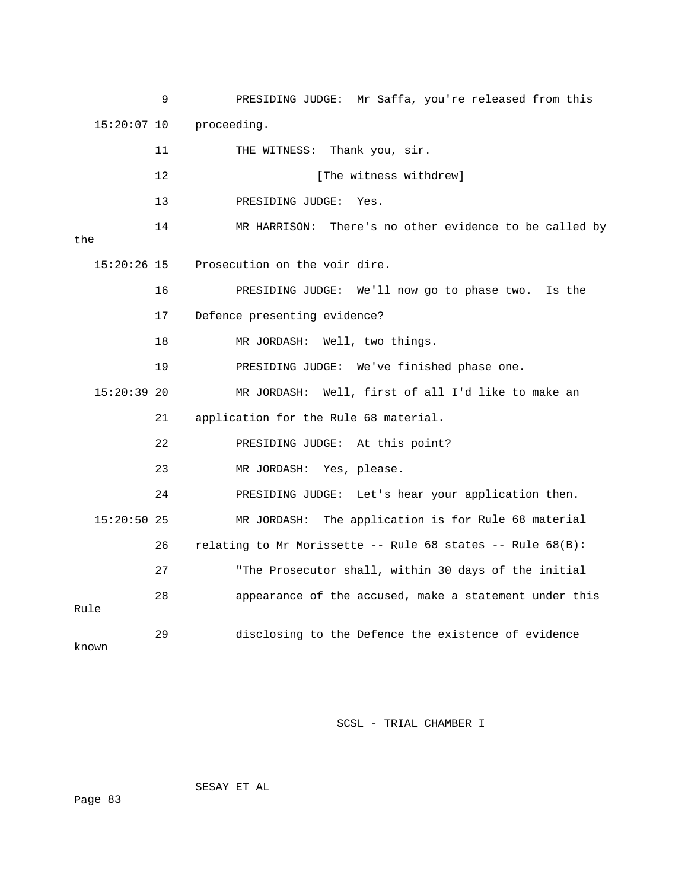9 PRESIDING JUDGE: Mr Saffa, you're released from this 15:20:07 10 proceeding. 11 THE WITNESS: Thank you, sir.

|               | 12 | [The witness withdrew]                                     |
|---------------|----|------------------------------------------------------------|
|               | 13 | PRESIDING JUDGE:<br>Yes.                                   |
| the           | 14 | MR HARRISON: There's no other evidence to be called by     |
| $15:20:26$ 15 |    | Prosecution on the voir dire.                              |
|               | 16 | PRESIDING JUDGE: We'll now go to phase two.<br>Is the      |
|               | 17 | Defence presenting evidence?                               |
|               | 18 | MR JORDASH: Well, two things.                              |
|               | 19 | PRESIDING JUDGE: We've finished phase one.                 |
| 15:20:39 20   |    | MR JORDASH: Well, first of all I'd like to make an         |
|               | 21 | application for the Rule 68 material.                      |
|               | 22 | PRESIDING JUDGE: At this point?                            |
|               | 23 | MR JORDASH: Yes, please.                                   |
|               | 24 | PRESIDING JUDGE: Let's hear your application then.         |
| $15:20:50$ 25 |    | MR JORDASH: The application is for Rule 68 material        |
|               | 26 | relating to Mr Morissette -- Rule 68 states -- Rule 68(B): |
|               | 27 | "The Prosecutor shall, within 30 days of the initial       |
| Rule          | 28 | appearance of the accused, make a statement under this     |
| known         | 29 | disclosing to the Defence the existence of evidence        |

SCSL - TRIAL CHAMBER I

Page 83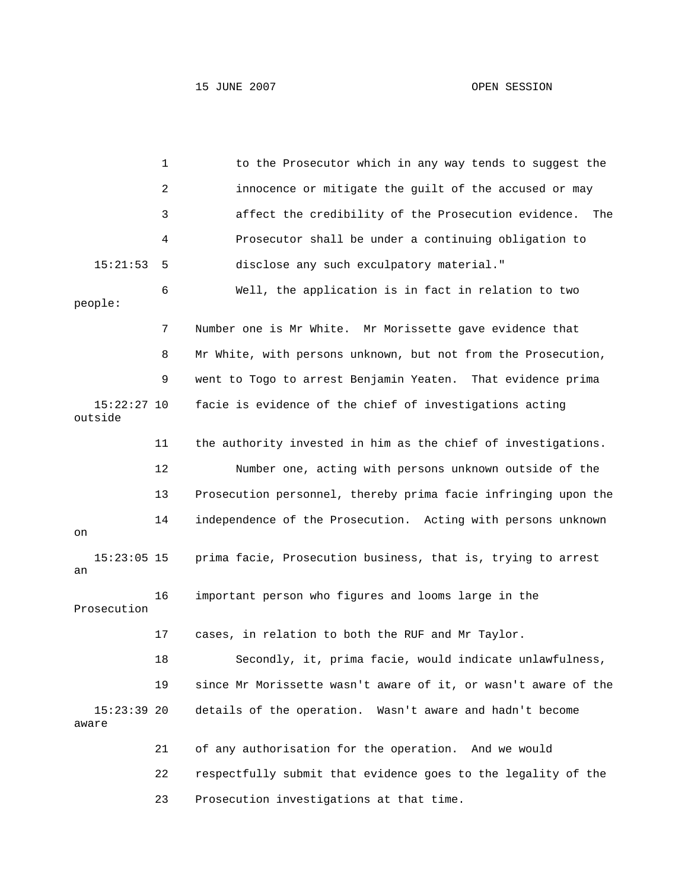|                          | 1  | to the Prosecutor which in any way tends to suggest the        |
|--------------------------|----|----------------------------------------------------------------|
|                          | 2  | innocence or mitigate the guilt of the accused or may          |
|                          | 3  | affect the credibility of the Prosecution evidence.<br>The     |
|                          | 4  | Prosecutor shall be under a continuing obligation to           |
| 15:21:53                 | 5  | disclose any such exculpatory material."                       |
| people:                  | 6  | Well, the application is in fact in relation to two            |
|                          | 7  | Number one is Mr White.<br>Mr Morissette gave evidence that    |
|                          | 8  | Mr White, with persons unknown, but not from the Prosecution,  |
|                          | 9  | went to Togo to arrest Benjamin Yeaten. That evidence prima    |
| $15:22:27$ 10<br>outside |    | facie is evidence of the chief of investigations acting        |
|                          | 11 | the authority invested in him as the chief of investigations.  |
|                          | 12 | Number one, acting with persons unknown outside of the         |
|                          | 13 | Prosecution personnel, thereby prima facie infringing upon the |
| on                       | 14 | independence of the Prosecution. Acting with persons unknown   |
| $15:23:05$ 15<br>an      |    | prima facie, Prosecution business, that is, trying to arrest   |
| Prosecution              | 16 | important person who figures and looms large in the            |
|                          | 17 | cases, in relation to both the RUF and Mr Taylor.              |
|                          | 18 | Secondly, it, prima facie, would indicate unlawfulness,        |
|                          | 19 | since Mr Morissette wasn't aware of it, or wasn't aware of the |
| $15:23:39$ 20<br>aware   |    | details of the operation. Wasn't aware and hadn't become       |
|                          | 21 | of any authorisation for the operation. And we would           |
|                          | 22 | respectfully submit that evidence goes to the legality of the  |
|                          | 23 | Prosecution investigations at that time.                       |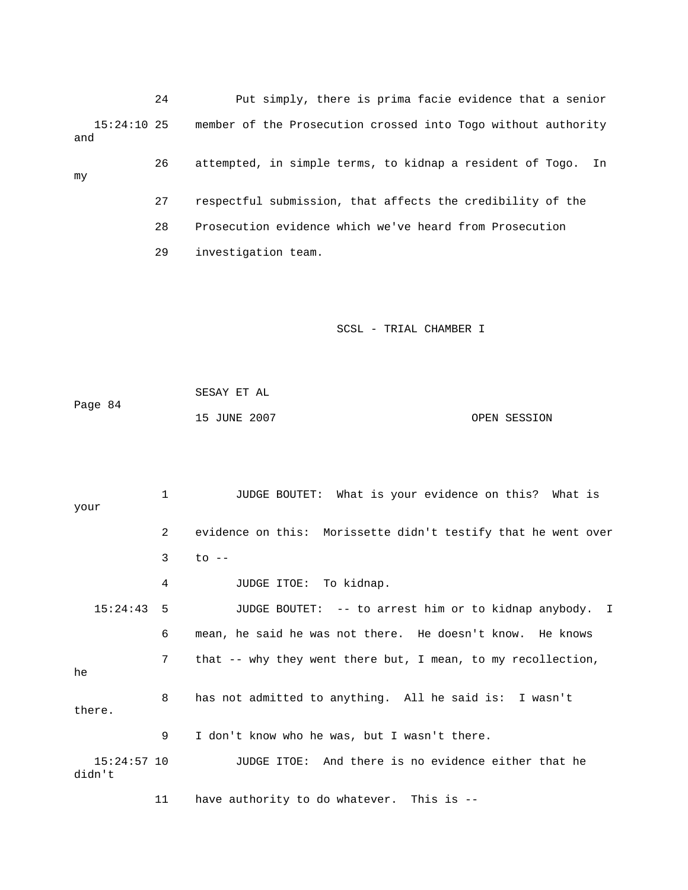24 Put simply, there is prima facie evidence that a senior 15:24:10 25 member of the Prosecution crossed into Togo without authority and 26 attempted, in simple terms, to kidnap a resident of Togo. In 27 respectful submission, that affects the credibility of the 8 Prosecution evidence which we've heard from Prosecution my 2 29 investigation team.

### SCSL - TRIAL CHAMBER I

|         | SESAY ET AL  |              |
|---------|--------------|--------------|
| Page 84 |              |              |
|         | 15 JUNE 2007 | OPEN SESSION |

 1 JUDGE BOUTET: What is your evidence on this? What is 2 evidence on this: Morissette didn't testify that he went over 4 JUDGE ITOE: To kidnap. 15:24:43 5 JUDGE BOUTET: -- to arrest him or to kidnap anybody. I 6 mean, he said he was not there. He doesn't know. He knows 7 that -- why they went there but, I mean, to my recollection, 8 has not admitted to anything. All he said is: I wasn't there. 15:24:57 10 JUDGE ITOE: And there is no evidence either that he didn't 11 have authority to do whatever. This is - your  $3$  to  $$ he 9 I don't know who he was, but I wasn't there.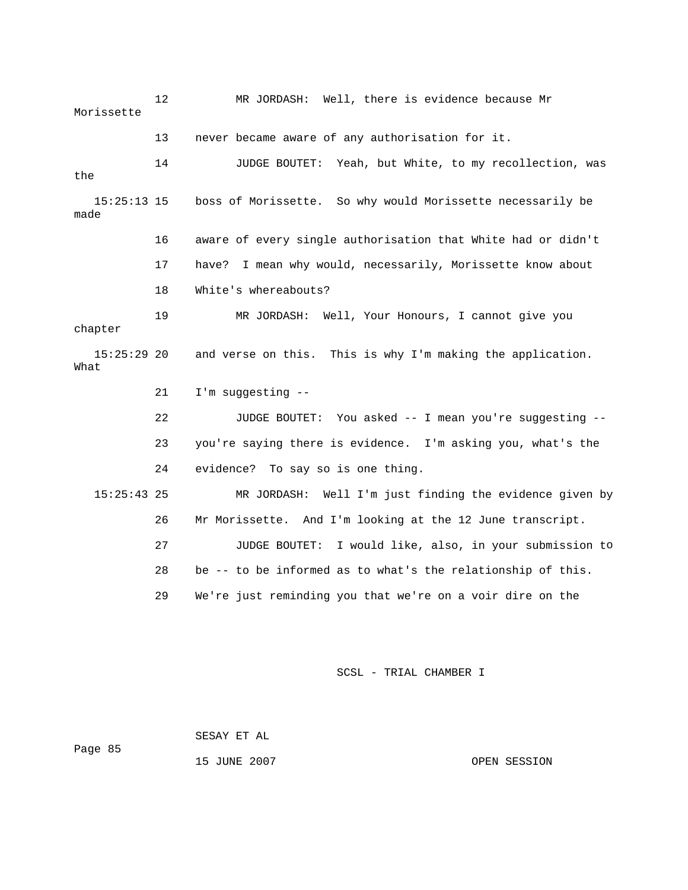12 MR JORDASH: Well, there is evidence because Mr Morissette 13 never became aware of any authorisation for it. 14 JUDGE BOUTET: Yeah, but White, to my recollection, was 15:25:13 15 boss of Morissette. So why would Morissette necessarily be 16 aware of every single authorisation that White had or didn't 17 have? I mean why would, necessarily, Morissette know about 18 White's whereabouts? 15:25:29 20 and verse on this. This is why I'm making the application. 21 I'm suggesting -- 22 JUDGE BOUTET: You asked -- I mean you're suggesting --23 you're saying there is evidence. I'm asking you, what's the 24 evidence? To say so is one thing. 15:25:43 25 MR JORDASH: Well I'm just finding the evidence given by 27 JUDGE BOUTET: I would like, also, in your submission to 28 be -- to be informed as to what's the relationship of this. the made 19 MR JORDASH: Well, Your Honours, I cannot give you chapter What 26 Mr Morissette. And I'm looking at the 12 June transcript. 29 We're just reminding you that we're on a voir dire on the

SCSL - TRIAL CHAMBER I

 SESAY ET AL Page 85

15 JUNE 2007 OPEN SESSION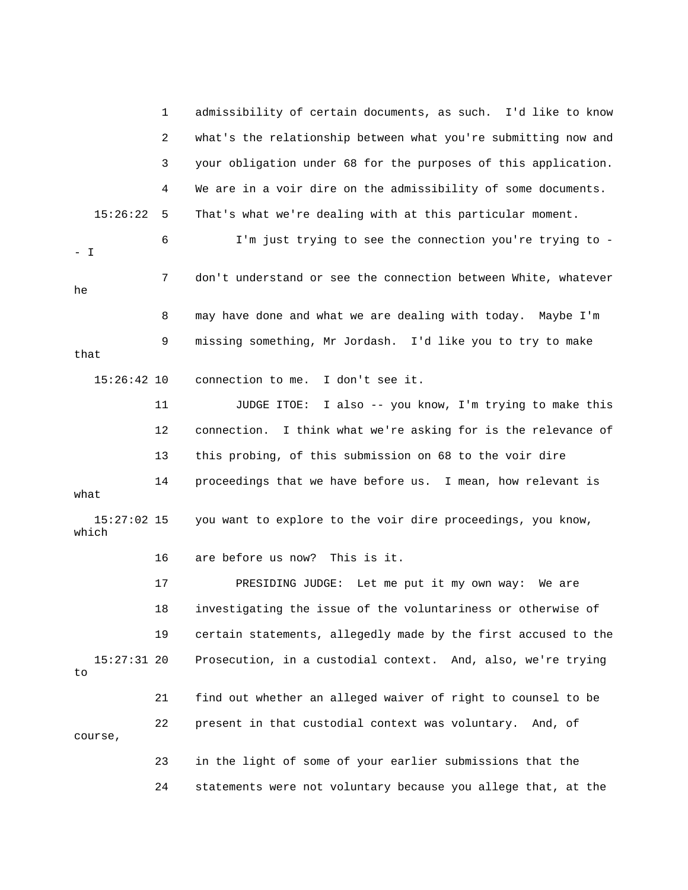1 admissibility of certain documents, as such. I'd like to know 2 what's the relationship between what you're submitting now and 6 I'm just trying to see the connection you're trying to -  $-$  I 7 don't understand or see the connection between White, whatever 8 may have done and what we are dealing with today. Maybe I'm 9 missing something, Mr Jordash. I'd like you to try to make 11 JUDGE ITOE: I also -- you know, I'm trying to make this 12 connection. I think what we're asking for is the relevance of what 18 investigating the issue of the voluntariness or otherwise of 21 find out whether an alleged waiver of right to counsel to be 22 present in that custodial context was voluntary. And, of course, 3 your obligation under 68 for the purposes of this application. 4 We are in a voir dire on the admissibility of some documents. 15:26:22 5 That's what we're dealing with at this particular moment. he that 15:26:42 10 connection to me. I don't see it. 13 this probing, of this submission on 68 to the voir dire 14 proceedings that we have before us. I mean, how relevant is 15:27:02 15 you want to explore to the voir dire proceedings, you know, which 16 are before us now? This is it. 17 PRESIDING JUDGE: Let me put it my own way: We are 19 certain statements, allegedly made by the first accused to the 15:27:31 20 Prosecution, in a custodial context. And, also, we're trying to 23 in the light of some of your earlier submissions that the 24 statements were not voluntary because you allege that, at the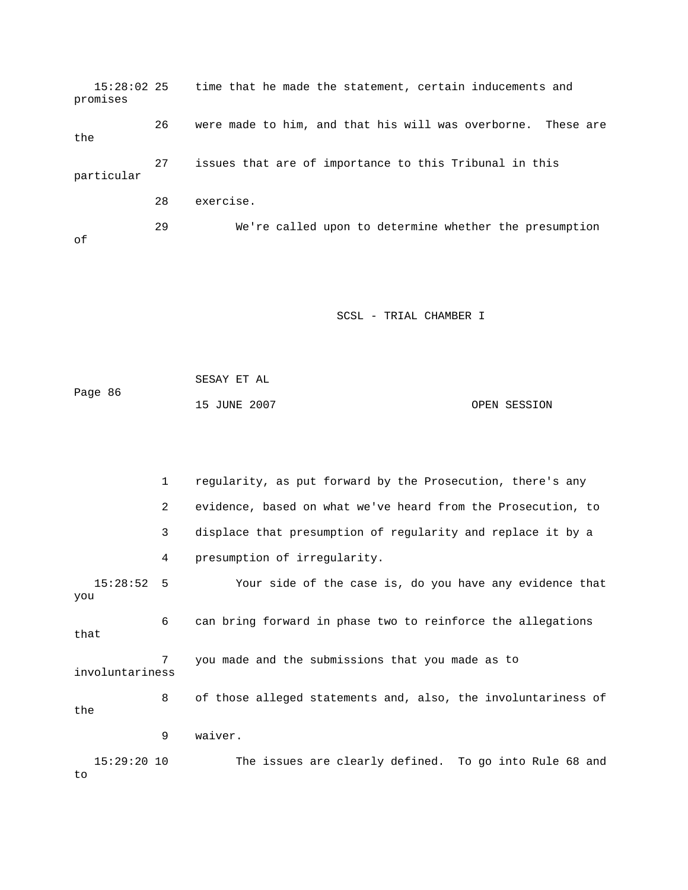| $15:28:02$ 25<br>promises |    | time that he made the statement, certain inducements and     |
|---------------------------|----|--------------------------------------------------------------|
| the                       | 26 | were made to him, and that his will was overborne. These are |
| particular                | 27 | issues that are of importance to this Tribunal in this       |
|                           | 28 | exercise.                                                    |
| оf                        | 29 | We're called upon to determine whether the presumption       |

|         | SESAY ET AL  |              |
|---------|--------------|--------------|
| Page 86 |              |              |
|         | 15 JUNE 2007 | OPEN SESSION |

|                     | $\mathbf{1}$   | regularity, as put forward by the Prosecution, there's any    |
|---------------------|----------------|---------------------------------------------------------------|
|                     | $\overline{2}$ | evidence, based on what we've heard from the Prosecution, to  |
|                     | 3              | displace that presumption of regularity and replace it by a   |
|                     | 4              | presumption of irregularity.                                  |
| 15:28:52<br>you     | 5              | Your side of the case is, do you have any evidence that       |
| that                | 6              | can bring forward in phase two to reinforce the allegations   |
| involuntariness     | 7              | you made and the submissions that you made as to              |
| the                 | 8              | of those alleged statements and, also, the involuntariness of |
|                     | 9              | waiver.                                                       |
| $15:29:20$ 10<br>to |                | The issues are clearly defined. To go into Rule 68 and        |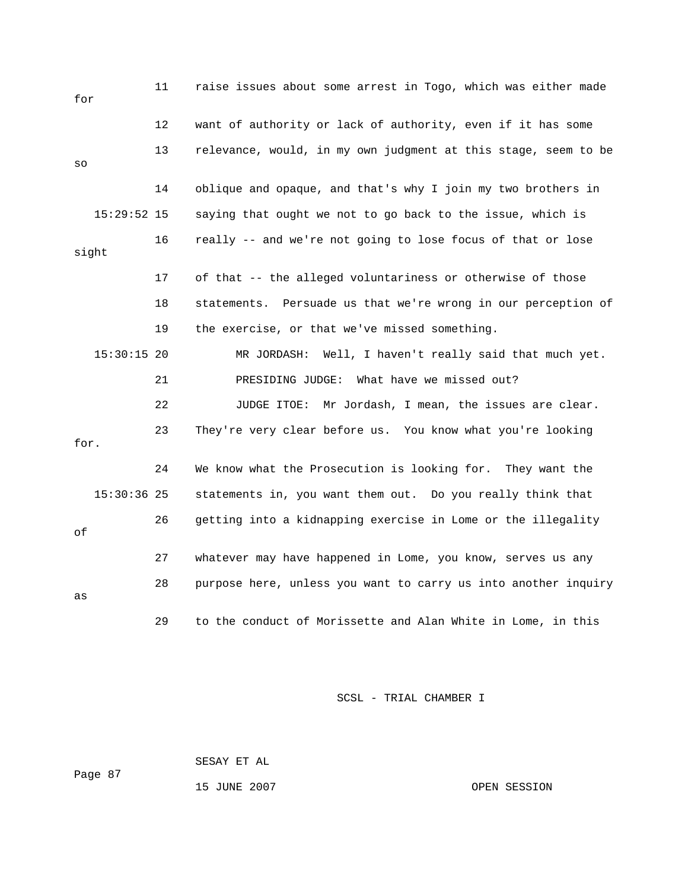| for           | 11 | raise issues about some arrest in Togo, which was either made  |
|---------------|----|----------------------------------------------------------------|
|               | 12 | want of authority or lack of authority, even if it has some    |
| SO            | 13 | relevance, would, in my own judgment at this stage, seem to be |
|               | 14 | oblique and opaque, and that's why I join my two brothers in   |
| $15:29:52$ 15 |    | saying that ought we not to go back to the issue, which is     |
| sight         | 16 | really -- and we're not going to lose focus of that or lose    |
|               | 17 | of that -- the alleged voluntariness or otherwise of those     |
|               | 18 | statements. Persuade us that we're wrong in our perception of  |
|               | 19 | the exercise, or that we've missed something.                  |
| $15:30:15$ 20 |    | MR JORDASH: Well, I haven't really said that much yet.         |
|               | 21 | PRESIDING JUDGE: What have we missed out?                      |
|               | 22 | JUDGE ITOE: Mr Jordash, I mean, the issues are clear.          |
| for.          | 23 | They're very clear before us. You know what you're looking     |
|               | 24 | We know what the Prosecution is looking for. They want the     |
| $15:30:36$ 25 |    | statements in, you want them out. Do you really think that     |
| οf            | 26 | getting into a kidnapping exercise in Lome or the illegality   |
|               | 27 | whatever may have happened in Lome, you know, serves us any    |
| as            | 28 | purpose here, unless you want to carry us into another inquiry |
|               | 29 | to the conduct of Morissette and Alan White in Lome, in this   |

Page 87 SESAY ET AL

15 JUNE 2007 CPEN SESSION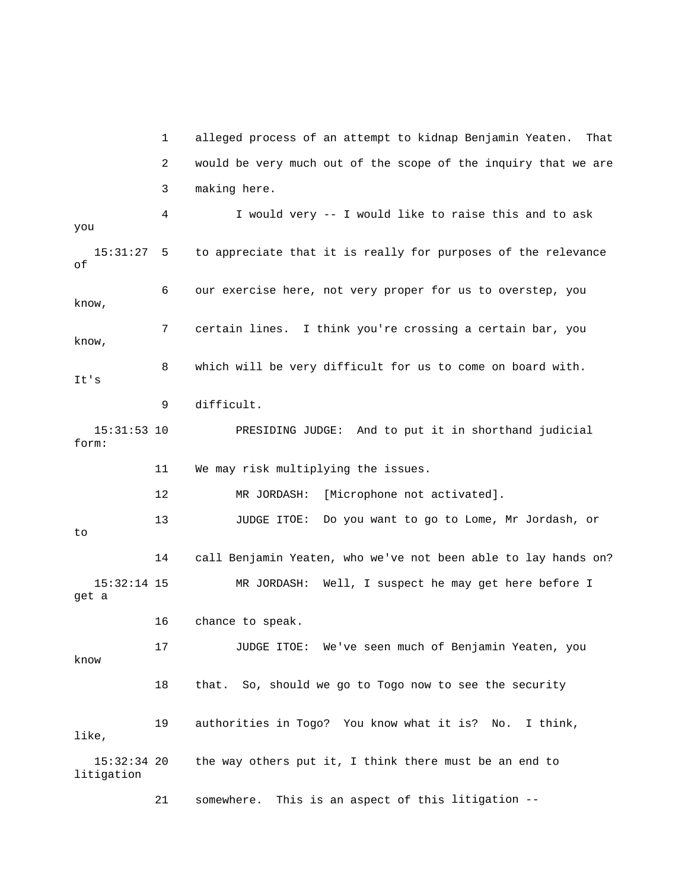1 alleged process of an attempt to kidnap Benjamin Yeaten. That 2 would be very much out of the scope of the inquiry that we are 15:31:27 5 to appreciate that it is really for purposes of the relevance 6 our exercise here, not very proper for us to overstep, you 7 certain lines. I think you're crossing a certain bar, you know, 9 difficult. 15:31:53 10 PRESIDING JUDGE: And to put it in shorthand judicial form: 13 JUDGE ITOE: Do you want to go to Lome, Mr Jordash, or 14 call Benjamin Yeaten, who we've not been able to lay hands on? 17 JUDGE ITOE: We've seen much of Benjamin Yeaten, you 18 that. So, should we go to Togo now to see the security 19 authorities in Togo? You know what it is? No. I think, litigation 3 making here. 4 I would very -- I would like to raise this and to ask you of know, 8 which will be very difficult for us to come on board with. It's 11 We may risk multiplying the issues. 12 MR JORDASH: [Microphone not activated]. to 15:32:14 15 MR JORDASH: Well, I suspect he may get here before I get a 16 chance to speak. know like, 15:32:34 20 the way others put it, I think there must be an end to

21 somewhere. This is an aspect of this litigation --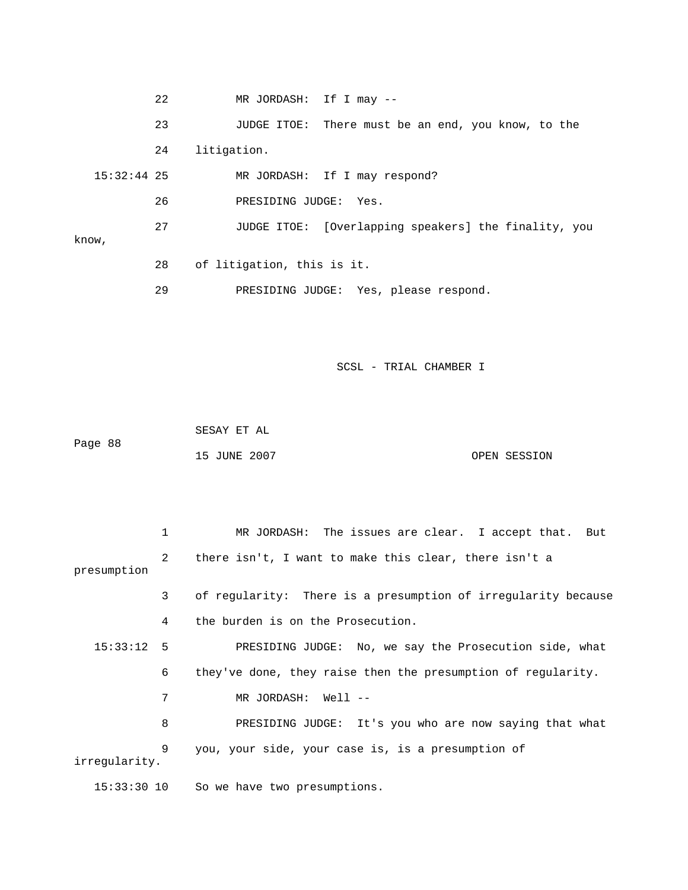22 MR JORDASH: If I may -- 23 JUDGE ITOE: There must be an end, you know, to the 24 litigation. 26 PRESIDING JUDGE: Yes. 27 JUDGE ITOE: [Overlapping speakers] the finality, you know, 28 of litigation, this is it. 15:32:44 25 MR JORDASH: If I may respond? 29 PRESIDING JUDGE: Yes, please respond.

SCSL - TRIAL CHAMBER I

 SESAY ET AL Page 88 15 JUNE 2007 CPEN SESSION

1 MR JORDASH: The issues are clear. I accept that. But presumption 3 of regularity: There is a presumption of irregularity because 15:33:12 5 PRESIDING JUDGE: No, we say the Prosecution side, what 6 they've done, they raise then the presumption of regularity. 8 PRESIDING JUDGE: It's you who are now saying that what 9 you, your side, your case is, is a presumption of 2 there isn't, I want to make this clear, there isn't a 4 the burden is on the Prosecution. 7 MR JORDASH: Well -irregularity.

15:33:30 10 So we have two presumptions.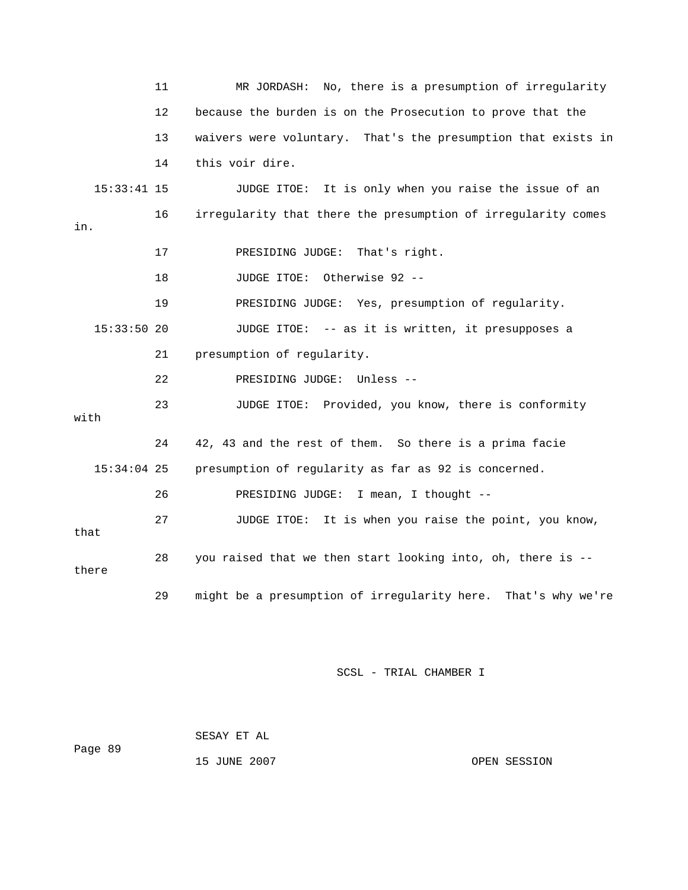|               | 11 | MR JORDASH: No, there is a presumption of irregularity        |
|---------------|----|---------------------------------------------------------------|
|               | 12 | because the burden is on the Prosecution to prove that the    |
|               | 13 | waivers were voluntary. That's the presumption that exists in |
|               | 14 | this voir dire.                                               |
| $15:33:41$ 15 |    | JUDGE ITOE: It is only when you raise the issue of an         |
| in.           | 16 | irregularity that there the presumption of irregularity comes |
|               | 17 | PRESIDING JUDGE: That's right.                                |
|               | 18 | JUDGE ITOE: Otherwise 92 --                                   |
|               | 19 | PRESIDING JUDGE: Yes, presumption of regularity.              |
| $15:33:50$ 20 |    | JUDGE ITOE: -- as it is written, it presupposes a             |
|               | 21 | presumption of regularity.                                    |
|               | 22 | PRESIDING JUDGE: Unless --                                    |
| with          | 23 | JUDGE ITOE: Provided, you know, there is conformity           |
|               | 24 | 42, 43 and the rest of them. So there is a prima facie        |
| $15:34:04$ 25 |    | presumption of regularity as far as 92 is concerned.          |
|               | 26 | PRESIDING JUDGE: I mean, I thought --                         |
| that          | 27 | JUDGE ITOE: It is when you raise the point, you know,         |
| there         | 28 | you raised that we then start looking into, oh, there is --   |
|               | 29 | might be a presumption of irregularity here. That's why we're |

 SESAY ET AL Page 89 15 JUNE 2007 CPEN SESSION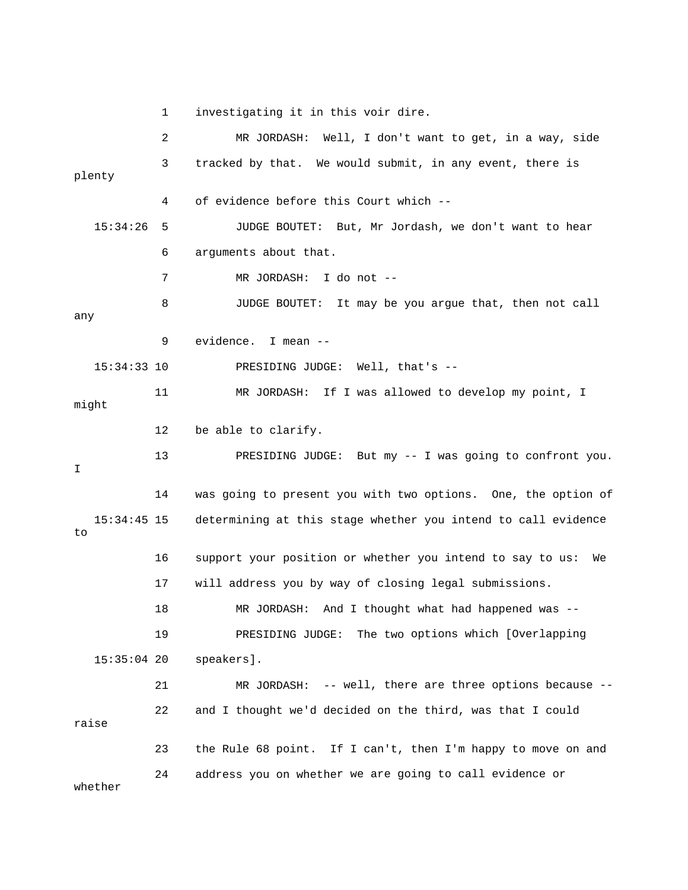1 investigating it in this voir dire. 2 MR JORDASH: Well, I don't want to get, in a way, side 3 tracked by that. We would submit, in any event, there is 4 of evidence before this Court which -- 15:34:26 5 JUDGE BOUTET: But, Mr Jordash, we don't want to hear 6 arguments about that. 7 MR JORDASH: I do not -- 8 JUDGE BOUTET: It may be you argue that, then not call any 9 evidence. I mean -- 11 MR JORDASH: If I was allowed to develop my point, I might 12 be able to clarify. 13 PRESIDING JUDGE: But my -- I was going to confront you. 14 was going to present you with two options. One, the option of 15:34:45 15 determining at this stage whether you intend to call evidence 16 support your position or whether you intend to say to us: We 17 will address you by way of closing legal submissions. 18 MR JORDASH: And I thought what had happened was -- 19 PRESIDING JUDGE: The two options which [Overlapping speakers]. 21 MR JORDASH: -- well, there are three options because --22 and I thought we'd decided on the third, was that I could raise 23 the Rule 68 point. If I can't, then I'm happy to move on and 24 address you on whether we are going to call evidence or plenty 15:34:33 10 PRESIDING JUDGE: Well, that's -- I to  $15:35:04$  20 whether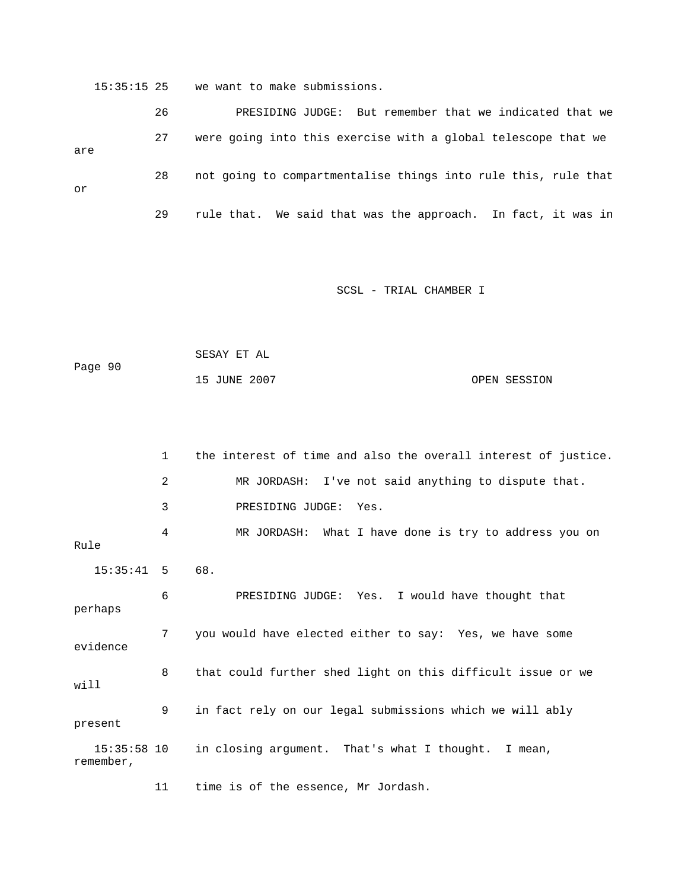15:35:15 25 we want to make submissions.

 26 PRESIDING JUDGE: But remember that we indicated that we 29 rule that. We said that was the approach. In fact, it was in 27 were going into this exercise with a global telescope that we are 28 not going to compartmentalise things into rule this, rule that or

## SCSL - TRIAL CHAMBER I

```
 SESAY ET AL 
Page 90 
             15 JUNE 2007 OPEN SESSION
```

|                          | $\mathbf 1$ | the interest of time and also the overall interest of justice. |
|--------------------------|-------------|----------------------------------------------------------------|
|                          | 2           | MR JORDASH: I've not said anything to dispute that.            |
|                          | 3           | PRESIDING JUDGE: Yes.                                          |
| Rule                     | 4           | MR JORDASH: What I have done is try to address you on          |
| $15:35:41$ 5             |             | 68.                                                            |
| perhaps                  | 6           | PRESIDING JUDGE: Yes. I would have thought that                |
| evidence                 | 7           | you would have elected either to say: Yes, we have some        |
| will                     | 8           | that could further shed light on this difficult issue or we    |
| present                  | 9           | in fact rely on our legal submissions which we will ably       |
| 15:35:58 10<br>remember, |             | in closing argument. That's what I thought. I mean,            |
|                          |             |                                                                |

11 time is of the essence, Mr Jordash.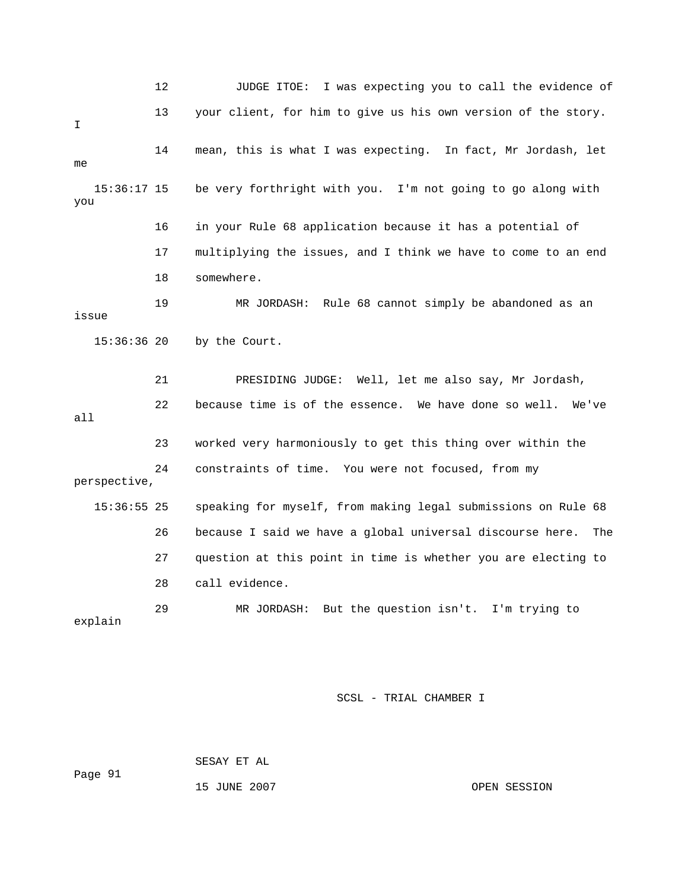12 JUDGE ITOE: I was expecting you to call the evidence of 13 your client, for him to give us his own version of the story. 14 mean, this is what I was expecting. In fact, Mr Jordash, let 15:36:17 15 be very forthright with you. I'm not going to go along with 17 multiplying the issues, and I think we have to come to an end 18 somewhere. sh, 21 PRESIDING JUDGE: Well, let me also say, Mr Jorda 22 because time is of the essence. We have done so well. We've 26 because I said we have a global universal discourse here. The explain I me you 16 in your Rule 68 application because it has a potential of 19 MR JORDASH: Rule 68 cannot simply be abandoned as an issue 15:36:36 20 by the Court. all 23 worked very harmoniously to get this thing over within the 24 constraints of time. You were not focused, from my perspective, 15:36:55 25 speaking for myself, from making legal submissions on Rule 68 27 question at this point in time is whether you are electing to 28 call evidence. 29 MR JORDASH: But the question isn't. I'm trying to

SCSL - TRIAL CHAMBER I

Page 91 15 JUNE 2007 OPEN SESSION SESAY ET AL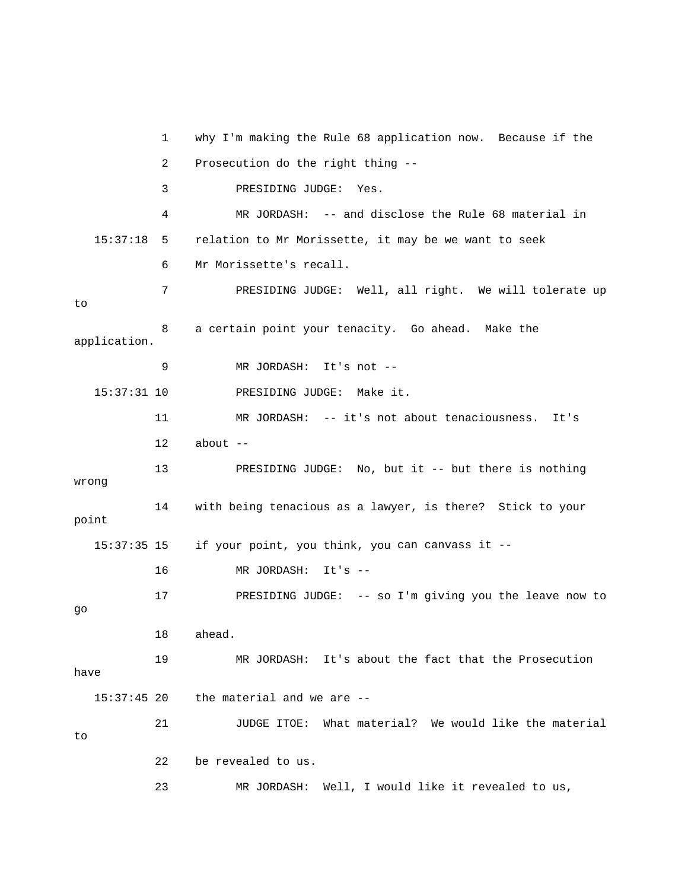1 why I'm making the Rule 68 application now. Because if the 2 Prosecution do the right thing -- 3 PRESIDING JUDGE: Yes. 4 MR JORDASH: -- and disclose the Rule 68 material in 6 Mr Morissette's recall. 7 PRESIDING JUDGE: Well, all right. We will tolerate up 8 a certain point your tenacity. Go ahead. Make the application. 9 MR JORDASH: It's not -- 11 MR JORDASH: -- it's not about tenaciousness. It's  $12$  about  $-$  13 PRESIDING JUDGE: No, but it -- but there is nothing wrong 14 with being tenacious as a lawyer, is there? Stick to your 15:37:35 15 if your point, you think, you can canvass it --17 PRESIDING JUDGE: -- so I'm giving you the leave now to 19 MR JORDASH: It's about the fact that the Prosecution have the material and we are -- 21 JUDGE ITOE: What material? We would like the material 15:37:18 5 relation to Mr Morissette, it may be we want to seek to 15:37:31 10 PRESIDING JUDGE: Make it. point 16 MR JORDASH: It's - go 18 ahead. 15:37:45 20 to 22 be revealed to us. 23 MR JORDASH: Well, I would like it revealed to us,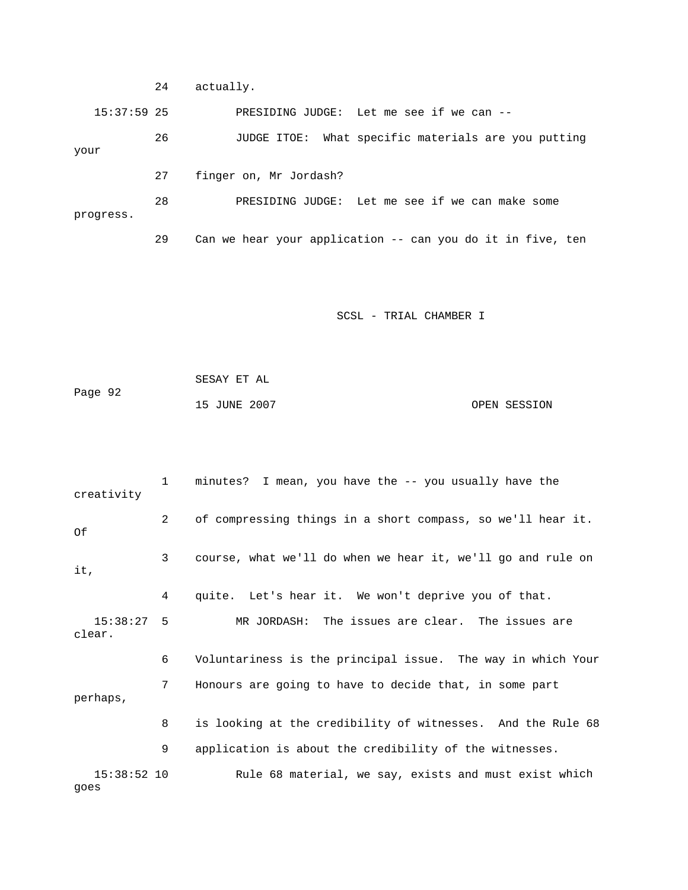24 actually. PRESIDING JUDGE: Let me see if we can --28 PRESIDING JUDGE: Let me see if we can make some 29 Can we hear your application -- can you do it in five, ten 15:3 26 JUDGE ITOE: What specific materials are you putting your 27 finger on, Mr Jordash? progress.

SCSL - TRIAL CHAMBER I

 SESAY ET AL Page 92 15 JUNE 2007 OPEN SESSION

| creativity             | $\mathbf{1}$ | minutes? I mean, you have the -- you usually have the       |
|------------------------|--------------|-------------------------------------------------------------|
| Of                     | 2            | of compressing things in a short compass, so we'll hear it. |
| it,                    | 3            | course, what we'll do when we hear it, we'll go and rule on |
|                        | 4            | quite. Let's hear it. We won't deprive you of that.         |
| $15:38:27$ 5<br>clear. |              | MR JORDASH: The issues are clear. The issues are            |
|                        | 6            | Voluntariness is the principal issue. The way in which Your |
| perhaps,               | 7            | Honours are going to have to decide that, in some part      |
|                        | 8            | is looking at the credibility of witnesses. And the Rule 68 |
|                        | 9            | application is about the credibility of the witnesses.      |
| $15:38:52$ 10<br>goes  |              | Rule 68 material, we say, exists and must exist which       |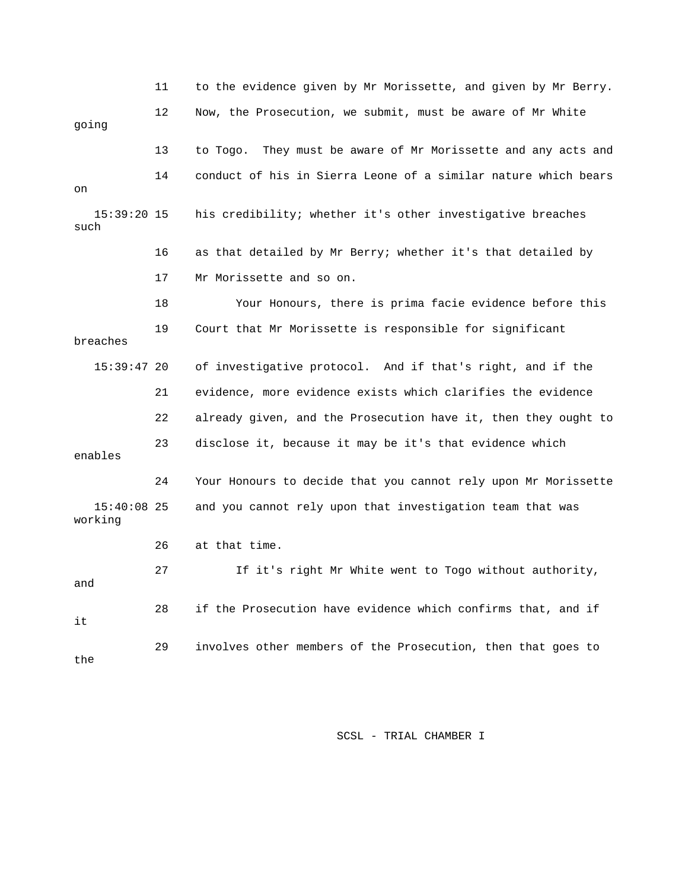|                          | 11 | to the evidence given by Mr Morissette, and given by Mr Berry.   |
|--------------------------|----|------------------------------------------------------------------|
| going                    | 12 | Now, the Prosecution, we submit, must be aware of Mr White       |
|                          | 13 | They must be aware of Mr Morissette and any acts and<br>to Togo. |
| on                       | 14 | conduct of his in Sierra Leone of a similar nature which bears   |
| $15:39:20$ 15<br>such    |    | his credibility; whether it's other investigative breaches       |
|                          | 16 | as that detailed by Mr Berry; whether it's that detailed by      |
|                          | 17 | Mr Morissette and so on.                                         |
|                          | 18 | Your Honours, there is prima facie evidence before this          |
| breaches                 | 19 | Court that Mr Morissette is responsible for significant          |
| $15:39:47$ 20            |    | of investigative protocol. And if that's right, and if the       |
|                          | 21 | evidence, more evidence exists which clarifies the evidence      |
|                          | 22 | already given, and the Prosecution have it, then they ought to   |
| enables                  | 23 | disclose it, because it may be it's that evidence which          |
|                          | 24 | Your Honours to decide that you cannot rely upon Mr Morissette   |
| $15:40:08$ 25<br>working |    | and you cannot rely upon that investigation team that was        |
|                          | 26 | at that time.                                                    |
| and                      | 27 | If it's right Mr White went to Togo without authority,           |
| it                       | 28 | if the Prosecution have evidence which confirms that, and if     |
| the                      | 29 | involves other members of the Prosecution, then that goes to     |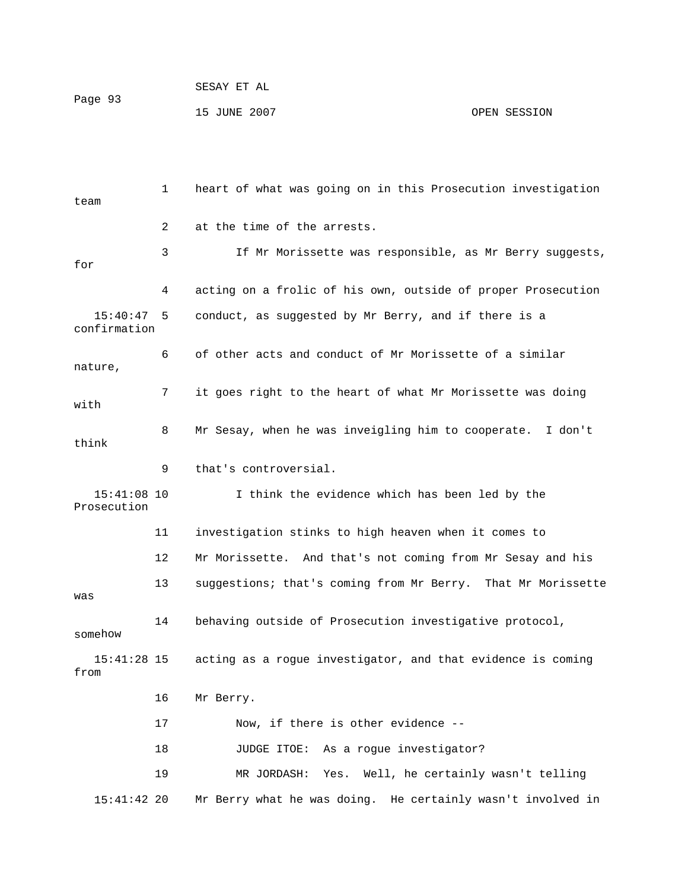| team                         | 1  | heart of what was going on in this Prosecution investigation |  |
|------------------------------|----|--------------------------------------------------------------|--|
|                              | 2  | at the time of the arrests.                                  |  |
| for                          | 3  | If Mr Morissette was responsible, as Mr Berry suggests,      |  |
|                              | 4  | acting on a frolic of his own, outside of proper Prosecution |  |
| 15:40:47<br>confirmation     | 5  | conduct, as suggested by Mr Berry, and if there is a         |  |
| nature,                      | 6  | of other acts and conduct of Mr Morissette of a similar      |  |
| with                         | 7  | it goes right to the heart of what Mr Morissette was doing   |  |
| think                        | 8  | Mr Sesay, when he was inveigling him to cooperate. I don't   |  |
|                              | 9  | that's controversial.                                        |  |
| $15:41:08$ 10<br>Prosecution |    | I think the evidence which has been led by the               |  |
|                              | 11 | investigation stinks to high heaven when it comes to         |  |
|                              | 12 | Mr Morissette. And that's not coming from Mr Sesay and his   |  |
| was                          | 13 | suggestions; that's coming from Mr Berry. That Mr Morissette |  |
| somehow                      | 14 | behaving outside of Prosecution investigative protocol,      |  |
| $15:41:28$ 15<br>from        |    | acting as a rogue investigator, and that evidence is coming  |  |
|                              | 16 | Mr Berry.                                                    |  |
|                              | 17 | Now, if there is other evidence --                           |  |
|                              | 18 | As a rogue investigator?<br>JUDGE ITOE:                      |  |
|                              | 19 | Well, he certainly wasn't telling<br>MR JORDASH:<br>Yes.     |  |
| 15:41:42 20                  |    | Mr Berry what he was doing. He certainly wasn't involved in  |  |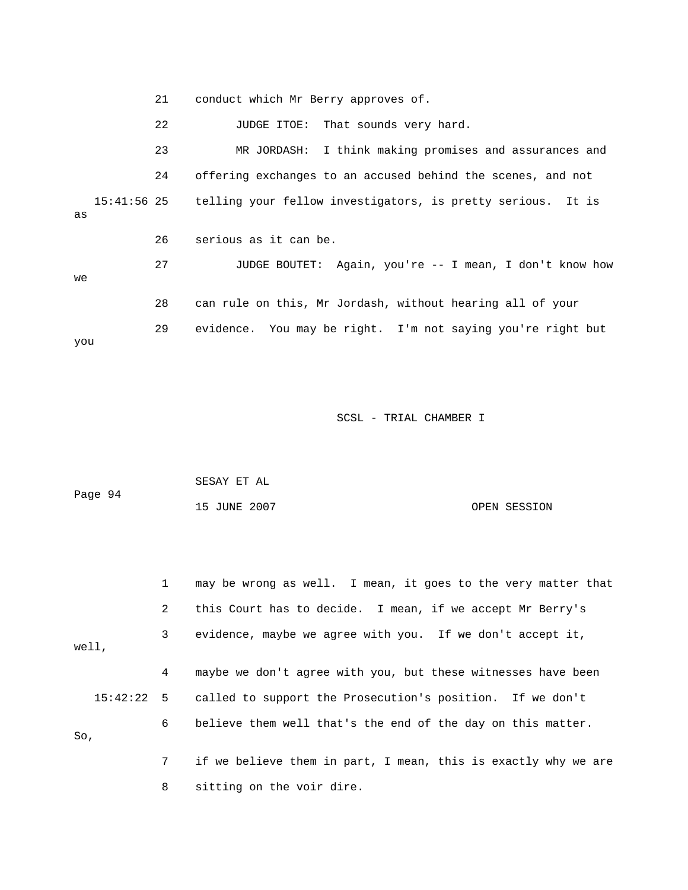21 conduct which Mr Berry approves of.

 23 MR JORDASH: I think making promises and assurances and 15:41:56 25 telling your fellow investigators, is pretty serious. It is 26 serious as it can be. 27 JUDGE BOUTET: Again, you're -- I mean, I don't know how 28 can rule on this, Mr Jordash, without hearing all of your 29 evidence. You may be right. I'm not saying you're right but you 22 JUDGE ITOE: That sounds very hard. 24 offering exchanges to an accused behind the scenes, and not as we

SCSL - TRIAL CHAMBER I

| Page 94 | SESAY ET AL  |              |
|---------|--------------|--------------|
|         | 15 JUNE 2007 | OPEN SESSION |

|       |  |                | may be wrong as well. I mean, it goes to the very matter that        |
|-------|--|----------------|----------------------------------------------------------------------|
|       |  | $\mathbf{2}$   | this Court has to decide. I mean, if we accept Mr Berry's            |
| well, |  | 3 <sup>7</sup> | evidence, maybe we agree with you. If we don't accept it,            |
|       |  | 4              | maybe we don't agree with you, but these witnesses have been         |
|       |  |                | 15:42:22 5 called to support the Prosecution's position. If we don't |
| So,   |  | 6              | believe them well that's the end of the day on this matter.          |
|       |  | 7              | if we believe them in part, I mean, this is exactly why we are       |

8 sitting on the voir dire.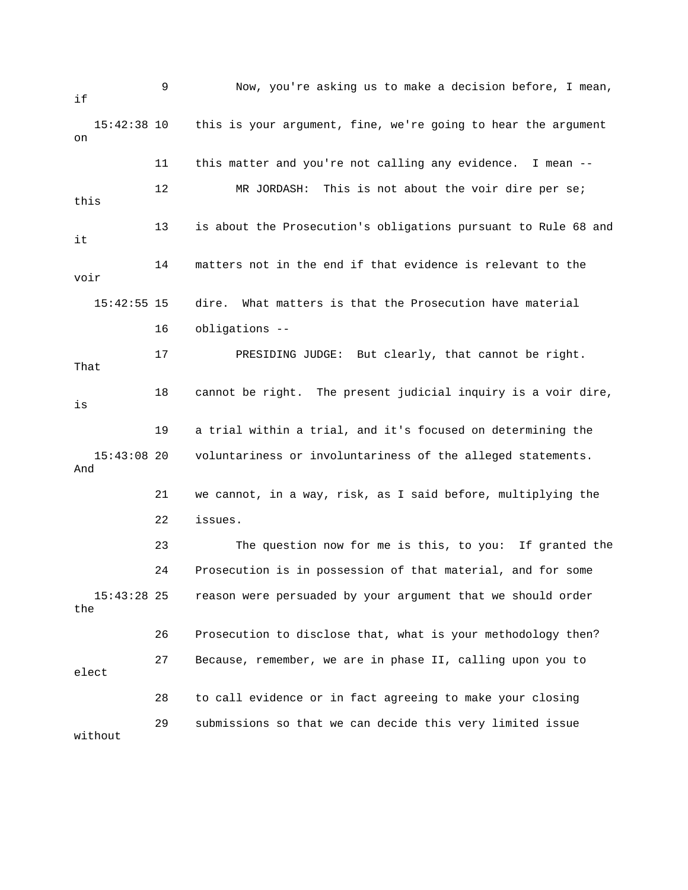9 Now, you're asking us to make a decision before, I mean, 15:42:38 10 this is your argument, fine, we're going to hear the argument 11 this matter and you're not calling any evidence. I mean -- 12 MR JORDASH: This is not about the voir dire per se; this 13 is about the Prosecution's obligations pursuant to Rule 68 and 19 a trial within a trial, and it's focused on determining the voluntariness or involuntariness of the alleged statements. And 21 we cannot, in a way, risk, as I said before, multiplying the 23 The question now for me is this, to you: If granted the 24 Prosecution is in possession of that material, and for some the ? 26 Prosecution to disclose that, what is your methodology then 28 to call evidence or in fact agreeing to make your closing 29 submissions so that we can decide this very limited issue without if on it 14 matters not in the end if that evidence is relevant to the voir 15:42:55 15 dire. What matters is that the Prosecution have material 16 obligations -- 17 PRESIDING JUDGE: But clearly, that cannot be right. That 18 cannot be right. The present judicial inquiry is a voir dire, is  $15:43:08$  20 22 issues. 15:43:28 25 reason were persuaded by your argument that we should order 27 Because, remember, we are in phase II, calling upon you to elect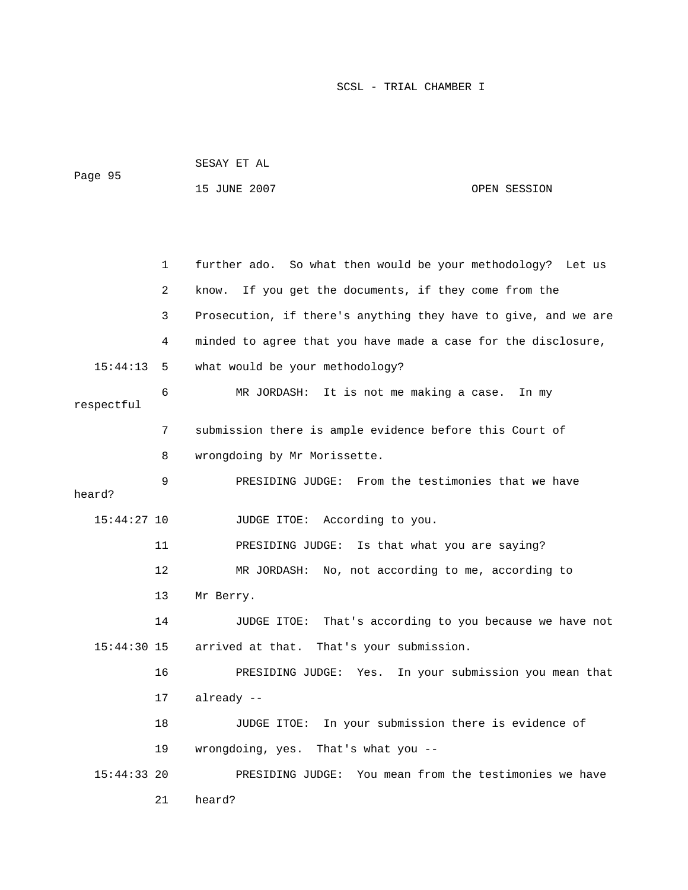|               |              | 15 JUNE 2007                                                   | OPEN SESSION |
|---------------|--------------|----------------------------------------------------------------|--------------|
|               |              |                                                                |              |
|               |              |                                                                |              |
|               | $\mathbf{1}$ | further ado. So what then would be your methodology?           | Let us       |
|               | 2            | If you get the documents, if they come from the<br>know.       |              |
|               | 3            | Prosecution, if there's anything they have to give, and we are |              |
|               | 4            | minded to agree that you have made a case for the disclosure,  |              |
| 15:44:13      | 5            | what would be your methodology?                                |              |
| respectful    | 6            | MR JORDASH: It is not me making a case. In my                  |              |
|               |              |                                                                |              |
|               | 7            | submission there is ample evidence before this Court of        |              |
|               | 8            | wrongdoing by Mr Morissette.                                   |              |
| heard?        | 9            | PRESIDING JUDGE: From the testimonies that we have             |              |
| $15:44:27$ 10 |              | According to you.<br>JUDGE ITOE:                               |              |
|               | 11           | Is that what you are saying?<br>PRESIDING JUDGE:               |              |
|               | 12           | MR JORDASH:<br>No, not according to me, according to           |              |
|               | 13           | Mr Berry.                                                      |              |
|               | 14           | That's according to you because we have not<br>JUDGE ITOE:     |              |
| $15:44:30$ 15 |              | arrived at that. That's your submission.                       |              |
|               | 16           | PRESIDING JUDGE: Yes. In your submission you mean that         |              |
|               | 17           | already --                                                     |              |
|               | 18           | In your submission there is evidence of<br>JUDGE ITOE:         |              |
|               |              |                                                                |              |

SESAY ET AL

Page 95

15:44:33 20 PRESIDING JUDGE: You mean from the testimonies we have

19 wrongdoing, yes. That's what you --

21 heard?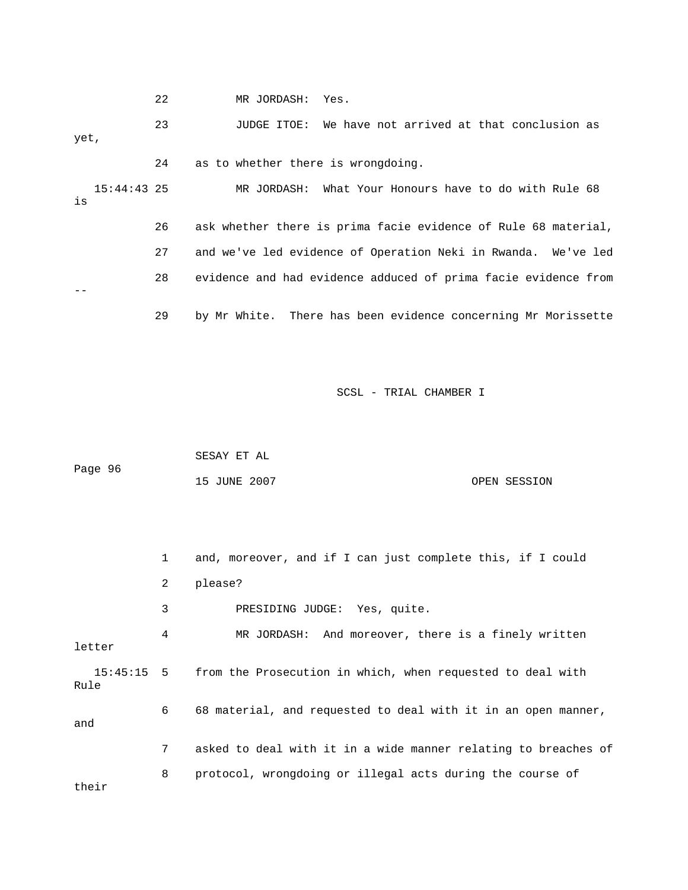22 MR JORDASH: Yes.

 23 JUDGE ITOE: We have not arrived at that conclusion a s yet,

24 as to whether there is wrongdoing.

15:44:43 25 MR JORDASH: What Your Honours have to do with Rule 68 26 ask whether there is prima facie evidence of Rule 68 material, 28 evidence and had evidence adduced of prima facie evidence from is 27 and we've led evidence of Operation Neki in Rwanda. We've led --

29 by Mr White. There has been evidence concerning Mr Morissette

## SCSL - TRIAL CHAMBER I

 SESAY ET AL OPEN SESSION Page 96 15 JUNE 2007

 2 please? 3 PRESIDING JUDGE: Yes, quite. 15:45:15 5 from the Prosecution in which, when requested to deal with 6 68 material, and requested to deal with it in an open manner, and 7 asked to deal with it in a wide manner relating to breaches of 8 protocol, wrongdoing or illegal acts during the course of their 1 and, moreover, and if I can just complete this, if I could 4 MR JORDASH: And moreover, there is a finely written letter Rule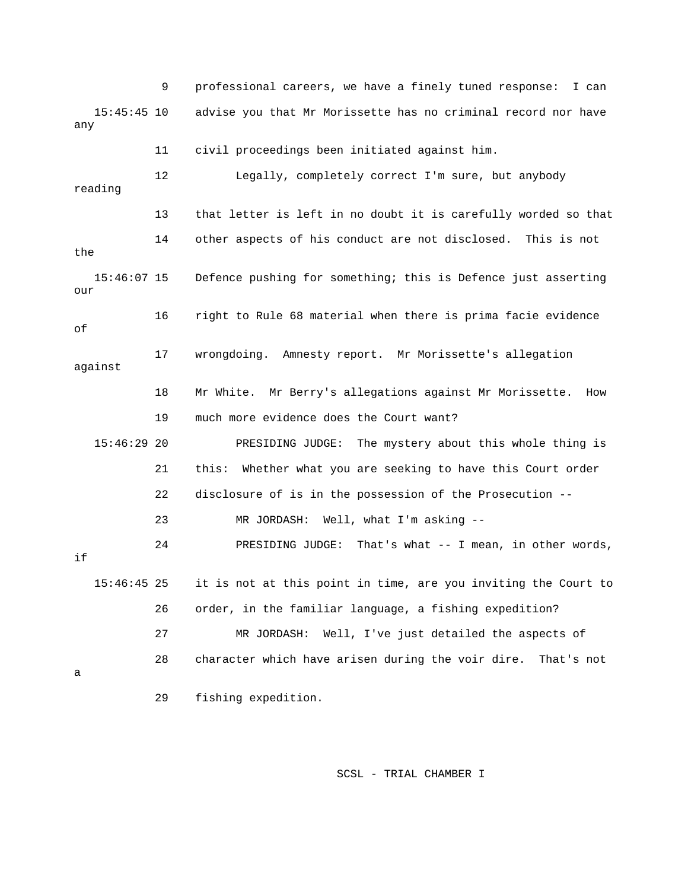9 professional careers, we have a finely tuned response: I can advise you that Mr Morissette has no criminal record nor have 11 civil proceedings been initiated against him. 12 Legally, completely correct I'm sure, but anybody reading 13 that letter is left in no doubt it is carefully worded so that 14 other aspects of his conduct are not disclosed. This is not 15:46:07 15 Defence pushing for something; this is Defence just asserting against PRESIDING JUDGE: The mystery about this whole thing is 21 this: Whether what you are seeking to have this Court order 22 disclosure of is in the possession of the Prosecution -- 24 PRESIDING JUDGE: That's what -- I mean, in other words, 27 MR JORDASH: Well, I've just detailed the aspects of 28 character which have arisen during the voir dire. That's not 29 fishing expedition. 15:45: any the our 16 right to Rule 68 material when there is prima facie evidence of 17 wrongdoing. Amnesty report. Mr Morissette's allegation 18 Mr White. Mr Berry's allegations against Mr Morissette. How 19 much more evidence does the Court want?  $15:46:29$  20 23 MR JORDASH: Well, what I'm asking - if 15:46:45 25 it is not at this point in time, are you inviting the Court to 26 order, in the familiar language, a fishing expedition? a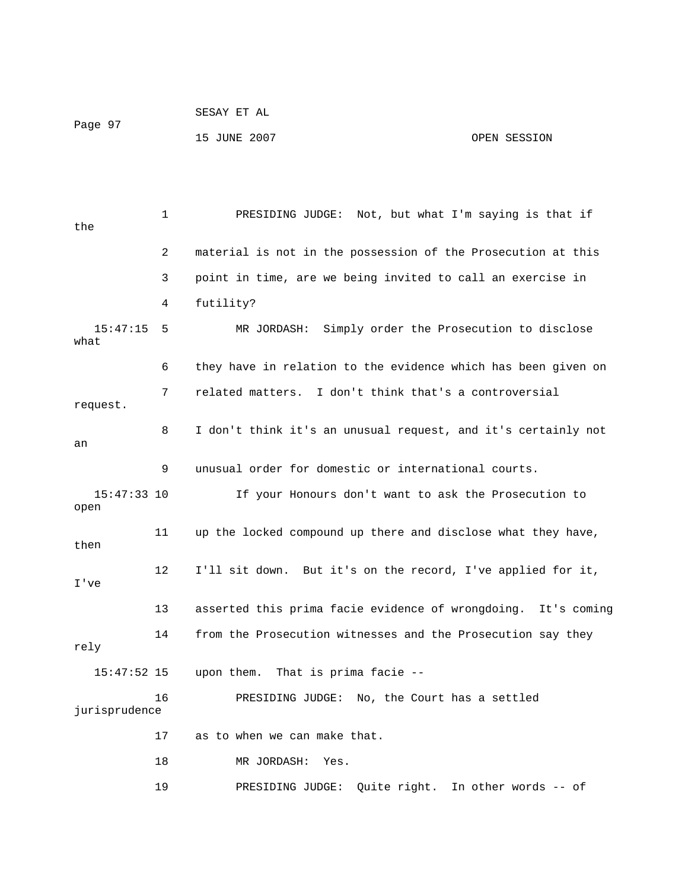```
 SESAY ET AL 
Page 97 
             15 JUNE 2007 OPEN SESSION
```
 1 PRESIDING JUDGE: Not, but what I'm saying is that if the 2 material is not in the possession of the Prosecution at this 15:47:15 5 MR JORDASH: Simply order the Prosecution to disclose 6 they have in relation to the evidence which has been given on 7 related matters. I don't think that's a controversial 8 I don't think it's an unusual request, and it's certainly not 9 unusual order for domestic or international courts. If your Honours don't want to ask the Prosecution to 11 up the locked compound up there and disclose what they have, then 12 I'll sit down. But it's on the record, I've applied for it, 13 asserted this prima facie evidence of wrongdoing. It's coming  $15:47:52$  15 upon them. That is prima facie -- 19 PRESIDING JUDGE: Quite right. In other words -- of 3 point in time, are we being invited to call an exercise in 4 futility? what request. an 15:47: open I've 14 from the Prosecution witnesses and the Prosecution say they rely 16 PRESIDING JUDGE: No, the Court has a settled jurisprudence 17 as to when we can make that. 18 MR JORDASH: Yes.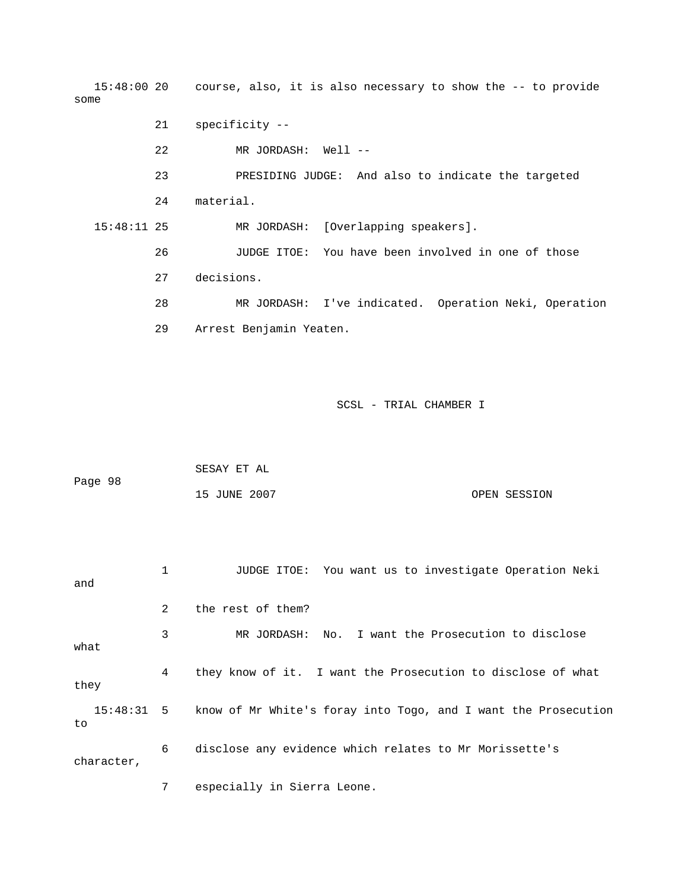15:48:00 20 course, also, it is also necessary to show the -- to provide some

| 21            | $specificity$ --                                      |
|---------------|-------------------------------------------------------|
| 22            | Well --<br>MR JORDASH:                                |
| 23            | PRESIDING JUDGE: And also to indicate the targeted    |
| 24            | material.                                             |
| $15:48:11$ 25 | [Overlapping speakers].<br>MR JORDASH:                |
| 26            | JUDGE ITOE: You have been involved in one of those    |
| 27            | decisions.                                            |
| 28            | MR JORDASH: I've indicated. Operation Neki, Operation |
| 29            | Arrest Benjamin Yeaten.                               |

SCSL - TRIAL CHAMBER I **SCS** 

|         | SESAY ET AL  |              |
|---------|--------------|--------------|
| Page 98 |              |              |
|         | 15 JUNE 2007 | OPEN SESSION |

1 JUDGE ITOE: You want us to investigate Operation Neki and 2 the rest of them? 3 MR JORDASH: No. I want the Prosecution to disclose 4 they know of it. I want the Prosecution to disclose of what they 6 disclose any evidence which relates to Mr Morissette's character, what 15:48:31 5 know of Mr White's foray into Togo, and I want the Prosecution to

7 especially in Sierra Leone.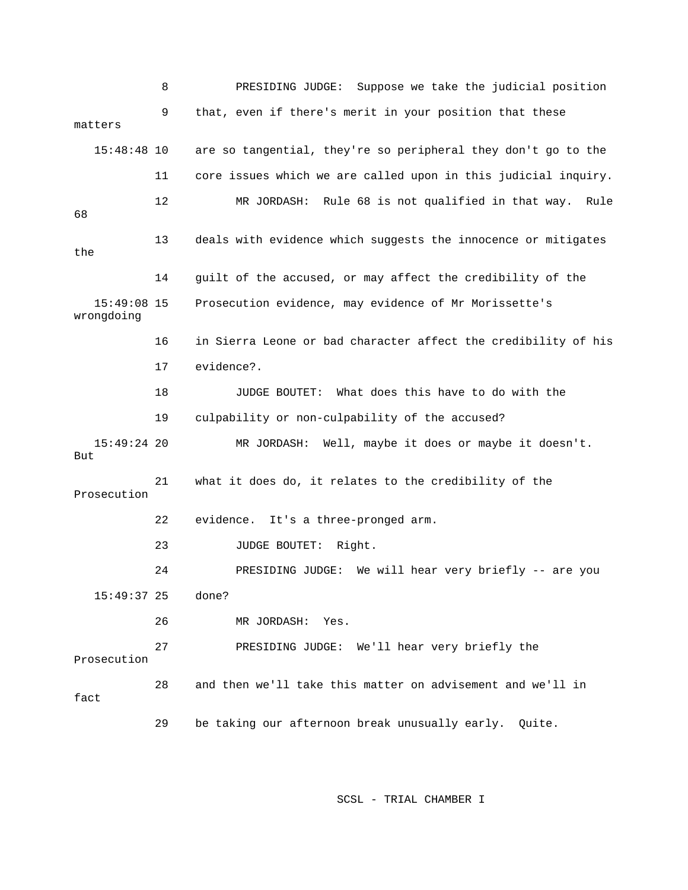8 PRESIDING JUDGE: Suppose we take the judicial position 9 that, even if there's merit in your position that these matters are so tangential, they're so peripheral they don't go to the 11 core issues which we are called upon in this judicial inquiry. 12 MR JORDASH: Rule 68 is not qualified in that way. Rule 14 guilt of the accused, or may affect the credibility of the wrongdoing 18 JUDGE BOUTET: What does this have to do with the MR JORDASH: Well, maybe it does or maybe it doesn't. Prosecution 26 MR JORDASH: Yes. 27 PRESIDING JUDGE: We'll hear very briefly the Prosecution 28 and then we'll take this matter on advisement and we'll in 29 be taking our afternoon break unusually early. Quite. 15:48:48 10 68 13 deals with evidence which suggests the innocence or mitigates the 15:49:08 15 Prosecution evidence, may evidence of Mr Morissette's 16 in Sierra Leone or bad character affect the credibility of his 17 evidence?. 19 culpability or non-culpability of the accused? 15:49:24 But 21 what it does do, it relates to the credibility of the 22 evidence. It's a three-pronged arm. 23 JUDGE BOUTET: Right. 24 PRESIDING JUDGE: We will hear very briefly -- are you 15:49:37 25 done? fact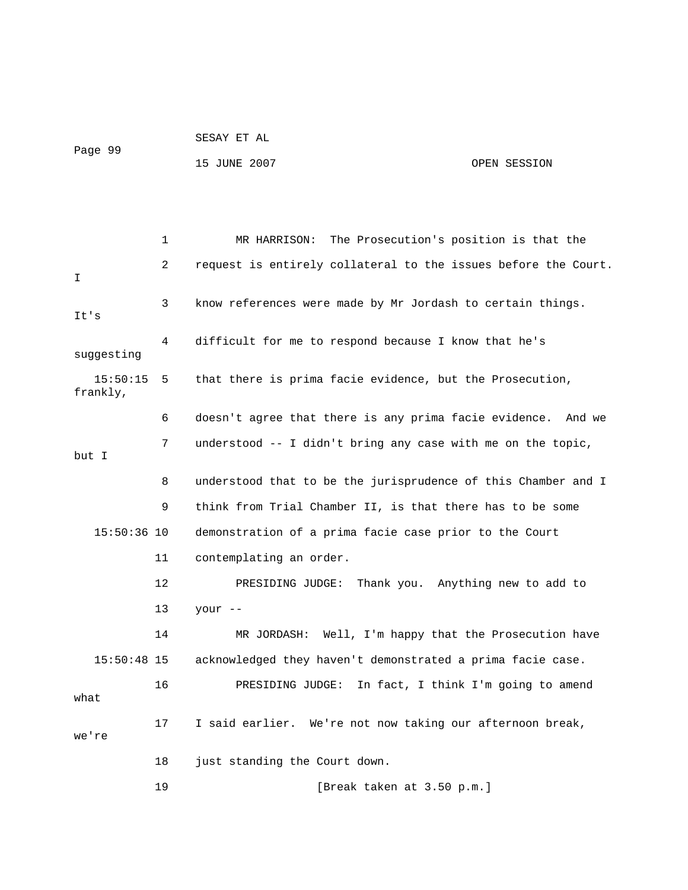#### 15 JUNE 2007 OPEN SESSION

2 request is entirely collateral to the issues before the Court. 3 know references were made by Mr Jordash to certain things. 4 difficult for me to respond because I know that he's 15:50:15 5 that there is prima facie evidence, but the Prosecution, 6 doesn't agree that there is any prima facie evidence. And we 7 understood -- I didn't bring any case with me on the topic, but I 8 understood that to be the jurisprudence of this Chamber and I 9 think from Trial Chamber II, is that there has to be some 12 PRESIDING JUDGE: Thank you. Anything new to add to 13 your -- 16 PRESIDING JUDGE: In fact, I think I'm going to amend 17 I said earlier. We're not now taking our afternoon break, 1 MR HARRISON: The Prosecution's position is that the I It's suggesting frankly, 15:50:36 10 demonstration of a prima facie case prior to the Court 11 contemplating an order. 14 MR JORDASH: Well, I'm happy that the Prosecution have 15:50:48 15 acknowledged they haven't demonstrated a prima facie case. what we're 18 just standing the Court down. 19 [Break taken at 3.50 p.m.]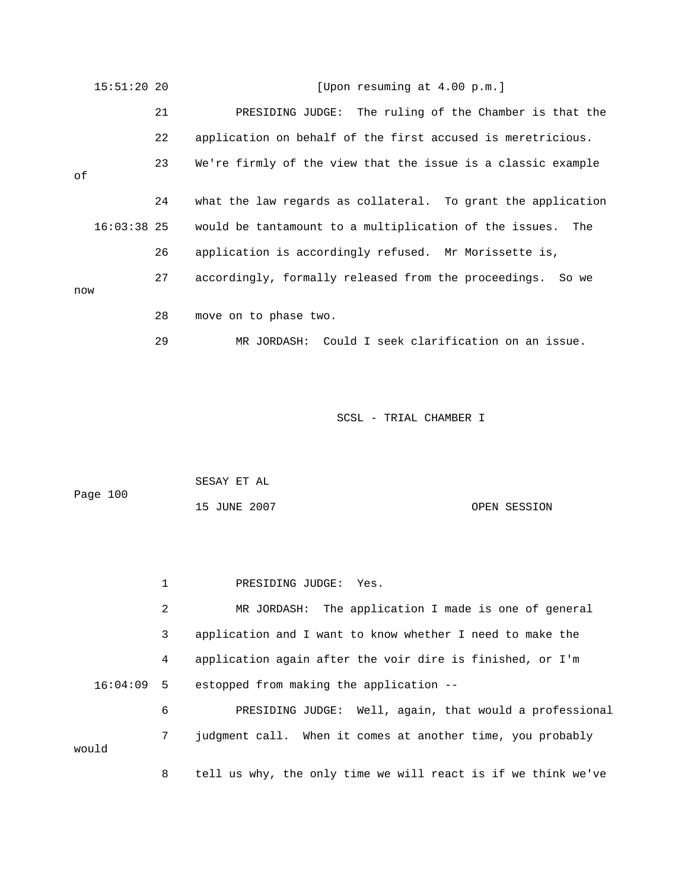|     | $15:51:20$ 20 |    | [Upon resuming at $4.00$ p.m.]                               |
|-----|---------------|----|--------------------------------------------------------------|
|     |               | 21 | PRESIDING JUDGE: The ruling of the Chamber is that the       |
|     |               | 22 | application on behalf of the first accused is meretricious.  |
| οf  |               | 23 | We're firmly of the view that the issue is a classic example |
|     |               | 24 | what the law regards as collateral. To grant the application |
|     | 16:03:38 25   |    | would be tantamount to a multiplication of the issues. The   |
|     |               | 26 | application is accordingly refused. Mr Morissette is,        |
| now |               | 27 | accordingly, formally released from the proceedings. So we   |
|     |               | 28 | move on to phase two.                                        |
|     |               | 29 | MR JORDASH: Could I seek clarification on an issue.          |

|          | SESAY ET AL  |              |
|----------|--------------|--------------|
| Page 100 |              |              |
|          | 15 JUNE 2007 | OPEN SESSION |

 1 PRESIDING JUDGE: Yes. 2 MR JORDASH: The application I made is one of general 4 application again after the voir dire is finished, or I'm estopped from making the application -- Well, again, that would a professional 6 PRESIDING JUDGE: 8 tell us why, the only time we will react is if we think we've 3 application and I want to know whether I need to make the  $16:04:09$  5 7 judgment call. When it comes at another time, you probably would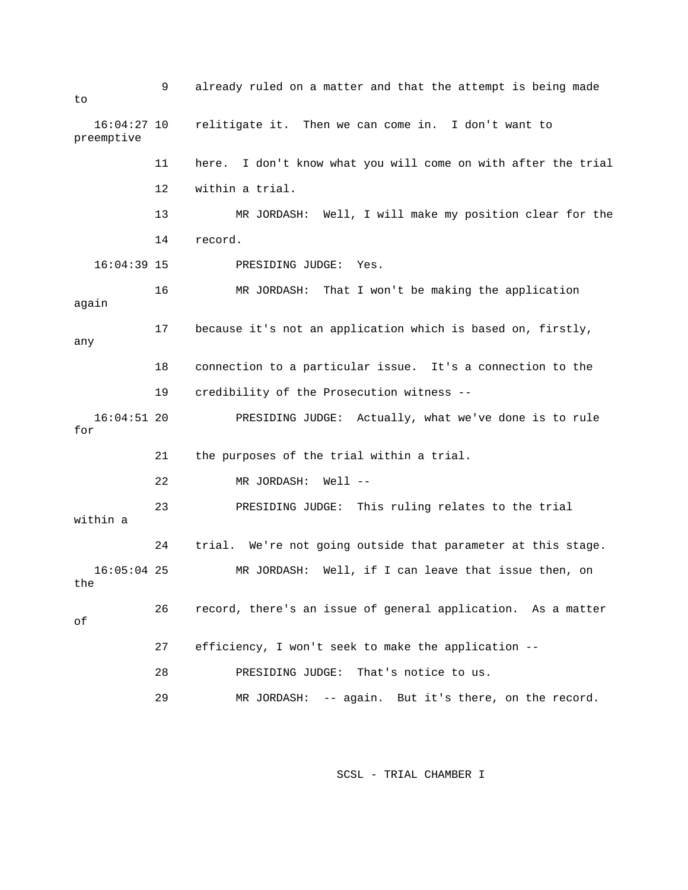9 already ruled on a matter and that the attempt is being made 16:04:27 10 relitigate it. Then we can come in. I don't want to 11 here. I don't know what you will come on with after the trial 12 within a trial. 13 MR JORDASH: Well, I will make my position clear for the 14 record. 16:04:39 15 PRESIDING JUDGE: Yes. any 19 credibility of the Prosecution witness -- PRESIDING JUDGE: Actually, what we've done is to rule for 21 the purposes of the trial within a trial. 23 PRESIDING JUDGE: This ruling relates to the trial Well, if I can leave that issue then, on 16:05:04 25 MR JORDASH: the 26 record, there's an issue of general application. As a matter 27 efficiency, I won't seek to make the application -- 29 MR JORDASH: -- again. But it's there, on the record. to preemptive 16 MR JORDASH: That I won't be making the application again 17 because it's not an application which is based on, firstly, 18 connection to a particular issue. It's a connection to the  $16:04:51$  20 22 MR JORDASH: Well - within a 24 trial. We're not going outside that parameter at this stage. of 28 PRESIDING JUDGE: That's notice to us.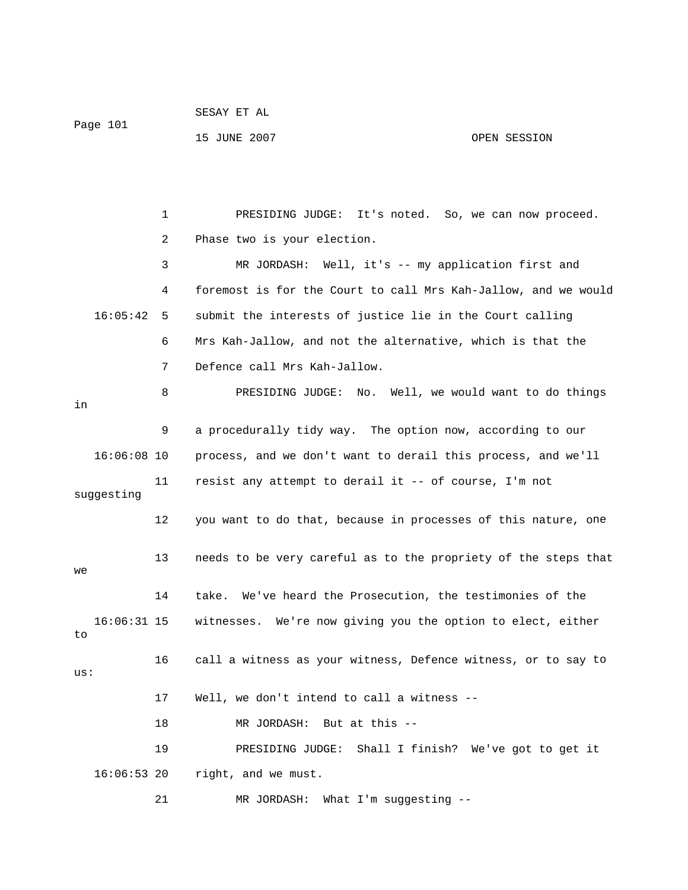OPEN SESSION

15 JUNE 2007

 3 MR JORDASH: Well, it's -- my application first and 4 foremost is for the Court to call Mrs Kah-Jallow, and we would 16:05:42 5 submit the interests of justice lie in the Court calling 6 Mrs Kah-Jallow, and not the alternative, which is that the 8 PRESIDING JUDGE: No. Well, we would want to do things 9 a procedurally tidy way. The option now, according to our 16:06:08 10 process, and we don't want to derail this process, and we'll 11 resist any attempt to derail it -- of course, I'm not suggesting 12 you want to do that, because in processes of this nature, one 13 needs to be very careful as to the propriety of the steps that 14 take. We've heard the Prosecution, the testimonies of the 16:06:31 15 witnesses. We're now giving you the option to elect, either 16 call a witness as your witness, Defence witness, or to say to 17 Well, we don't intend to call a witness -- 1 PRESIDING JUDGE: It's noted. So, we can now proceed. 2 Phase two is your election. 7 Defence call Mrs Kah-Jallow. in  $W$ to us:

18 MR JORDASH: But at this --

19 PRESIDING JUDGE: Shall I finish? We've got to get it 16:06:53 20 right, and we must.

21 MR JORDASH: What I'm suggesting --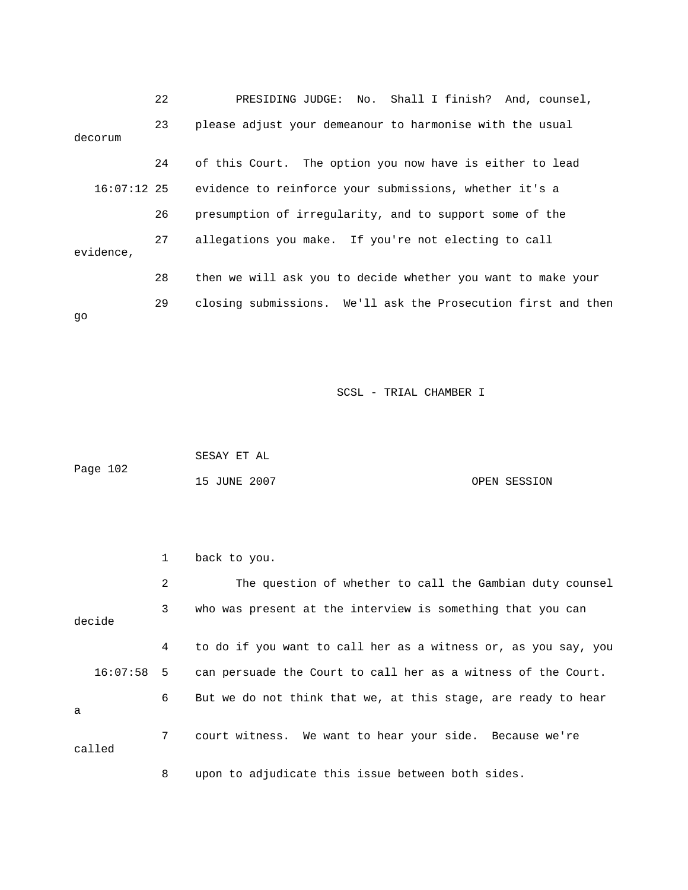|           | 22                                                                    | PRESIDING JUDGE: No. Shall I finish? And, counsel,            |  |
|-----------|-----------------------------------------------------------------------|---------------------------------------------------------------|--|
| decorum   | 23                                                                    | please adjust your demeanour to harmonise with the usual      |  |
|           | 24                                                                    | of this Court. The option you now have is either to lead      |  |
|           | 16:07:12 25<br>evidence to reinforce your submissions, whether it's a |                                                               |  |
|           | 26                                                                    | presumption of irregularity, and to support some of the       |  |
| evidence, | 27                                                                    | allegations you make. If you're not electing to call          |  |
|           | 28                                                                    | then we will ask you to decide whether you want to make your  |  |
| qo        | 29                                                                    | closing submissions. We'll ask the Prosecution first and then |  |

|          | SESAY ET AL  |              |
|----------|--------------|--------------|
| Page 102 |              |              |
|          | 15 JUNE 2007 | OPEN SESSION |

| 1                | back to you.                                                             |
|------------------|--------------------------------------------------------------------------|
| 2                | The question of whether to call the Gambian duty counsel                 |
| 3                | who was present at the interview is something that you can               |
| 4                | to do if you want to call her as a witness or, as you say, you           |
|                  | 16:07:58 5 can persuade the Court to call her as a witness of the Court. |
| 6                | But we do not think that we, at this stage, are ready to hear            |
| 7                | court witness. We want to hear your side. Because we're                  |
| decide<br>called |                                                                          |

8 upon to adjudicate this issue between both sides.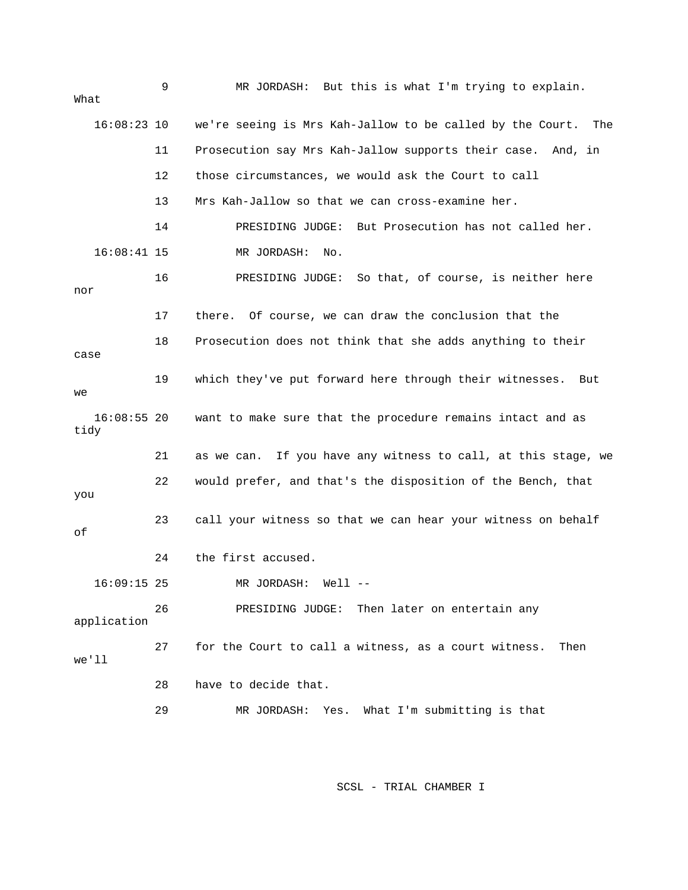| What                  | 9  | MR JORDASH: But this is what I'm trying to explain.              |  |
|-----------------------|----|------------------------------------------------------------------|--|
| $16:08:23$ 10         |    | we're seeing is Mrs Kah-Jallow to be called by the Court.<br>The |  |
|                       | 11 | Prosecution say Mrs Kah-Jallow supports their case.<br>And, in   |  |
|                       | 12 | those circumstances, we would ask the Court to call              |  |
|                       | 13 | Mrs Kah-Jallow so that we can cross-examine her.                 |  |
|                       | 14 | But Prosecution has not called her.<br>PRESIDING JUDGE:          |  |
| $16:08:41$ 15         |    | MR JORDASH:<br>No.                                               |  |
| nor                   | 16 | PRESIDING JUDGE: So that, of course, is neither here             |  |
|                       | 17 | there. Of course, we can draw the conclusion that the            |  |
| case                  | 18 | Prosecution does not think that she adds anything to their       |  |
| we                    | 19 | which they've put forward here through their witnesses.<br>But   |  |
| $16:08:55$ 20<br>tidy |    | want to make sure that the procedure remains intact and as       |  |
|                       | 21 | If you have any witness to call, at this stage, we<br>as we can. |  |
| you                   | 22 | would prefer, and that's the disposition of the Bench, that      |  |
| οf                    | 23 | call your witness so that we can hear your witness on behalf     |  |
|                       | 24 | the first accused.                                               |  |
| $16:09:15$ 25         |    | MR JORDASH:<br>Well --                                           |  |
| application           | 26 | PRESIDING JUDGE: Then later on entertain any                     |  |
| we'll                 | 27 | for the Court to call a witness, as a court witness. Then        |  |
|                       | 28 | have to decide that.                                             |  |
|                       | 29 | Yes. What I'm submitting is that<br>MR JORDASH:                  |  |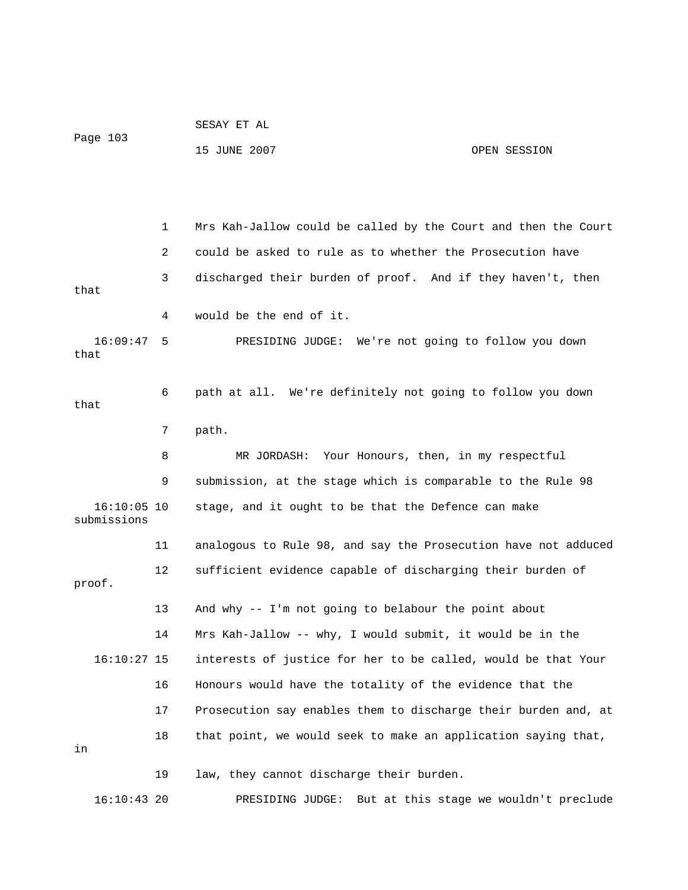| Page 103             |                | 15 JUNE 2007                                                   | OPEN SESSION |
|----------------------|----------------|----------------------------------------------------------------|--------------|
|                      |                |                                                                |              |
|                      |                |                                                                |              |
|                      | $\mathbf{1}$   | Mrs Kah-Jallow could be called by the Court and then the Court |              |
|                      | $\overline{2}$ | could be asked to rule as to whether the Prosecution have      |              |
| that                 | 3              | discharged their burden of proof. And if they haven't, then    |              |
|                      | 4              | would be the end of it.                                        |              |
| $16:09:47$ 5<br>that |                | PRESIDING JUDGE: We're not going to follow you down            |              |
| that                 | 6              | path at all. We're definitely not going to follow you down     |              |
|                      | 7              | path.                                                          |              |
|                      | 8              | Your Honours, then, in my respectful<br>MR JORDASH:            |              |
|                      |                |                                                                |              |

SESAY ET AL

 9 submission, at the stage which is comparable to the Rule 98 16:10:05 10 stage, and it ought to be that the Defence can make 11 analogous to Rule 98, and say the Prosecution have not adduced 12 sufficient evidence capable of discharging their burden of proof. submissions

 13 And why -- I'm not going to belabour the point about 16:10:27 15 interests of justice for her to be called, would be that Your 16 Honours would have the totality of the evidence that the 17 Prosecution say enables them to discharge their burden and, at 18 that point, we would seek to make an application saying that, 14 Mrs Kah-Jallow -- why, I would submit, it would be in the in

 19 law, they cannot discharge their burden. PRESIDING JUDGE: But at this stage we wouldn't preclude  $16:10:43$  20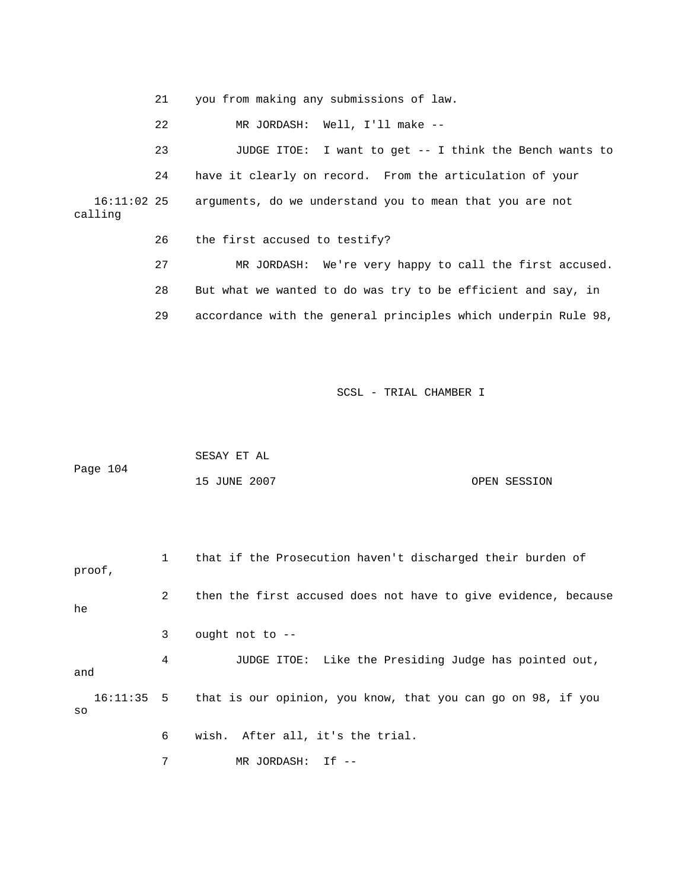21 you from making any submissions of law.

22 MR JORDASH: Well, I'll make --

23 JUDGE ITOE: I want to get -- I think the Bench wants to 24 have it clearly on record. From the articulation of your 16:11:02 25 arguments, do we understand you to mean that you are not calling

26 the first accused to testify?

 27 MR JORDASH: We're very happy to call the first accused. 28 But what we wanted to do was try to be efficient and say, in 29 accordance with the general principles which underpin Rule 98,

|          | SESAY ET AL  |              |
|----------|--------------|--------------|
| Page 104 |              |              |
|          | 15 JUNE 2007 | OPEN SESSION |

```
2 then the first accused does not have to give evidence, because
   16:11:35 5 that is our opinion, you know, that you can go on 98, if you 
             6 wish. After all, it's the trial. 
             7 MR JORDASH: If -- 
             1 that if the Prosecution haven't discharged their burden of 
proof, 
he 
             3 ought not to -- 
             4 JUDGE ITOE: Like the Presiding Judge has pointed out, 
and 
so
```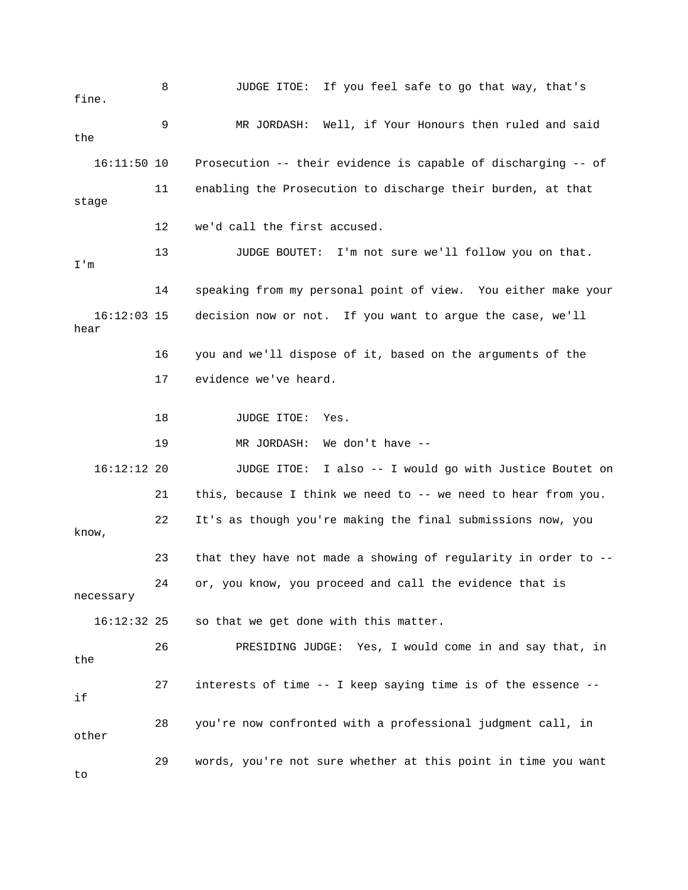8 JUDGE ITOE: If you feel safe to go that way, that's fine. 16:11:50 10 Prosecution -- their evidence is capable of discharging -- of 11 enabling the Prosecution to discharge their burden, at that stage 14 speaking from my personal point of view. You either make your 16:12:03 15 decision now or not. If you want to argue the case, we'll 16 you and we'll dispose of it, based on the arguments of the 17 evidence we've heard. 18 JUDGE ITOE: Yes. 19 MR JORDASH: We don't have --16:12:12 20 JUDGE ITOE: I also -- I would go with Justice Boutet on 21 this, because I think we need to -- we need to hear from you. know, 24 or, you know, you proceed and call the evidence that is necessary 16:12:32 25 so that we get done with this matter. 26 PRESIDING JUDGE: Yes, I would come in and say that, in the 27 interests of time -- I keep saying time is of the essence -- 28 you're now confronted with a professional judgment call, in 29 words, you're not sure whether at this point in time you want 9 MR JORDASH: Well, if Your Honours then ruled and said the 12 we'd call the first accused. 13 JUDGE BOUTET: I'm not sure we'll follow you on that. I'm hear 22 It's as though you're making the final submissions now, you 23 that they have not made a showing of regularity in order to - if other to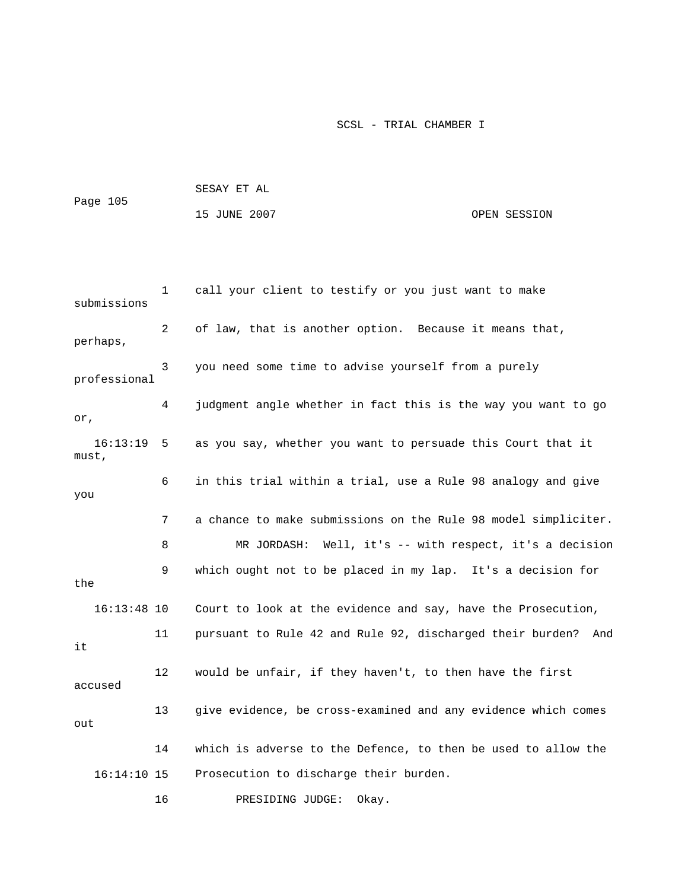|          | SESAY ET AL  |              |
|----------|--------------|--------------|
| Page 105 |              |              |
|          | 15 JUNE 2007 | OPEN SESSION |

1 call your client to testify or you just want to make submissions 2 of law, that is another option. Because it means that, perhaps, 3 you need some time to advise yourself from a purely professional 4 judgment angle whether in fact this is the way you want to go , or must, 6 in this trial within a trial, use a Rule 98 analogy and give you 7 a chance to make submissions on the Rule 98 model simpliciter. 8 MR JORDASH: Well, it's -- with respect, it's a decision 9 which ought not to be placed in my lap. It's a decision for 16:13:48 10 Court to look at the evidence and say, have the Prosecution, 11 pursuant to Rule 42 and Rule 92, discharged their burden? And 12 would be unfair, if they haven't, to then have the first 13 give evidence, be cross-examined and any evidence which comes 14 which is adverse to the Defence, to then be used to allow the Prosecution to discharge their burden. 16 PRESIDING JUDGE: Okay. 16:13:19 5 as you say, whether you want to persuade this Court that it the it accused out 16:14:10 15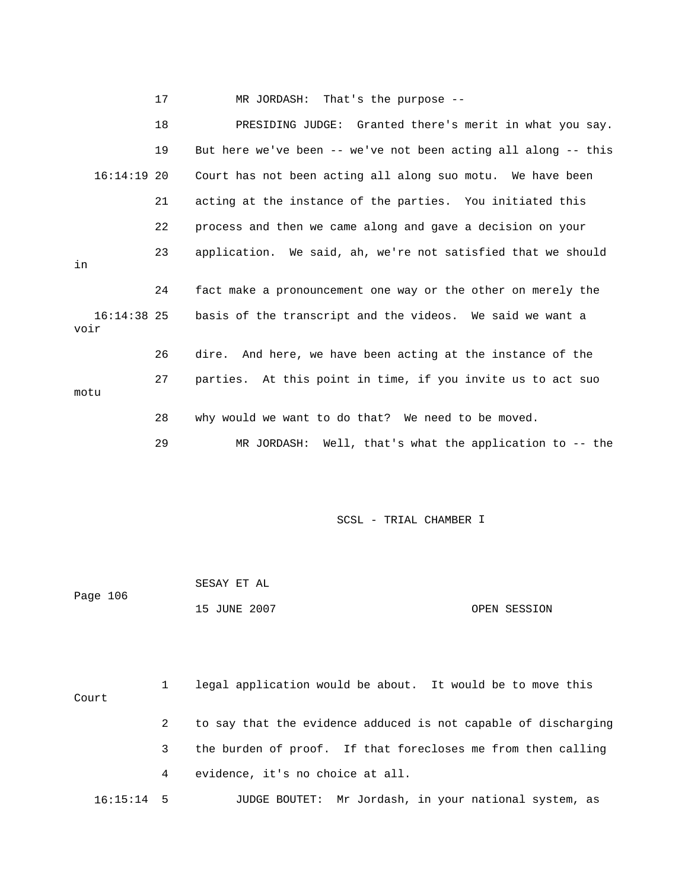|                       | 17 | MR JORDASH: That's the purpose --                              |
|-----------------------|----|----------------------------------------------------------------|
|                       | 18 | PRESIDING JUDGE: Granted there's merit in what you say.        |
|                       | 19 | But here we've been -- we've not been acting all along -- this |
| $16:14:19$ 20         |    | Court has not been acting all along suo motu. We have been     |
|                       | 21 | acting at the instance of the parties. You initiated this      |
|                       | 22 | process and then we came along and gave a decision on your     |
| in                    | 23 | application. We said, ah, we're not satisfied that we should   |
|                       | 24 | fact make a pronouncement one way or the other on merely the   |
| $16:14:38$ 25<br>voir |    | basis of the transcript and the videos. We said we want a      |
|                       | 26 | dire. And here, we have been acting at the instance of the     |
| motu                  | 27 | parties. At this point in time, if you invite us to act suo    |
|                       | 28 | why would we want to do that? We need to be moved.             |
|                       | 29 | MR JORDASH: Well, that's what the application to -- the        |

| Page 106 | SESAY ET AL  |              |  |
|----------|--------------|--------------|--|
|          | 15 JUNE 2007 | OPEN SESSION |  |

| Court        |   | legal application would be about. It would be to move this     |
|--------------|---|----------------------------------------------------------------|
|              |   | to say that the evidence adduced is not capable of discharging |
|              | 3 | the burden of proof. If that forecloses me from then calling   |
|              | 4 | evidence, it's no choice at all.                               |
| $16:15:14$ 5 |   | JUDGE BOUTET: Mr Jordash, in your national system, as          |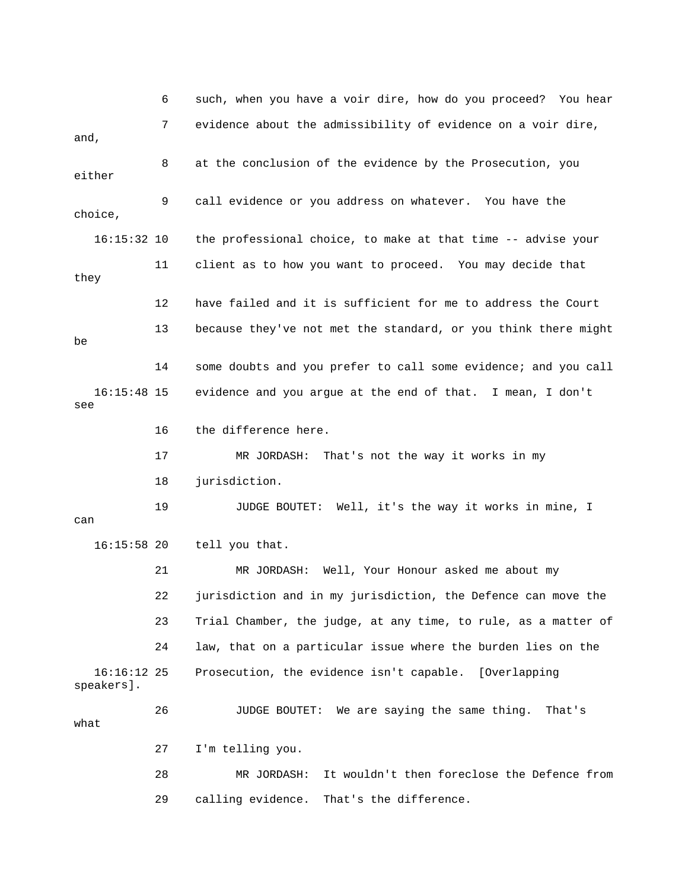6 such, when you have a voir dire, how do you proceed? You hear and, 8 at the conclusion of the evidence by the Prosecution, you either 9 call evidence or you address on whatever. You have the choice, 16:15:32 10 the professional choice, to make at that time -- advise your 12 have failed and it is sufficient for me to address the Court 13 because they've not met the standard, or you think there might 14 some doubts and you prefer to call some evidence; and you call 16:15:48 15 evidence and you argue at the end of that. I mean, I don't 17 MR JORDASH: That's not the way it works in my tell you that. 22 jurisdiction and in my jurisdiction, the Defence can move the 23 Trial Chamber, the judge, at any time, to rule, as a matter of speakers]. what 29 calling evidence. That's the difference. 7 evidence about the admissibility of evidence on a voir dire, 11 client as to how you want to proceed. You may decide that they be see 16 the difference here. 18 jurisdiction. 19 JUDGE BOUTET: Well, it's the way it works in mine, I can  $16:15:58$  20 21 MR JORDASH: Well, Your Honour asked me about my 24 law, that on a particular issue where the burden lies on the 16:16:12 25 Prosecution, the evidence isn't capable. [Overlapping 26 JUDGE BOUTET: We are saying the same thing. That's 27 I'm telling you. 28 MR JORDASH: It wouldn't then foreclose the Defence from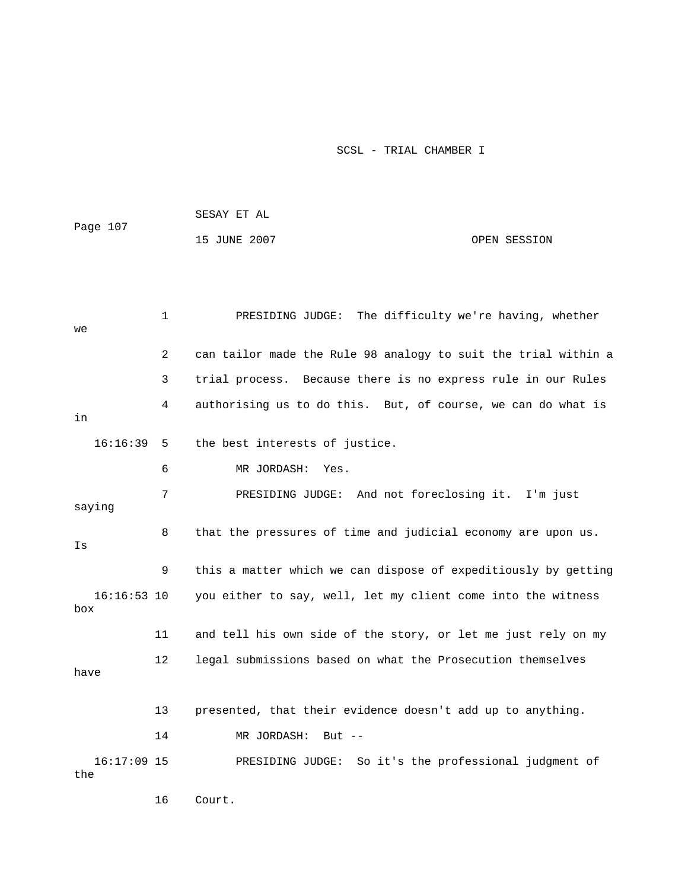|                      |               | 15 JUNE 2007<br>OPEN SESSION                                   |
|----------------------|---------------|----------------------------------------------------------------|
|                      |               |                                                                |
|                      |               |                                                                |
| we                   | $\mathbf{1}$  | PRESIDING JUDGE: The difficulty we're having, whether          |
|                      | $\mathcal{L}$ | can tailor made the Rule 98 analogy to suit the trial within a |
|                      | 3             | trial process. Because there is no express rule in our Rules   |
| in                   | 4             | authorising us to do this. But, of course, we can do what is   |
| 16:16:39             | 5             | the best interests of justice.                                 |
|                      | 6             | MR JORDASH:<br>Yes.                                            |
| saying               | 7             | PRESIDING JUDGE: And not foreclosing it. I'm just              |
| Is                   | 8             | that the pressures of time and judicial economy are upon us.   |
|                      | 9             | this a matter which we can dispose of expeditiously by getting |
| $16:16:53$ 10<br>box |               | you either to say, well, let my client come into the witness   |
|                      | 11            | and tell his own side of the story, or let me just rely on my  |
| have                 | 12            | legal submissions based on what the Prosecution themselves     |
|                      | 13            | presented, that their evidence doesn't add up to anything.     |
|                      | 14            | MR JORDASH:<br>But $--$                                        |
| $16:17:09$ 15<br>the |               | So it's the professional judgment of<br>PRESIDING JUDGE:       |
|                      |               |                                                                |

16 Court.

SESAY ET AL

Page 107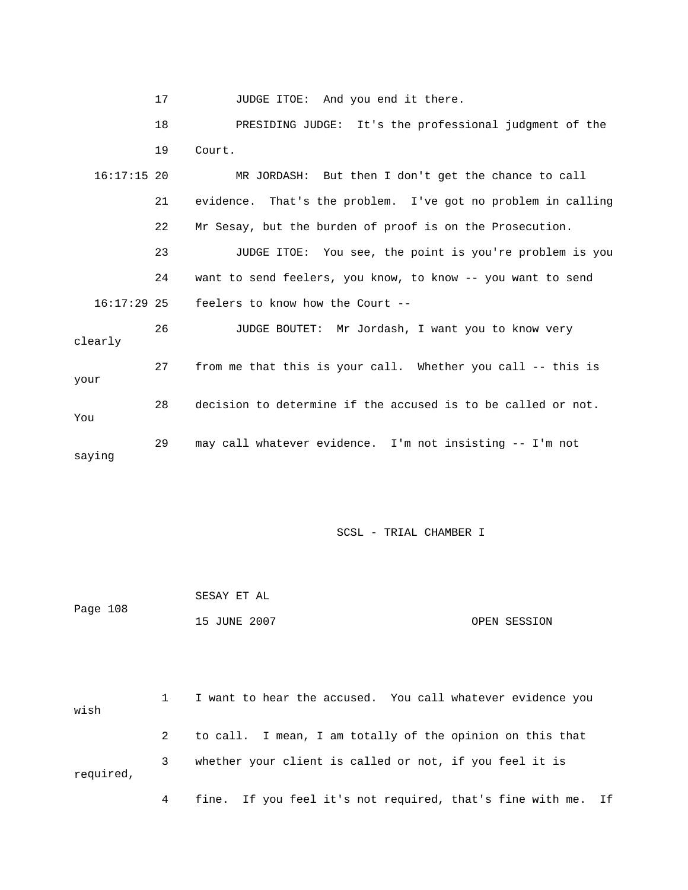|  |  | JUDGE ITOE: And you end it there. |
|--|--|-----------------------------------|
|--|--|-----------------------------------|

 18 PRESIDING JUDGE: It's the professional judgment of the 19 Court. 21 evidence. That's the problem. I've got no problem in calling 16:17:15 20 MR JORDASH: But then I don't get the chance to call 22 Mr Sesay, but the burden of proof is on the Prosecution.

 24 want to send feelers, you know, to know -- you want to send feelers to know how the Court -- 23 JUDGE ITOE: You see, the point is you're problem is you  $16:17:29$  25

clearly 27 from me that this is your call. Whether you call -- this is your You 29 may call whatever evidence. I'm not insisting -- I'm not 26 JUDGE BOUTET: Mr Jordash, I want you to know very 28 decision to determine if the accused is to be called or not. saying

SCSL - TRIAL CHAMBER I

Page 108 SESAY ET AL 15 JUNE 2007 CPEN SESSION

 2 to call. I mean, I am totally of the opinion on this that 3 whether your client is called or not, if you feel it is required, 4 fine. If you feel it's not required, that's fine with me. If 1 I want to hear the accused. You call whatever evidence you wish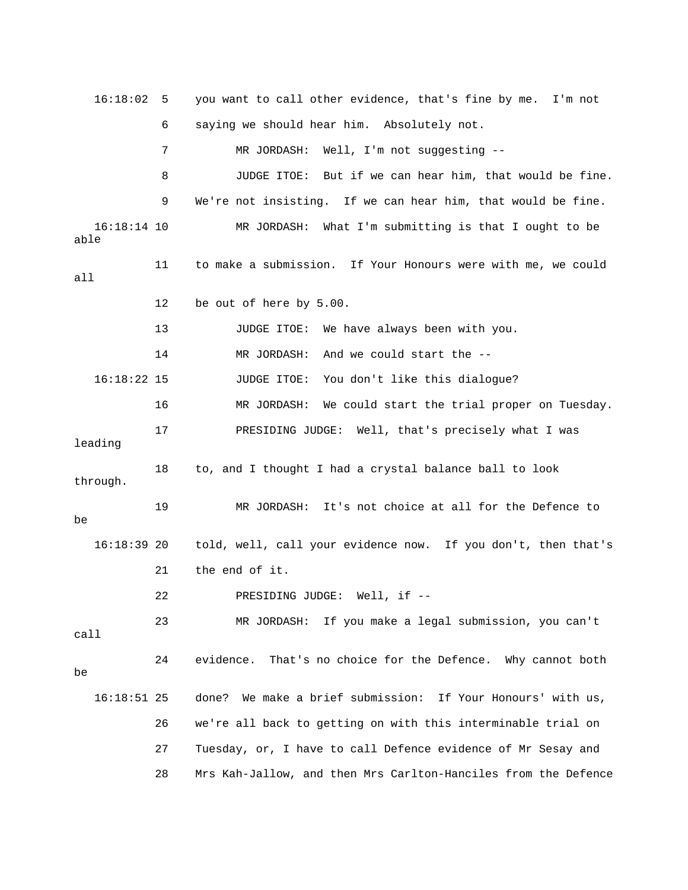16:18:02 5 you want to call other evidence, that's fine by me. I'm not 6 saying we should hear him. Absolutely not. 7 MR JORDASH: Well, I'm not suggesting -- 8 JUDGE ITOE: But if we can hear him, that would be fine. 9 We're not insisting. If we can hear him, that would be fine. 16:18:14 10 MR JORDASH: What I'm submitting is that I ought to be able 11 to make a submission. If Your Honours were with me, we could all 12 be out of here by 5.00. 13 JUDGE ITOE: We have always been with you. 14 MR JORDASH: And we could start the -- 16:18:22 15 JUDGE ITOE: You don't like this dialogue? 16 MR JORDASH: We could start the trial proper on Tuesday. 18 to, and I thought I had a crystal balance ball to look 19 MR JORDASH: It's not choice at all for the Defence to 16:18:39 20 told, well, call your evidence now. If you don't, then that's 21 the end of it. 23 MR JORDASH: If you make a legal submission, you can't 26 we're all back to getting on with this interminable trial on 27 Tuesday, or, I have to call Defence evidence of Mr Sesay and 28 Mrs Kah-Jallow, and then Mrs Carlton-Hanciles from the Defence 17 PRESIDING JUDGE: Well, that's precisely what I was leading through. be 22 PRESIDING JUDGE: Well, if - call 24 evidence. That's no choice for the Defence. Why cannot both be 16:18:51 25 done? We make a brief submission: If Your Honours' with us,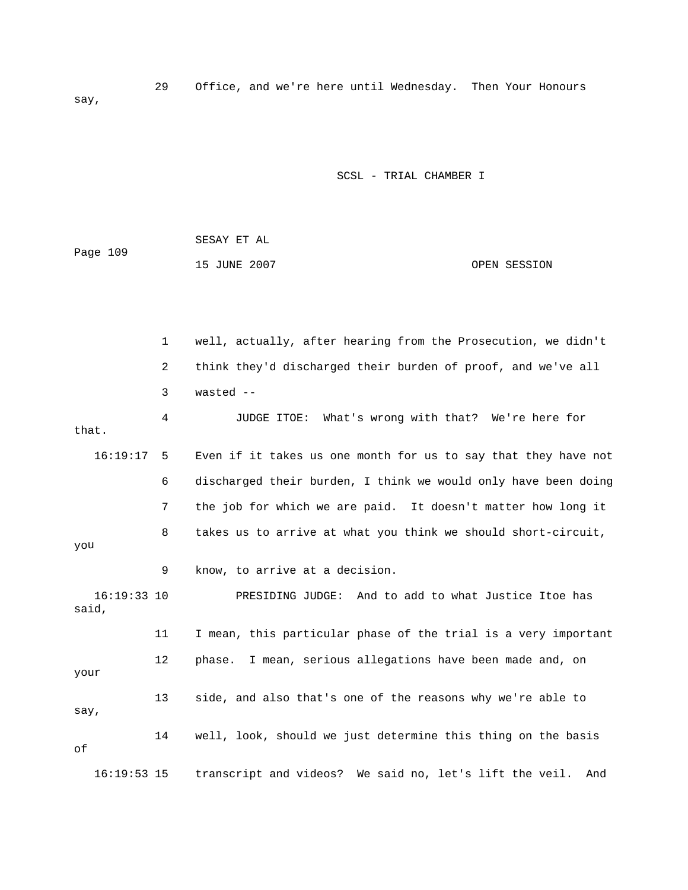29 Office, and we're here until Wednesday. Then Your Honours say,

## SCSL - TRIAL CHAMBER I

|          | SESAY ET AL  |              |
|----------|--------------|--------------|
| Page 109 |              |              |
|          | 15 JUNE 2007 | OPEN SESSION |

 1 well, actually, after hearing from the Prosecution, we didn't 3 wasted -- 4 JUDGE ITOE: What's wrong with that? We're here for 7 the job for which we are paid. It doesn't matter how long it 8 takes us to arrive at what you think we should short-circuit, you 9 know, to arrive at a decision. 16:19:33 10 PRESIDING JUDGE: And to add to what Justice Itoe has said, 11 I mean, this particular phase of the trial is a very important 13 side, and also that's one of the reasons why we're able to  $\operatorname*{say}$  , 14 well, look, should we just determine this thing on the basis 16:19:53 15 transcript and videos? We said no, let's lift the veil. And 2 think they'd discharged their burden of proof, and we've all that. 16:19:17 5 Even if it takes us one month for us to say that they have not 6 discharged their burden, I think we would only have been doing 12 phase. I mean, serious allegations have been made and, on your of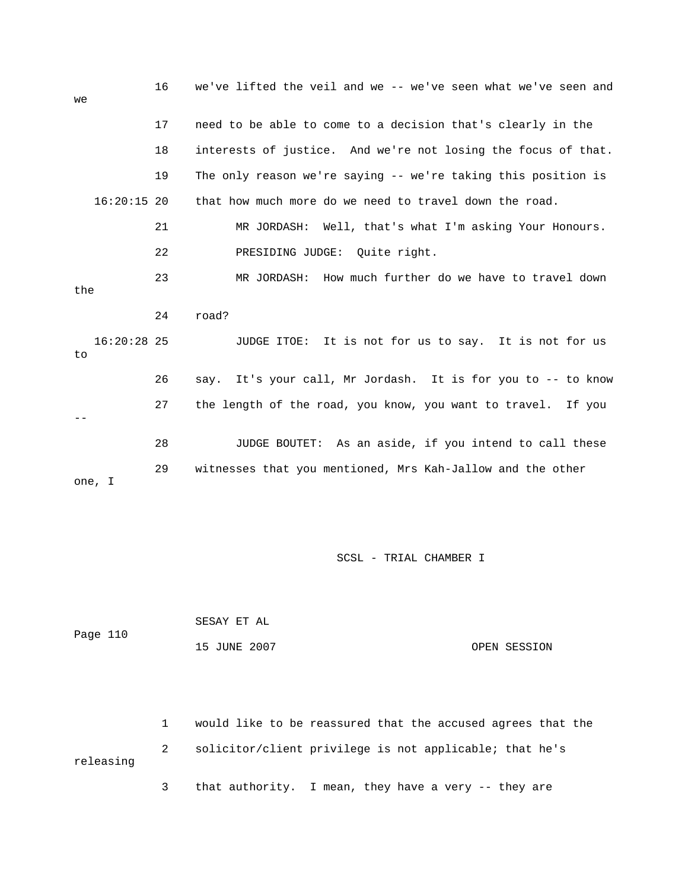| we  |               | 16 | we've lifted the veil and we -- we've seen what we've seen and |
|-----|---------------|----|----------------------------------------------------------------|
|     |               | 17 | need to be able to come to a decision that's clearly in the    |
|     |               | 18 | interests of justice. And we're not losing the focus of that.  |
|     |               | 19 | The only reason we're saying -- we're taking this position is  |
|     | $16:20:15$ 20 |    | that how much more do we need to travel down the road.         |
|     |               | 21 | MR JORDASH: Well, that's what I'm asking Your Honours.         |
|     |               | 22 | PRESIDING JUDGE: Ouite right.                                  |
| the |               | 23 | MR JORDASH: How much further do we have to travel down         |
|     |               |    |                                                                |
|     |               | 24 | road?                                                          |
| to  | $16:20:28$ 25 |    | JUDGE ITOE: It is not for us to say. It is not for us          |
|     |               | 26 | say. It's your call, Mr Jordash. It is for you to -- to know   |
|     |               | 27 | the length of the road, you know, you want to travel. If you   |
|     |               |    |                                                                |
|     |               | 28 | JUDGE BOUTET: As an aside, if you intend to call these         |
|     | one, I        | 29 | witnesses that you mentioned, Mrs Kah-Jallow and the other     |

|          | SESAY ET AL  |              |
|----------|--------------|--------------|
| Page 110 |              |              |
|          | 15 JUNE 2007 | OPEN SESSION |

1 would like to be reassured that the accused agrees that the releasing 2 solicitor/client privilege is not applicable; that he's

3 that authority. I mean, they have a very -- they are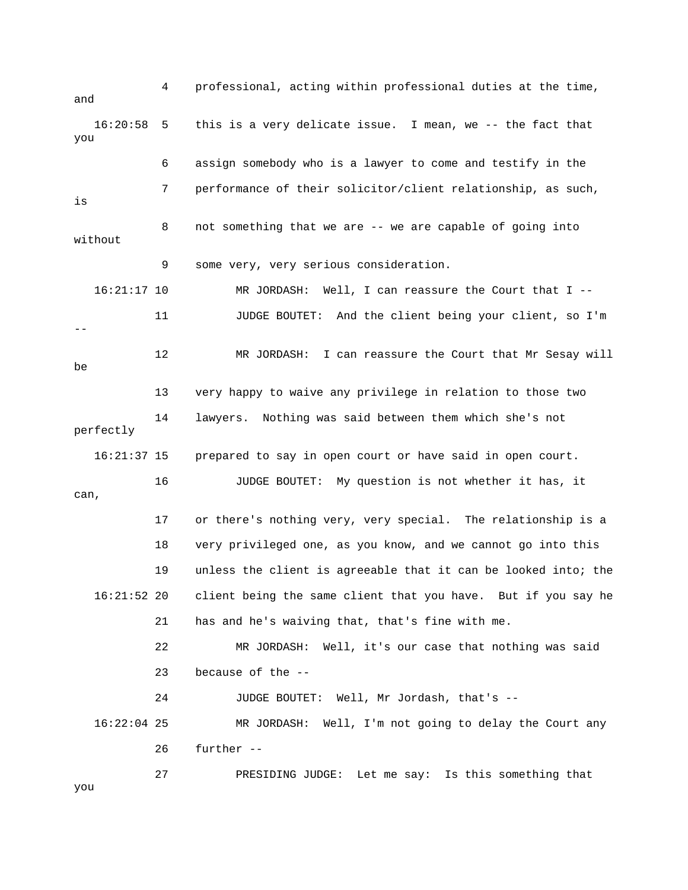4 professional, acting within professional duties at the time, 16:20:58 5 this is a very delicate issue. I mean, we -- the fact that 7 performance of their solicitor/client relationship, as such, 8 not something that we are -- we are capable of going into without 16:21:17 10 MR JORDASH: Well, I can reassure the Court that I -- 11 JUDGE BOUTET: And the client being your client, so I'm ay will 12 MR JORDASH: I can reassure the Court that Mr Ses 13 very happy to waive any privilege in relation to those two 14 lawyers. Nothing was said between them which she's not 16 JUDGE BOUTET: My question is not whether it has, it 18 very privileged one, as you know, and we cannot go into this 19 unless the client is agreeable that it can be looked into; the 16:21:52 20 client being the same client that you have. But if you say he 22 MR JORDASH: Well, it's our case that nothing was said 24 JUDGE BOUTET: Well, Mr Jordash, that's -- 27 PRESIDING JUDGE: Let me say: Is this something that and you 6 assign somebody who is a lawyer to come and testify in the is 9 some very, very serious consideration. - be perfectly 16:21:37 15 prepared to say in open court or have said in open court. can, 17 or there's nothing very, very special. The relationship is a 21 has and he's waiving that, that's fine with me. 23 because of the -- 16:22:04 25 MR JORDASH: Well, I'm not going to delay the Court any 26 further - you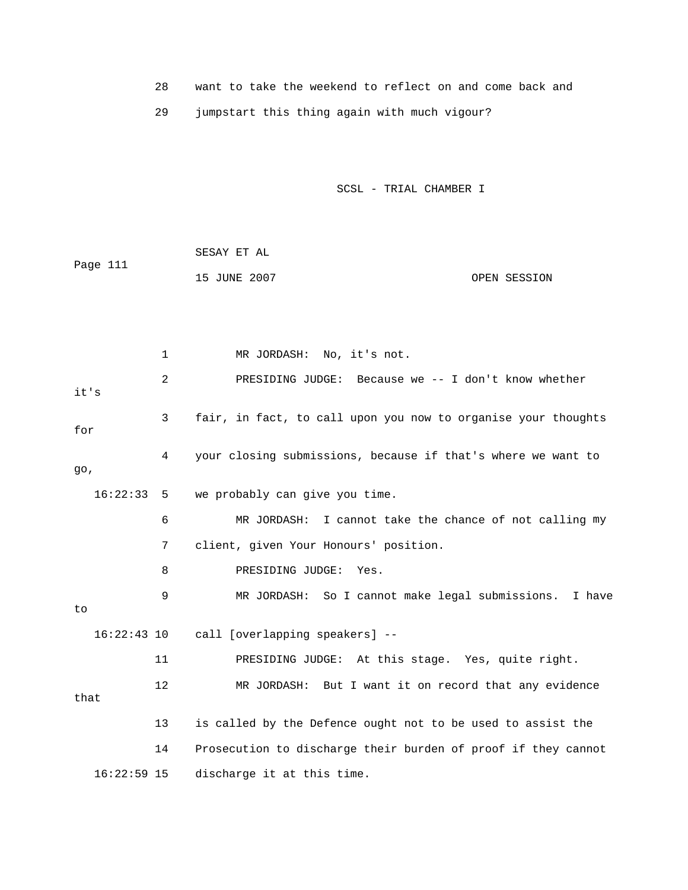28 want to take the weekend to reflect on and come back and

29 jumpstart this thing again with much vigour?

SCSL - TRIAL CHAMBER I

|          | SESAY ET AL  |              |
|----------|--------------|--------------|
| Page 111 |              |              |
|          | 15 JUNE 2007 | OPEN SESSION |

GE: Because we -- I don't know whether 2 PRESIDING JUD it's 3 fair, in fact, to call upon you now to organise your thoughts 4 your closing submissions, because if that's where we want to , go we probably can give you time. 6 MR JORDASH: I cannot take the chance of not calling my 8 PRESIDING JUDGE: Yes. 9 MR JORDASH: So I cannot make legal submissions. I have 11 PRESIDING JUDGE: At this stage. Yes, quite right. 13 is called by the Defence ought not to be used to assist the 14 Prosecution to discharge their burden of proof if they cannot 16:22:59 15 discharge it at this time. 1 MR JORDASH: No, it's not. for  $16:22:33 5$  7 client, given Your Honours' position. to 16:22:43 10 call [overlapping speakers] -- 12 MR JORDASH: But I want it on record that any evidence that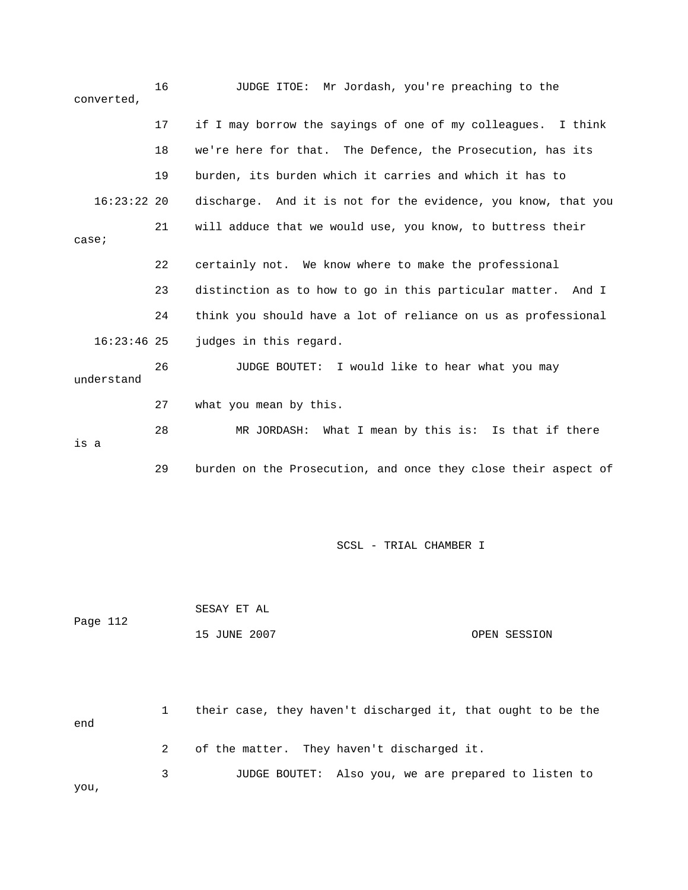16 JUDGE ITOE: Mr Jordash, you're preaching to the converted, 18 we're here for that. The Defence, the Prosecution, has its 19 burden, its burden which it carries and which it has to 16:23:22 20 discharge. And it is not for the evidence, you know, that you case; 22 certainly not. We know where to make the professional 24 think you should have a lot of reliance on us as professional understand 27 what you mean by this. 29 burden on the Prosecution, and once they close their aspect of 17 if I may borrow the sayings of one of my colleagues. I think 21 will adduce that we would use, you know, to buttress their 23 distinction as to how to go in this particular matter. And I 16:23:46 25 judges in this regard. 26 JUDGE BOUTET: I would like to hear what you may 28 MR JORDASH: What I mean by this is: Is that if there is a

SCSL - TRIAL CHAMBER I

 SESAY ET AL Page 112 15 JUNE 2007 CPEN SESSION

end 3 JUDGE BOUTET: Also you, we are prepared to listen to 1 their case, they haven't discharged it, that ought to be the 2 of the matter. They haven't discharged it. you,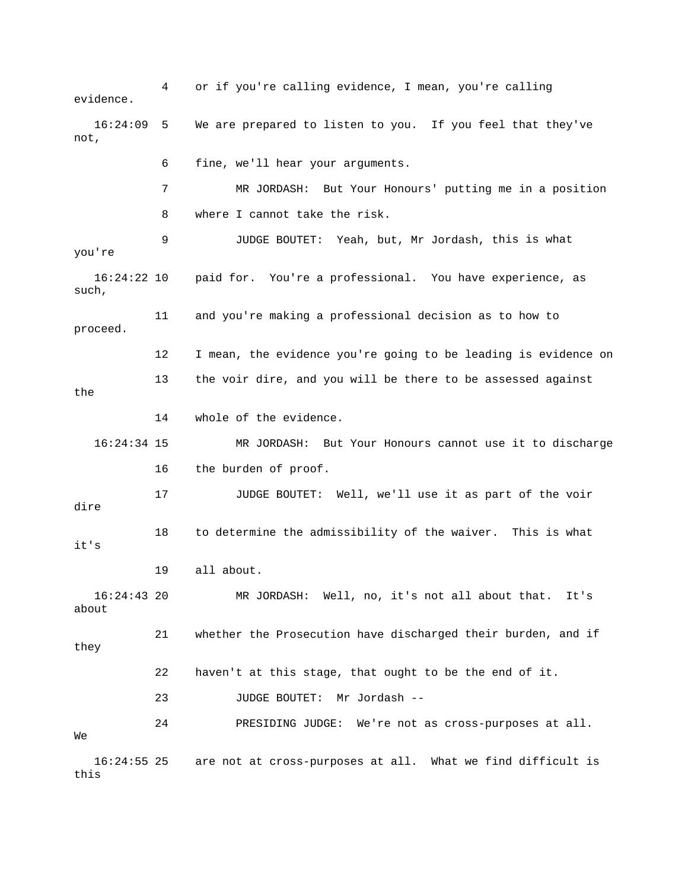4 or if you're calling evidence, I mean, you're calling 7 MR JORDASH: But Your Honours' putting me in a position 8 where I cannot take the risk. 9 JUDGE BOUTET: Yeah, but, Mr Jordash, this is what you're 16:24:22 10 paid for. You're a professional. You have experience, as 11 and you're making a professional decision as to how to 12 I mean, the evidence you're going to be leading is evidence on 13 the voir dire, and you will be there to be assessed against the 14 whole of the evidence. 16:24:34 15 MR JORDASH: But Your Honours cannot use it to discharge 17 JUDGE BOUTET: Well, we'll use it as part of the voir 18 to determine the admissibility of the waiver. This is what 19 all about. 16:24:43 20 MR JORDASH: Well, no, it's not all about that. It's 21 whether the Prosecution have discharged their burden, and if they 24 PRESIDING JUDGE: We're not as cross-purposes at all. evidence. 16:24:09 5 We are prepared to listen to you. If you feel that they've not, 6 fine, we'll hear your arguments. such, proceed. 16 the burden of proof. dire it's about 22 haven't at this stage, that ought to be the end of it. 23 JUDGE BOUTET: Mr Jordash -- We 16:24:55 25 are not at cross-purposes at all. What we find difficult is

this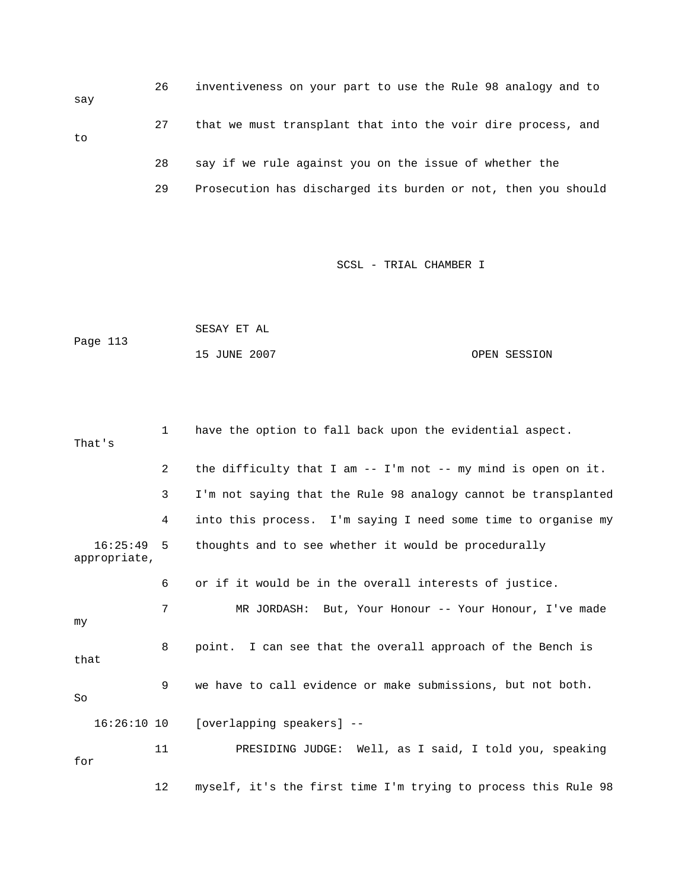26 inventiveness on your part to use the Rule 98 analogy and to 27 that we must transplant that into the voir dire process, and 28 say if we rule against you on the issue of whether the 29 Prosecution has discharged its burden or not, then you should to

SCSL - TRIAL CHAMBER I

|          | SESAY ET AL  |              |
|----------|--------------|--------------|
| Page 113 |              |              |
|          | 15 JUNE 2007 | OPEN SESSION |

```
 3 I'm not saying that the Rule 98 analogy cannot be transplanted 
4 into this process. I'm saying I need some time to organise my
            8 point. I can see that the overall approach of the Bench is 
that
9 we have to call evidence or make submissions, but not both.
   16:26:10 10 [overlapping speakers] -- 
11 PRESIDING JUDGE: Well, as I said, I told you, speaking
12 myself, it's the first time I'm trying to process this Rule 98
            1 have the option to fall back upon the evidential aspect. 
That's 
            2 the difficulty that I am -- I'm not -- my mind is open on it. 
   16:25:49 5 thoughts and to see whether it would be procedurally 
appropriate, 
            6 or if it would be in the overall interests of justice. 
            7 MR JORDASH: But, Your Honour -- Your Honour, I've made 
my
So
for
```
say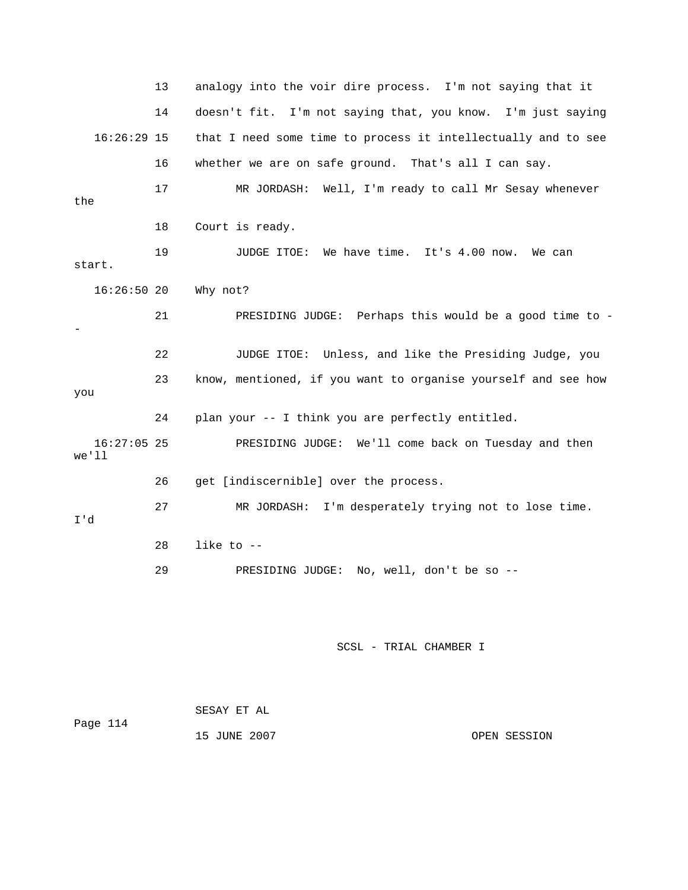13 analogy into the voir dire process. I'm not saying that it 14 doesn't fit. I'm not saying that, you know. I'm just saying that I need some time to process it intellectually and to see the 18 Court is ready. JUDGE ITOE: We have time. It's 4.00 now. We can start. 21 PRESIDING JUDGE: Perhaps this would be a good time to - 23 know, mentioned, if you want to organise yourself and see how 24 plan your -- I think you are perfectly entitled. 16:27:05 25 PRESIDING JUDGE: We'll come back on Tuesday and then 26 get [indiscernible] over the process. 27 MR JORDASH: I'm desperately trying not to lose time.  $16:26:29$  15 16 whether we are on safe ground. That's all I can say. 17 MR JORDASH: Well, I'm ready to call Mr Sesay whenever 19 16:26:50 20 Why not? - 22 JUDGE ITOE: Unless, and like the Presiding Judge, you you we'll I'd 28 like to -- 29 PRESIDING JUDGE: No, well, don't be so --

| Page 114 | SESAY ET AL  |              |
|----------|--------------|--------------|
|          | 15 JUNE 2007 | OPEN SESSION |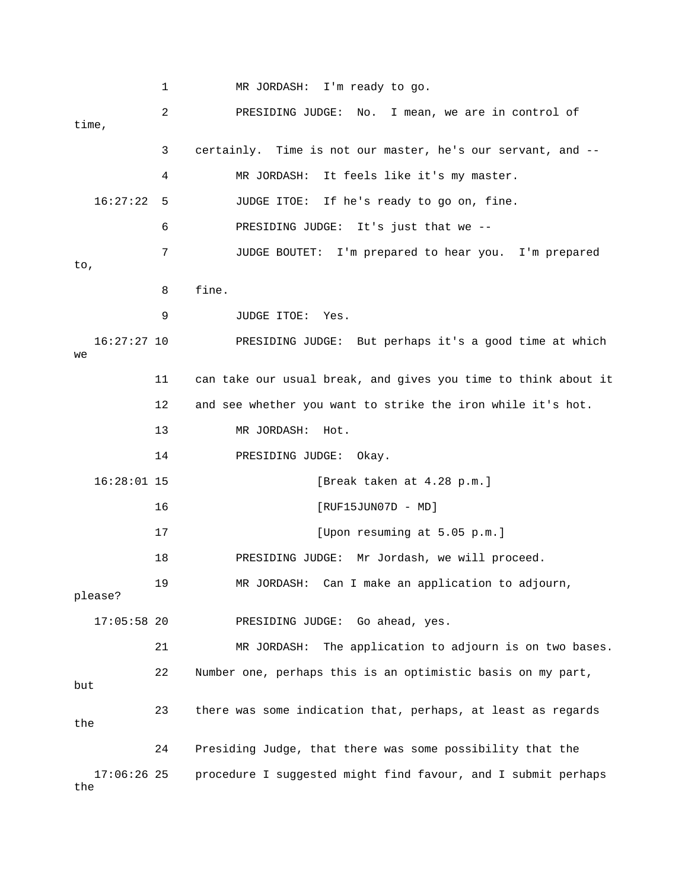|                      | 1  | MR JORDASH: I'm ready to go.                                   |
|----------------------|----|----------------------------------------------------------------|
| time,                | 2  | PRESIDING JUDGE: No.<br>I mean, we are in control of           |
|                      | 3  | certainly. Time is not our master, he's our servant, and --    |
|                      |    |                                                                |
|                      | 4  | MR JORDASH: It feels like it's my master.                      |
| 16:27:22             | 5  | JUDGE ITOE: If he's ready to go on, fine.                      |
|                      | 6  | PRESIDING JUDGE: It's just that we --                          |
| to,                  | 7  | JUDGE BOUTET: I'm prepared to hear you. I'm prepared           |
|                      | 8  | fine.                                                          |
|                      | 9  | JUDGE ITOE:<br>Yes.                                            |
| $16:27:27$ 10<br>we  |    | PRESIDING JUDGE: But perhaps it's a good time at which         |
|                      | 11 | can take our usual break, and gives you time to think about it |
|                      | 12 | and see whether you want to strike the iron while it's hot.    |
|                      | 13 | MR JORDASH:<br>Hot.                                            |
|                      | 14 | PRESIDING JUDGE:<br>Okay.                                      |
| $16:28:01$ 15        |    | [Break taken at 4.28 p.m.]                                     |
|                      | 16 | $[RUF15JUN07D - MD]$                                           |
|                      | 17 | [Upon resuming at 5.05 p.m.]                                   |
|                      | 18 | PRESIDING JUDGE: Mr Jordash, we will proceed.                  |
| please?              | 19 | MR JORDASH: Can I make an application to adjourn,              |
| $17:05:58$ 20        |    | PRESIDING JUDGE: Go ahead, yes.                                |
|                      | 21 | The application to adjourn is on two bases.<br>MR JORDASH:     |
| but                  | 22 | Number one, perhaps this is an optimistic basis on my part,    |
| the                  | 23 | there was some indication that, perhaps, at least as regards   |
|                      | 24 | Presiding Judge, that there was some possibility that the      |
| $17:06:26$ 25<br>the |    | procedure I suggested might find favour, and I submit perhaps  |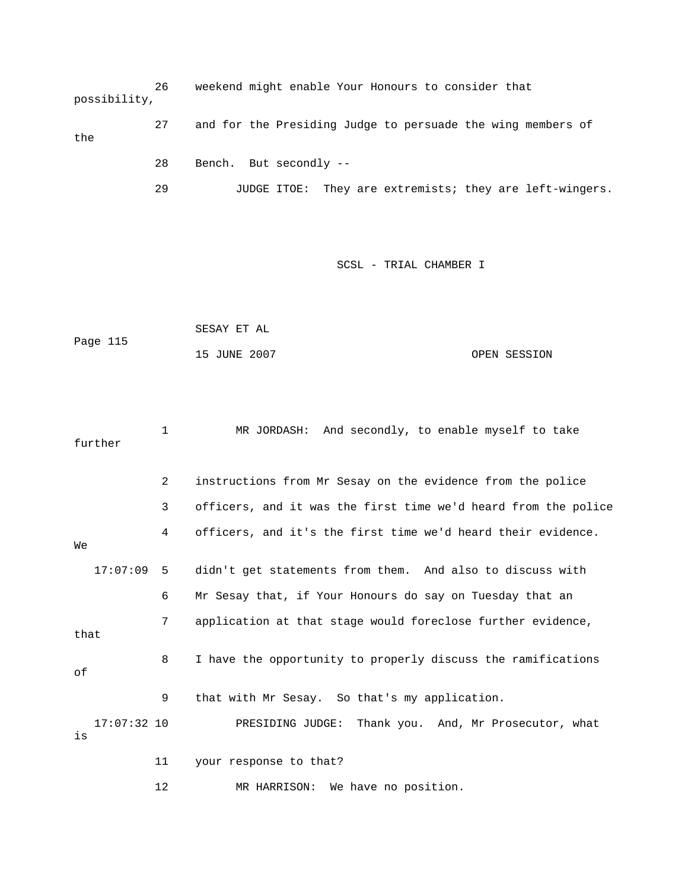26 weekend might enable Your Honours to consider that possibility, 27 and for the Presiding Judge to persuade the wing members of the

28 Bench. But secondly --

29 JUDGE ITOE: They are extremists; they are left-wingers.

## SCSL - TRIAL CHAMBER I

|          | SESAY ET AL  |              |
|----------|--------------|--------------|
| Page 115 |              |              |
|          | 15 JUNE 2007 | OPEN SESSION |

 1 MR JORDASH: And secondly, to enable myself to take further

 3 officers, and it was the first time we'd heard from the police officers, and it's the first time we'd heard their evidence. didn't get statements from them. And also to discuss with 6 Mr Sesay that, if Your Honours do say on Tuesday that an 8 I have the opportunity to properly discuss the ramifications . 9 that with Mr Sesay. So that's my application 17:07:32 10 PRESIDING JUDGE: Thank you. And, Mr Prosecutor, what 2 instructions from Mr Sesay on the evidence from the police 4 We  $17:07:09$  5 7 application at that stage would foreclose further evidence, that of is 11 your response to that?

12 MR HARRISON: We have no position.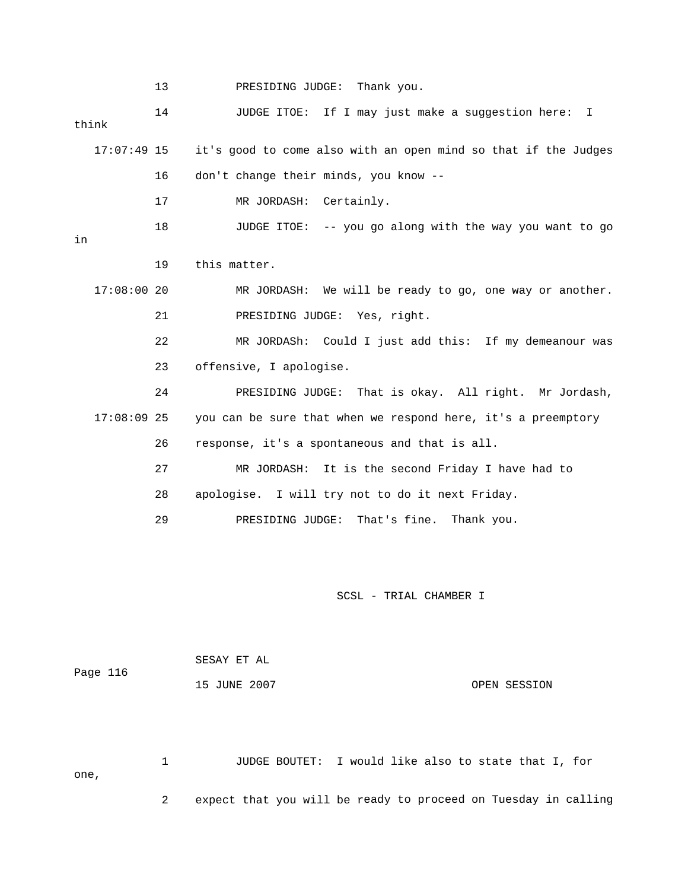13 PRESIDING JUDGE: Thank you.

 14 JUDGE ITOE: If I may just make a suggestion here: I think it's good to come also with an open mind so that if the Judges 17 MR JORDASH: Certainly. 18 JUDGE ITOE: -- you go along with the way you want to go 19 this matter. 17:08:00 20 MR JORDASH: We will be ready to go, one way or another. 21 PRESIDING JUDGE: Yes, right. 22 MR JORDASh: Could I just add this: If my demeanour was 24 PRESIDING JUDGE: That is okay. All right. Mr Jordash, 17:08:09 25 you can be sure that when we respond here, it's a preemptory 27 MR JORDASH: It is the second Friday I have had to 28 apologise. I will try not to do it next Friday. 29 **PRESIDING JUDGE:** That's fine. Thank you. 17:07: 16 don't change their minds, you know - in 23 offensive, I apologise. 26 response, it's a spontaneous and that is all.

SCSL - TRIAL CHAMBER I

 15 JUNE 2007 OPEN SESSION SESAY ET AL Page 116

2 expect that you will be ready to proceed on Tuesday in calling 1 JUDGE BOUTET: I would like also to state that I, for one,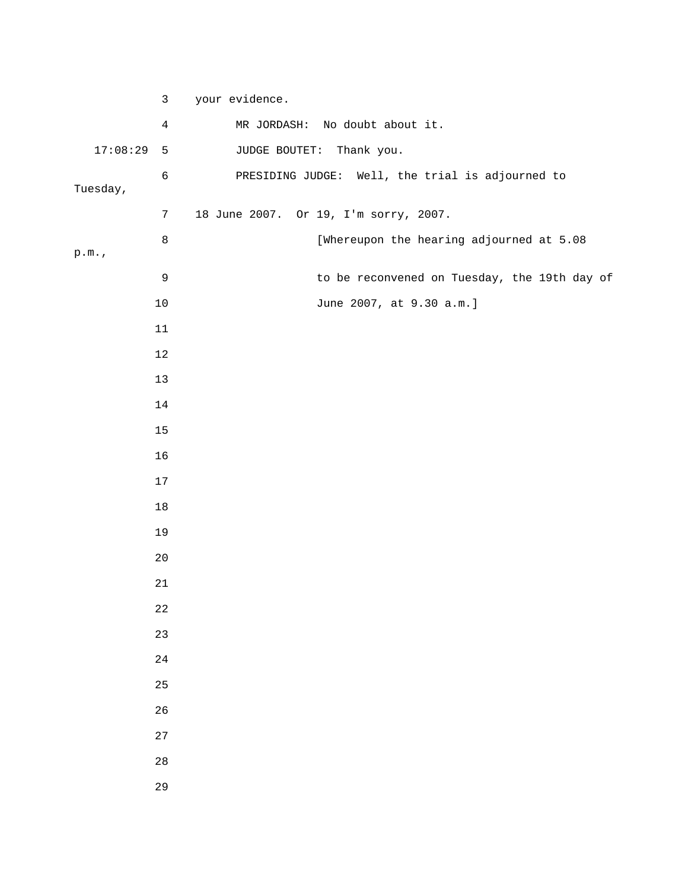|          | 3              | your evidence.                                   |
|----------|----------------|--------------------------------------------------|
|          | $\overline{4}$ | MR JORDASH: No doubt about it.                   |
| 17:08:29 | $5^{\circ}$    | JUDGE BOUTET: Thank you.                         |
| Tuesday, | $\epsilon$     | PRESIDING JUDGE: Well, the trial is adjourned to |
|          | $\overline{7}$ | 18 June 2007. Or 19, I'm sorry, 2007.            |
|          | $\,8\,$        |                                                  |
| p.m.     |                | [Whereupon the hearing adjourned at 5.08         |
|          | $\mathsf 9$    | to be reconvened on Tuesday, the 19th day of     |
|          | $10$           | June 2007, at 9.30 a.m.]                         |
|          | $11\,$         |                                                  |
|          | $1\,2$         |                                                  |
|          | 13             |                                                  |
|          | $14\,$         |                                                  |
|          | $15$           |                                                  |
|          | 16             |                                                  |
|          | $17$           |                                                  |
|          | $18\,$         |                                                  |
|          | 19             |                                                  |
|          | 20             |                                                  |
|          | 21             |                                                  |
|          | $2\sqrt{2}$    |                                                  |
|          | 23             |                                                  |
|          | 24             |                                                  |
|          | 25             |                                                  |
|          | 26             |                                                  |
|          | 27             |                                                  |
|          | $28\,$         |                                                  |
|          | 29             |                                                  |